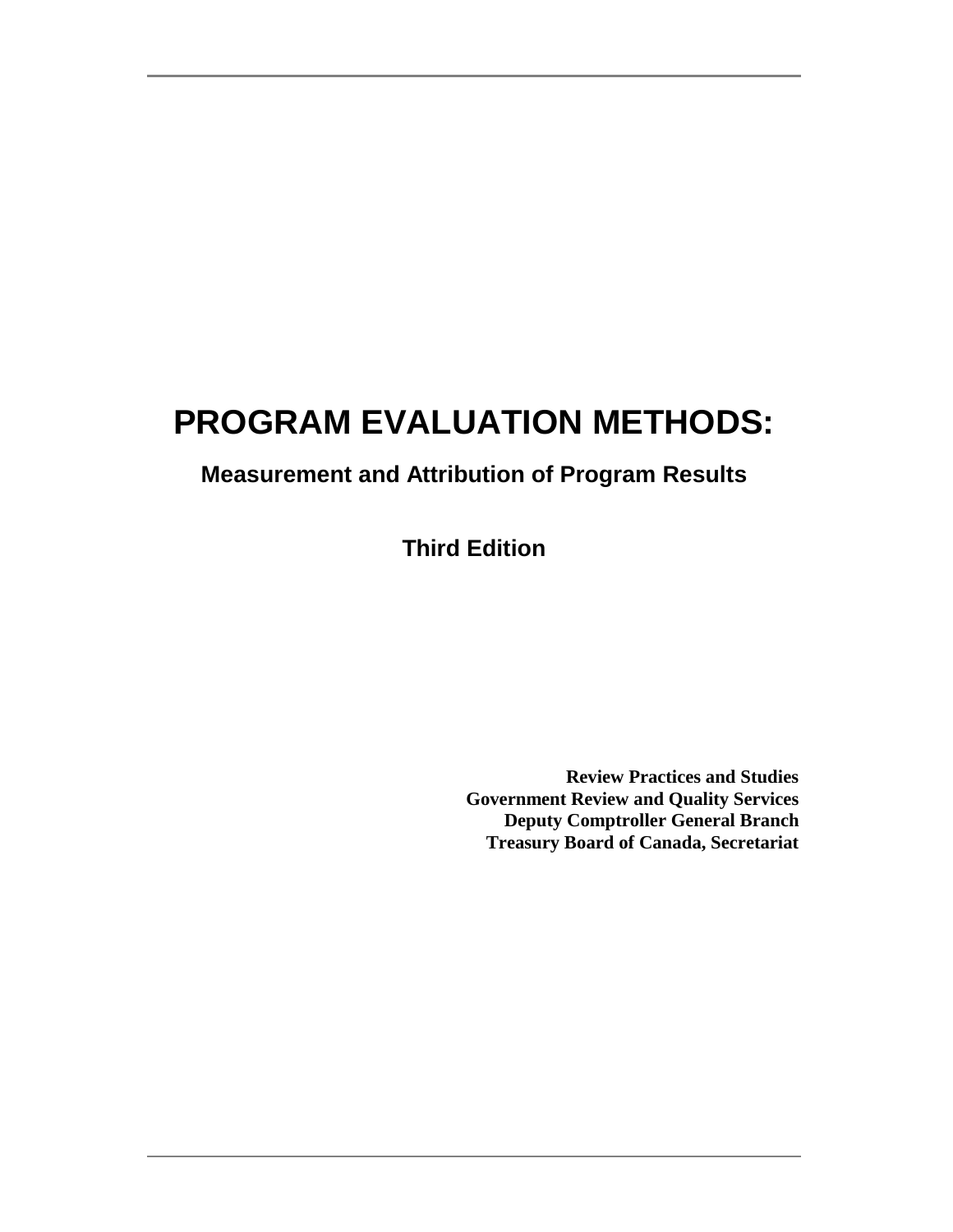# **PROGRAM EVALUATION METHODS:**

# **Measurement and Attribution of Program Results**

**Third Edition**

**Review Practices and Studies Government Review and Quality Services Deputy Comptroller General Branch Treasury Board of Canada, Secretariat**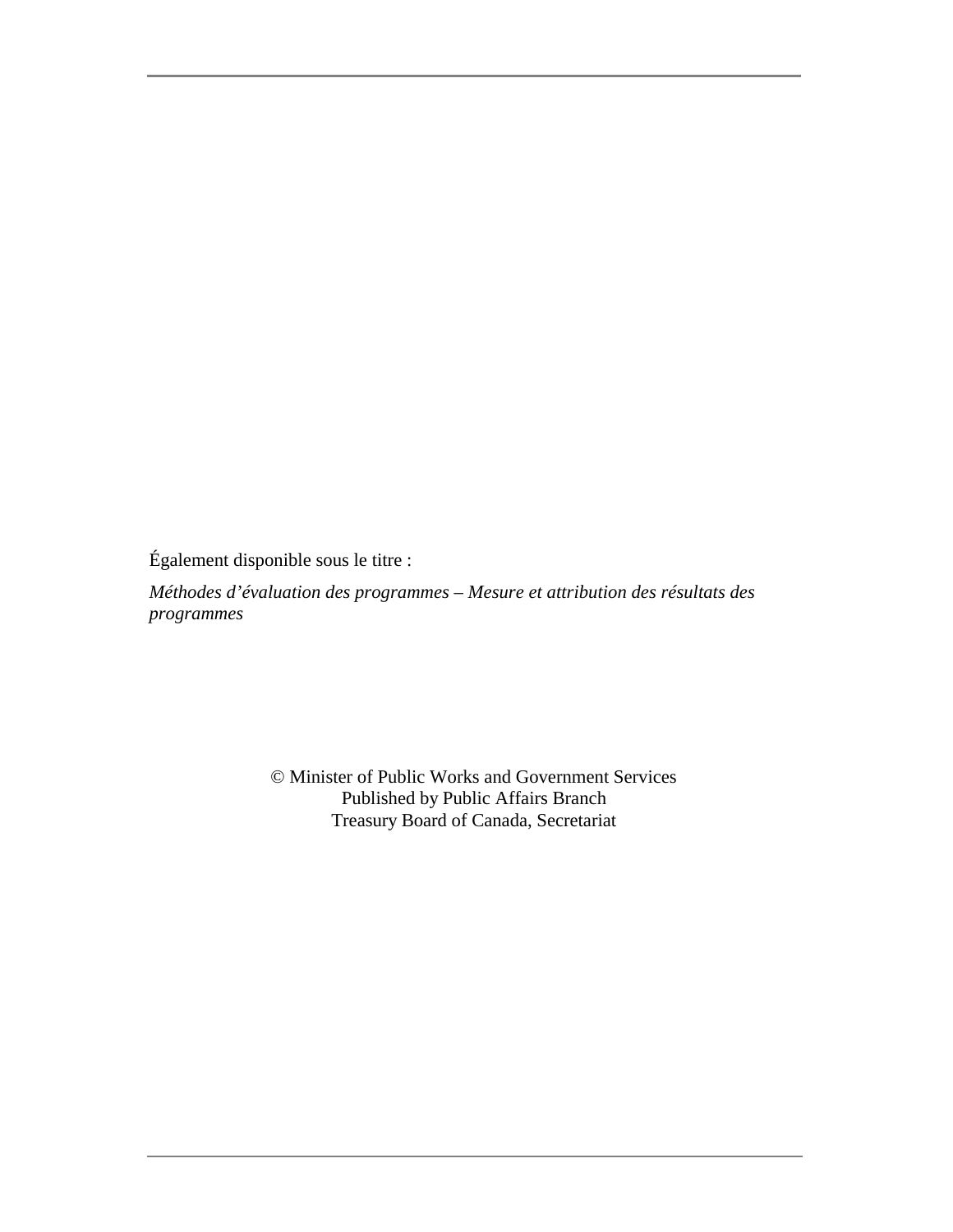Également disponible sous le titre :

*Méthodes d'évaluation des programmes – Mesure et attribution des résultats des programmes*

> © Minister of Public Works and Government Services Published by Public Affairs Branch Treasury Board of Canada, Secretariat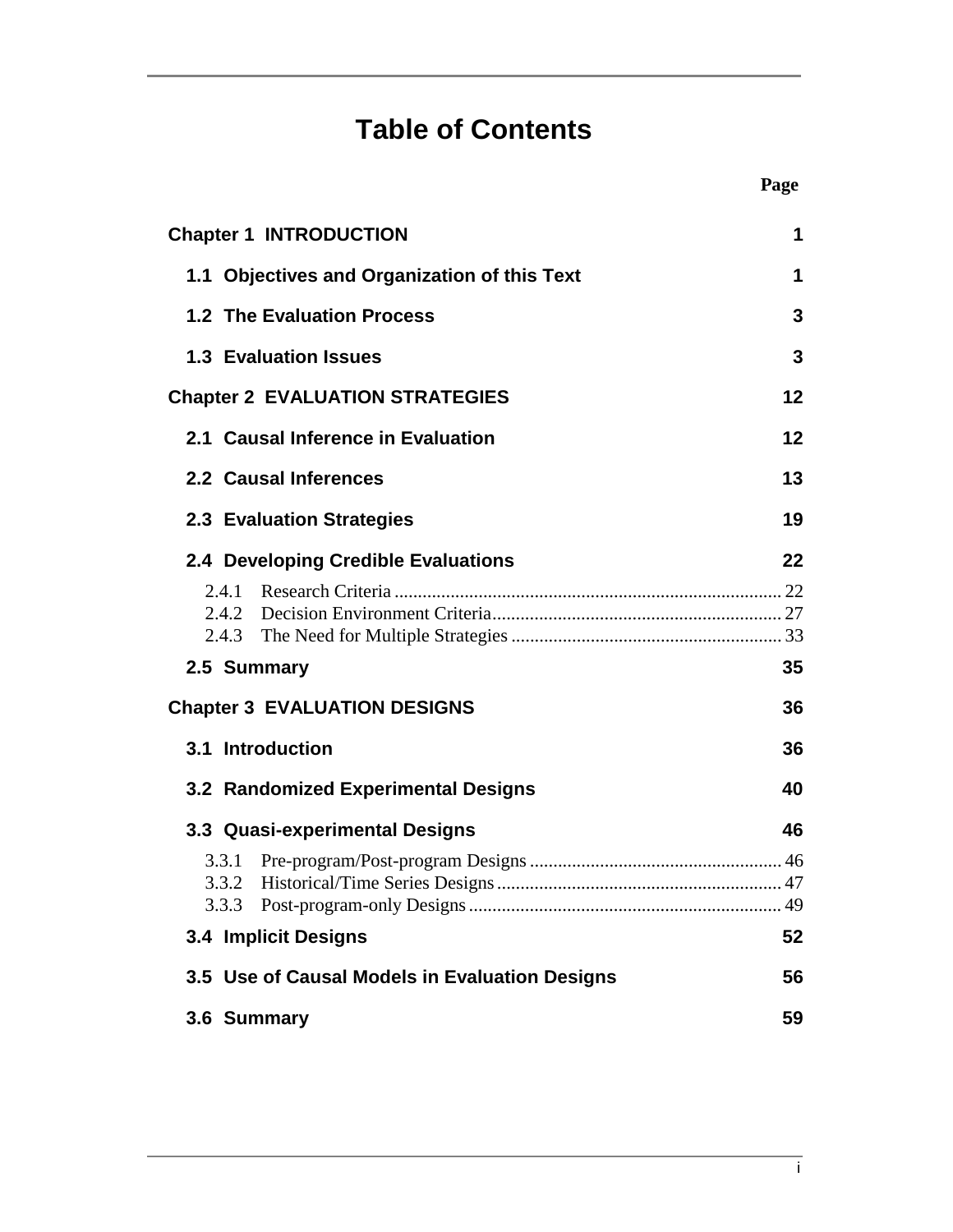# **Table of Contents**

i

| <b>Chapter 1 INTRODUCTION</b> |                                                | 1  |
|-------------------------------|------------------------------------------------|----|
|                               | 1.1 Objectives and Organization of this Text   | 1  |
|                               | <b>1.2 The Evaluation Process</b>              | 3  |
| <b>1.3 Evaluation Issues</b>  |                                                | 3  |
|                               | <b>Chapter 2 EVALUATION STRATEGIES</b>         | 12 |
|                               | 2.1 Causal Inference in Evaluation             | 12 |
| 2.2 Causal Inferences         |                                                | 13 |
| 2.3 Evaluation Strategies     |                                                | 19 |
|                               | 2.4 Developing Credible Evaluations            | 22 |
| 2.4.1                         |                                                |    |
| 2.5 Summary                   |                                                | 35 |
|                               | <b>Chapter 3 EVALUATION DESIGNS</b>            | 36 |
| 3.1 Introduction              |                                                | 36 |
|                               | 3.2 Randomized Experimental Designs            | 40 |
|                               | 3.3 Quasi-experimental Designs                 | 46 |
| 3.3.1<br>3.3.2                |                                                |    |
| <b>3.4 Implicit Designs</b>   |                                                | 52 |
|                               | 3.5 Use of Causal Models in Evaluation Designs | 56 |
| 3.6 Summary                   |                                                | 59 |
|                               |                                                |    |

**Page**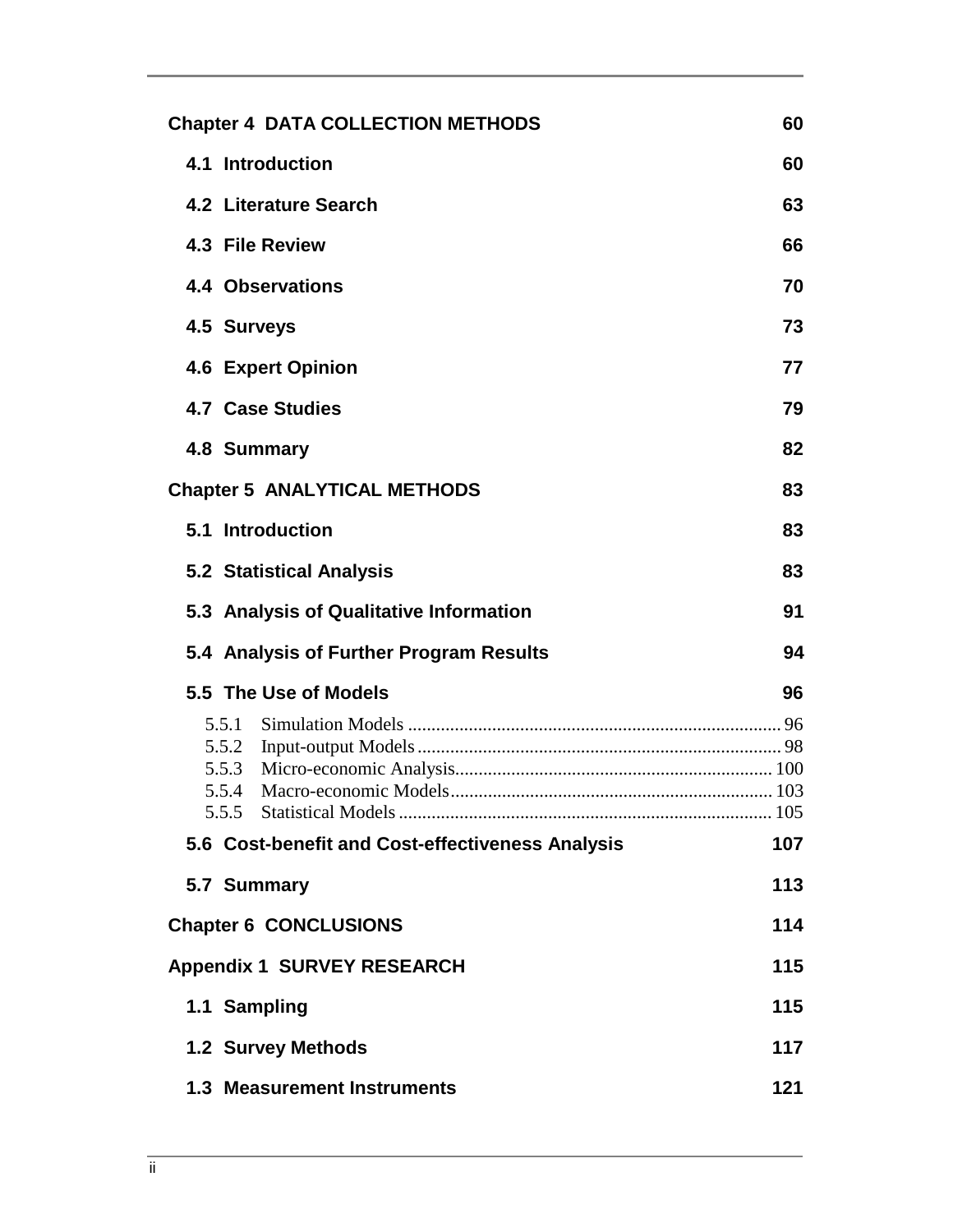| <b>Chapter 4 DATA COLLECTION METHODS</b>         | 60  |
|--------------------------------------------------|-----|
| 4.1 Introduction                                 | 60  |
| 4.2 Literature Search                            | 63  |
| 4.3 File Review                                  | 66  |
| <b>4.4 Observations</b>                          | 70  |
| 4.5 Surveys                                      | 73  |
| <b>4.6 Expert Opinion</b>                        | 77  |
| <b>4.7 Case Studies</b>                          | 79  |
| 4.8 Summary                                      | 82  |
| <b>Chapter 5 ANALYTICAL METHODS</b>              | 83  |
| 5.1 Introduction                                 | 83  |
| <b>5.2 Statistical Analysis</b>                  | 83  |
| 5.3 Analysis of Qualitative Information          | 91  |
| 5.4 Analysis of Further Program Results          | 94  |
| 5.5 The Use of Models                            | 96  |
|                                                  |     |
|                                                  |     |
| 5.5.4                                            |     |
| 5.5.5                                            |     |
| 5.6 Cost-benefit and Cost-effectiveness Analysis | 107 |
| 5.7 Summary                                      | 113 |
| <b>Chapter 6 CONCLUSIONS</b>                     | 114 |
| <b>Appendix 1 SURVEY RESEARCH</b>                |     |
| 1.1 Sampling                                     | 115 |
| <b>1.2 Survey Methods</b>                        | 117 |
| <b>1.3 Measurement Instruments</b>               | 121 |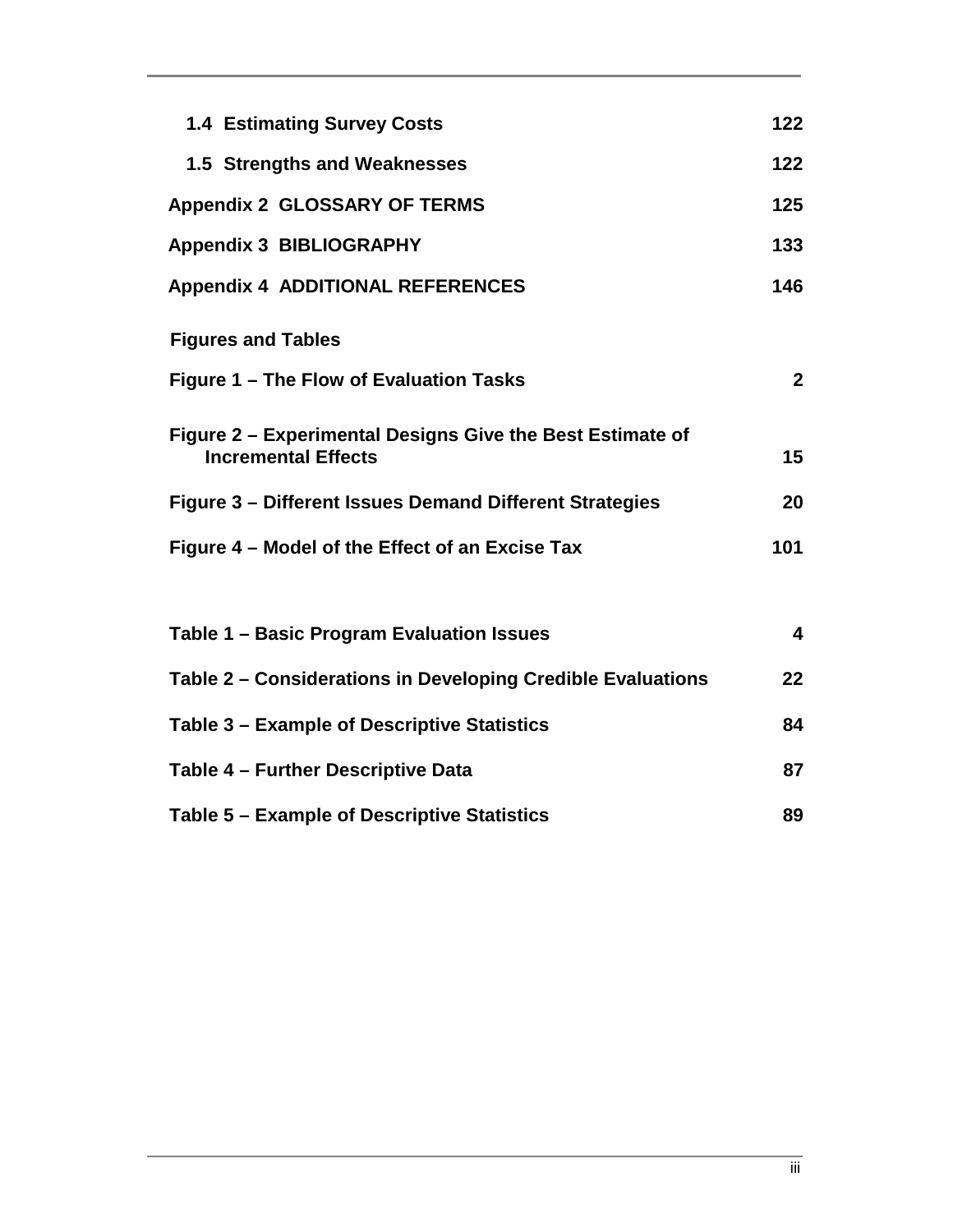| <b>1.4 Estimating Survey Costs</b>                                                      | 122                     |  |
|-----------------------------------------------------------------------------------------|-------------------------|--|
| 1.5 Strengths and Weaknesses                                                            | 122                     |  |
| <b>Appendix 2 GLOSSARY OF TERMS</b>                                                     | 125                     |  |
| <b>Appendix 3 BIBLIOGRAPHY</b>                                                          | 133                     |  |
| <b>Appendix 4 ADDITIONAL REFERENCES</b>                                                 | 146                     |  |
| <b>Figures and Tables</b>                                                               |                         |  |
| Figure 1 - The Flow of Evaluation Tasks                                                 | $\overline{2}$          |  |
| Figure 2 – Experimental Designs Give the Best Estimate of<br><b>Incremental Effects</b> |                         |  |
| Figure 3 – Different Issues Demand Different Strategies                                 | 20                      |  |
| Figure 4 - Model of the Effect of an Excise Tax                                         |                         |  |
|                                                                                         |                         |  |
| Table 1 – Basic Program Evaluation Issues                                               | $\overline{\mathbf{4}}$ |  |
| Table 2 – Considerations in Developing Credible Evaluations                             | 22                      |  |
| Table 3 – Example of Descriptive Statistics                                             |                         |  |
| Table 4 - Further Descriptive Data                                                      |                         |  |
| Table 5 – Example of Descriptive Statistics                                             |                         |  |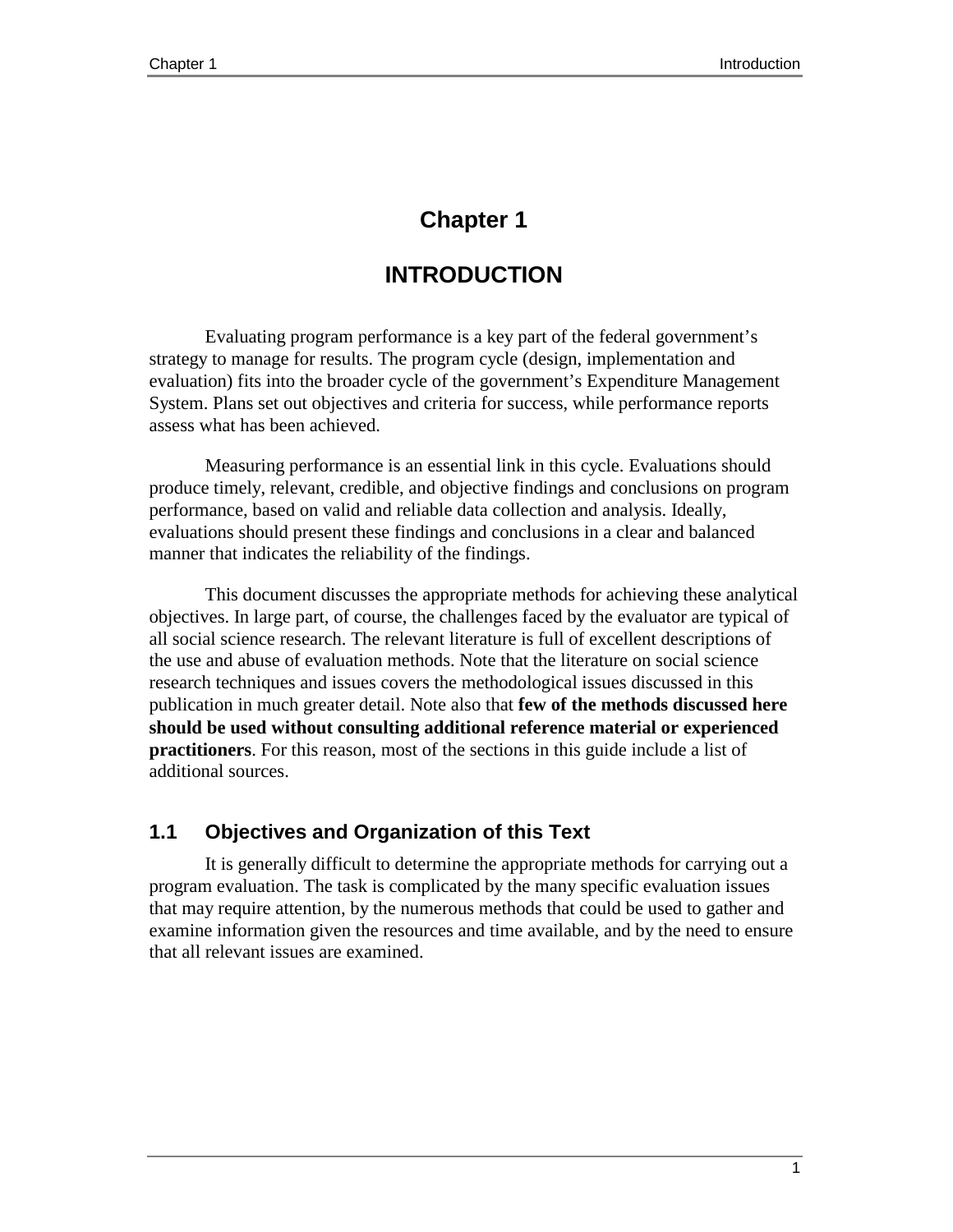# **Chapter 1**

# **INTRODUCTION**

Evaluating program performance is a key part of the federal government's strategy to manage for results. The program cycle (design, implementation and evaluation) fits into the broader cycle of the government's Expenditure Management System. Plans set out objectives and criteria for success, while performance reports assess what has been achieved.

Measuring performance is an essential link in this cycle. Evaluations should produce timely, relevant, credible, and objective findings and conclusions on program performance, based on valid and reliable data collection and analysis. Ideally, evaluations should present these findings and conclusions in a clear and balanced manner that indicates the reliability of the findings.

This document discusses the appropriate methods for achieving these analytical objectives. In large part, of course, the challenges faced by the evaluator are typical of all social science research. The relevant literature is full of excellent descriptions of the use and abuse of evaluation methods. Note that the literature on social science research techniques and issues covers the methodological issues discussed in this publication in much greater detail. Note also that **few of the methods discussed here should be used without consulting additional reference material or experienced practitioners**. For this reason, most of the sections in this guide include a list of additional sources.

# **1.1 Objectives and Organization of this Text**

It is generally difficult to determine the appropriate methods for carrying out a program evaluation. The task is complicated by the many specific evaluation issues that may require attention, by the numerous methods that could be used to gather and examine information given the resources and time available, and by the need to ensure that all relevant issues are examined.

1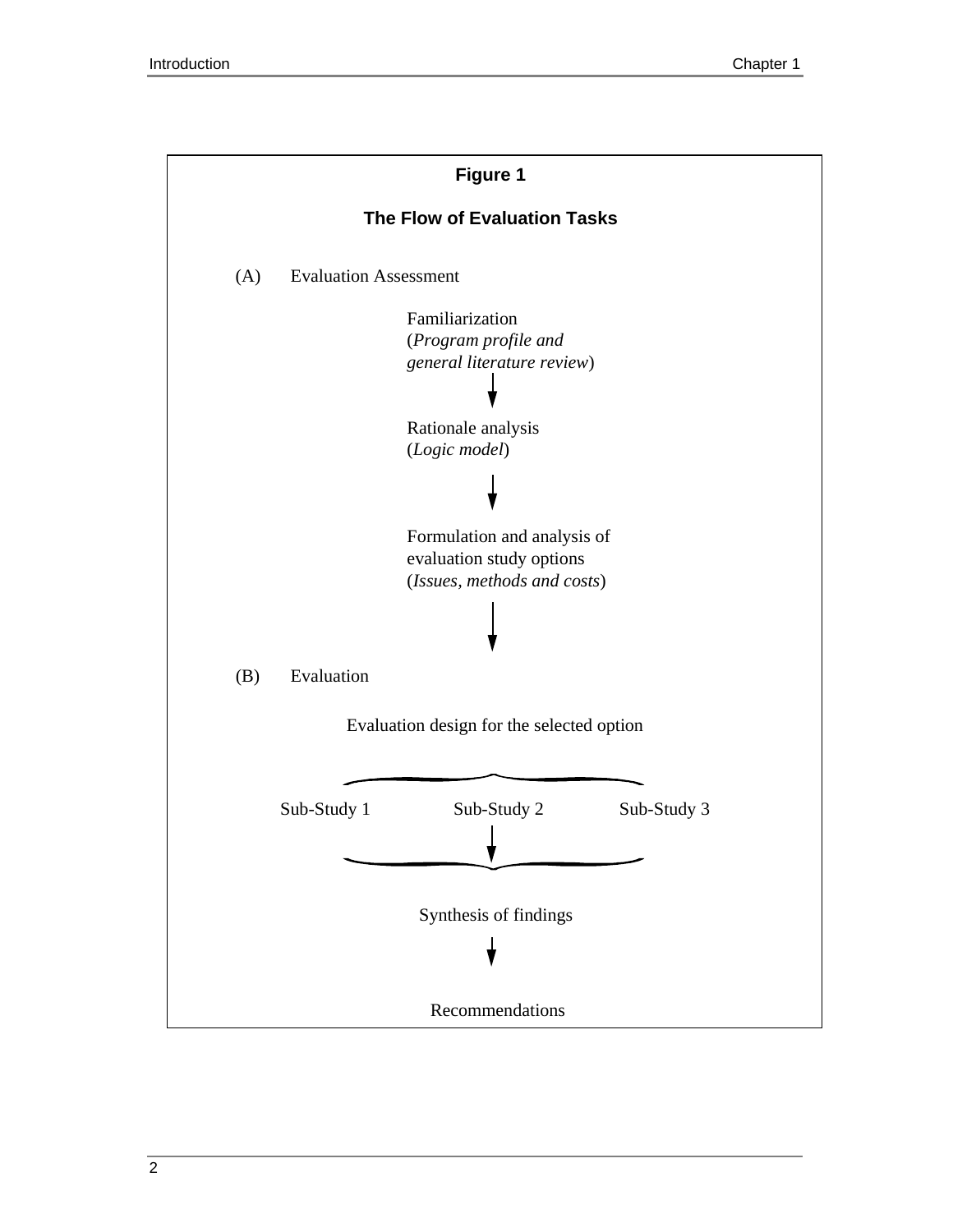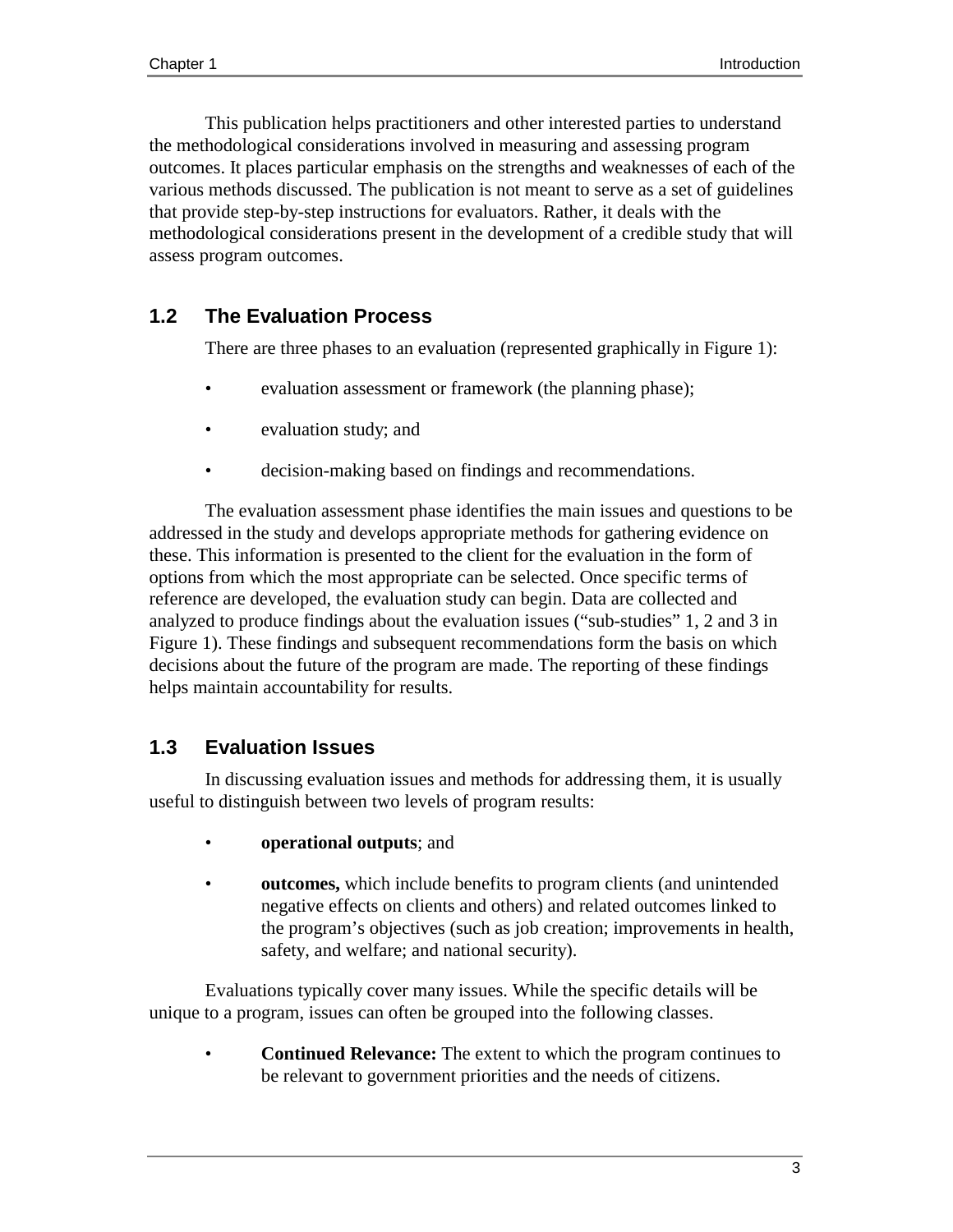This publication helps practitioners and other interested parties to understand the methodological considerations involved in measuring and assessing program outcomes. It places particular emphasis on the strengths and weaknesses of each of the various methods discussed. The publication is not meant to serve as a set of guidelines that provide step-by-step instructions for evaluators. Rather, it deals with the methodological considerations present in the development of a credible study that will assess program outcomes.

# **1.2 The Evaluation Process**

There are three phases to an evaluation (represented graphically in Figure 1):

- evaluation assessment or framework (the planning phase);
- evaluation study; and
- decision-making based on findings and recommendations.

The evaluation assessment phase identifies the main issues and questions to be addressed in the study and develops appropriate methods for gathering evidence on these. This information is presented to the client for the evaluation in the form of options from which the most appropriate can be selected. Once specific terms of reference are developed, the evaluation study can begin. Data are collected and analyzed to produce findings about the evaluation issues ("sub-studies" 1, 2 and 3 in Figure 1). These findings and subsequent recommendations form the basis on which decisions about the future of the program are made. The reporting of these findings helps maintain accountability for results.

# **1.3 Evaluation Issues**

In discussing evaluation issues and methods for addressing them, it is usually useful to distinguish between two levels of program results:

- **operational outputs**; and
- **outcomes,** which include benefits to program clients (and unintended negative effects on clients and others) and related outcomes linked to the program's objectives (such as job creation; improvements in health, safety, and welfare; and national security).

Evaluations typically cover many issues. While the specific details will be unique to a program, issues can often be grouped into the following classes.

• **Continued Relevance:** The extent to which the program continues to be relevant to government priorities and the needs of citizens.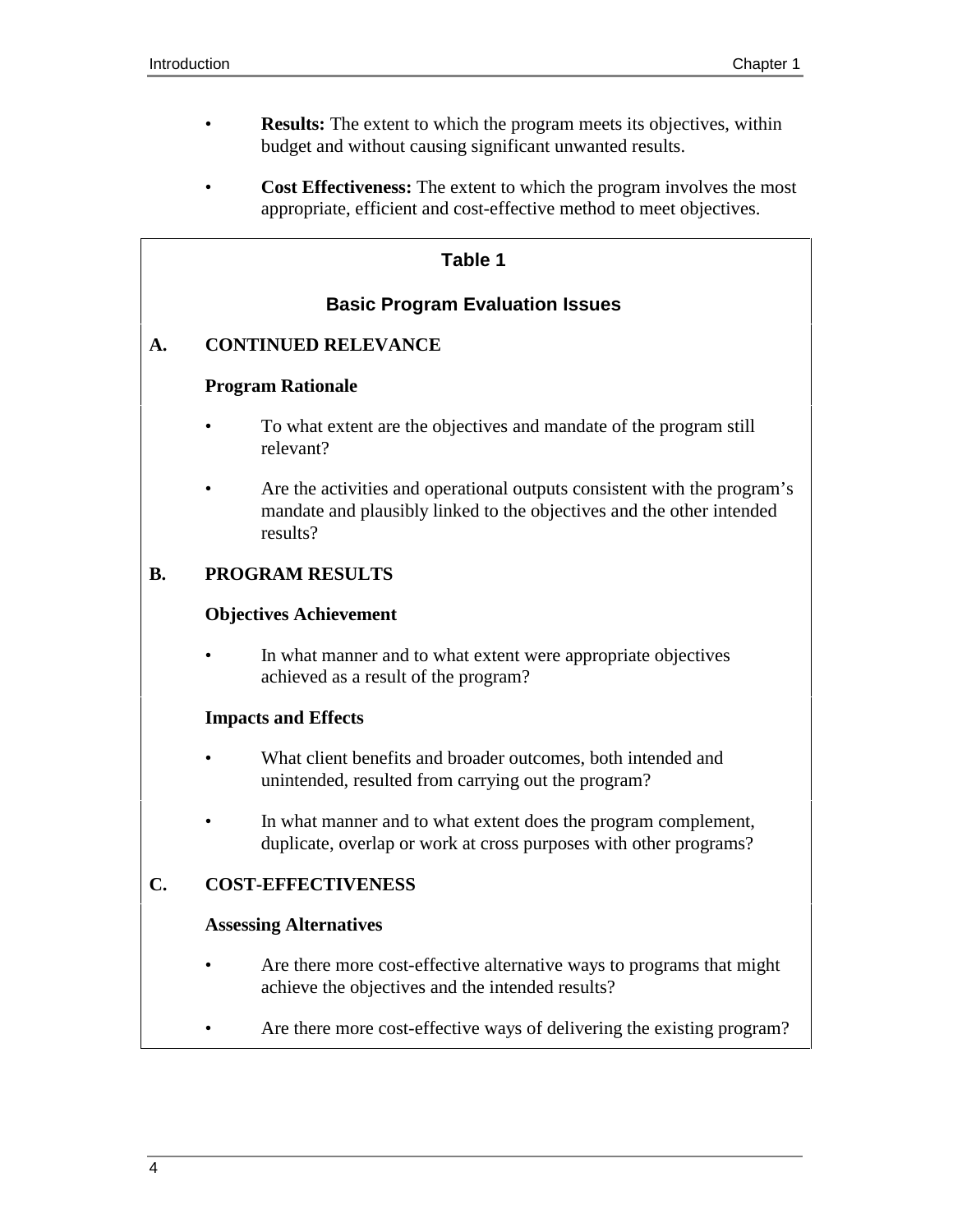- **Results:** The extent to which the program meets its objectives, within budget and without causing significant unwanted results.
- **Cost Effectiveness:** The extent to which the program involves the most appropriate, efficient and cost-effective method to meet objectives.

### **Table 1**

## **Basic Program Evaluation Issues**

### **A. CONTINUED RELEVANCE**

#### **Program Rationale**

- To what extent are the objectives and mandate of the program still relevant?
- Are the activities and operational outputs consistent with the program's mandate and plausibly linked to the objectives and the other intended results?

#### **B. PROGRAM RESULTS**

#### **Objectives Achievement**

In what manner and to what extent were appropriate objectives achieved as a result of the program?

#### **Impacts and Effects**

- What client benefits and broader outcomes, both intended and unintended, resulted from carrying out the program?
- In what manner and to what extent does the program complement, duplicate, overlap or work at cross purposes with other programs?

### **C. COST-EFFECTIVENESS**

#### **Assessing Alternatives**

- Are there more cost-effective alternative ways to programs that might achieve the objectives and the intended results?
- Are there more cost-effective ways of delivering the existing program?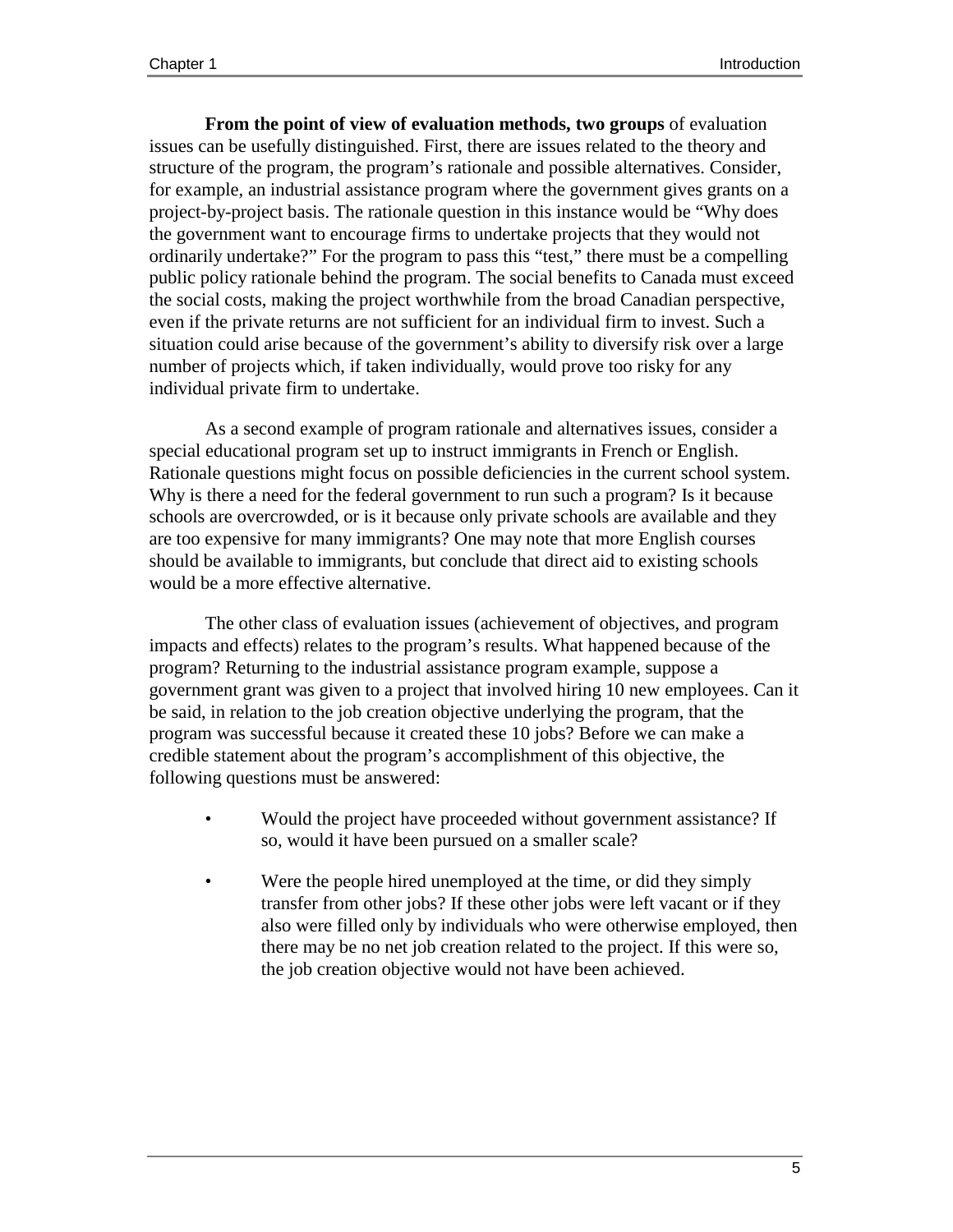**From the point of view of evaluation methods, two groups** of evaluation issues can be usefully distinguished. First, there are issues related to the theory and structure of the program, the program's rationale and possible alternatives. Consider, for example, an industrial assistance program where the government gives grants on a project-by-project basis. The rationale question in this instance would be "Why does the government want to encourage firms to undertake projects that they would not ordinarily undertake?" For the program to pass this "test," there must be a compelling public policy rationale behind the program. The social benefits to Canada must exceed the social costs, making the project worthwhile from the broad Canadian perspective, even if the private returns are not sufficient for an individual firm to invest. Such a situation could arise because of the government's ability to diversify risk over a large number of projects which, if taken individually, would prove too risky for any individual private firm to undertake.

As a second example of program rationale and alternatives issues, consider a special educational program set up to instruct immigrants in French or English. Rationale questions might focus on possible deficiencies in the current school system. Why is there a need for the federal government to run such a program? Is it because schools are overcrowded, or is it because only private schools are available and they are too expensive for many immigrants? One may note that more English courses should be available to immigrants, but conclude that direct aid to existing schools would be a more effective alternative.

The other class of evaluation issues (achievement of objectives, and program impacts and effects) relates to the program's results. What happened because of the program? Returning to the industrial assistance program example, suppose a government grant was given to a project that involved hiring 10 new employees. Can it be said, in relation to the job creation objective underlying the program, that the program was successful because it created these 10 jobs? Before we can make a credible statement about the program's accomplishment of this objective, the following questions must be answered:

- Would the project have proceeded without government assistance? If so, would it have been pursued on a smaller scale?
- Were the people hired unemployed at the time, or did they simply transfer from other jobs? If these other jobs were left vacant or if they also were filled only by individuals who were otherwise employed, then there may be no net job creation related to the project. If this were so, the job creation objective would not have been achieved.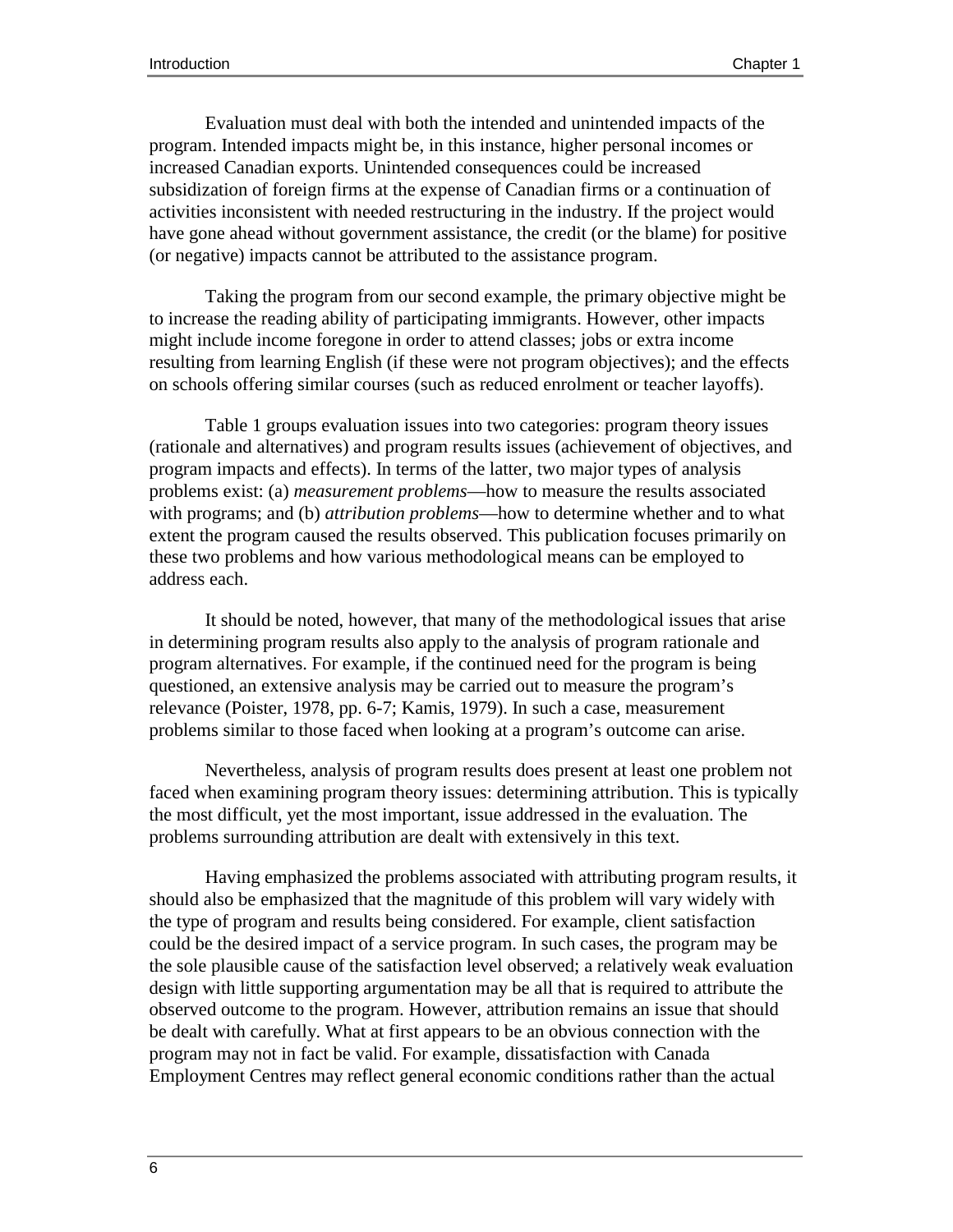Evaluation must deal with both the intended and unintended impacts of the program. Intended impacts might be, in this instance, higher personal incomes or increased Canadian exports. Unintended consequences could be increased subsidization of foreign firms at the expense of Canadian firms or a continuation of activities inconsistent with needed restructuring in the industry. If the project would have gone ahead without government assistance, the credit (or the blame) for positive (or negative) impacts cannot be attributed to the assistance program.

Taking the program from our second example, the primary objective might be to increase the reading ability of participating immigrants. However, other impacts might include income foregone in order to attend classes; jobs or extra income resulting from learning English (if these were not program objectives); and the effects on schools offering similar courses (such as reduced enrolment or teacher layoffs).

Table 1 groups evaluation issues into two categories: program theory issues (rationale and alternatives) and program results issues (achievement of objectives, and program impacts and effects). In terms of the latter, two major types of analysis problems exist: (a) *measurement problems*—how to measure the results associated with programs; and (b) *attribution problems*—how to determine whether and to what extent the program caused the results observed. This publication focuses primarily on these two problems and how various methodological means can be employed to address each.

It should be noted, however, that many of the methodological issues that arise in determining program results also apply to the analysis of program rationale and program alternatives. For example, if the continued need for the program is being questioned, an extensive analysis may be carried out to measure the program's relevance (Poister, 1978, pp. 6-7; Kamis, 1979). In such a case, measurement problems similar to those faced when looking at a program's outcome can arise.

Nevertheless, analysis of program results does present at least one problem not faced when examining program theory issues: determining attribution. This is typically the most difficult, yet the most important, issue addressed in the evaluation. The problems surrounding attribution are dealt with extensively in this text.

Having emphasized the problems associated with attributing program results, it should also be emphasized that the magnitude of this problem will vary widely with the type of program and results being considered. For example, client satisfaction could be the desired impact of a service program. In such cases, the program may be the sole plausible cause of the satisfaction level observed; a relatively weak evaluation design with little supporting argumentation may be all that is required to attribute the observed outcome to the program. However, attribution remains an issue that should be dealt with carefully. What at first appears to be an obvious connection with the program may not in fact be valid. For example, dissatisfaction with Canada Employment Centres may reflect general economic conditions rather than the actual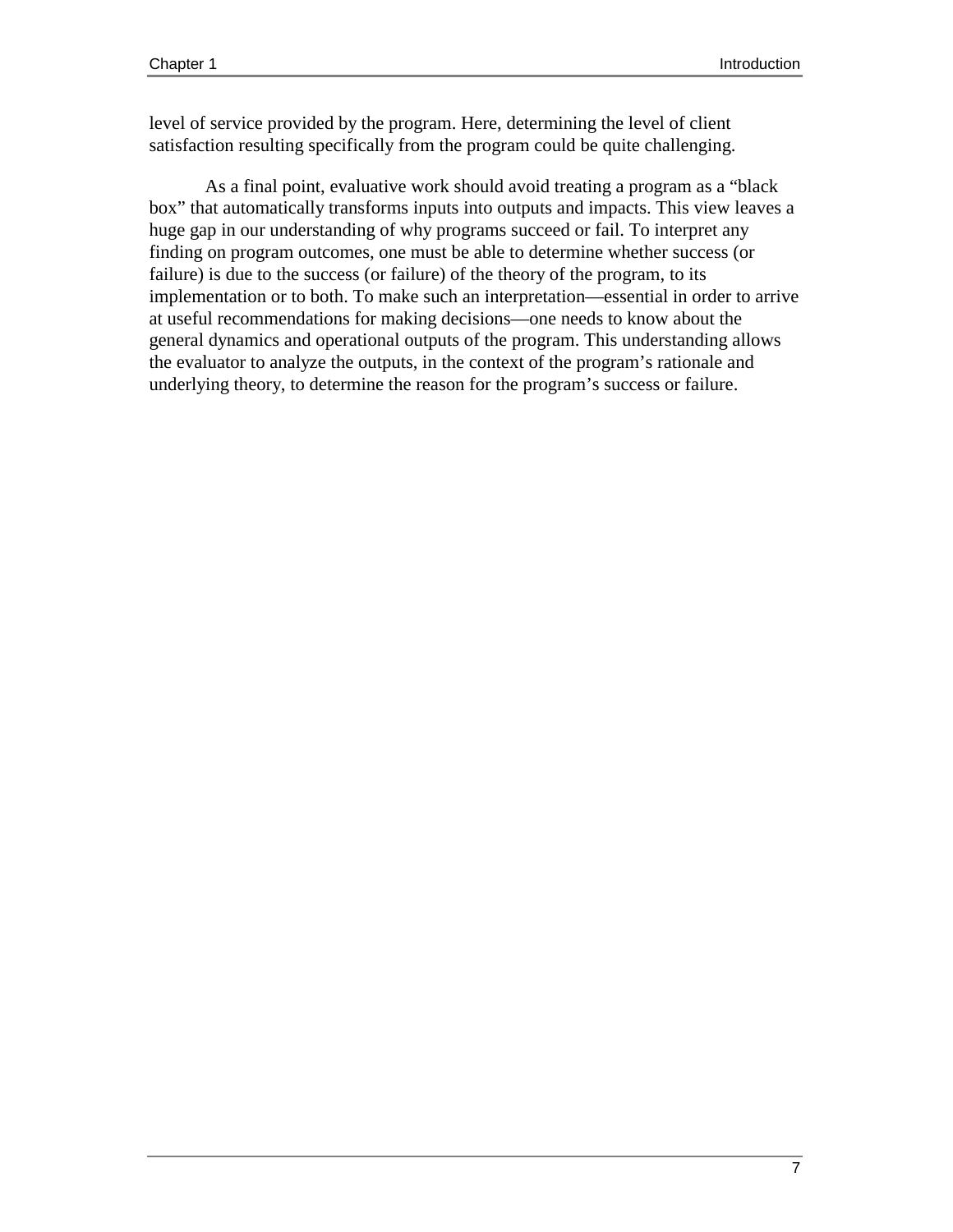level of service provided by the program. Here, determining the level of client satisfaction resulting specifically from the program could be quite challenging.

As a final point, evaluative work should avoid treating a program as a "black box" that automatically transforms inputs into outputs and impacts. This view leaves a huge gap in our understanding of why programs succeed or fail. To interpret any finding on program outcomes, one must be able to determine whether success (or failure) is due to the success (or failure) of the theory of the program, to its implementation or to both. To make such an interpretation—essential in order to arrive at useful recommendations for making decisions—one needs to know about the general dynamics and operational outputs of the program. This understanding allows the evaluator to analyze the outputs, in the context of the program's rationale and underlying theory, to determine the reason for the program's success or failure.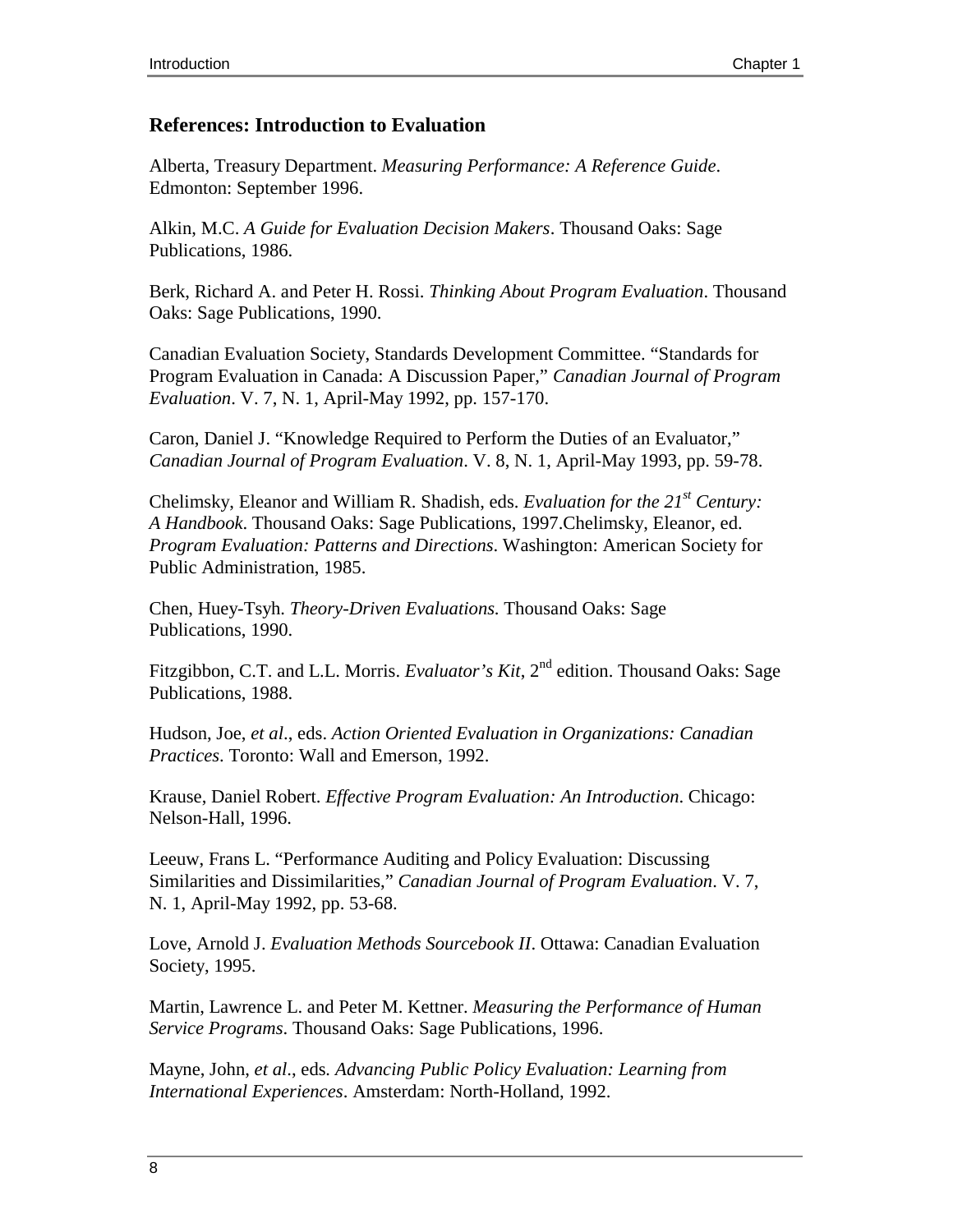#### **References: Introduction to Evaluation**

Alberta, Treasury Department. *Measuring Performance: A Reference Guide*. Edmonton: September 1996.

Alkin, M.C. *A Guide for Evaluation Decision Makers*. Thousand Oaks: Sage Publications, 1986.

Berk, Richard A. and Peter H. Rossi. *Thinking About Program Evaluation*. Thousand Oaks: Sage Publications, 1990.

Canadian Evaluation Society, Standards Development Committee. "Standards for Program Evaluation in Canada: A Discussion Paper," *Canadian Journal of Program Evaluation*. V. 7, N. 1, April-May 1992, pp. 157-170.

Caron, Daniel J. "Knowledge Required to Perform the Duties of an Evaluator," *Canadian Journal of Program Evaluation*. V. 8, N. 1, April-May 1993, pp. 59-78.

Chelimsky, Eleanor and William R. Shadish, eds. *Evaluation for the 21st Century: A Handbook*. Thousand Oaks: Sage Publications, 1997.Chelimsky, Eleanor, ed. *Program Evaluation: Patterns and Directions*. Washington: American Society for Public Administration, 1985.

Chen, Huey-Tsyh. *Theory-Driven Evaluations*. Thousand Oaks: Sage Publications, 1990.

Fitzgibbon, C.T. and L.L. Morris. *Evaluator's Kit*, 2<sup>nd</sup> edition. Thousand Oaks: Sage Publications, 1988.

Hudson, Joe, *et al*., eds. *Action Oriented Evaluation in Organizations: Canadian Practices*. Toronto: Wall and Emerson, 1992.

Krause, Daniel Robert. *Effective Program Evaluation: An Introduction*. Chicago: Nelson-Hall, 1996.

Leeuw, Frans L. "Performance Auditing and Policy Evaluation: Discussing Similarities and Dissimilarities," *Canadian Journal of Program Evaluation*. V. 7, N. 1, April-May 1992, pp. 53-68.

Love, Arnold J. *Evaluation Methods Sourcebook II*. Ottawa: Canadian Evaluation Society, 1995.

Martin, Lawrence L. and Peter M. Kettner. *Measuring the Performance of Human Service Programs*. Thousand Oaks: Sage Publications, 1996.

Mayne, John, *et al*., eds*. Advancing Public Policy Evaluation: Learning from International Experiences*. Amsterdam: North-Holland, 1992.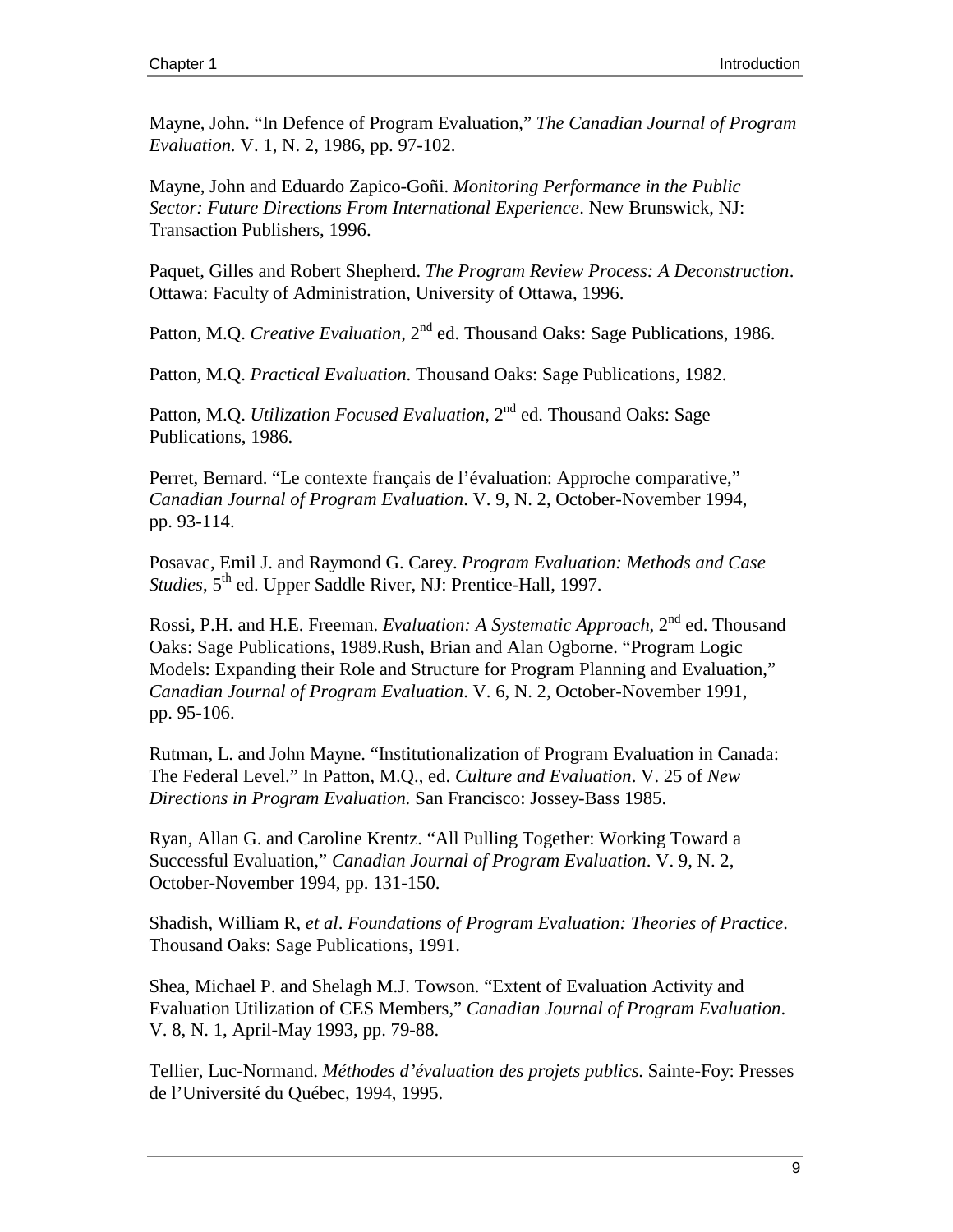Mayne, John. "In Defence of Program Evaluation," *The Canadian Journal of Program Evaluation.* V. 1, N. 2, 1986, pp. 97-102.

Mayne, John and Eduardo Zapico-Goñi. *Monitoring Performance in the Public Sector: Future Directions From International Experience*. New Brunswick, NJ: Transaction Publishers, 1996.

Paquet, Gilles and Robert Shepherd. *The Program Review Process: A Deconstruction*. Ottawa: Faculty of Administration, University of Ottawa, 1996.

Patton, M.Q. *Creative Evaluation*, 2<sup>nd</sup> ed. Thousand Oaks: Sage Publications, 1986.

Patton, M.Q. *Practical Evaluation*. Thousand Oaks: Sage Publications, 1982.

Patton, M.Q. *Utilization Focused Evaluation*, 2<sup>nd</sup> ed. Thousand Oaks: Sage Publications, 1986.

Perret, Bernard. "Le contexte français de l'évaluation: Approche comparative," *Canadian Journal of Program Evaluation*. V. 9, N. 2, October-November 1994, pp. 93-114.

Posavac, Emil J. and Raymond G. Carey. *Program Evaluation: Methods and Case Studies*, 5<sup>th</sup> ed. Upper Saddle River, NJ: Prentice-Hall, 1997.

Rossi, P.H. and H.E. Freeman. *Evaluation: A Systematic Approach*, 2nd ed. Thousand Oaks: Sage Publications, 1989.Rush, Brian and Alan Ogborne. "Program Logic Models: Expanding their Role and Structure for Program Planning and Evaluation," *Canadian Journal of Program Evaluation*. V. 6, N. 2, October-November 1991, pp. 95-106.

Rutman, L. and John Mayne. "Institutionalization of Program Evaluation in Canada: The Federal Level." In Patton, M.Q., ed. *Culture and Evaluation*. V. 25 of *New Directions in Program Evaluation.* San Francisco: Jossey-Bass 1985.

Ryan, Allan G. and Caroline Krentz. "All Pulling Together: Working Toward a Successful Evaluation," *Canadian Journal of Program Evaluation*. V. 9, N. 2, October-November 1994, pp. 131-150.

Shadish, William R, *et al*. *Foundations of Program Evaluation: Theories of Practice*. Thousand Oaks: Sage Publications, 1991.

Shea, Michael P. and Shelagh M.J. Towson. "Extent of Evaluation Activity and Evaluation Utilization of CES Members," *Canadian Journal of Program Evaluation*. V. 8, N. 1, April-May 1993, pp. 79-88.

Tellier, Luc-Normand. *Méthodes d'évaluation des projets publics*. Sainte-Foy: Presses de l'Université du Québec, 1994, 1995.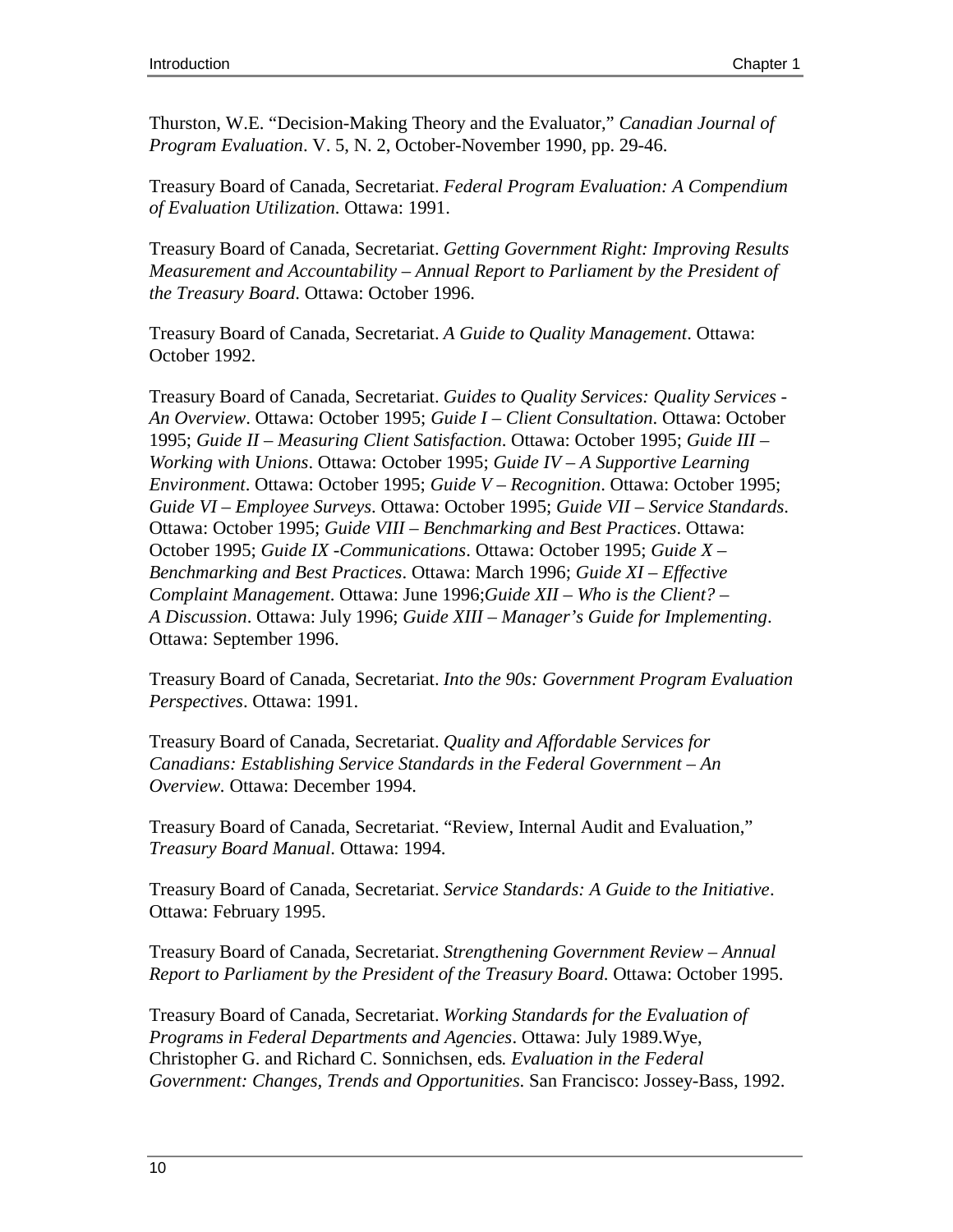Thurston, W.E. "Decision-Making Theory and the Evaluator," *Canadian Journal of Program Evaluation*. V. 5, N. 2, October-November 1990, pp. 29-46.

Treasury Board of Canada, Secretariat. *Federal Program Evaluation: A Compendium of Evaluation Utilization*. Ottawa: 1991.

Treasury Board of Canada, Secretariat. *Getting Government Right: Improving Results Measurement and Accountability – Annual Report to Parliament by the President of the Treasury Board*. Ottawa: October 1996.

Treasury Board of Canada, Secretariat. *A Guide to Quality Management*. Ottawa: October 1992.

Treasury Board of Canada, Secretariat. *Guides to Quality Services: Quality Services - An Overview*. Ottawa: October 1995; *Guide I – Client Consultation*. Ottawa: October 1995; *Guide II – Measuring Client Satisfaction*. Ottawa: October 1995; *Guide III – Working with Unions*. Ottawa: October 1995; *Guide IV – A Supportive Learning Environment*. Ottawa: October 1995; *Guide V – Recognition*. Ottawa: October 1995; *Guide VI – Employee Surveys*. Ottawa: October 1995; *Guide VII – Service Standards*. Ottawa: October 1995; *Guide VIII – Benchmarking and Best Practices*. Ottawa: October 1995; *Guide IX -Communications*. Ottawa: October 1995; *Guide X – Benchmarking and Best Practices*. Ottawa: March 1996; *Guide XI – Effective Complaint Management*. Ottawa: June 1996;*Guide XII – Who is the Client? – A Discussion*. Ottawa: July 1996; *Guide XIII – Manager's Guide for Implementing*. Ottawa: September 1996.

Treasury Board of Canada, Secretariat. *Into the 90s: Government Program Evaluation Perspectives*. Ottawa: 1991.

Treasury Board of Canada, Secretariat. *Quality and Affordable Services for Canadians: Establishing Service Standards in the Federal Government – An Overview.* Ottawa: December 1994.

Treasury Board of Canada, Secretariat. "Review, Internal Audit and Evaluation," *Treasury Board Manual*. Ottawa: 1994.

Treasury Board of Canada, Secretariat. *Service Standards: A Guide to the Initiative*. Ottawa: February 1995.

Treasury Board of Canada, Secretariat. *Strengthening Government Review – Annual Report to Parliament by the President of the Treasury Board*. Ottawa: October 1995.

Treasury Board of Canada, Secretariat. *Working Standards for the Evaluation of Programs in Federal Departments and Agencies*. Ottawa: July 1989.Wye, Christopher G. and Richard C. Sonnichsen, eds*. Evaluation in the Federal Government: Changes, Trends and Opportunities*. San Francisco: Jossey-Bass, 1992.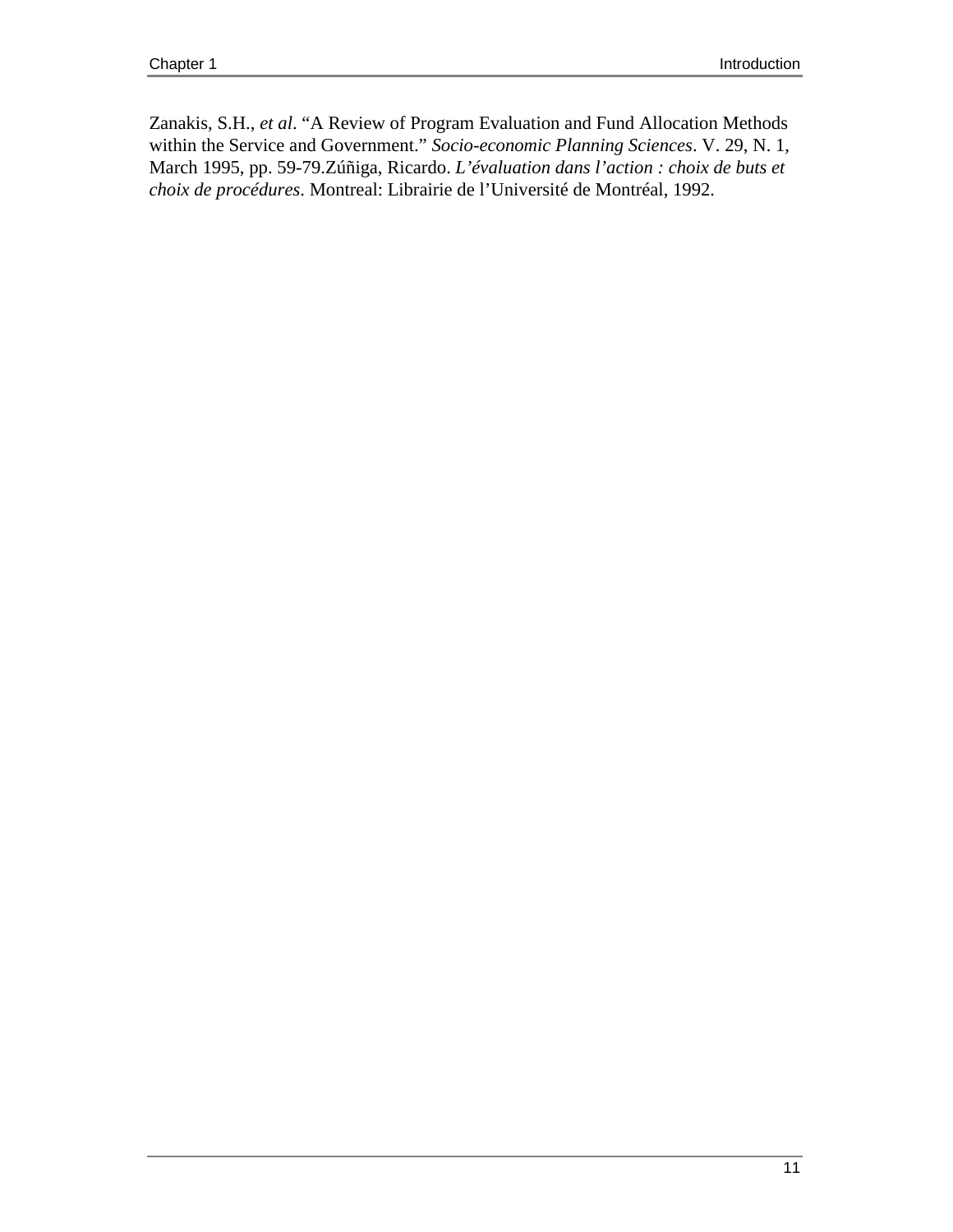Zanakis, S.H., *et al*. "A Review of Program Evaluation and Fund Allocation Methods within the Service and Government." *Socio-economic Planning Sciences*. V. 29, N. 1, March 1995, pp. 59-79.Zúñiga, Ricardo. *L'évaluation dans l'action : choix de buts et choix de procédures*. Montreal: Librairie de l'Université de Montréal, 1992.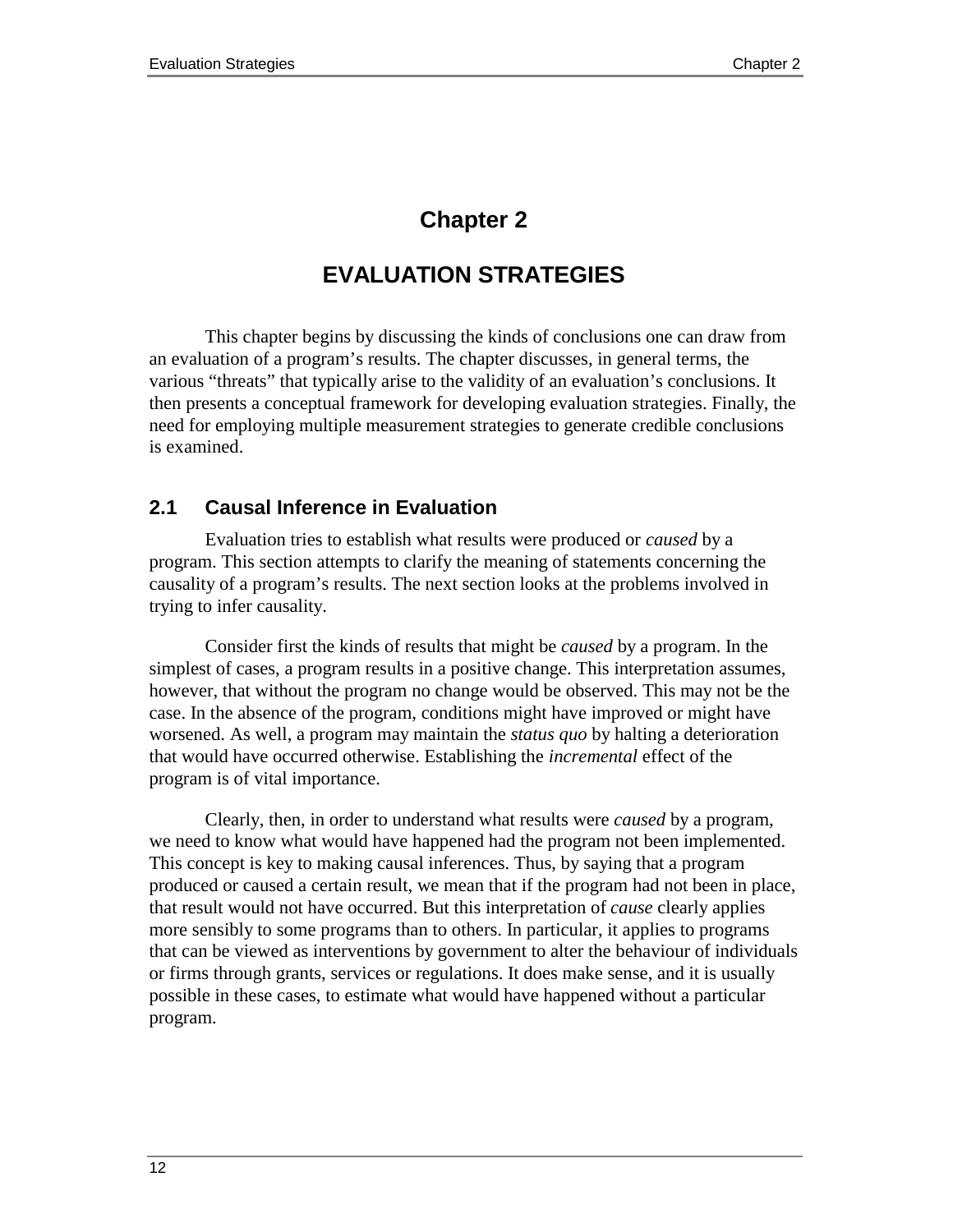# **Chapter 2**

# **EVALUATION STRATEGIES**

This chapter begins by discussing the kinds of conclusions one can draw from an evaluation of a program's results. The chapter discusses, in general terms, the various "threats" that typically arise to the validity of an evaluation's conclusions. It then presents a conceptual framework for developing evaluation strategies. Finally, the need for employing multiple measurement strategies to generate credible conclusions is examined.

# **2.1 Causal Inference in Evaluation**

Evaluation tries to establish what results were produced or *caused* by a program. This section attempts to clarify the meaning of statements concerning the causality of a program's results. The next section looks at the problems involved in trying to infer causality.

Consider first the kinds of results that might be *caused* by a program. In the simplest of cases, a program results in a positive change. This interpretation assumes, however, that without the program no change would be observed. This may not be the case. In the absence of the program, conditions might have improved or might have worsened. As well, a program may maintain the *status quo* by halting a deterioration that would have occurred otherwise. Establishing the *incremental* effect of the program is of vital importance.

Clearly, then, in order to understand what results were *caused* by a program, we need to know what would have happened had the program not been implemented. This concept is key to making causal inferences. Thus, by saying that a program produced or caused a certain result, we mean that if the program had not been in place, that result would not have occurred. But this interpretation of *cause* clearly applies more sensibly to some programs than to others. In particular, it applies to programs that can be viewed as interventions by government to alter the behaviour of individuals or firms through grants, services or regulations. It does make sense, and it is usually possible in these cases, to estimate what would have happened without a particular program.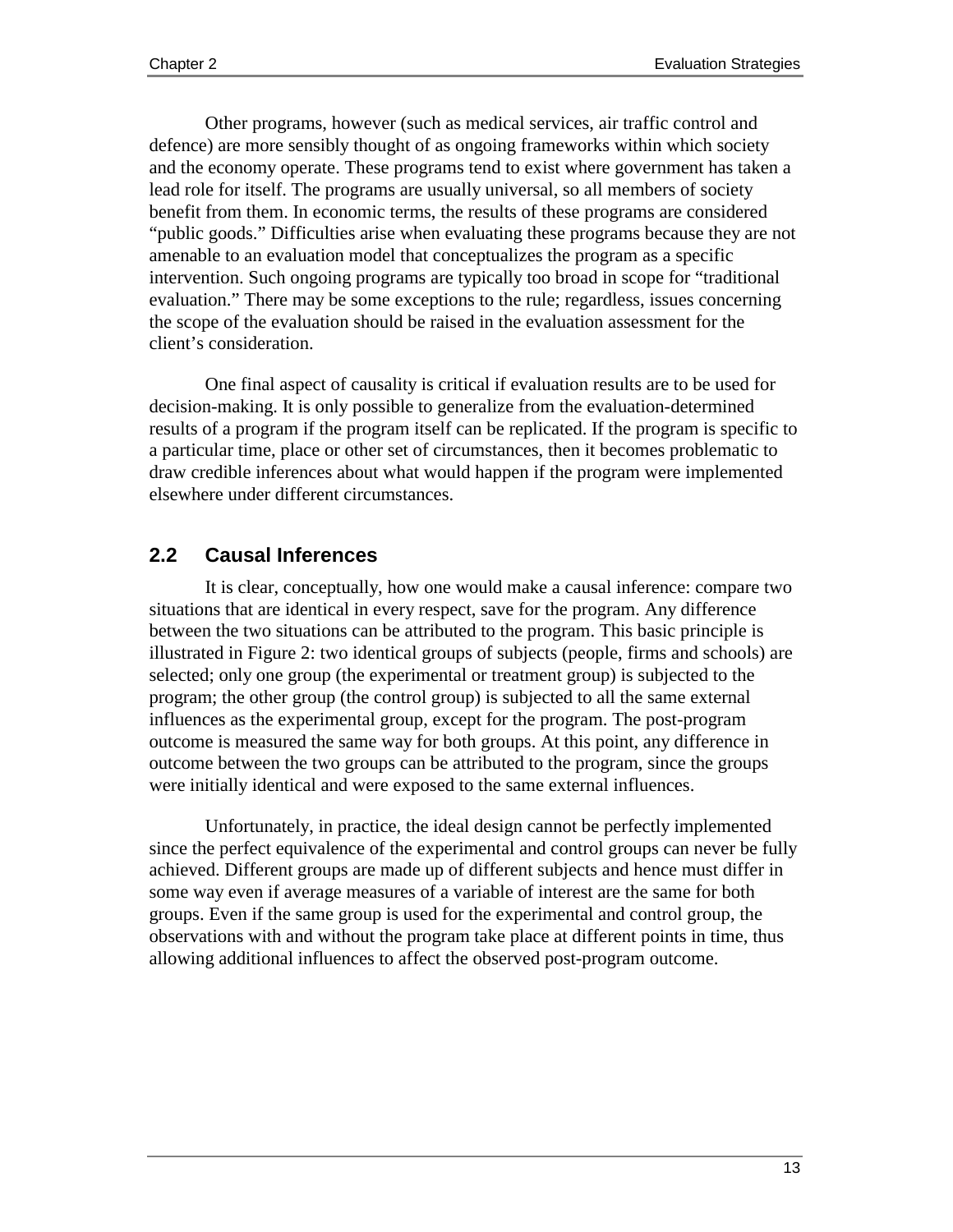Other programs, however (such as medical services, air traffic control and defence) are more sensibly thought of as ongoing frameworks within which society and the economy operate. These programs tend to exist where government has taken a lead role for itself. The programs are usually universal, so all members of society benefit from them. In economic terms, the results of these programs are considered "public goods." Difficulties arise when evaluating these programs because they are not amenable to an evaluation model that conceptualizes the program as a specific intervention. Such ongoing programs are typically too broad in scope for "traditional evaluation." There may be some exceptions to the rule; regardless, issues concerning the scope of the evaluation should be raised in the evaluation assessment for the client's consideration.

One final aspect of causality is critical if evaluation results are to be used for decision-making. It is only possible to generalize from the evaluation-determined results of a program if the program itself can be replicated. If the program is specific to a particular time, place or other set of circumstances, then it becomes problematic to draw credible inferences about what would happen if the program were implemented elsewhere under different circumstances.

## **2.2 Causal Inferences**

It is clear, conceptually, how one would make a causal inference: compare two situations that are identical in every respect, save for the program. Any difference between the two situations can be attributed to the program. This basic principle is illustrated in Figure 2: two identical groups of subjects (people, firms and schools) are selected; only one group (the experimental or treatment group) is subjected to the program; the other group (the control group) is subjected to all the same external influences as the experimental group, except for the program. The post-program outcome is measured the same way for both groups. At this point, any difference in outcome between the two groups can be attributed to the program, since the groups were initially identical and were exposed to the same external influences.

Unfortunately, in practice, the ideal design cannot be perfectly implemented since the perfect equivalence of the experimental and control groups can never be fully achieved. Different groups are made up of different subjects and hence must differ in some way even if average measures of a variable of interest are the same for both groups. Even if the same group is used for the experimental and control group, the observations with and without the program take place at different points in time, thus allowing additional influences to affect the observed post-program outcome.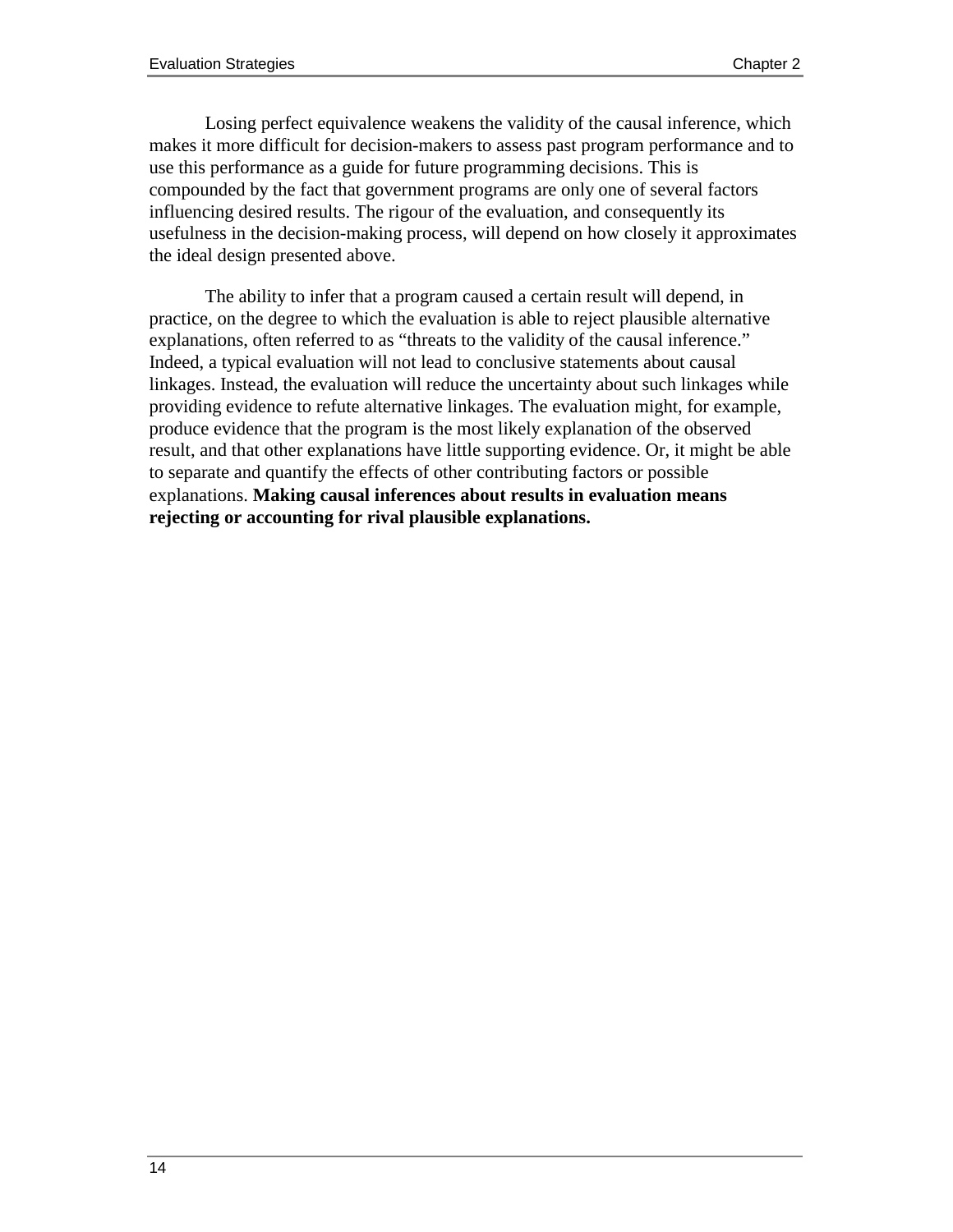Losing perfect equivalence weakens the validity of the causal inference, which makes it more difficult for decision-makers to assess past program performance and to use this performance as a guide for future programming decisions. This is compounded by the fact that government programs are only one of several factors influencing desired results. The rigour of the evaluation, and consequently its usefulness in the decision-making process, will depend on how closely it approximates the ideal design presented above.

The ability to infer that a program caused a certain result will depend, in practice, on the degree to which the evaluation is able to reject plausible alternative explanations, often referred to as "threats to the validity of the causal inference." Indeed, a typical evaluation will not lead to conclusive statements about causal linkages. Instead, the evaluation will reduce the uncertainty about such linkages while providing evidence to refute alternative linkages. The evaluation might, for example, produce evidence that the program is the most likely explanation of the observed result, and that other explanations have little supporting evidence. Or, it might be able to separate and quantify the effects of other contributing factors or possible explanations. **Making causal inferences about results in evaluation means rejecting or accounting for rival plausible explanations.**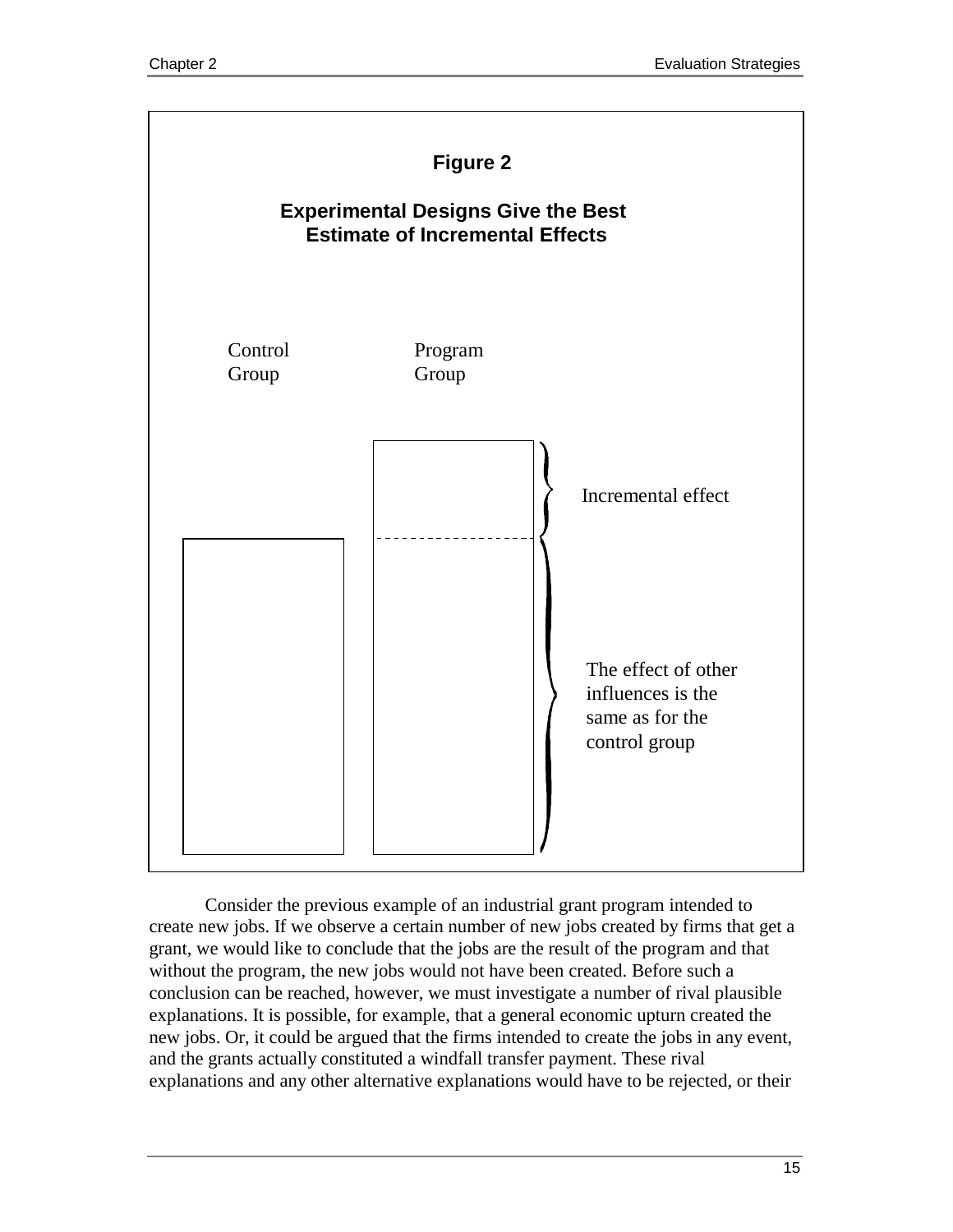

Consider the previous example of an industrial grant program intended to create new jobs. If we observe a certain number of new jobs created by firms that get a grant, we would like to conclude that the jobs are the result of the program and that without the program, the new jobs would not have been created. Before such a conclusion can be reached, however, we must investigate a number of rival plausible explanations. It is possible, for example, that a general economic upturn created the new jobs. Or, it could be argued that the firms intended to create the jobs in any event, and the grants actually constituted a windfall transfer payment. These rival explanations and any other alternative explanations would have to be rejected, or their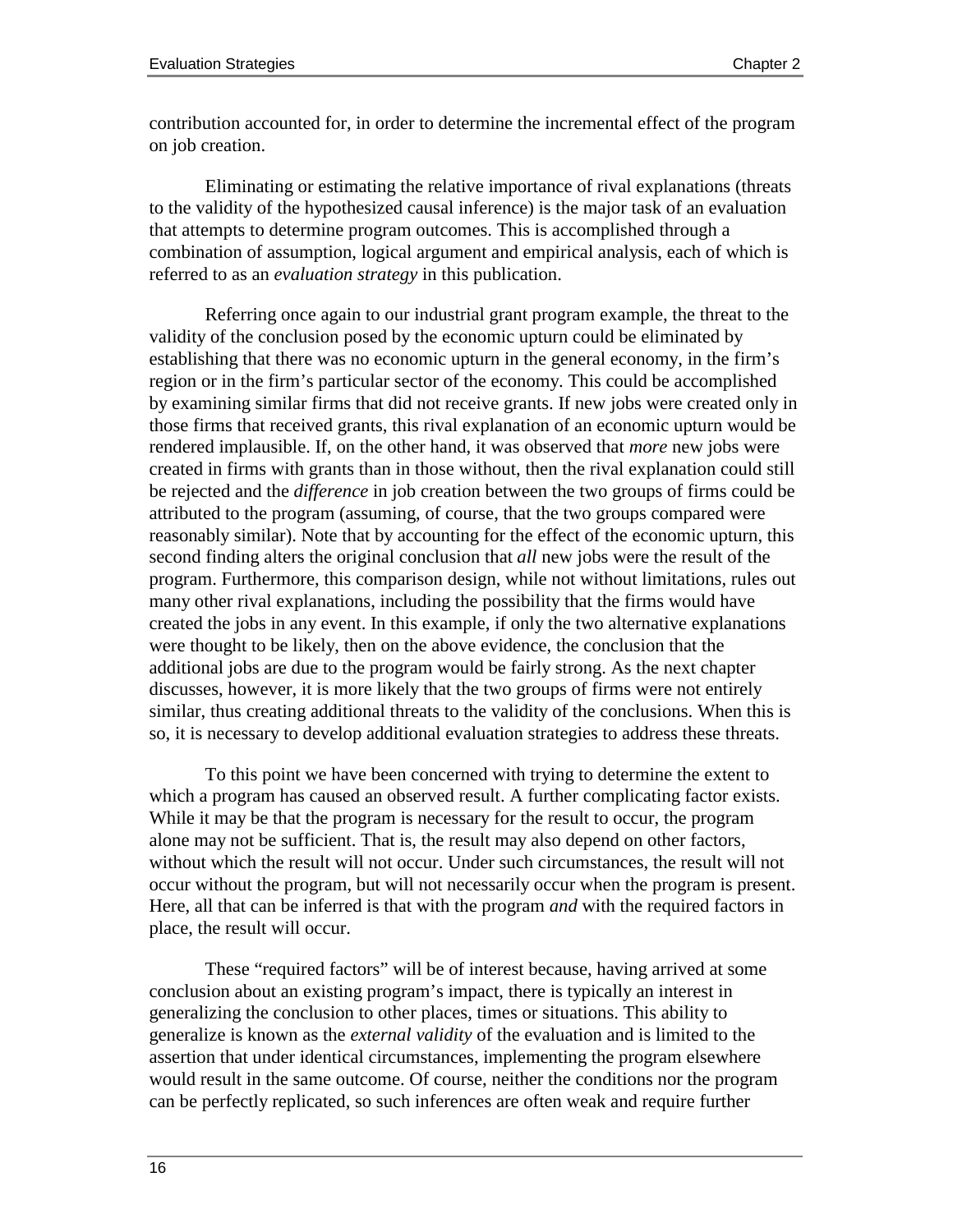contribution accounted for, in order to determine the incremental effect of the program on job creation.

Eliminating or estimating the relative importance of rival explanations (threats to the validity of the hypothesized causal inference) is the major task of an evaluation that attempts to determine program outcomes. This is accomplished through a combination of assumption, logical argument and empirical analysis, each of which is referred to as an *evaluation strategy* in this publication.

Referring once again to our industrial grant program example, the threat to the validity of the conclusion posed by the economic upturn could be eliminated by establishing that there was no economic upturn in the general economy, in the firm's region or in the firm's particular sector of the economy. This could be accomplished by examining similar firms that did not receive grants. If new jobs were created only in those firms that received grants, this rival explanation of an economic upturn would be rendered implausible. If, on the other hand, it was observed that *more* new jobs were created in firms with grants than in those without, then the rival explanation could still be rejected and the *difference* in job creation between the two groups of firms could be attributed to the program (assuming, of course, that the two groups compared were reasonably similar). Note that by accounting for the effect of the economic upturn, this second finding alters the original conclusion that *all* new jobs were the result of the program. Furthermore, this comparison design, while not without limitations, rules out many other rival explanations, including the possibility that the firms would have created the jobs in any event. In this example, if only the two alternative explanations were thought to be likely, then on the above evidence, the conclusion that the additional jobs are due to the program would be fairly strong. As the next chapter discusses, however, it is more likely that the two groups of firms were not entirely similar, thus creating additional threats to the validity of the conclusions. When this is so, it is necessary to develop additional evaluation strategies to address these threats.

To this point we have been concerned with trying to determine the extent to which a program has caused an observed result. A further complicating factor exists. While it may be that the program is necessary for the result to occur, the program alone may not be sufficient. That is, the result may also depend on other factors, without which the result will not occur. Under such circumstances, the result will not occur without the program, but will not necessarily occur when the program is present. Here, all that can be inferred is that with the program *and* with the required factors in place, the result will occur.

These "required factors" will be of interest because, having arrived at some conclusion about an existing program's impact, there is typically an interest in generalizing the conclusion to other places, times or situations. This ability to generalize is known as the *external validity* of the evaluation and is limited to the assertion that under identical circumstances, implementing the program elsewhere would result in the same outcome. Of course, neither the conditions nor the program can be perfectly replicated, so such inferences are often weak and require further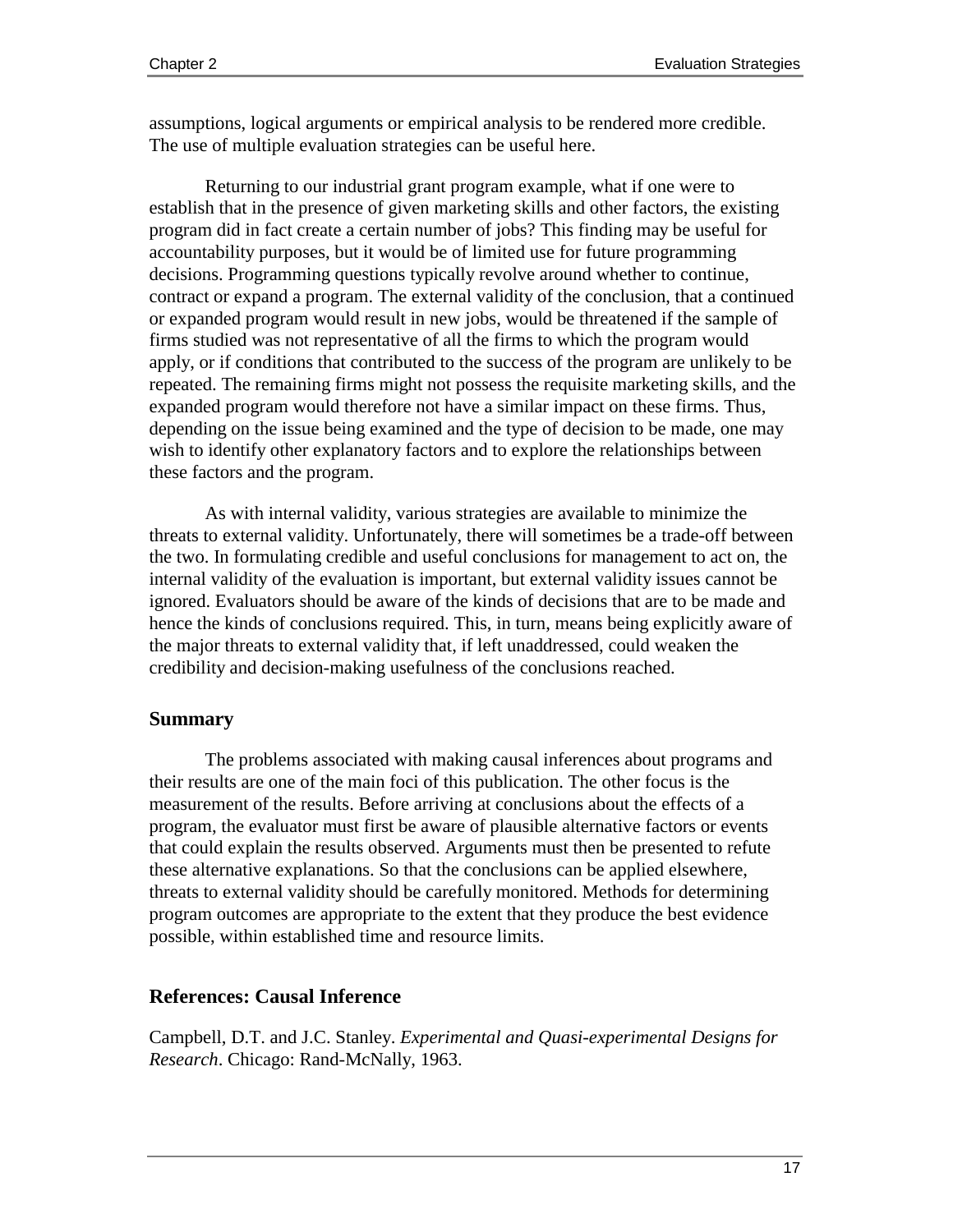assumptions, logical arguments or empirical analysis to be rendered more credible. The use of multiple evaluation strategies can be useful here.

Returning to our industrial grant program example, what if one were to establish that in the presence of given marketing skills and other factors, the existing program did in fact create a certain number of jobs? This finding may be useful for accountability purposes, but it would be of limited use for future programming decisions. Programming questions typically revolve around whether to continue, contract or expand a program. The external validity of the conclusion, that a continued or expanded program would result in new jobs, would be threatened if the sample of firms studied was not representative of all the firms to which the program would apply, or if conditions that contributed to the success of the program are unlikely to be repeated. The remaining firms might not possess the requisite marketing skills, and the expanded program would therefore not have a similar impact on these firms. Thus, depending on the issue being examined and the type of decision to be made, one may wish to identify other explanatory factors and to explore the relationships between these factors and the program.

As with internal validity, various strategies are available to minimize the threats to external validity. Unfortunately, there will sometimes be a trade-off between the two. In formulating credible and useful conclusions for management to act on, the internal validity of the evaluation is important, but external validity issues cannot be ignored. Evaluators should be aware of the kinds of decisions that are to be made and hence the kinds of conclusions required. This, in turn, means being explicitly aware of the major threats to external validity that, if left unaddressed, could weaken the credibility and decision-making usefulness of the conclusions reached.

#### **Summary**

The problems associated with making causal inferences about programs and their results are one of the main foci of this publication. The other focus is the measurement of the results. Before arriving at conclusions about the effects of a program, the evaluator must first be aware of plausible alternative factors or events that could explain the results observed. Arguments must then be presented to refute these alternative explanations. So that the conclusions can be applied elsewhere, threats to external validity should be carefully monitored. Methods for determining program outcomes are appropriate to the extent that they produce the best evidence possible, within established time and resource limits.

### **References: Causal Inference**

Campbell, D.T. and J.C. Stanley. *Experimental and Quasi-experimental Designs for Research*. Chicago: Rand-McNally, 1963.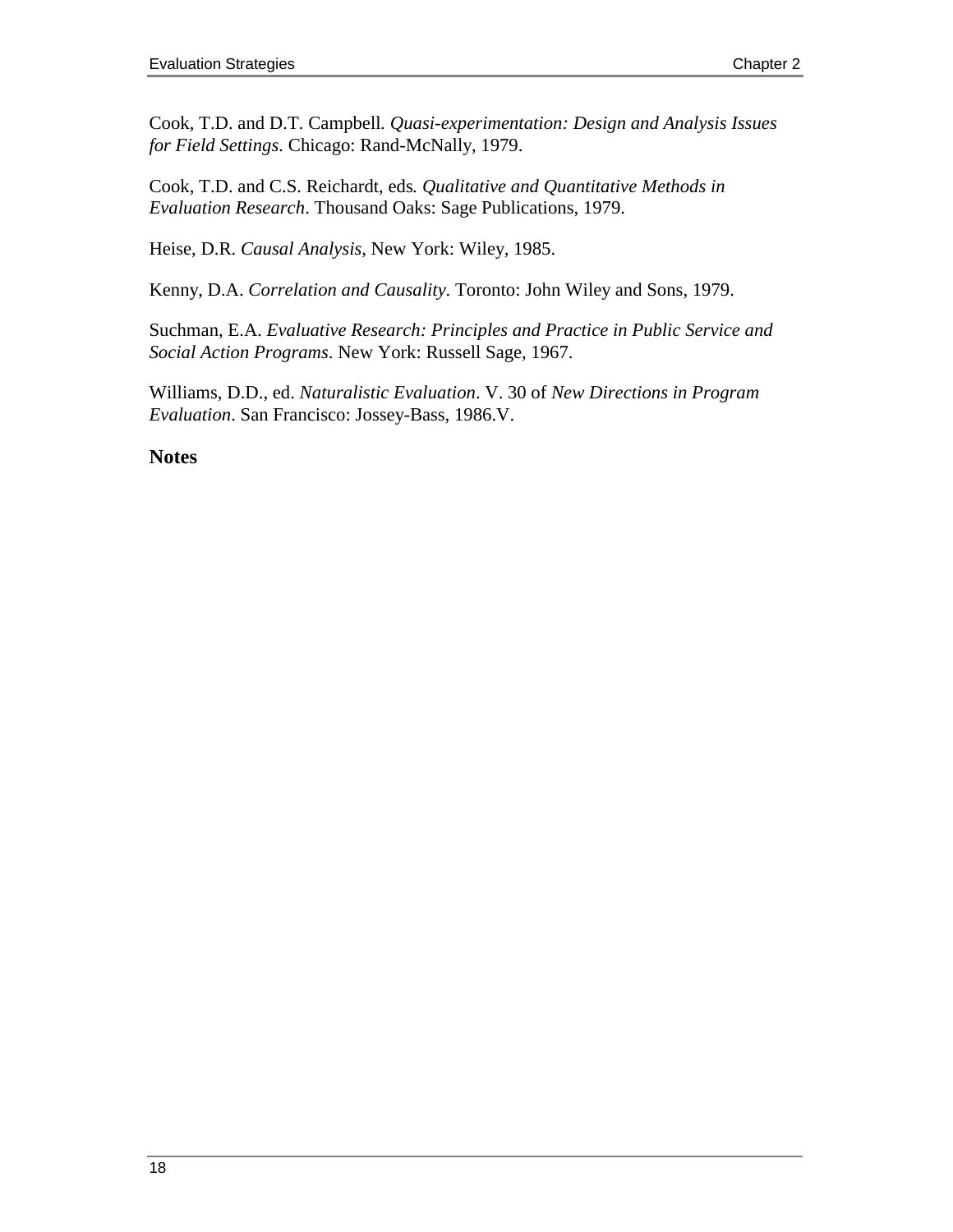Cook, T.D. and D.T. Campbell*. Quasi-experimentation: Design and Analysis Issues for Field Settings*. Chicago: Rand-McNally, 1979.

Cook, T.D. and C.S. Reichardt, eds*. Qualitative and Quantitative Methods in Evaluation Research*. Thousand Oaks: Sage Publications, 1979.

Heise, D.R. *Causal Analysis*, New York: Wiley, 1985.

Kenny, D.A. *Correlation and Causality*. Toronto: John Wiley and Sons, 1979.

Suchman, E.A. *Evaluative Research: Principles and Practice in Public Service and Social Action Programs*. New York: Russell Sage, 1967.

Williams, D.D., ed. *Naturalistic Evaluation*. V. 30 of *New Directions in Program Evaluation*. San Francisco: Jossey-Bass, 1986.V.

### **Notes**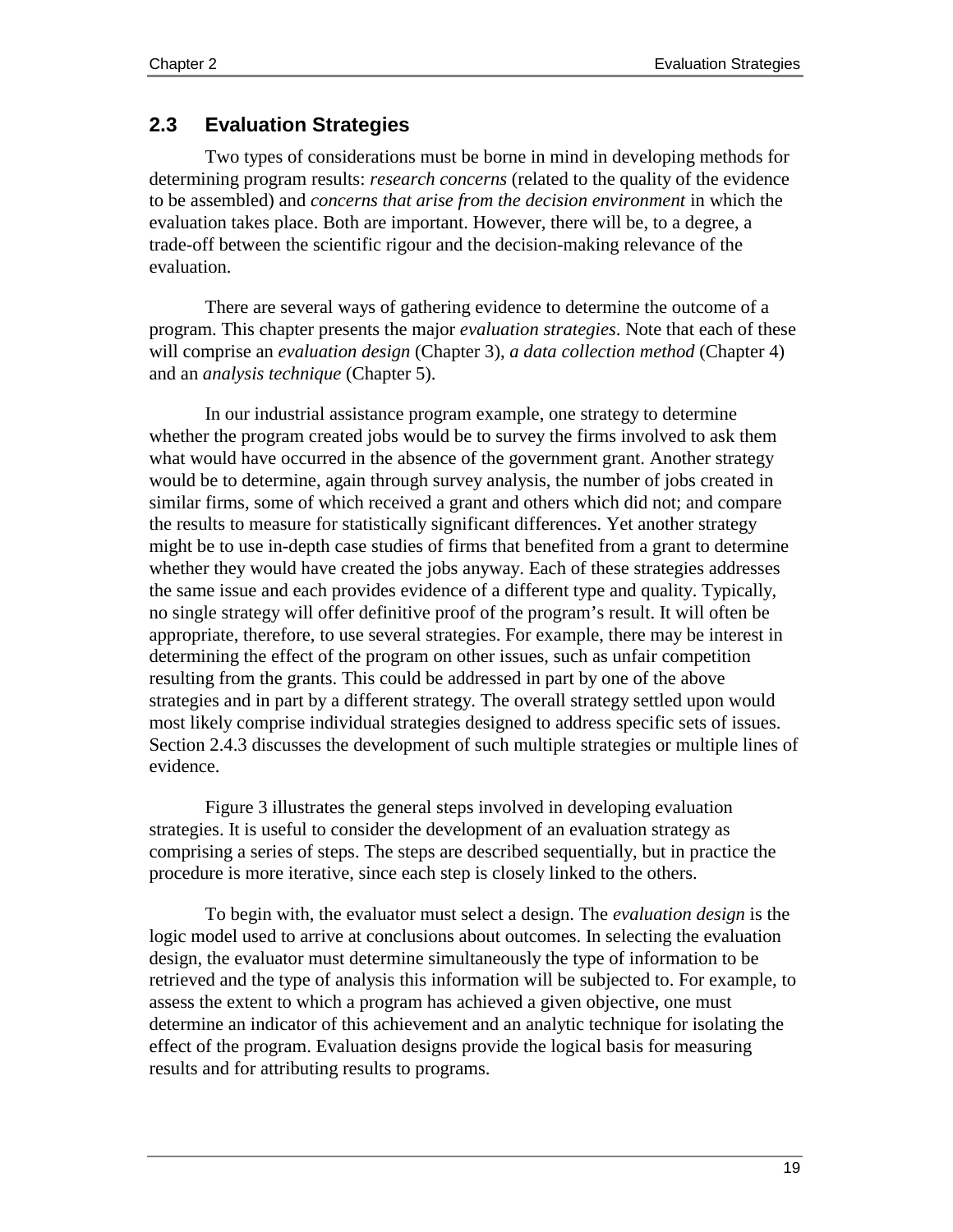# **2.3 Evaluation Strategies**

Two types of considerations must be borne in mind in developing methods for determining program results: *research concerns* (related to the quality of the evidence to be assembled) and *concerns that arise from the decision environment* in which the evaluation takes place. Both are important. However, there will be, to a degree, a trade-off between the scientific rigour and the decision-making relevance of the evaluation.

There are several ways of gathering evidence to determine the outcome of a program. This chapter presents the major *evaluation strategies*. Note that each of these will comprise an *evaluation design* (Chapter 3), *a data collection method* (Chapter 4) and an *analysis technique* (Chapter 5).

In our industrial assistance program example, one strategy to determine whether the program created jobs would be to survey the firms involved to ask them what would have occurred in the absence of the government grant. Another strategy would be to determine, again through survey analysis, the number of jobs created in similar firms, some of which received a grant and others which did not; and compare the results to measure for statistically significant differences. Yet another strategy might be to use in-depth case studies of firms that benefited from a grant to determine whether they would have created the jobs anyway. Each of these strategies addresses the same issue and each provides evidence of a different type and quality. Typically, no single strategy will offer definitive proof of the program's result. It will often be appropriate, therefore, to use several strategies. For example, there may be interest in determining the effect of the program on other issues, such as unfair competition resulting from the grants. This could be addressed in part by one of the above strategies and in part by a different strategy. The overall strategy settled upon would most likely comprise individual strategies designed to address specific sets of issues. Section 2.4.3 discusses the development of such multiple strategies or multiple lines of evidence.

Figure 3 illustrates the general steps involved in developing evaluation strategies. It is useful to consider the development of an evaluation strategy as comprising a series of steps. The steps are described sequentially, but in practice the procedure is more iterative, since each step is closely linked to the others.

To begin with, the evaluator must select a design. The *evaluation design* is the logic model used to arrive at conclusions about outcomes. In selecting the evaluation design, the evaluator must determine simultaneously the type of information to be retrieved and the type of analysis this information will be subjected to. For example, to assess the extent to which a program has achieved a given objective, one must determine an indicator of this achievement and an analytic technique for isolating the effect of the program. Evaluation designs provide the logical basis for measuring results and for attributing results to programs.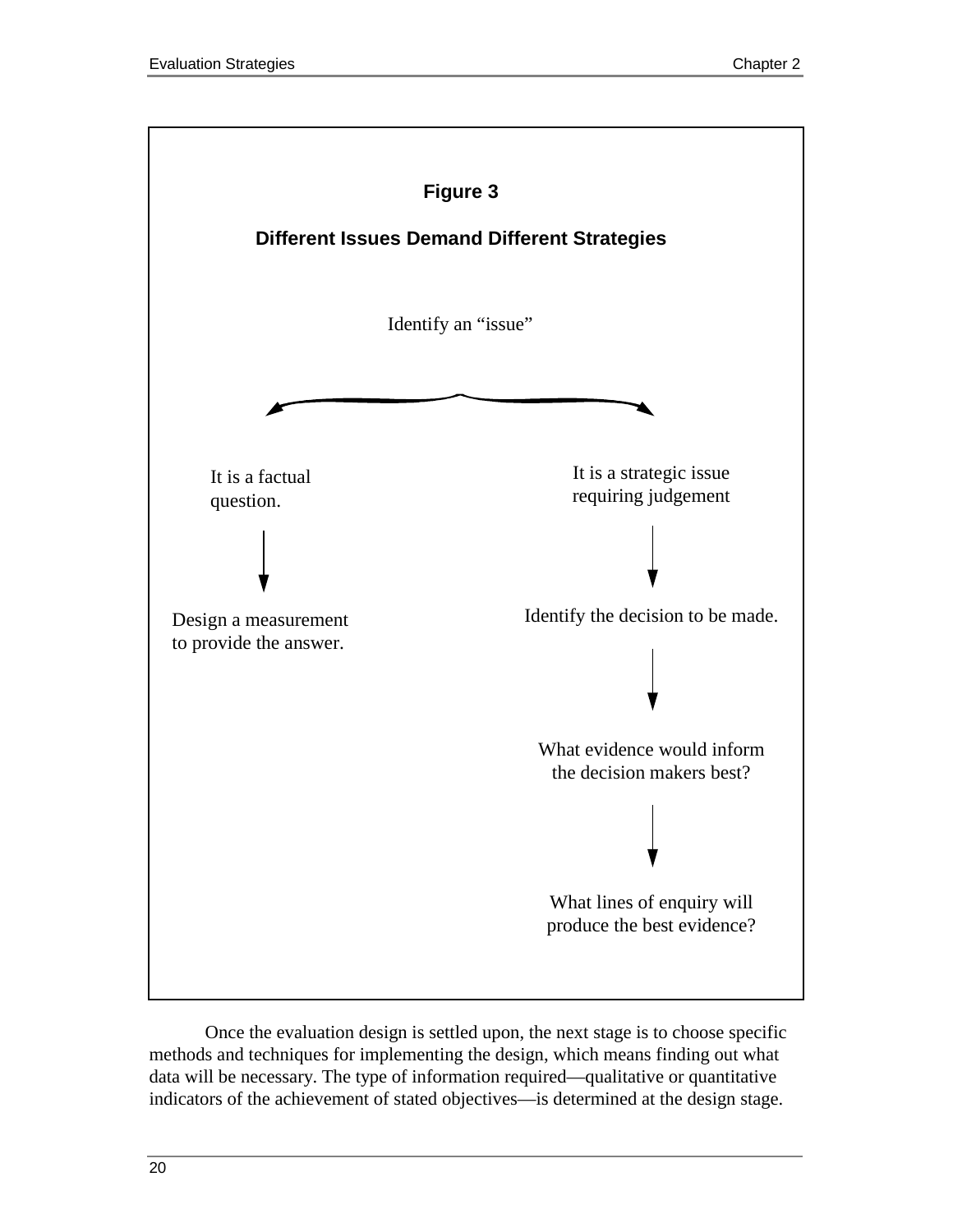

Once the evaluation design is settled upon, the next stage is to choose specific methods and techniques for implementing the design, which means finding out what data will be necessary. The type of information required—qualitative or quantitative indicators of the achievement of stated objectives—is determined at the design stage.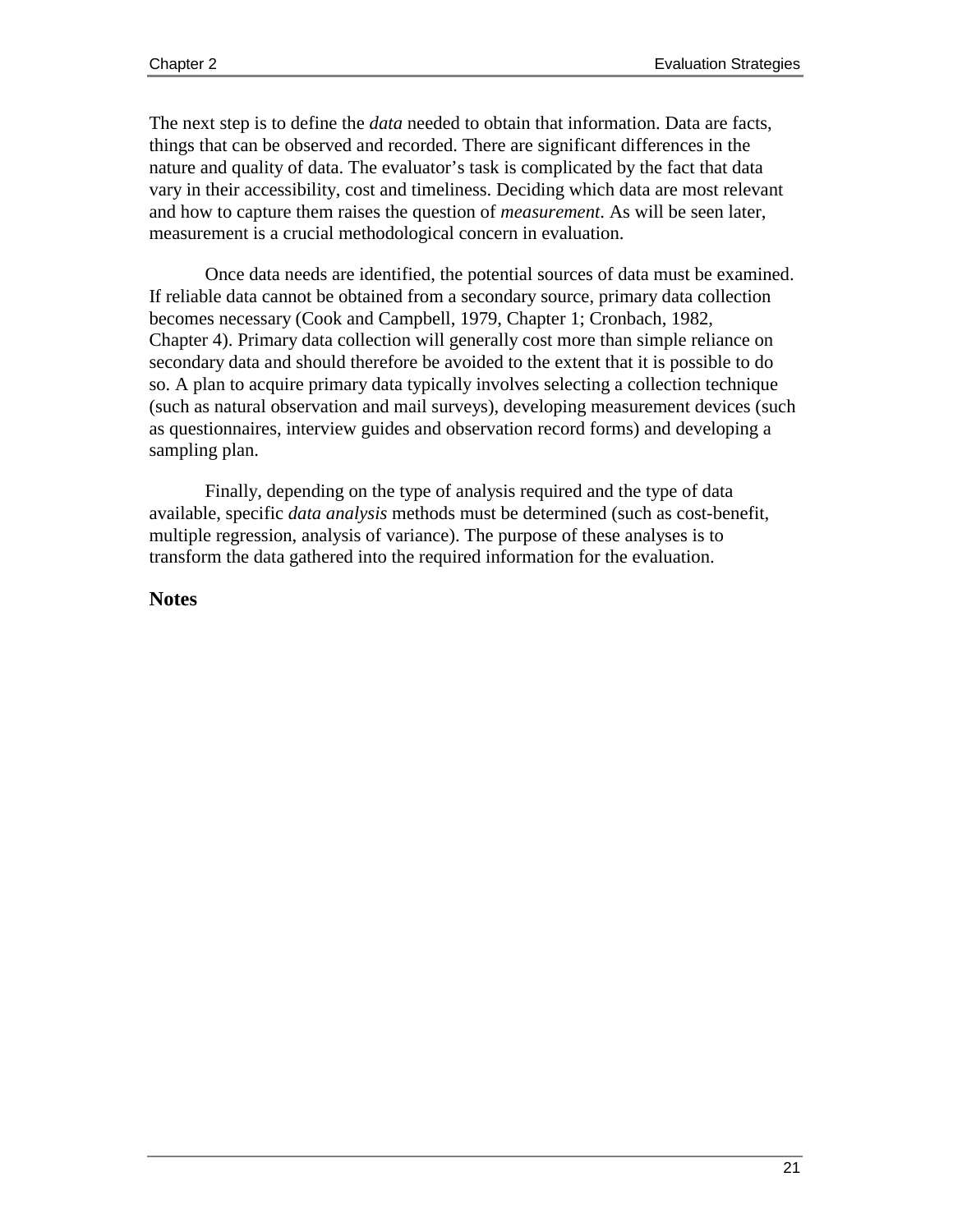The next step is to define the *data* needed to obtain that information. Data are facts, things that can be observed and recorded. There are significant differences in the nature and quality of data. The evaluator's task is complicated by the fact that data vary in their accessibility, cost and timeliness. Deciding which data are most relevant and how to capture them raises the question of *measurement*. As will be seen later, measurement is a crucial methodological concern in evaluation.

Once data needs are identified, the potential sources of data must be examined. If reliable data cannot be obtained from a secondary source, primary data collection becomes necessary (Cook and Campbell, 1979, Chapter 1; Cronbach, 1982, Chapter 4). Primary data collection will generally cost more than simple reliance on secondary data and should therefore be avoided to the extent that it is possible to do so. A plan to acquire primary data typically involves selecting a collection technique (such as natural observation and mail surveys), developing measurement devices (such as questionnaires, interview guides and observation record forms) and developing a sampling plan.

Finally, depending on the type of analysis required and the type of data available, specific *data analysis* methods must be determined (such as cost-benefit, multiple regression, analysis of variance). The purpose of these analyses is to transform the data gathered into the required information for the evaluation.

#### **Notes**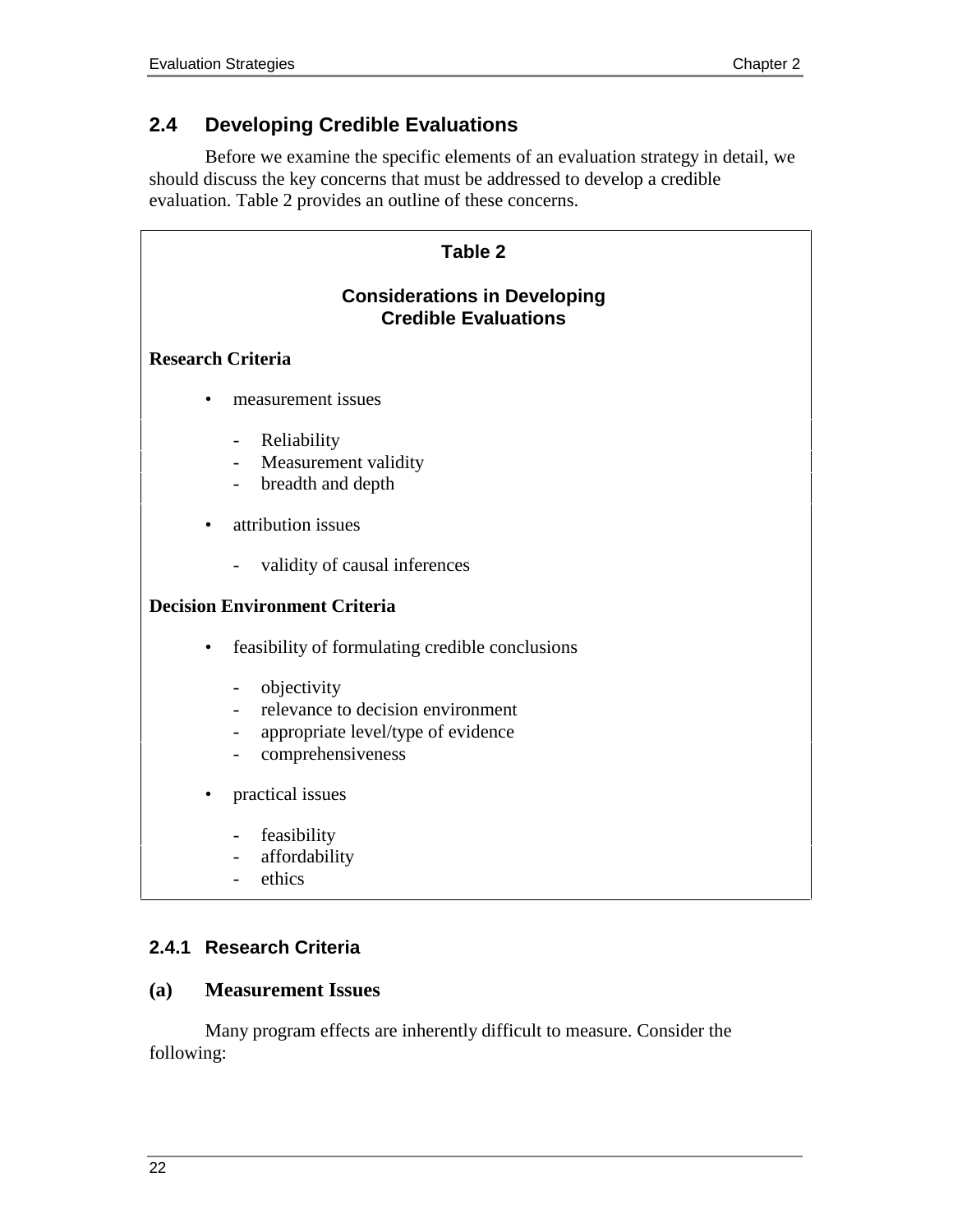# **2.4 Developing Credible Evaluations**

Before we examine the specific elements of an evaluation strategy in detail, we should discuss the key concerns that must be addressed to develop a credible evaluation. Table 2 provides an outline of these concerns.

| <b>Table 2</b>                       |                                                                                                                                                              |  |
|--------------------------------------|--------------------------------------------------------------------------------------------------------------------------------------------------------------|--|
|                                      | <b>Considerations in Developing</b><br><b>Credible Evaluations</b>                                                                                           |  |
| <b>Research Criteria</b>             |                                                                                                                                                              |  |
|                                      | measurement issues                                                                                                                                           |  |
|                                      | Reliability<br>$\qquad \qquad -$<br>Measurement validity<br>$\overline{\phantom{a}}$<br>breadth and depth<br>$\overline{\phantom{0}}$                        |  |
|                                      | attribution issues                                                                                                                                           |  |
|                                      | validity of causal inferences                                                                                                                                |  |
| <b>Decision Environment Criteria</b> |                                                                                                                                                              |  |
| ٠                                    | feasibility of formulating credible conclusions                                                                                                              |  |
|                                      | objectivity<br>$\qquad \qquad -$<br>relevance to decision environment<br>appropriate level/type of evidence<br>$\overline{\phantom{0}}$<br>comprehensiveness |  |
|                                      | practical issues                                                                                                                                             |  |
|                                      | feasibility<br>$\overline{\phantom{0}}$<br>affordability<br>$\overline{\phantom{0}}$<br>ethics                                                               |  |

## **2.4.1 Research Criteria**

### **(a) Measurement Issues**

Many program effects are inherently difficult to measure. Consider the following: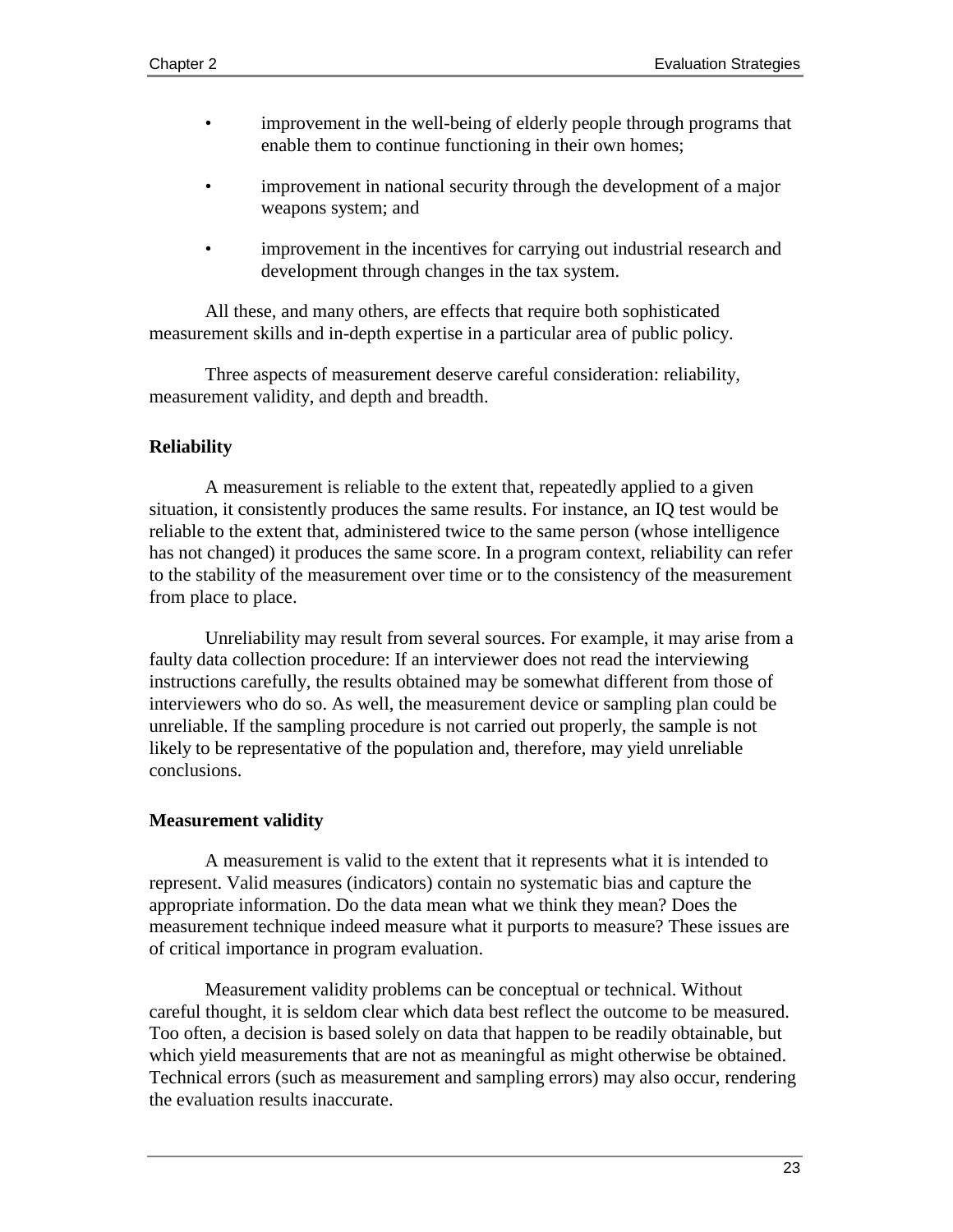- improvement in the well-being of elderly people through programs that enable them to continue functioning in their own homes;
- improvement in national security through the development of a major weapons system; and
- improvement in the incentives for carrying out industrial research and development through changes in the tax system.

All these, and many others, are effects that require both sophisticated measurement skills and in-depth expertise in a particular area of public policy.

Three aspects of measurement deserve careful consideration: reliability, measurement validity, and depth and breadth.

#### **Reliability**

A measurement is reliable to the extent that, repeatedly applied to a given situation, it consistently produces the same results. For instance, an IQ test would be reliable to the extent that, administered twice to the same person (whose intelligence has not changed) it produces the same score. In a program context, reliability can refer to the stability of the measurement over time or to the consistency of the measurement from place to place.

Unreliability may result from several sources. For example, it may arise from a faulty data collection procedure: If an interviewer does not read the interviewing instructions carefully, the results obtained may be somewhat different from those of interviewers who do so. As well, the measurement device or sampling plan could be unreliable. If the sampling procedure is not carried out properly, the sample is not likely to be representative of the population and, therefore, may yield unreliable conclusions.

#### **Measurement validity**

A measurement is valid to the extent that it represents what it is intended to represent. Valid measures (indicators) contain no systematic bias and capture the appropriate information. Do the data mean what we think they mean? Does the measurement technique indeed measure what it purports to measure? These issues are of critical importance in program evaluation.

Measurement validity problems can be conceptual or technical. Without careful thought, it is seldom clear which data best reflect the outcome to be measured. Too often, a decision is based solely on data that happen to be readily obtainable, but which yield measurements that are not as meaningful as might otherwise be obtained. Technical errors (such as measurement and sampling errors) may also occur, rendering the evaluation results inaccurate.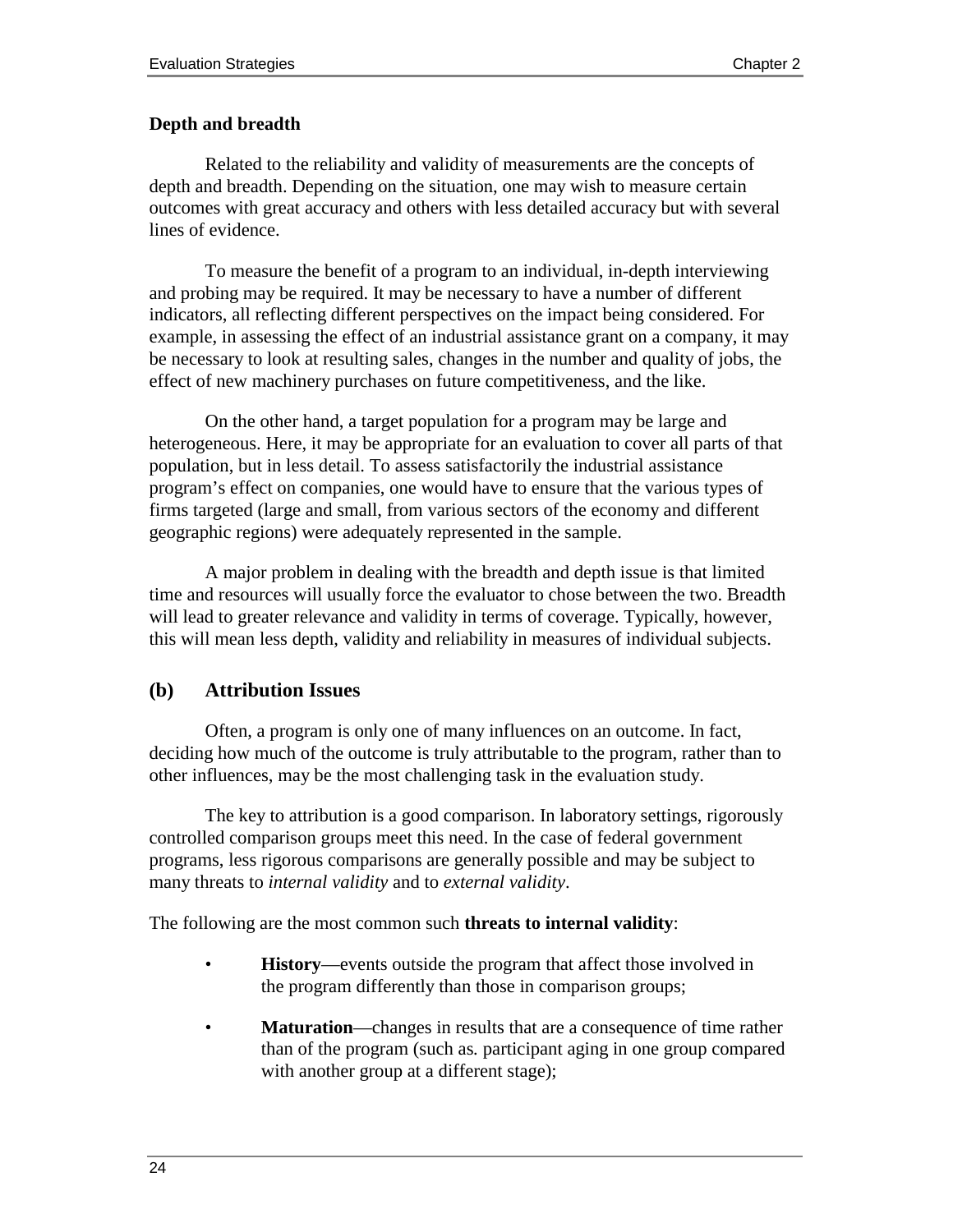#### **Depth and breadth**

Related to the reliability and validity of measurements are the concepts of depth and breadth. Depending on the situation, one may wish to measure certain outcomes with great accuracy and others with less detailed accuracy but with several lines of evidence.

To measure the benefit of a program to an individual, in-depth interviewing and probing may be required. It may be necessary to have a number of different indicators, all reflecting different perspectives on the impact being considered. For example, in assessing the effect of an industrial assistance grant on a company, it may be necessary to look at resulting sales, changes in the number and quality of jobs, the effect of new machinery purchases on future competitiveness, and the like.

On the other hand, a target population for a program may be large and heterogeneous. Here, it may be appropriate for an evaluation to cover all parts of that population, but in less detail. To assess satisfactorily the industrial assistance program's effect on companies, one would have to ensure that the various types of firms targeted (large and small, from various sectors of the economy and different geographic regions) were adequately represented in the sample.

A major problem in dealing with the breadth and depth issue is that limited time and resources will usually force the evaluator to chose between the two. Breadth will lead to greater relevance and validity in terms of coverage. Typically, however, this will mean less depth, validity and reliability in measures of individual subjects.

#### **(b) Attribution Issues**

Often, a program is only one of many influences on an outcome. In fact, deciding how much of the outcome is truly attributable to the program, rather than to other influences, may be the most challenging task in the evaluation study.

The key to attribution is a good comparison. In laboratory settings, rigorously controlled comparison groups meet this need. In the case of federal government programs, less rigorous comparisons are generally possible and may be subject to many threats to *internal validity* and to *external validity*.

The following are the most common such **threats to internal validity**:

- **History**—events outside the program that affect those involved in the program differently than those in comparison groups;
- **Maturation**—changes in results that are a consequence of time rather than of the program (such as*.* participant aging in one group compared with another group at a different stage);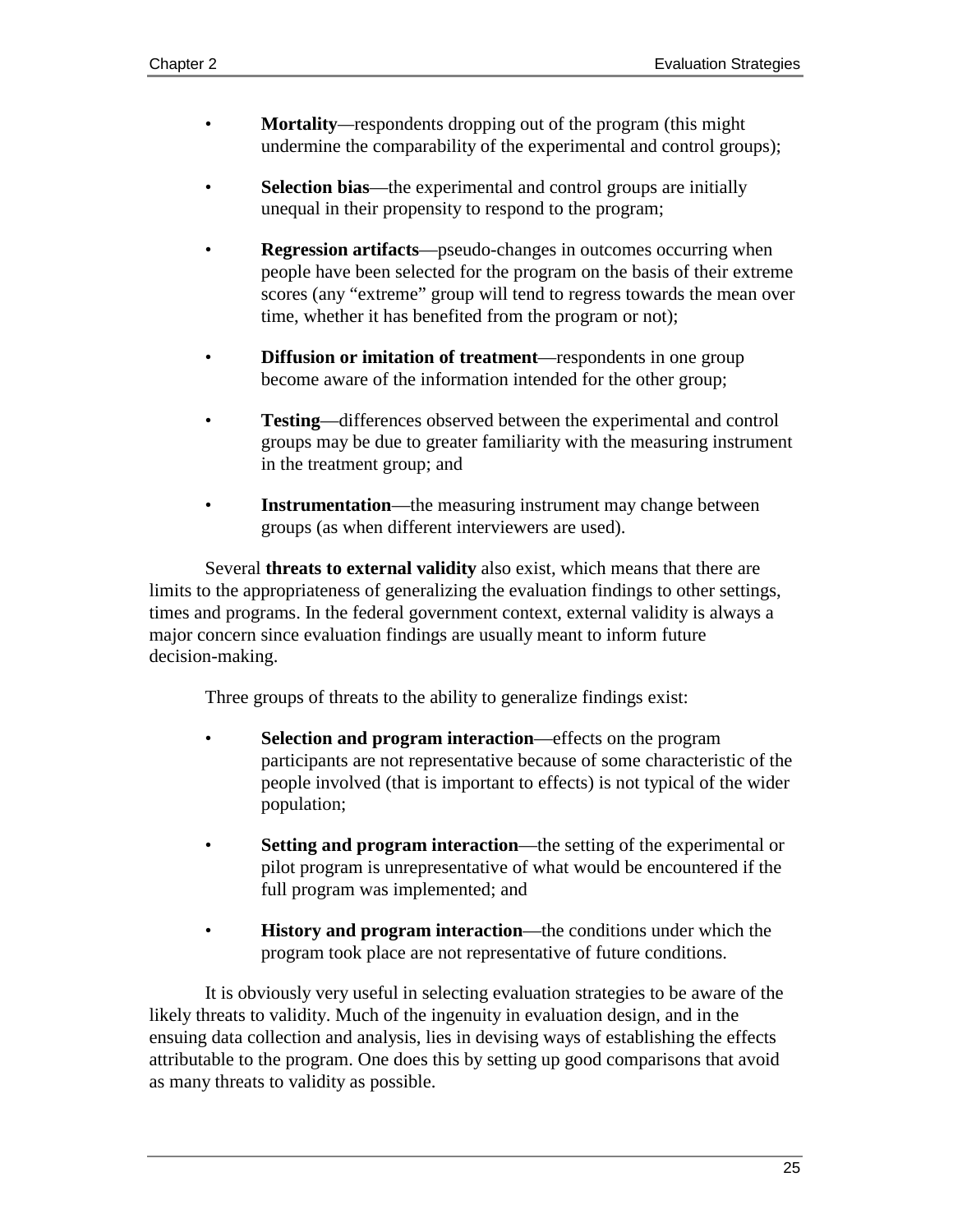- **Mortality***—*respondents dropping out of the program (this might undermine the comparability of the experimental and control groups);
- **Selection bias**—the experimental and control groups are initially unequal in their propensity to respond to the program;
- **Regression artifacts**—pseudo-changes in outcomes occurring when people have been selected for the program on the basis of their extreme scores (any "extreme" group will tend to regress towards the mean over time, whether it has benefited from the program or not);
- **Diffusion or imitation of treatment—respondents in one group** become aware of the information intended for the other group;
- **Testing**—differences observed between the experimental and control groups may be due to greater familiarity with the measuring instrument in the treatment group; and
- **Instrumentation—the measuring instrument may change between** groups (as when different interviewers are used).

Several **threats to external validity** also exist, which means that there are limits to the appropriateness of generalizing the evaluation findings to other settings, times and programs. In the federal government context, external validity is always a major concern since evaluation findings are usually meant to inform future decision-making.

Three groups of threats to the ability to generalize findings exist:

- **Selection and program interaction—effects on the program** participants are not representative because of some characteristic of the people involved (that is important to effects) is not typical of the wider population;
- **Setting and program interaction—the setting of the experimental or** pilot program is unrepresentative of what would be encountered if the full program was implemented; and
- **History and program interaction—the conditions under which the** program took place are not representative of future conditions.

It is obviously very useful in selecting evaluation strategies to be aware of the likely threats to validity. Much of the ingenuity in evaluation design, and in the ensuing data collection and analysis, lies in devising ways of establishing the effects attributable to the program. One does this by setting up good comparisons that avoid as many threats to validity as possible.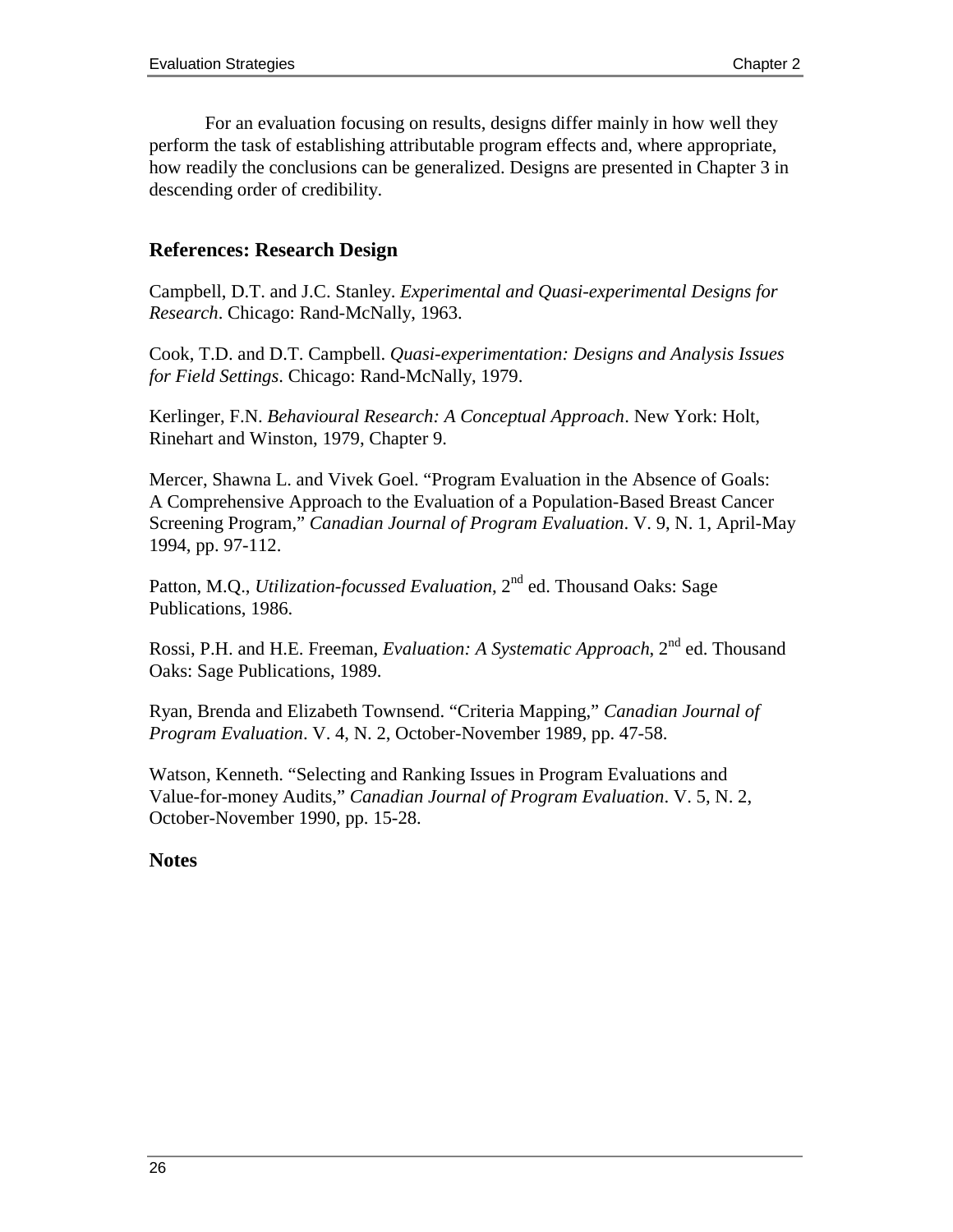For an evaluation focusing on results, designs differ mainly in how well they perform the task of establishing attributable program effects and, where appropriate, how readily the conclusions can be generalized. Designs are presented in Chapter 3 in descending order of credibility.

### **References: Research Design**

Campbell, D.T. and J.C. Stanley. *Experimental and Quasi-experimental Designs for Research*. Chicago: Rand-McNally, 1963.

Cook, T.D. and D.T. Campbell. *Quasi-experimentation: Designs and Analysis Issues for Field Settings*. Chicago: Rand-McNally, 1979.

Kerlinger, F.N. *Behavioural Research: A Conceptual Approach*. New York: Holt, Rinehart and Winston, 1979, Chapter 9.

Mercer, Shawna L. and Vivek Goel. "Program Evaluation in the Absence of Goals: A Comprehensive Approach to the Evaluation of a Population-Based Breast Cancer Screening Program," *Canadian Journal of Program Evaluation*. V. 9, N. 1, April-May 1994, pp. 97-112.

Patton, M.Q., *Utilization-focussed Evaluation*, 2<sup>nd</sup> ed. Thousand Oaks: Sage Publications, 1986.

Rossi, P.H. and H.E. Freeman, *Evaluation: A Systematic Approach*, 2nd ed. Thousand Oaks: Sage Publications, 1989.

Ryan, Brenda and Elizabeth Townsend. "Criteria Mapping," *Canadian Journal of Program Evaluation*. V. 4, N. 2, October-November 1989, pp. 47-58.

Watson, Kenneth. "Selecting and Ranking Issues in Program Evaluations and Value-for-money Audits," *Canadian Journal of Program Evaluation*. V. 5, N. 2, October-November 1990, pp. 15-28.

#### **Notes**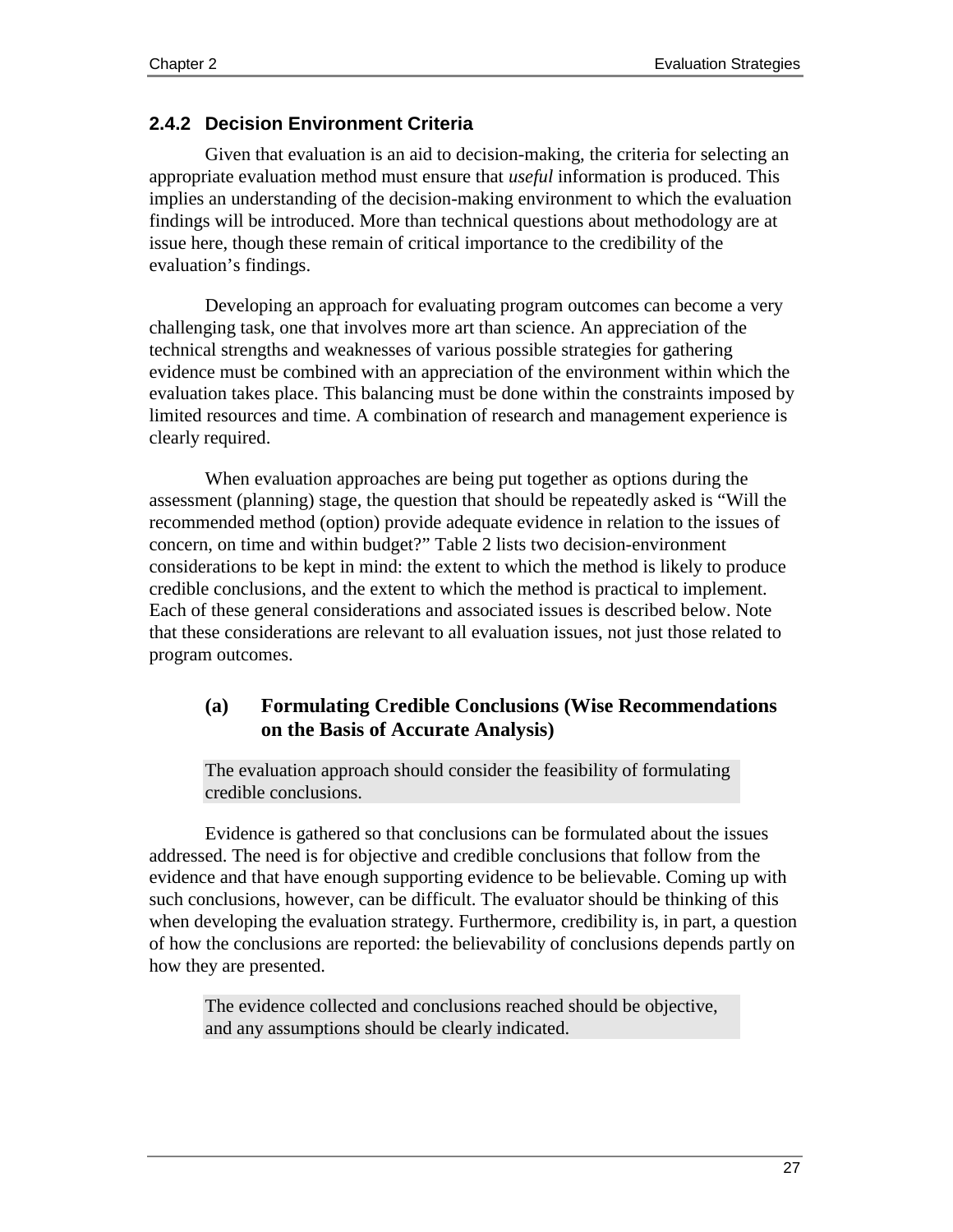### **2.4.2 Decision Environment Criteria**

Given that evaluation is an aid to decision-making, the criteria for selecting an appropriate evaluation method must ensure that *useful* information is produced. This implies an understanding of the decision-making environment to which the evaluation findings will be introduced. More than technical questions about methodology are at issue here, though these remain of critical importance to the credibility of the evaluation's findings.

Developing an approach for evaluating program outcomes can become a very challenging task, one that involves more art than science. An appreciation of the technical strengths and weaknesses of various possible strategies for gathering evidence must be combined with an appreciation of the environment within which the evaluation takes place. This balancing must be done within the constraints imposed by limited resources and time. A combination of research and management experience is clearly required.

When evaluation approaches are being put together as options during the assessment (planning) stage, the question that should be repeatedly asked is "Will the recommended method (option) provide adequate evidence in relation to the issues of concern, on time and within budget?" Table 2 lists two decision-environment considerations to be kept in mind: the extent to which the method is likely to produce credible conclusions, and the extent to which the method is practical to implement. Each of these general considerations and associated issues is described below. Note that these considerations are relevant to all evaluation issues, not just those related to program outcomes.

## **(a) Formulating Credible Conclusions (Wise Recommendations on the Basis of Accurate Analysis)**

The evaluation approach should consider the feasibility of formulating credible conclusions.

Evidence is gathered so that conclusions can be formulated about the issues addressed. The need is for objective and credible conclusions that follow from the evidence and that have enough supporting evidence to be believable. Coming up with such conclusions, however, can be difficult. The evaluator should be thinking of this when developing the evaluation strategy. Furthermore, credibility is, in part, a question of how the conclusions are reported: the believability of conclusions depends partly on how they are presented.

The evidence collected and conclusions reached should be objective, and any assumptions should be clearly indicated.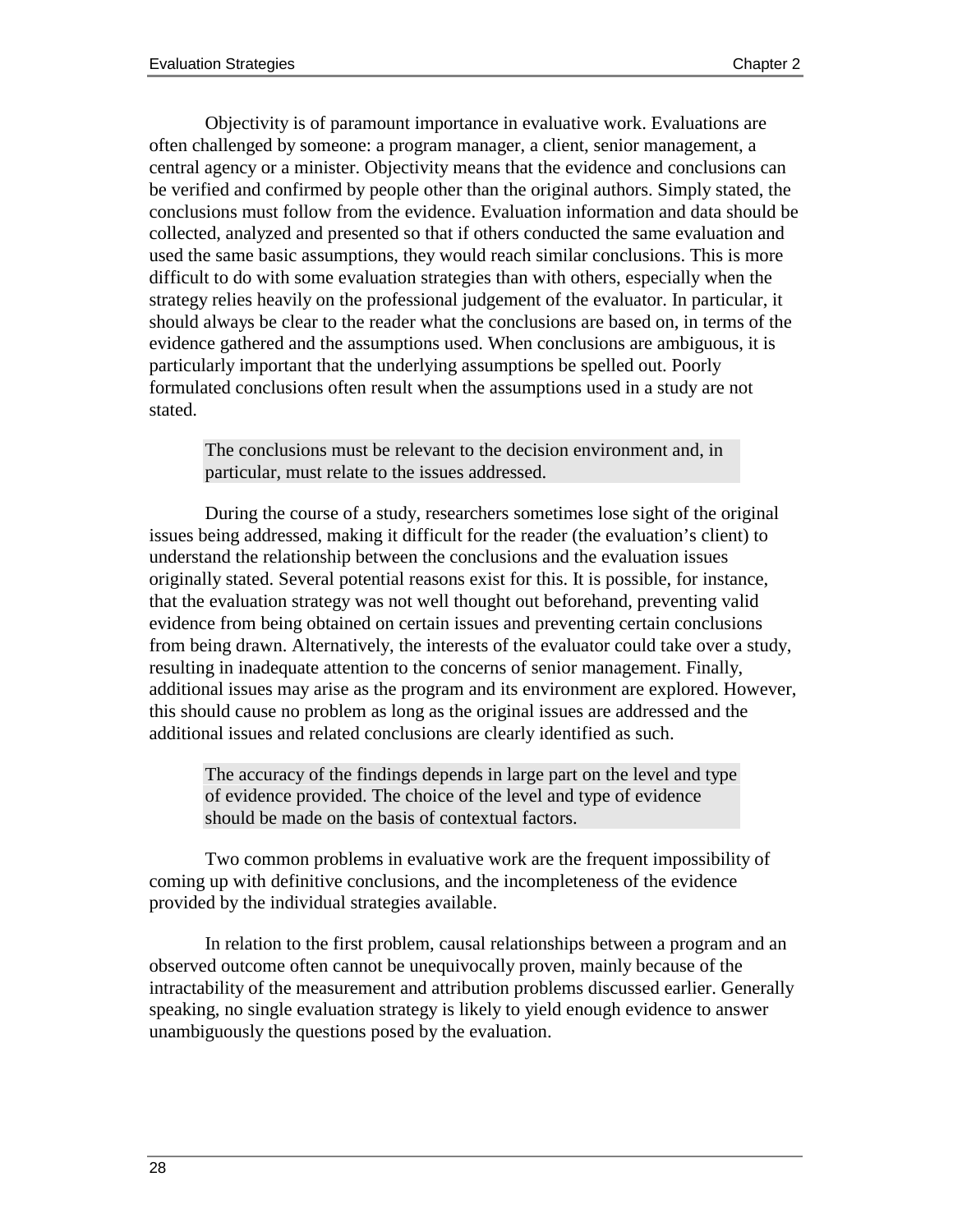Objectivity is of paramount importance in evaluative work. Evaluations are often challenged by someone: a program manager, a client, senior management, a central agency or a minister. Objectivity means that the evidence and conclusions can be verified and confirmed by people other than the original authors. Simply stated, the conclusions must follow from the evidence. Evaluation information and data should be collected, analyzed and presented so that if others conducted the same evaluation and used the same basic assumptions, they would reach similar conclusions. This is more difficult to do with some evaluation strategies than with others, especially when the strategy relies heavily on the professional judgement of the evaluator. In particular, it should always be clear to the reader what the conclusions are based on, in terms of the evidence gathered and the assumptions used. When conclusions are ambiguous, it is particularly important that the underlying assumptions be spelled out. Poorly formulated conclusions often result when the assumptions used in a study are not stated.

The conclusions must be relevant to the decision environment and, in particular, must relate to the issues addressed.

During the course of a study, researchers sometimes lose sight of the original issues being addressed, making it difficult for the reader (the evaluation's client) to understand the relationship between the conclusions and the evaluation issues originally stated. Several potential reasons exist for this. It is possible, for instance, that the evaluation strategy was not well thought out beforehand, preventing valid evidence from being obtained on certain issues and preventing certain conclusions from being drawn. Alternatively, the interests of the evaluator could take over a study, resulting in inadequate attention to the concerns of senior management. Finally, additional issues may arise as the program and its environment are explored. However, this should cause no problem as long as the original issues are addressed and the additional issues and related conclusions are clearly identified as such.

The accuracy of the findings depends in large part on the level and type of evidence provided. The choice of the level and type of evidence should be made on the basis of contextual factors.

Two common problems in evaluative work are the frequent impossibility of coming up with definitive conclusions, and the incompleteness of the evidence provided by the individual strategies available.

In relation to the first problem, causal relationships between a program and an observed outcome often cannot be unequivocally proven, mainly because of the intractability of the measurement and attribution problems discussed earlier. Generally speaking, no single evaluation strategy is likely to yield enough evidence to answer unambiguously the questions posed by the evaluation.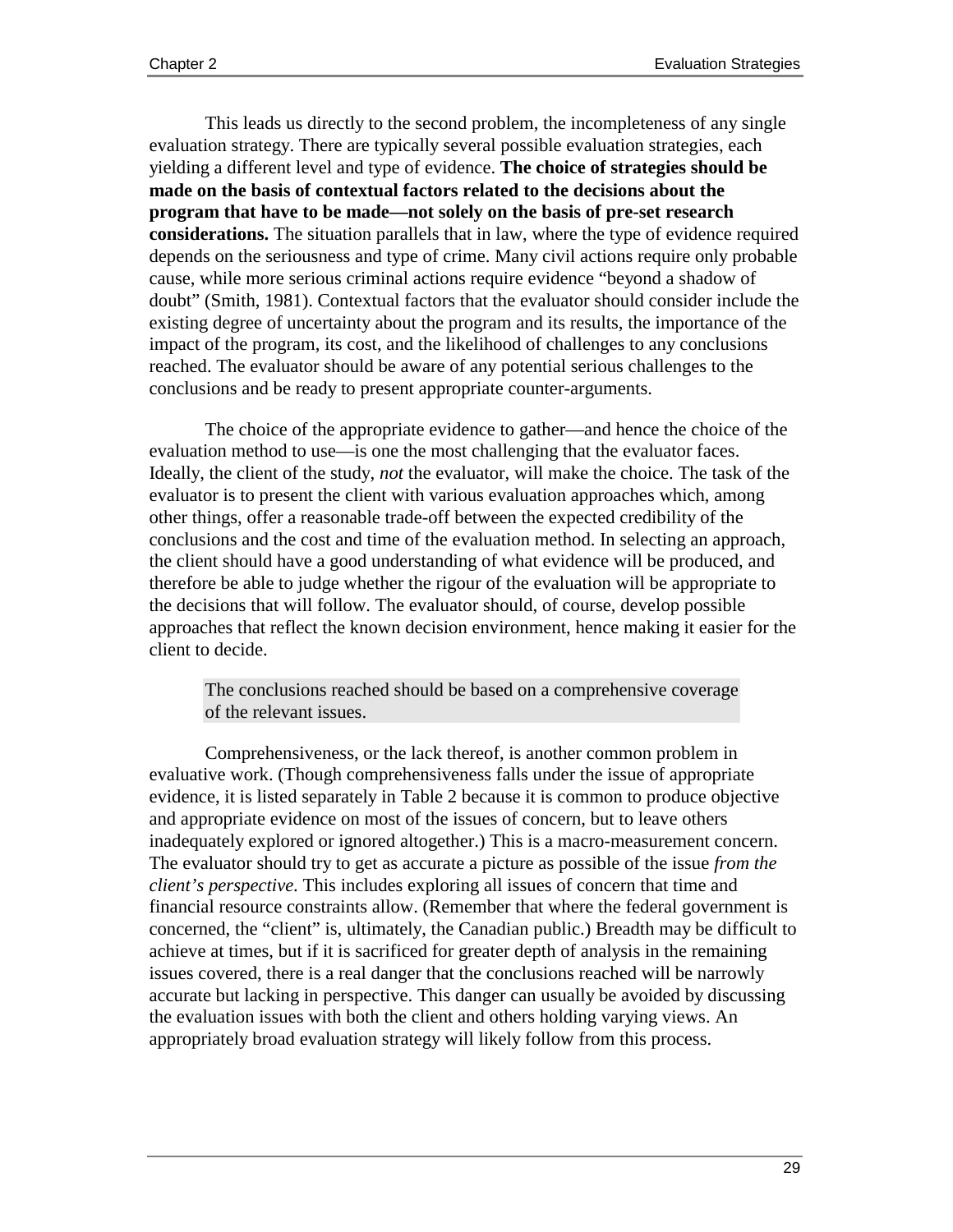This leads us directly to the second problem, the incompleteness of any single evaluation strategy. There are typically several possible evaluation strategies, each yielding a different level and type of evidence. **The choice of strategies should be made on the basis of contextual factors related to the decisions about the program that have to be made—not solely on the basis of pre-set research considerations.** The situation parallels that in law, where the type of evidence required depends on the seriousness and type of crime. Many civil actions require only probable cause, while more serious criminal actions require evidence "beyond a shadow of doubt" (Smith, 1981). Contextual factors that the evaluator should consider include the existing degree of uncertainty about the program and its results, the importance of the impact of the program, its cost, and the likelihood of challenges to any conclusions reached. The evaluator should be aware of any potential serious challenges to the conclusions and be ready to present appropriate counter-arguments.

The choice of the appropriate evidence to gather—and hence the choice of the evaluation method to use—is one the most challenging that the evaluator faces. Ideally, the client of the study, *not* the evaluator, will make the choice. The task of the evaluator is to present the client with various evaluation approaches which, among other things, offer a reasonable trade-off between the expected credibility of the conclusions and the cost and time of the evaluation method. In selecting an approach, the client should have a good understanding of what evidence will be produced, and therefore be able to judge whether the rigour of the evaluation will be appropriate to the decisions that will follow. The evaluator should, of course, develop possible approaches that reflect the known decision environment, hence making it easier for the client to decide.

The conclusions reached should be based on a comprehensive coverage of the relevant issues.

Comprehensiveness, or the lack thereof, is another common problem in evaluative work. (Though comprehensiveness falls under the issue of appropriate evidence, it is listed separately in Table 2 because it is common to produce objective and appropriate evidence on most of the issues of concern, but to leave others inadequately explored or ignored altogether.) This is a macro-measurement concern. The evaluator should try to get as accurate a picture as possible of the issue *from the client's perspective*. This includes exploring all issues of concern that time and financial resource constraints allow. (Remember that where the federal government is concerned, the "client" is, ultimately, the Canadian public.) Breadth may be difficult to achieve at times, but if it is sacrificed for greater depth of analysis in the remaining issues covered, there is a real danger that the conclusions reached will be narrowly accurate but lacking in perspective. This danger can usually be avoided by discussing the evaluation issues with both the client and others holding varying views. An appropriately broad evaluation strategy will likely follow from this process.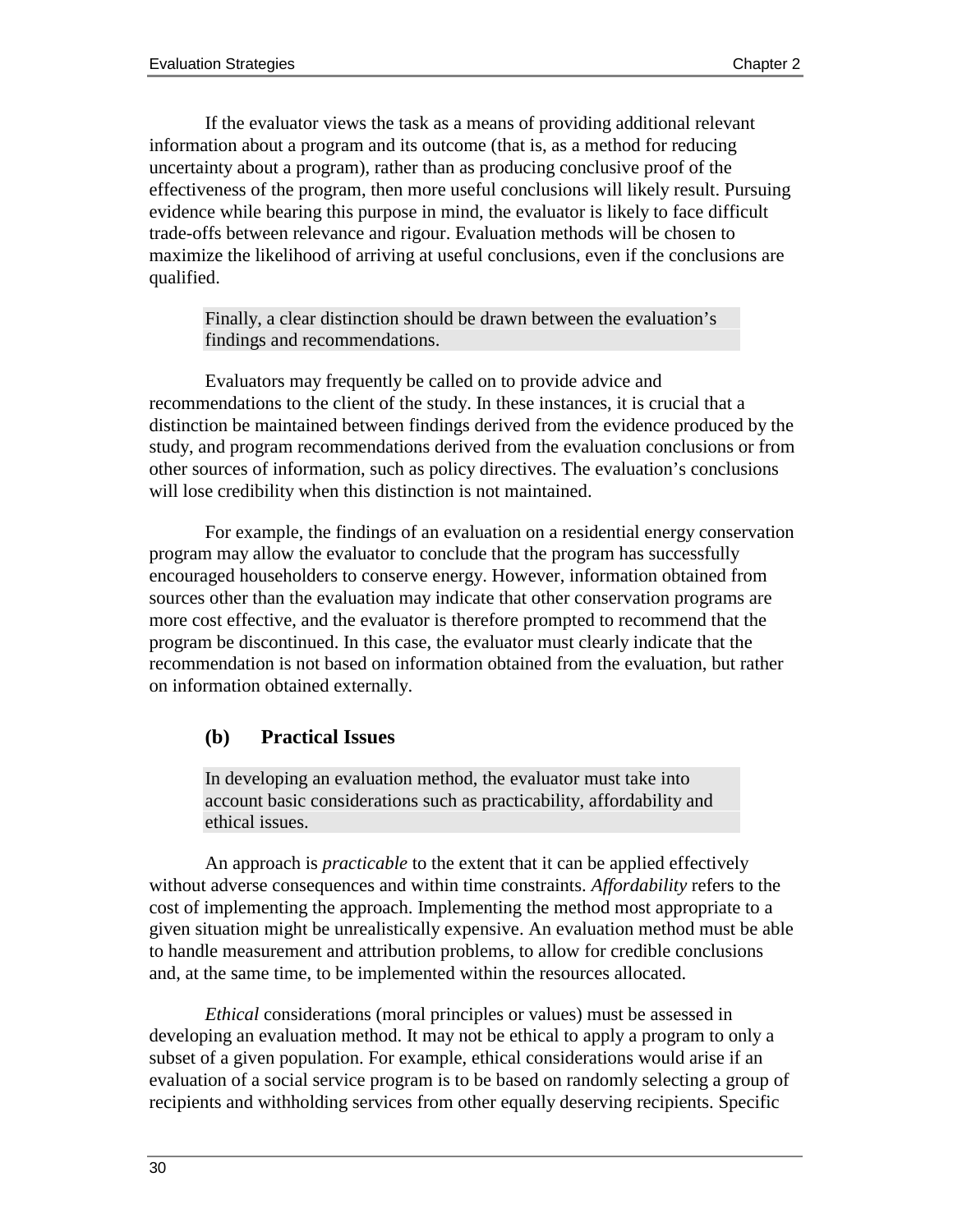If the evaluator views the task as a means of providing additional relevant information about a program and its outcome (that is, as a method for reducing uncertainty about a program), rather than as producing conclusive proof of the effectiveness of the program, then more useful conclusions will likely result. Pursuing evidence while bearing this purpose in mind, the evaluator is likely to face difficult trade-offs between relevance and rigour. Evaluation methods will be chosen to maximize the likelihood of arriving at useful conclusions, even if the conclusions are qualified.

Finally, a clear distinction should be drawn between the evaluation's findings and recommendations.

Evaluators may frequently be called on to provide advice and recommendations to the client of the study. In these instances, it is crucial that a distinction be maintained between findings derived from the evidence produced by the study, and program recommendations derived from the evaluation conclusions or from other sources of information, such as policy directives. The evaluation's conclusions will lose credibility when this distinction is not maintained.

For example, the findings of an evaluation on a residential energy conservation program may allow the evaluator to conclude that the program has successfully encouraged householders to conserve energy. However, information obtained from sources other than the evaluation may indicate that other conservation programs are more cost effective, and the evaluator is therefore prompted to recommend that the program be discontinued. In this case, the evaluator must clearly indicate that the recommendation is not based on information obtained from the evaluation, but rather on information obtained externally.

### **(b) Practical Issues**

In developing an evaluation method, the evaluator must take into account basic considerations such as practicability, affordability and ethical issues.

An approach is *practicable* to the extent that it can be applied effectively without adverse consequences and within time constraints. *Affordability* refers to the cost of implementing the approach. Implementing the method most appropriate to a given situation might be unrealistically expensive. An evaluation method must be able to handle measurement and attribution problems, to allow for credible conclusions and, at the same time, to be implemented within the resources allocated.

*Ethical* considerations (moral principles or values) must be assessed in developing an evaluation method. It may not be ethical to apply a program to only a subset of a given population. For example, ethical considerations would arise if an evaluation of a social service program is to be based on randomly selecting a group of recipients and withholding services from other equally deserving recipients. Specific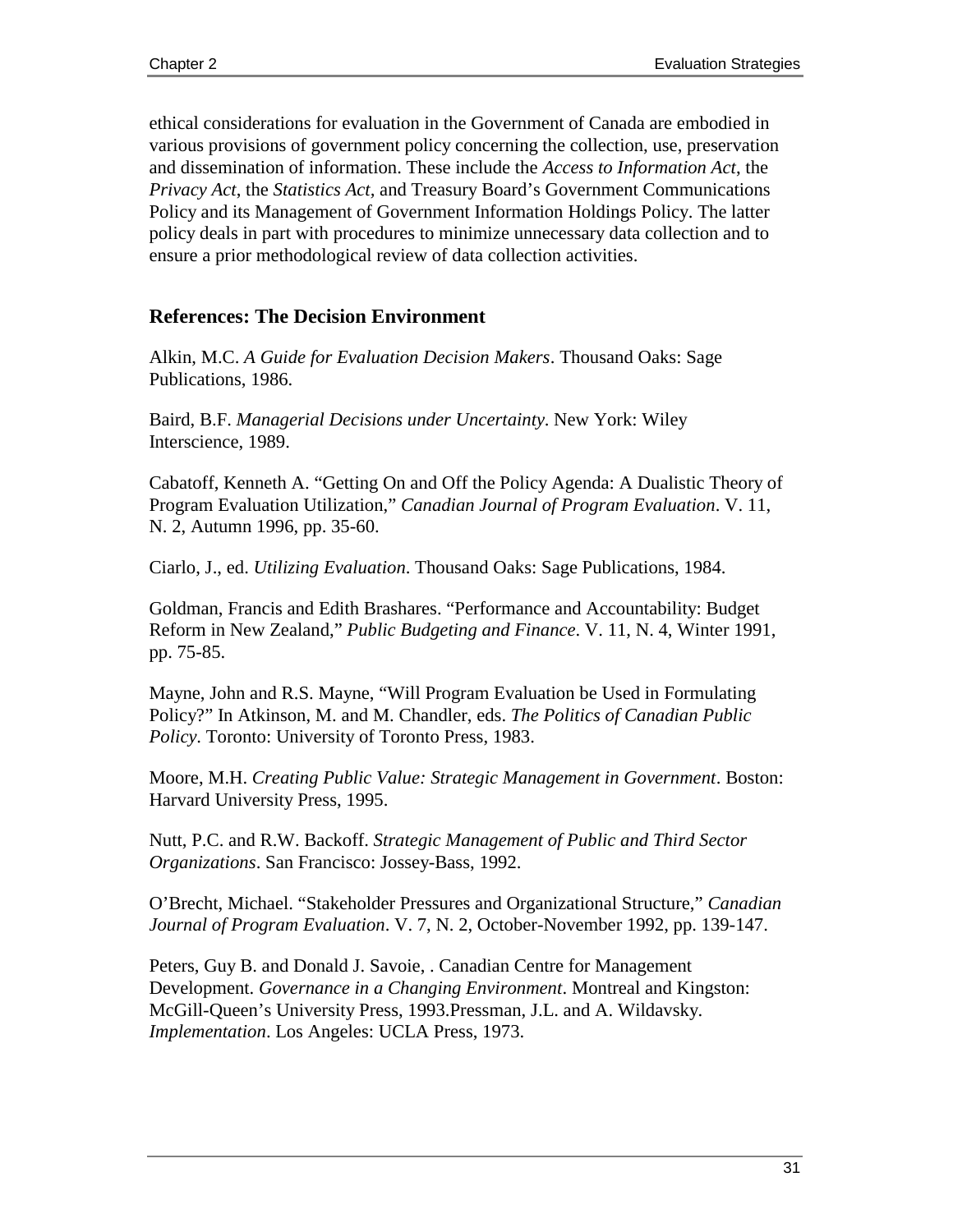ethical considerations for evaluation in the Government of Canada are embodied in various provisions of government policy concerning the collection, use, preservation and dissemination of information. These include the *Access to Information Act*, the *Privacy Act*, the *Statistics Act,* and Treasury Board's Government Communications Policy and its Management of Government Information Holdings Policy. The latter policy deals in part with procedures to minimize unnecessary data collection and to ensure a prior methodological review of data collection activities.

## **References: The Decision Environment**

Alkin, M.C. *A Guide for Evaluation Decision Makers*. Thousand Oaks: Sage Publications, 1986.

Baird, B.F. *Managerial Decisions under Uncertainty*. New York: Wiley Interscience, 1989.

Cabatoff, Kenneth A. "Getting On and Off the Policy Agenda: A Dualistic Theory of Program Evaluation Utilization," *Canadian Journal of Program Evaluation*. V. 11, N. 2, Autumn 1996, pp. 35-60.

Ciarlo, J., ed. *Utilizing Evaluation*. Thousand Oaks: Sage Publications, 1984.

Goldman, Francis and Edith Brashares. "Performance and Accountability: Budget Reform in New Zealand," *Public Budgeting and Finance*. V. 11, N. 4, Winter 1991, pp. 75-85.

Mayne, John and R.S. Mayne, "Will Program Evaluation be Used in Formulating Policy?" In Atkinson, M. and M. Chandler, eds. *The Politics of Canadian Public Policy*. Toronto: University of Toronto Press, 1983.

Moore, M.H. *Creating Public Value: Strategic Management in Government*. Boston: Harvard University Press, 1995.

Nutt, P.C. and R.W. Backoff. *Strategic Management of Public and Third Sector Organizations*. San Francisco: Jossey-Bass, 1992.

O'Brecht, Michael. "Stakeholder Pressures and Organizational Structure," *Canadian Journal of Program Evaluation*. V. 7, N. 2, October-November 1992, pp. 139-147.

Peters, Guy B. and Donald J. Savoie, . Canadian Centre for Management Development. *Governance in a Changing Environment*. Montreal and Kingston: McGill-Queen's University Press, 1993.Pressman, J.L. and A. Wildavsky. *Implementation*. Los Angeles: UCLA Press, 1973.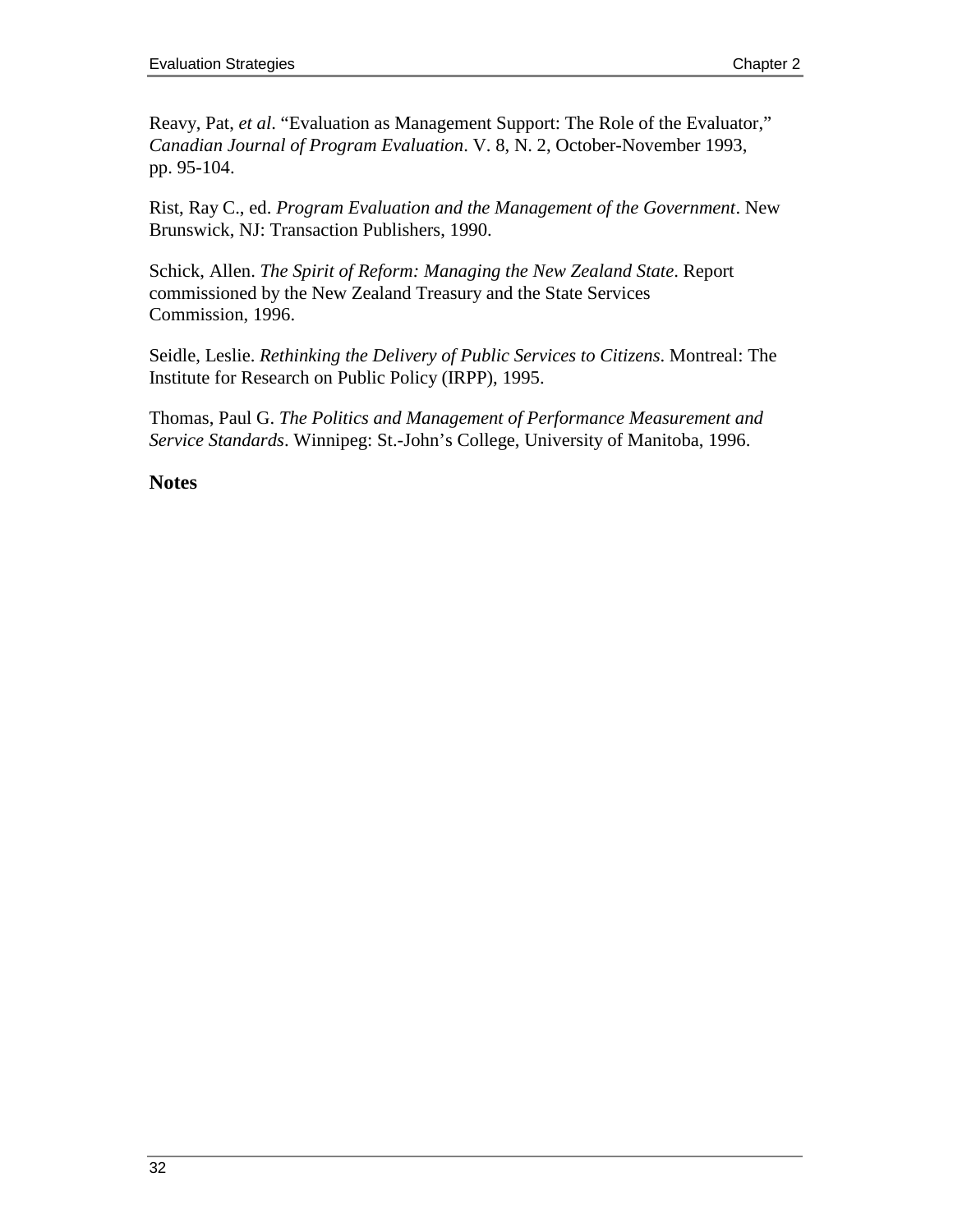Reavy, Pat, *et al*. "Evaluation as Management Support: The Role of the Evaluator," *Canadian Journal of Program Evaluation*. V. 8, N. 2, October-November 1993, pp. 95-104.

Rist, Ray C., ed. *Program Evaluation and the Management of the Government*. New Brunswick, NJ: Transaction Publishers, 1990.

Schick, Allen. *The Spirit of Reform: Managing the New Zealand State*. Report commissioned by the New Zealand Treasury and the State Services Commission, 1996.

Seidle, Leslie. *Rethinking the Delivery of Public Services to Citizens*. Montreal: The Institute for Research on Public Policy (IRPP), 1995.

Thomas, Paul G. *The Politics and Management of Performance Measurement and Service Standards*. Winnipeg: St.-John's College, University of Manitoba, 1996.

#### **Notes**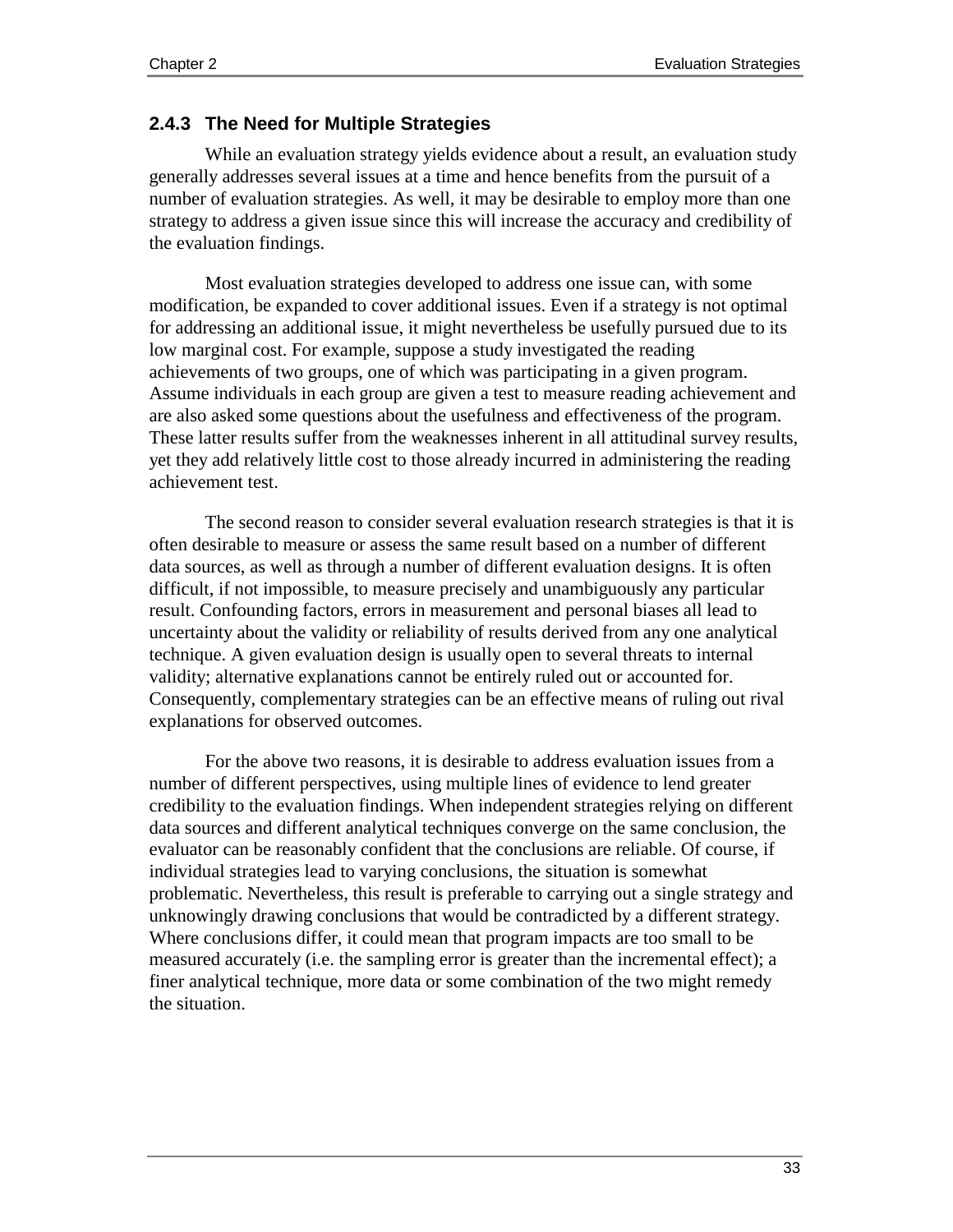#### **2.4.3 The Need for Multiple Strategies**

While an evaluation strategy yields evidence about a result, an evaluation study generally addresses several issues at a time and hence benefits from the pursuit of a number of evaluation strategies. As well, it may be desirable to employ more than one strategy to address a given issue since this will increase the accuracy and credibility of the evaluation findings.

Most evaluation strategies developed to address one issue can, with some modification, be expanded to cover additional issues. Even if a strategy is not optimal for addressing an additional issue, it might nevertheless be usefully pursued due to its low marginal cost. For example, suppose a study investigated the reading achievements of two groups, one of which was participating in a given program. Assume individuals in each group are given a test to measure reading achievement and are also asked some questions about the usefulness and effectiveness of the program. These latter results suffer from the weaknesses inherent in all attitudinal survey results, yet they add relatively little cost to those already incurred in administering the reading achievement test.

The second reason to consider several evaluation research strategies is that it is often desirable to measure or assess the same result based on a number of different data sources, as well as through a number of different evaluation designs. It is often difficult, if not impossible, to measure precisely and unambiguously any particular result. Confounding factors, errors in measurement and personal biases all lead to uncertainty about the validity or reliability of results derived from any one analytical technique. A given evaluation design is usually open to several threats to internal validity; alternative explanations cannot be entirely ruled out or accounted for. Consequently, complementary strategies can be an effective means of ruling out rival explanations for observed outcomes.

For the above two reasons, it is desirable to address evaluation issues from a number of different perspectives, using multiple lines of evidence to lend greater credibility to the evaluation findings. When independent strategies relying on different data sources and different analytical techniques converge on the same conclusion, the evaluator can be reasonably confident that the conclusions are reliable. Of course, if individual strategies lead to varying conclusions, the situation is somewhat problematic. Nevertheless, this result is preferable to carrying out a single strategy and unknowingly drawing conclusions that would be contradicted by a different strategy. Where conclusions differ, it could mean that program impacts are too small to be measured accurately (i.e. the sampling error is greater than the incremental effect); a finer analytical technique, more data or some combination of the two might remedy the situation.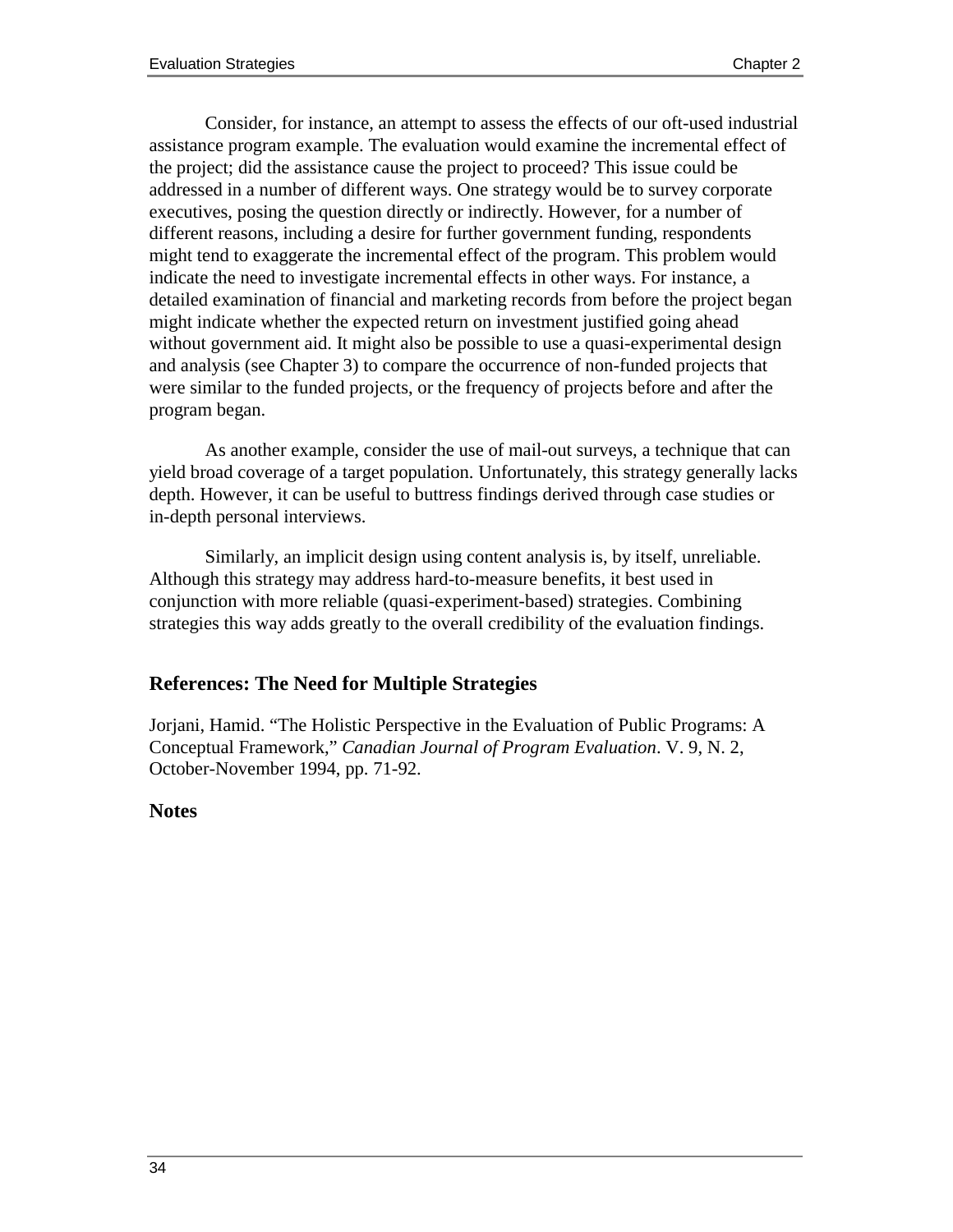Consider, for instance, an attempt to assess the effects of our oft-used industrial assistance program example. The evaluation would examine the incremental effect of the project; did the assistance cause the project to proceed? This issue could be addressed in a number of different ways. One strategy would be to survey corporate executives, posing the question directly or indirectly. However, for a number of different reasons, including a desire for further government funding, respondents might tend to exaggerate the incremental effect of the program. This problem would indicate the need to investigate incremental effects in other ways. For instance, a detailed examination of financial and marketing records from before the project began might indicate whether the expected return on investment justified going ahead without government aid. It might also be possible to use a quasi-experimental design and analysis (see Chapter 3) to compare the occurrence of non-funded projects that were similar to the funded projects, or the frequency of projects before and after the program began.

As another example, consider the use of mail-out surveys, a technique that can yield broad coverage of a target population. Unfortunately, this strategy generally lacks depth. However, it can be useful to buttress findings derived through case studies or in-depth personal interviews.

Similarly, an implicit design using content analysis is, by itself, unreliable. Although this strategy may address hard-to-measure benefits, it best used in conjunction with more reliable (quasi-experiment-based) strategies. Combining strategies this way adds greatly to the overall credibility of the evaluation findings.

## **References: The Need for Multiple Strategies**

Jorjani, Hamid. "The Holistic Perspective in the Evaluation of Public Programs: A Conceptual Framework," *Canadian Journal of Program Evaluation*. V. 9, N. 2, October-November 1994, pp. 71-92.

#### **Notes**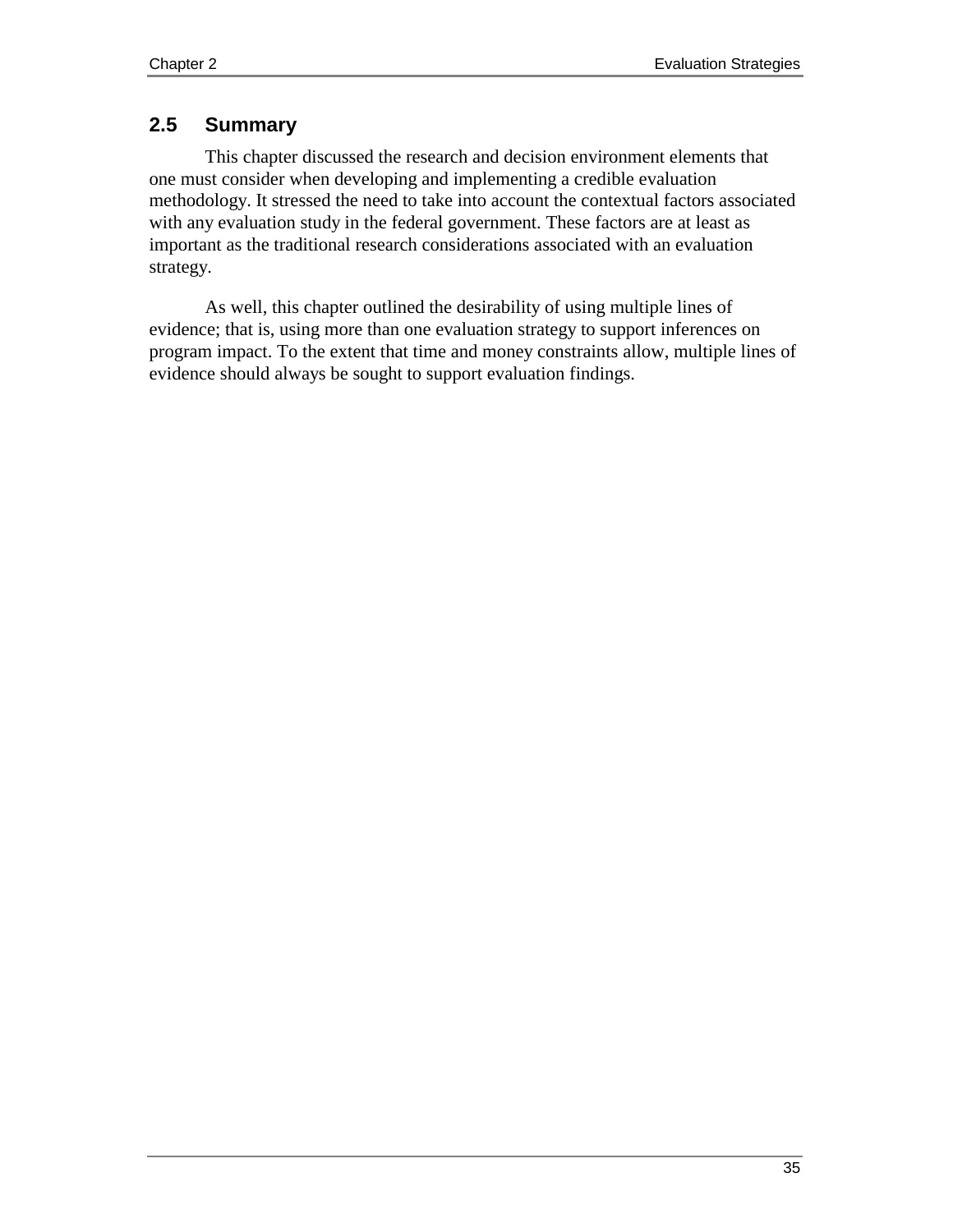# **2.5 Summary**

This chapter discussed the research and decision environment elements that one must consider when developing and implementing a credible evaluation methodology. It stressed the need to take into account the contextual factors associated with any evaluation study in the federal government. These factors are at least as important as the traditional research considerations associated with an evaluation strategy.

As well, this chapter outlined the desirability of using multiple lines of evidence; that is, using more than one evaluation strategy to support inferences on program impact. To the extent that time and money constraints allow, multiple lines of evidence should always be sought to support evaluation findings.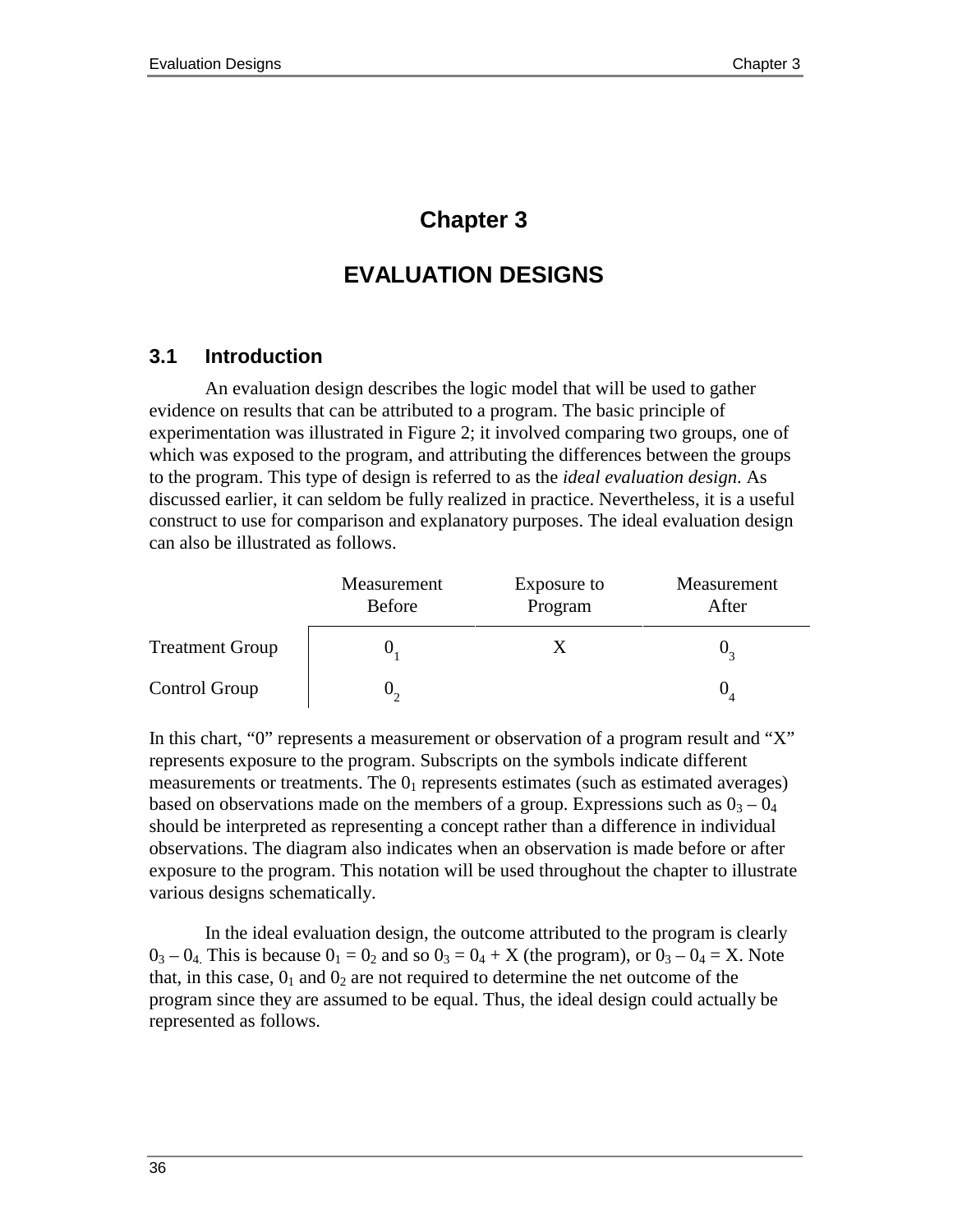# **Chapter 3**

# **EVALUATION DESIGNS**

# **3.1 Introduction**

An evaluation design describes the logic model that will be used to gather evidence on results that can be attributed to a program. The basic principle of experimentation was illustrated in Figure 2; it involved comparing two groups, one of which was exposed to the program, and attributing the differences between the groups to the program. This type of design is referred to as the *ideal evaluation design*. As discussed earlier, it can seldom be fully realized in practice. Nevertheless, it is a useful construct to use for comparison and explanatory purposes. The ideal evaluation design can also be illustrated as follows.

|                        | Measurement<br><b>Before</b> | Exposure to<br>Program | Measurement<br>After |
|------------------------|------------------------------|------------------------|----------------------|
| <b>Treatment Group</b> |                              |                        |                      |
| Control Group          |                              |                        |                      |

In this chart, "0" represents a measurement or observation of a program result and "X" represents exposure to the program. Subscripts on the symbols indicate different measurements or treatments. The  $0<sub>1</sub>$  represents estimates (such as estimated averages) based on observations made on the members of a group. Expressions such as  $0<sub>3</sub> - 0<sub>4</sub>$ should be interpreted as representing a concept rather than a difference in individual observations. The diagram also indicates when an observation is made before or after exposure to the program. This notation will be used throughout the chapter to illustrate various designs schematically.

In the ideal evaluation design, the outcome attributed to the program is clearly  $0_3 - 0_4$ . This is because  $0_1 = 0_2$  and so  $0_3 = 0_4 + X$  (the program), or  $0_3 - 0_4 = X$ . Note that, in this case,  $0_1$  and  $0_2$  are not required to determine the net outcome of the program since they are assumed to be equal. Thus, the ideal design could actually be represented as follows.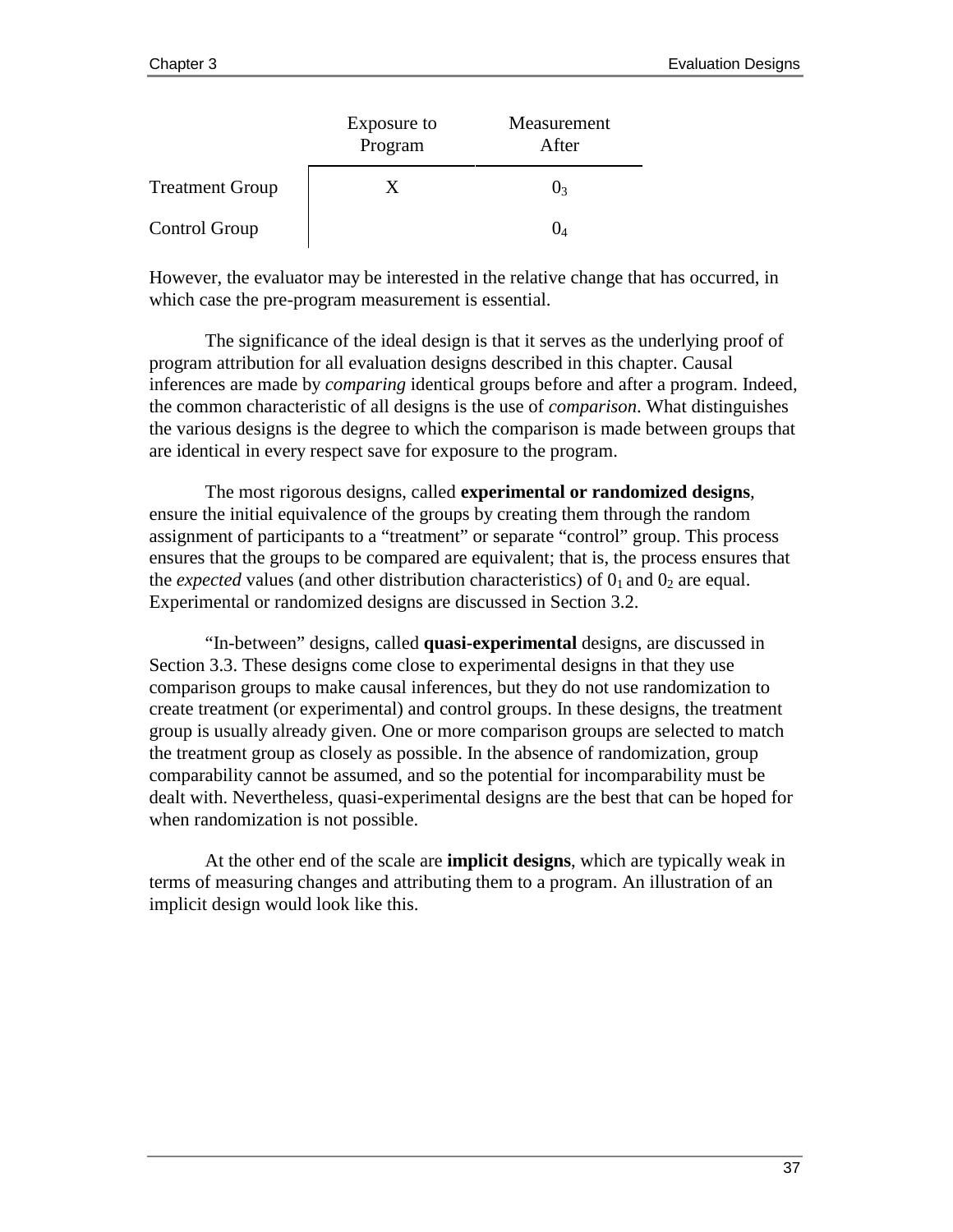|                        | Exposure to<br>Program | Measurement<br>After |
|------------------------|------------------------|----------------------|
| <b>Treatment Group</b> |                        | U٩                   |
| Control Group          |                        |                      |

However, the evaluator may be interested in the relative change that has occurred, in which case the pre-program measurement is essential.

The significance of the ideal design is that it serves as the underlying proof of program attribution for all evaluation designs described in this chapter. Causal inferences are made by *comparing* identical groups before and after a program. Indeed, the common characteristic of all designs is the use of *comparison*. What distinguishes the various designs is the degree to which the comparison is made between groups that are identical in every respect save for exposure to the program.

The most rigorous designs, called **experimental or randomized designs***,* ensure the initial equivalence of the groups by creating them through the random assignment of participants to a "treatment" or separate "control" group. This process ensures that the groups to be compared are equivalent; that is, the process ensures that the *expected* values (and other distribution characteristics) of  $0<sub>1</sub>$  and  $0<sub>2</sub>$  are equal. Experimental or randomized designs are discussed in Section 3.2.

"In-between" designs, called **quasi-experimental** designs, are discussed in Section 3.3. These designs come close to experimental designs in that they use comparison groups to make causal inferences, but they do not use randomization to create treatment (or experimental) and control groups. In these designs, the treatment group is usually already given. One or more comparison groups are selected to match the treatment group as closely as possible. In the absence of randomization, group comparability cannot be assumed, and so the potential for incomparability must be dealt with. Nevertheless, quasi-experimental designs are the best that can be hoped for when randomization is not possible.

At the other end of the scale are **implicit designs**, which are typically weak in terms of measuring changes and attributing them to a program. An illustration of an implicit design would look like this.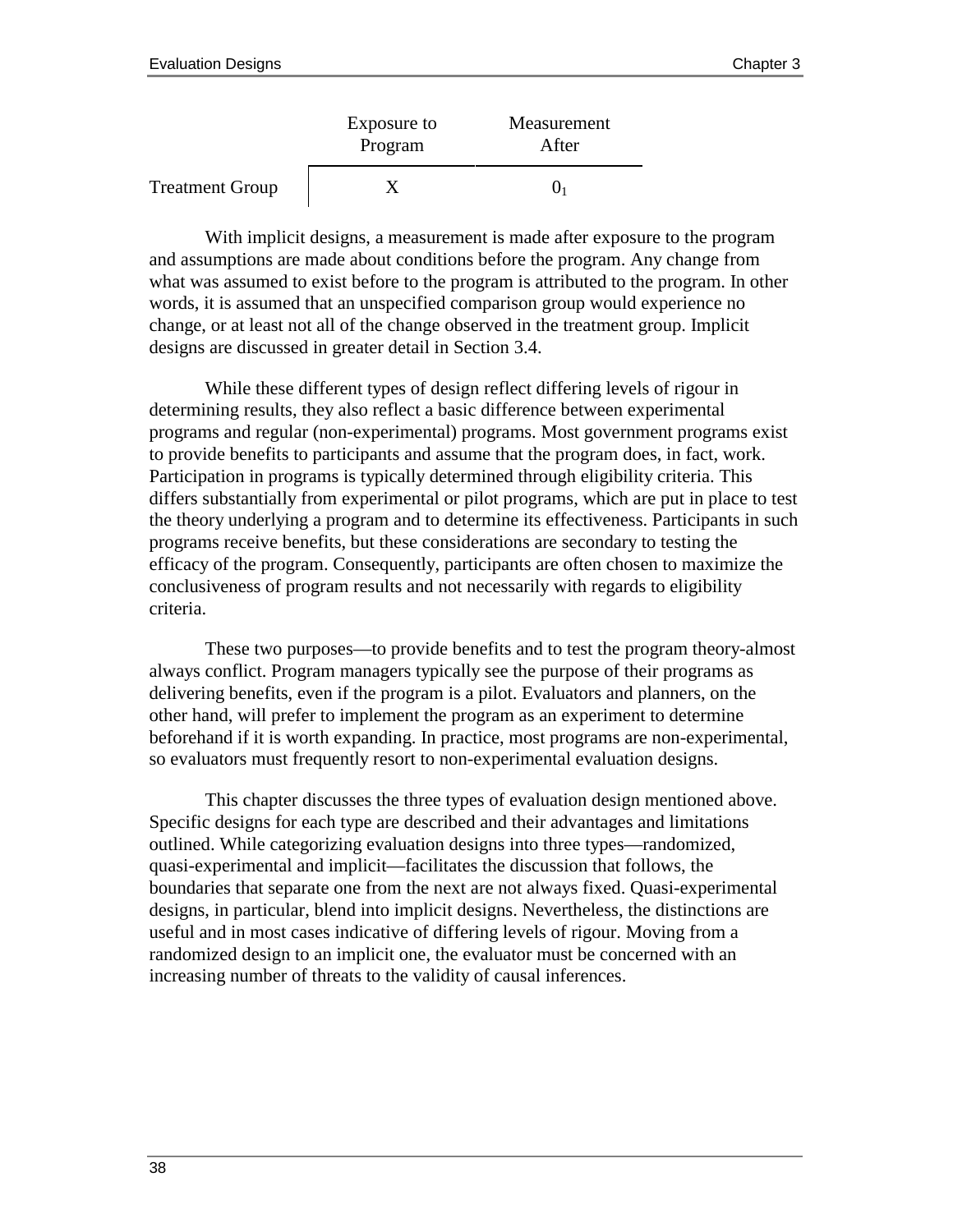|                        | Exposure to<br>Program | Measurement<br>After |
|------------------------|------------------------|----------------------|
| <b>Treatment Group</b> |                        |                      |

With implicit designs, a measurement is made after exposure to the program and assumptions are made about conditions before the program. Any change from what was assumed to exist before to the program is attributed to the program. In other words, it is assumed that an unspecified comparison group would experience no change, or at least not all of the change observed in the treatment group. Implicit designs are discussed in greater detail in Section 3.4.

While these different types of design reflect differing levels of rigour in determining results, they also reflect a basic difference between experimental programs and regular (non-experimental) programs. Most government programs exist to provide benefits to participants and assume that the program does, in fact, work. Participation in programs is typically determined through eligibility criteria. This differs substantially from experimental or pilot programs, which are put in place to test the theory underlying a program and to determine its effectiveness. Participants in such programs receive benefits, but these considerations are secondary to testing the efficacy of the program. Consequently, participants are often chosen to maximize the conclusiveness of program results and not necessarily with regards to eligibility criteria.

These two purposes—to provide benefits and to test the program theory-almost always conflict. Program managers typically see the purpose of their programs as delivering benefits, even if the program is a pilot. Evaluators and planners, on the other hand, will prefer to implement the program as an experiment to determine beforehand if it is worth expanding. In practice, most programs are non-experimental, so evaluators must frequently resort to non-experimental evaluation designs.

This chapter discusses the three types of evaluation design mentioned above. Specific designs for each type are described and their advantages and limitations outlined. While categorizing evaluation designs into three types—randomized, quasi-experimental and implicit—facilitates the discussion that follows, the boundaries that separate one from the next are not always fixed. Quasi-experimental designs, in particular, blend into implicit designs. Nevertheless, the distinctions are useful and in most cases indicative of differing levels of rigour. Moving from a randomized design to an implicit one, the evaluator must be concerned with an increasing number of threats to the validity of causal inferences.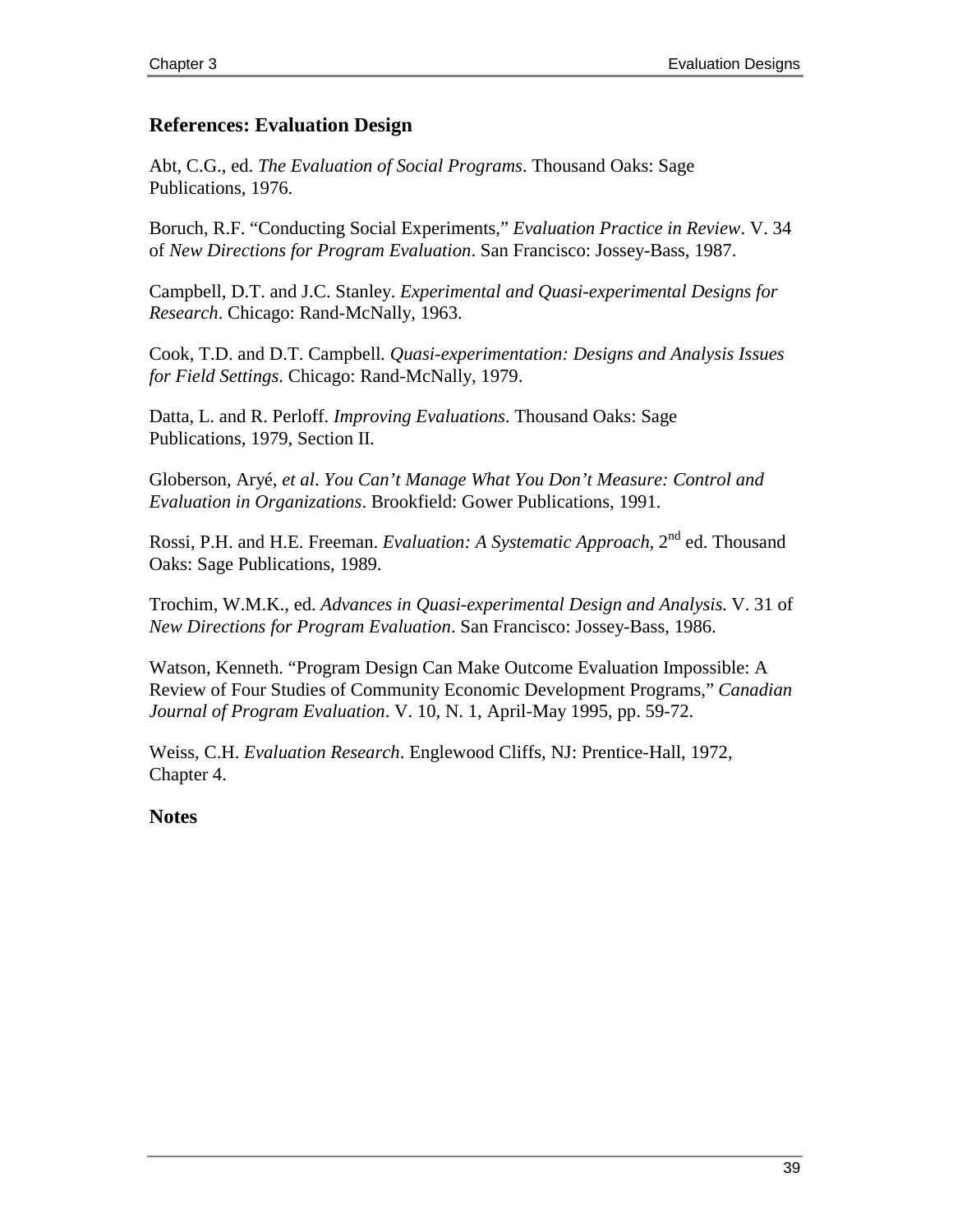#### **References: Evaluation Design**

Abt, C.G., ed. *The Evaluation of Social Programs*. Thousand Oaks: Sage Publications, 1976.

Boruch, R.F. "Conducting Social Experiments," *Evaluation Practice in Review*. V. 34 of *New Directions for Program Evaluation*. San Francisco: Jossey-Bass, 1987.

Campbell, D.T. and J.C. Stanley. *Experimental and Quasi-experimental Designs for Research*. Chicago: Rand-McNally, 1963.

Cook, T.D. and D.T. Campbell*. Quasi-experimentation: Designs and Analysis Issues for Field Settings*. Chicago: Rand-McNally, 1979.

Datta, L. and R. Perloff. *Improving Evaluations*. Thousand Oaks: Sage Publications, 1979, Section II.

Globerson, Aryé, *et al*. *You Can't Manage What You Don't Measure: Control and Evaluation in Organizations*. Brookfield: Gower Publications, 1991.

Rossi, P.H. and H.E. Freeman. *Evaluation: A Systematic Approach*, 2nd ed. Thousand Oaks: Sage Publications, 1989.

Trochim, W.M.K., ed. *Advances in Quasi-experimental Design and Analysis*. V. 31 of *New Directions for Program Evaluation*. San Francisco: Jossey-Bass, 1986.

Watson, Kenneth. "Program Design Can Make Outcome Evaluation Impossible: A Review of Four Studies of Community Economic Development Programs," *Canadian Journal of Program Evaluation*. V. 10, N. 1, April-May 1995, pp. 59-72.

Weiss, C.H. *Evaluation Research*. Englewood Cliffs, NJ: Prentice-Hall, 1972, Chapter 4.

**Notes**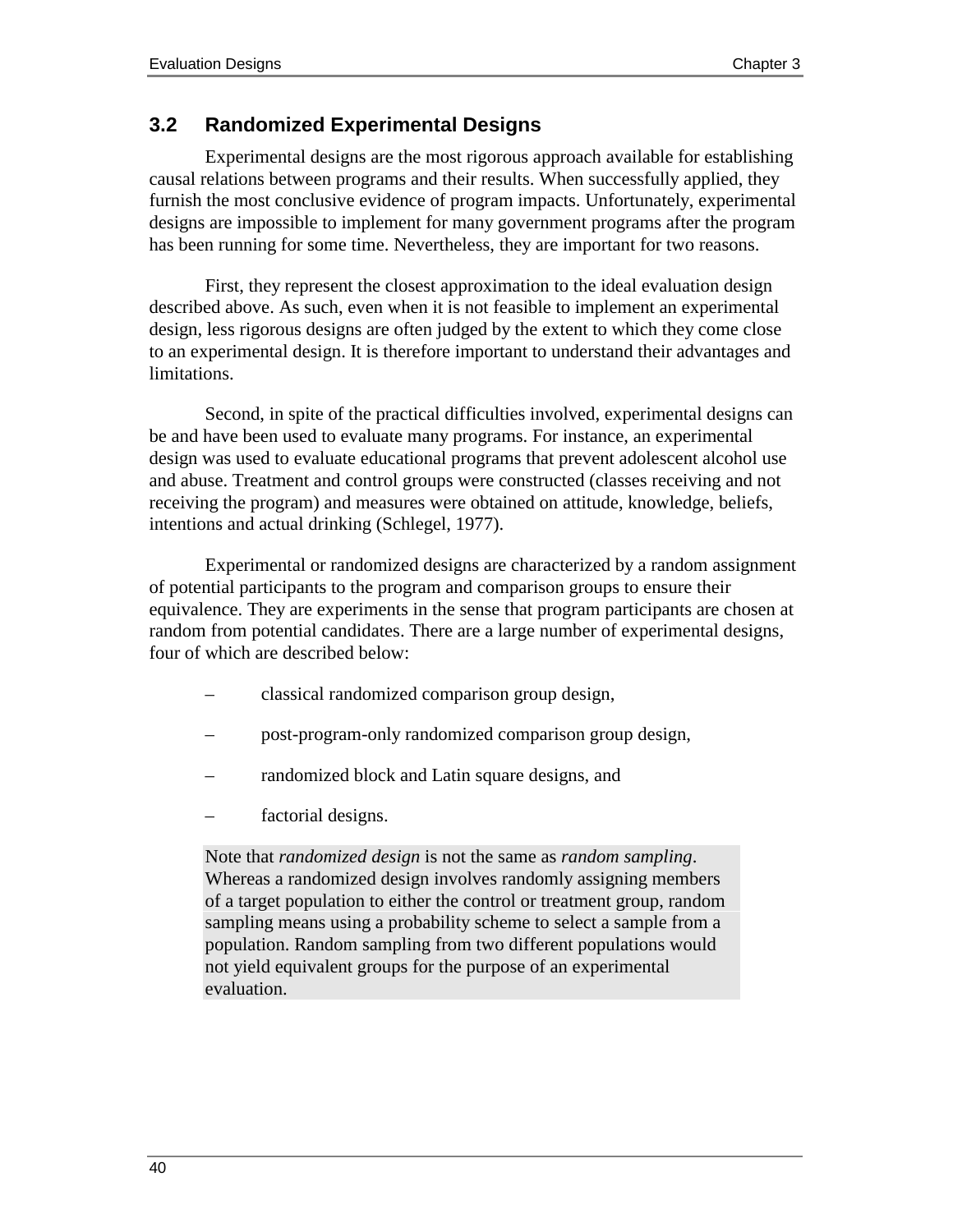# **3.2 Randomized Experimental Designs**

Experimental designs are the most rigorous approach available for establishing causal relations between programs and their results. When successfully applied, they furnish the most conclusive evidence of program impacts. Unfortunately, experimental designs are impossible to implement for many government programs after the program has been running for some time. Nevertheless, they are important for two reasons.

First, they represent the closest approximation to the ideal evaluation design described above. As such, even when it is not feasible to implement an experimental design, less rigorous designs are often judged by the extent to which they come close to an experimental design. It is therefore important to understand their advantages and limitations.

Second, in spite of the practical difficulties involved, experimental designs can be and have been used to evaluate many programs. For instance, an experimental design was used to evaluate educational programs that prevent adolescent alcohol use and abuse. Treatment and control groups were constructed (classes receiving and not receiving the program) and measures were obtained on attitude, knowledge, beliefs, intentions and actual drinking (Schlegel, 1977).

Experimental or randomized designs are characterized by a random assignment of potential participants to the program and comparison groups to ensure their equivalence. They are experiments in the sense that program participants are chosen at random from potential candidates. There are a large number of experimental designs, four of which are described below:

- classical randomized comparison group design,
- post-program-only randomized comparison group design,
- randomized block and Latin square designs, and
- factorial designs.

Note that *randomized design* is not the same as *random sampling*. Whereas a randomized design involves randomly assigning members of a target population to either the control or treatment group, random sampling means using a probability scheme to select a sample from a population. Random sampling from two different populations would not yield equivalent groups for the purpose of an experimental evaluation.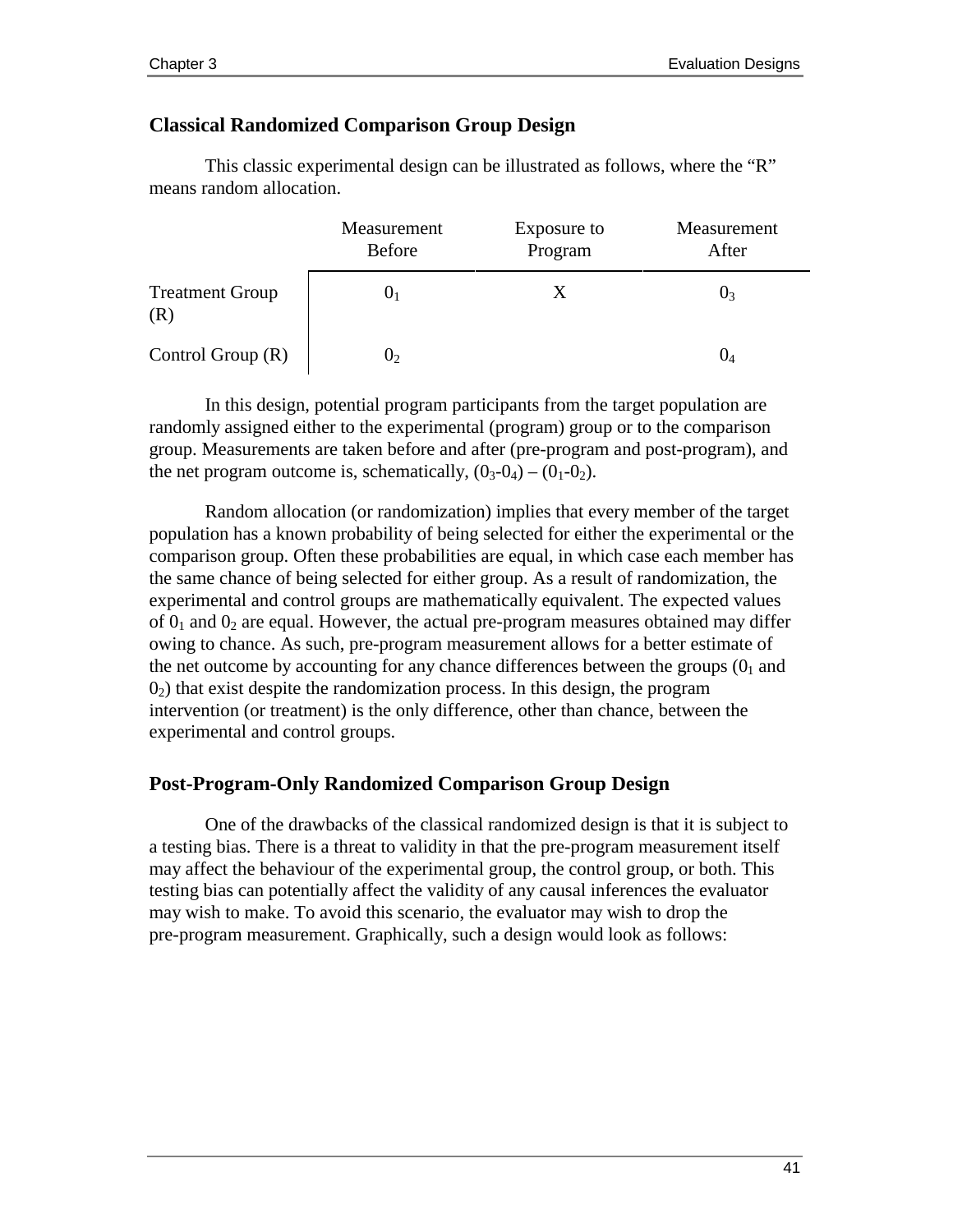#### **Classical Randomized Comparison Group Design**

This classic experimental design can be illustrated as follows, where the "R" means random allocation.

|                               | Measurement<br><b>Before</b> | Exposure to<br>Program | Measurement<br>After |
|-------------------------------|------------------------------|------------------------|----------------------|
| <b>Treatment Group</b><br>(R) | U1                           | X                      | U٩                   |
| Control Group $(R)$           | $J_2$                        |                        | U4                   |

In this design, potential program participants from the target population are randomly assigned either to the experimental (program) group or to the comparison group. Measurements are taken before and after (pre-program and post-program), and the net program outcome is, schematically,  $(0_3-0_4) - (0_1-0_2)$ .

Random allocation (or randomization) implies that every member of the target population has a known probability of being selected for either the experimental or the comparison group. Often these probabilities are equal, in which case each member has the same chance of being selected for either group. As a result of randomization, the experimental and control groups are mathematically equivalent. The expected values of  $0<sub>1</sub>$  and  $0<sub>2</sub>$  are equal. However, the actual pre-program measures obtained may differ owing to chance. As such, pre-program measurement allows for a better estimate of the net outcome by accounting for any chance differences between the groups  $(0<sub>1</sub>$  and  $0<sub>2</sub>$ ) that exist despite the randomization process. In this design, the program intervention (or treatment) is the only difference, other than chance, between the experimental and control groups.

#### **Post-Program-Only Randomized Comparison Group Design**

One of the drawbacks of the classical randomized design is that it is subject to a testing bias. There is a threat to validity in that the pre-program measurement itself may affect the behaviour of the experimental group, the control group, or both. This testing bias can potentially affect the validity of any causal inferences the evaluator may wish to make. To avoid this scenario, the evaluator may wish to drop the pre-program measurement. Graphically, such a design would look as follows: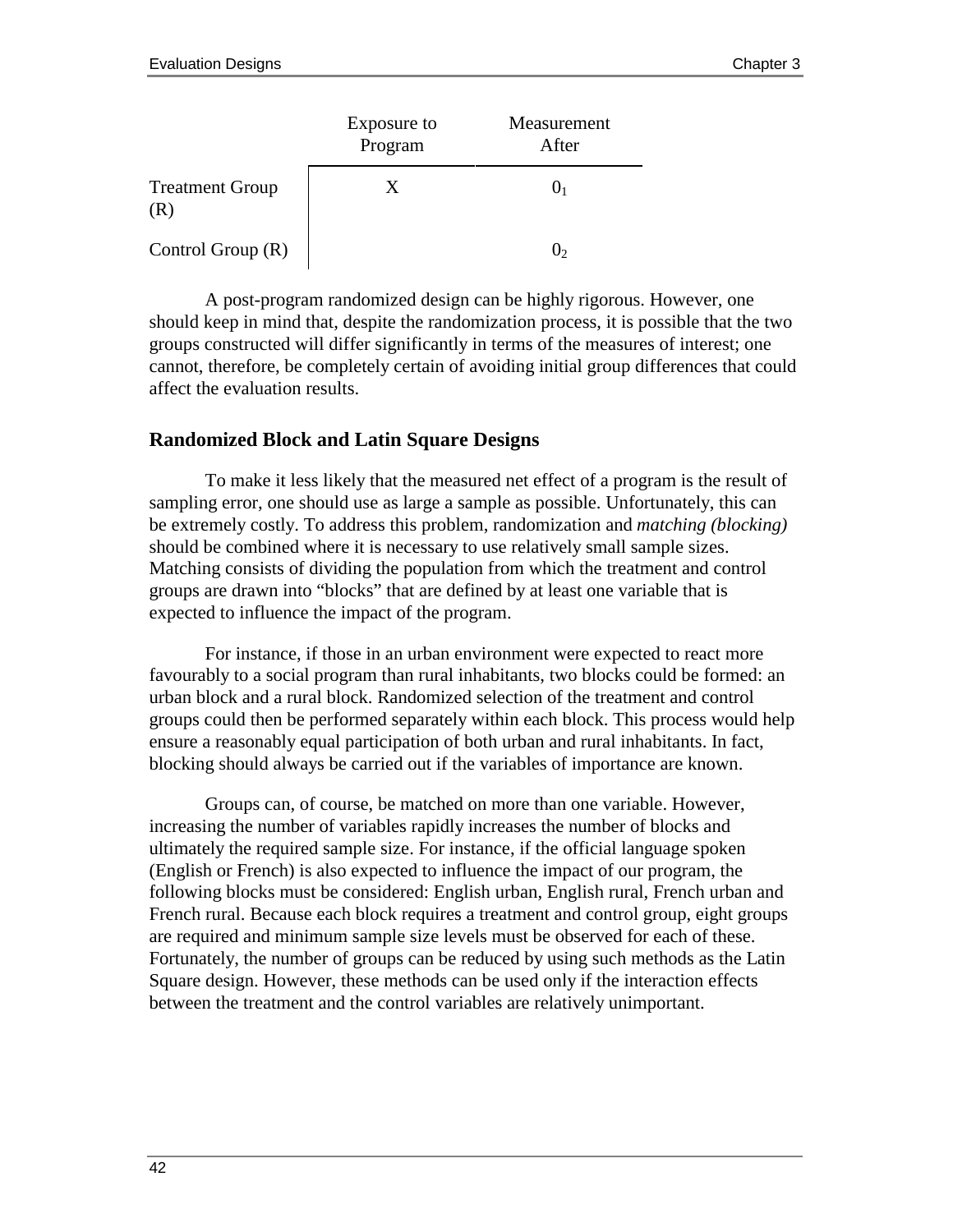|                               | Exposure to<br>Program | Measurement<br>After |
|-------------------------------|------------------------|----------------------|
| <b>Treatment Group</b><br>(R) | X.                     |                      |
| Control Group $(R)$           |                        |                      |

A post-program randomized design can be highly rigorous. However, one should keep in mind that, despite the randomization process, it is possible that the two groups constructed will differ significantly in terms of the measures of interest; one cannot, therefore, be completely certain of avoiding initial group differences that could affect the evaluation results.

#### **Randomized Block and Latin Square Designs**

To make it less likely that the measured net effect of a program is the result of sampling error, one should use as large a sample as possible. Unfortunately, this can be extremely costly. To address this problem, randomization and *matching (blocking)* should be combined where it is necessary to use relatively small sample sizes. Matching consists of dividing the population from which the treatment and control groups are drawn into "blocks" that are defined by at least one variable that is expected to influence the impact of the program.

For instance, if those in an urban environment were expected to react more favourably to a social program than rural inhabitants, two blocks could be formed: an urban block and a rural block. Randomized selection of the treatment and control groups could then be performed separately within each block. This process would help ensure a reasonably equal participation of both urban and rural inhabitants. In fact, blocking should always be carried out if the variables of importance are known.

Groups can, of course, be matched on more than one variable. However, increasing the number of variables rapidly increases the number of blocks and ultimately the required sample size. For instance, if the official language spoken (English or French) is also expected to influence the impact of our program, the following blocks must be considered: English urban, English rural, French urban and French rural. Because each block requires a treatment and control group, eight groups are required and minimum sample size levels must be observed for each of these. Fortunately, the number of groups can be reduced by using such methods as the Latin Square design. However, these methods can be used only if the interaction effects between the treatment and the control variables are relatively unimportant.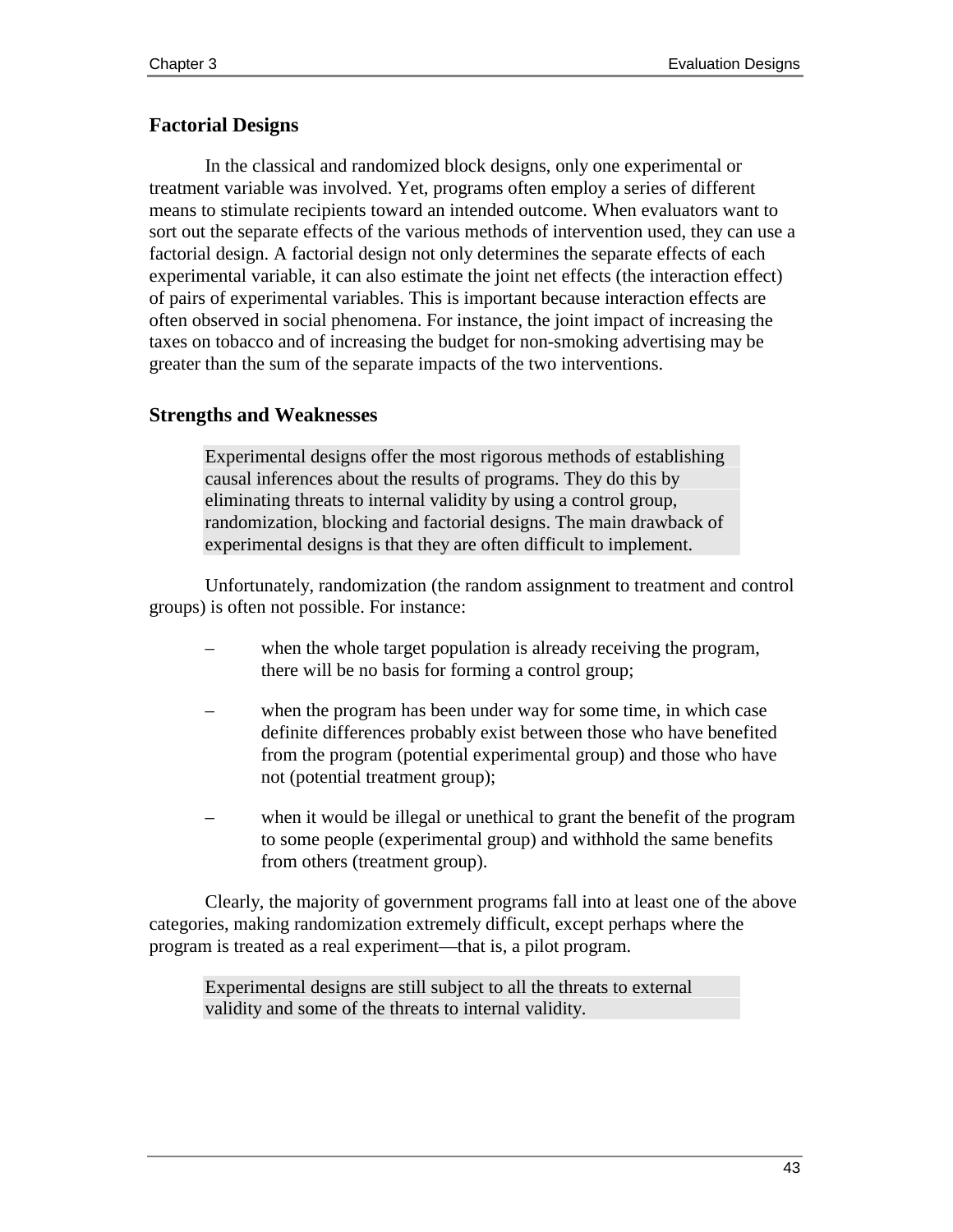#### **Factorial Designs**

In the classical and randomized block designs, only one experimental or treatment variable was involved. Yet, programs often employ a series of different means to stimulate recipients toward an intended outcome. When evaluators want to sort out the separate effects of the various methods of intervention used, they can use a factorial design. A factorial design not only determines the separate effects of each experimental variable, it can also estimate the joint net effects (the interaction effect) of pairs of experimental variables. This is important because interaction effects are often observed in social phenomena. For instance, the joint impact of increasing the taxes on tobacco and of increasing the budget for non-smoking advertising may be greater than the sum of the separate impacts of the two interventions.

#### **Strengths and Weaknesses**

Experimental designs offer the most rigorous methods of establishing causal inferences about the results of programs. They do this by eliminating threats to internal validity by using a control group, randomization, blocking and factorial designs. The main drawback of experimental designs is that they are often difficult to implement.

Unfortunately, randomization (the random assignment to treatment and control groups) is often not possible. For instance:

- when the whole target population is already receiving the program, there will be no basis for forming a control group;
- when the program has been under way for some time, in which case definite differences probably exist between those who have benefited from the program (potential experimental group) and those who have not (potential treatment group);
- when it would be illegal or unethical to grant the benefit of the program to some people (experimental group) and withhold the same benefits from others (treatment group).

Clearly, the majority of government programs fall into at least one of the above categories, making randomization extremely difficult, except perhaps where the program is treated as a real experiment—that is, a pilot program.

Experimental designs are still subject to all the threats to external validity and some of the threats to internal validity.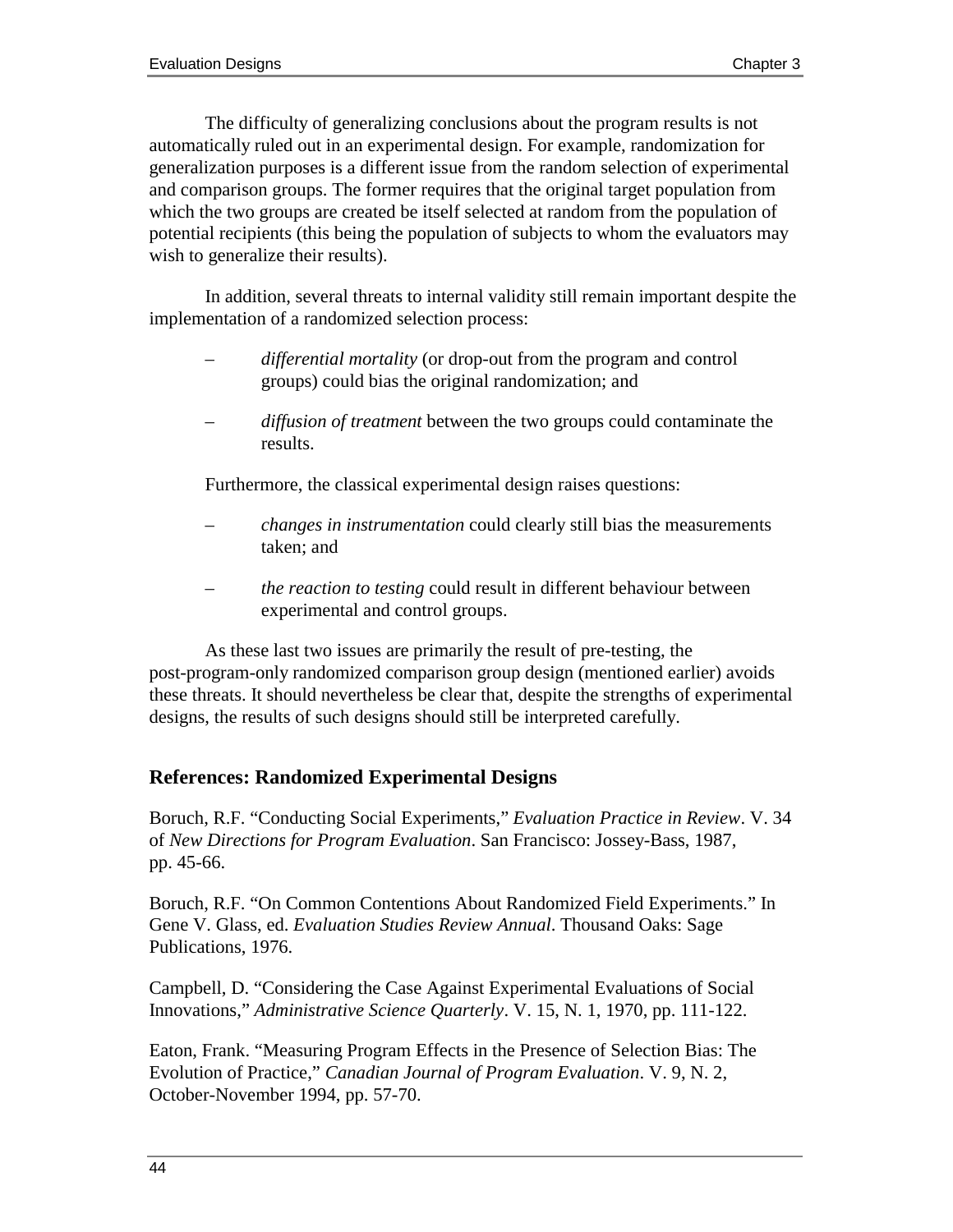The difficulty of generalizing conclusions about the program results is not automatically ruled out in an experimental design. For example, randomization for generalization purposes is a different issue from the random selection of experimental and comparison groups. The former requires that the original target population from which the two groups are created be itself selected at random from the population of potential recipients (this being the population of subjects to whom the evaluators may wish to generalize their results).

In addition, several threats to internal validity still remain important despite the implementation of a randomized selection process:

- *differential mortality* (or drop-out from the program and control groups) could bias the original randomization; and
- *diffusion of treatment* between the two groups could contaminate the results.

Furthermore, the classical experimental design raises questions:

- *changes in instrumentation* could clearly still bias the measurements taken; and
- *the reaction to testing* could result in different behaviour between experimental and control groups.

As these last two issues are primarily the result of pre-testing, the post-program-only randomized comparison group design (mentioned earlier) avoids these threats. It should nevertheless be clear that, despite the strengths of experimental designs, the results of such designs should still be interpreted carefully.

#### **References: Randomized Experimental Designs**

Boruch, R.F. "Conducting Social Experiments," *Evaluation Practice in Review*. V. 34 of *New Directions for Program Evaluation*. San Francisco: Jossey-Bass, 1987, pp. 45-66.

Boruch, R.F. "On Common Contentions About Randomized Field Experiments." In Gene V. Glass, ed. *Evaluation Studies Review Annual*. Thousand Oaks: Sage Publications, 1976.

Campbell, D. "Considering the Case Against Experimental Evaluations of Social Innovations," *Administrative Science Quarterly*. V. 15, N. 1, 1970, pp. 111-122.

Eaton, Frank. "Measuring Program Effects in the Presence of Selection Bias: The Evolution of Practice," *Canadian Journal of Program Evaluation*. V. 9, N. 2, October-November 1994, pp. 57-70.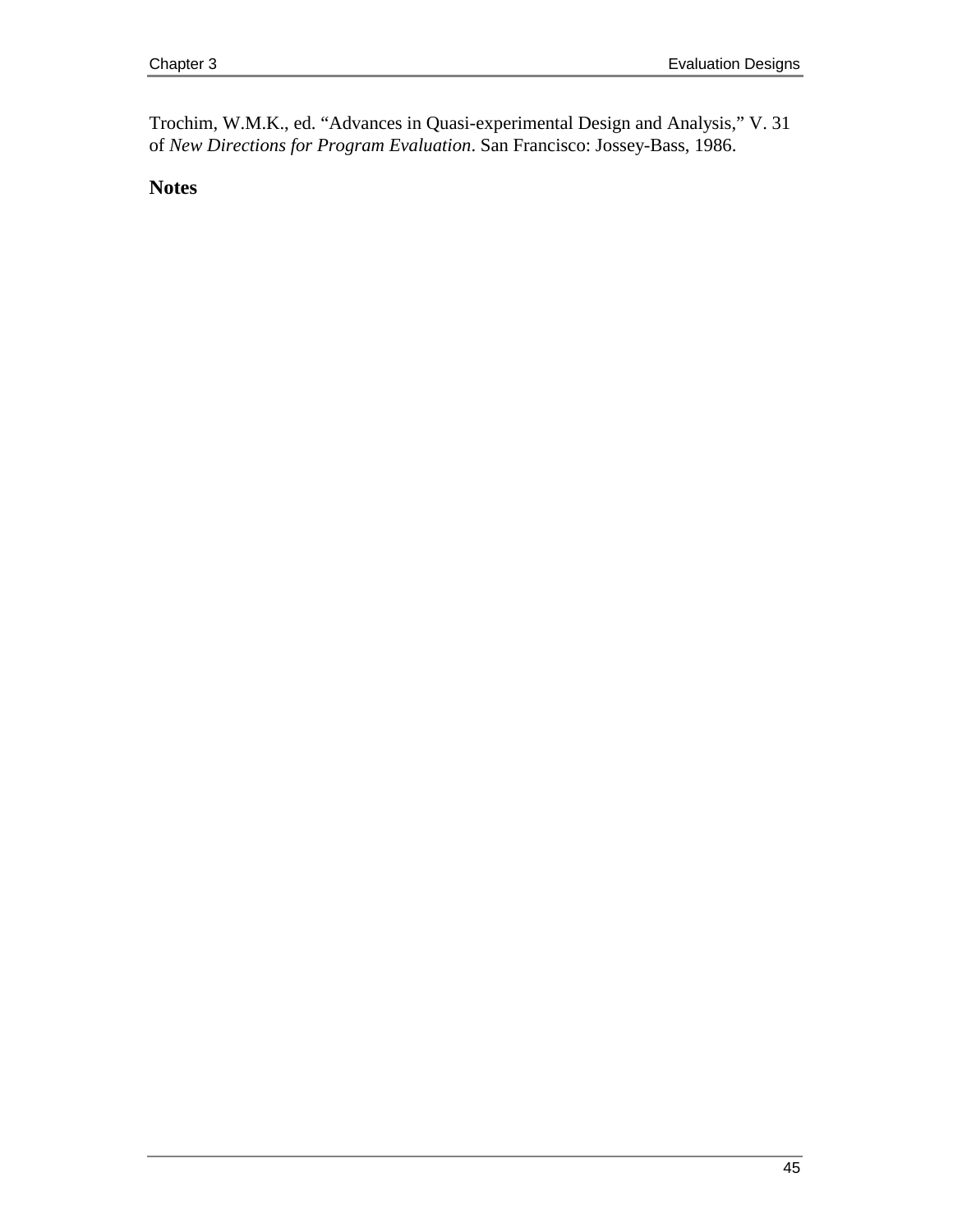Trochim, W.M.K., ed. "Advances in Quasi-experimental Design and Analysis," V. 31 of *New Directions for Program Evaluation*. San Francisco: Jossey-Bass, 1986.

**Notes**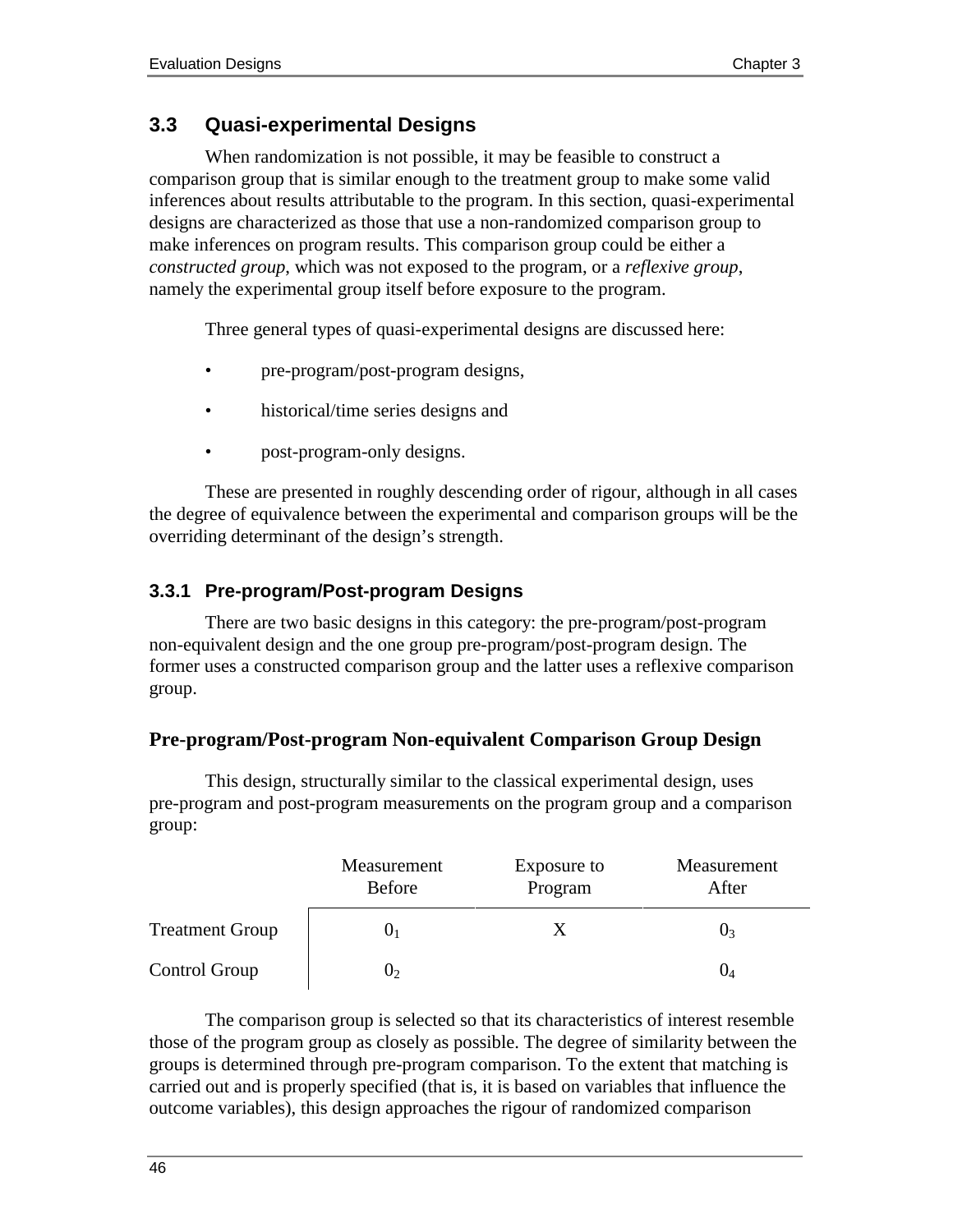# **3.3 Quasi-experimental Designs**

When randomization is not possible, it may be feasible to construct a comparison group that is similar enough to the treatment group to make some valid inferences about results attributable to the program. In this section, quasi-experimental designs are characterized as those that use a non-randomized comparison group to make inferences on program results. This comparison group could be either a *constructed group*, which was not exposed to the program, or a *reflexive group*, namely the experimental group itself before exposure to the program.

Three general types of quasi-experimental designs are discussed here:

- pre-program/post-program designs,
- historical/time series designs and
- post-program-only designs.

These are presented in roughly descending order of rigour, although in all cases the degree of equivalence between the experimental and comparison groups will be the overriding determinant of the design's strength.

# **3.3.1 Pre-program/Post-program Designs**

There are two basic designs in this category: the pre-program/post-program non-equivalent design and the one group pre-program/post-program design. The former uses a constructed comparison group and the latter uses a reflexive comparison group.

#### **Pre-program/Post-program Non-equivalent Comparison Group Design**

This design, structurally similar to the classical experimental design, uses pre-program and post-program measurements on the program group and a comparison group:

|                        | Measurement<br><b>Before</b> | Exposure to<br>Program | Measurement<br>After |
|------------------------|------------------------------|------------------------|----------------------|
| <b>Treatment Group</b> | U1                           |                        | U3                   |
| Control Group          | U۶                           |                        |                      |

The comparison group is selected so that its characteristics of interest resemble those of the program group as closely as possible. The degree of similarity between the groups is determined through pre-program comparison. To the extent that matching is carried out and is properly specified (that is, it is based on variables that influence the outcome variables), this design approaches the rigour of randomized comparison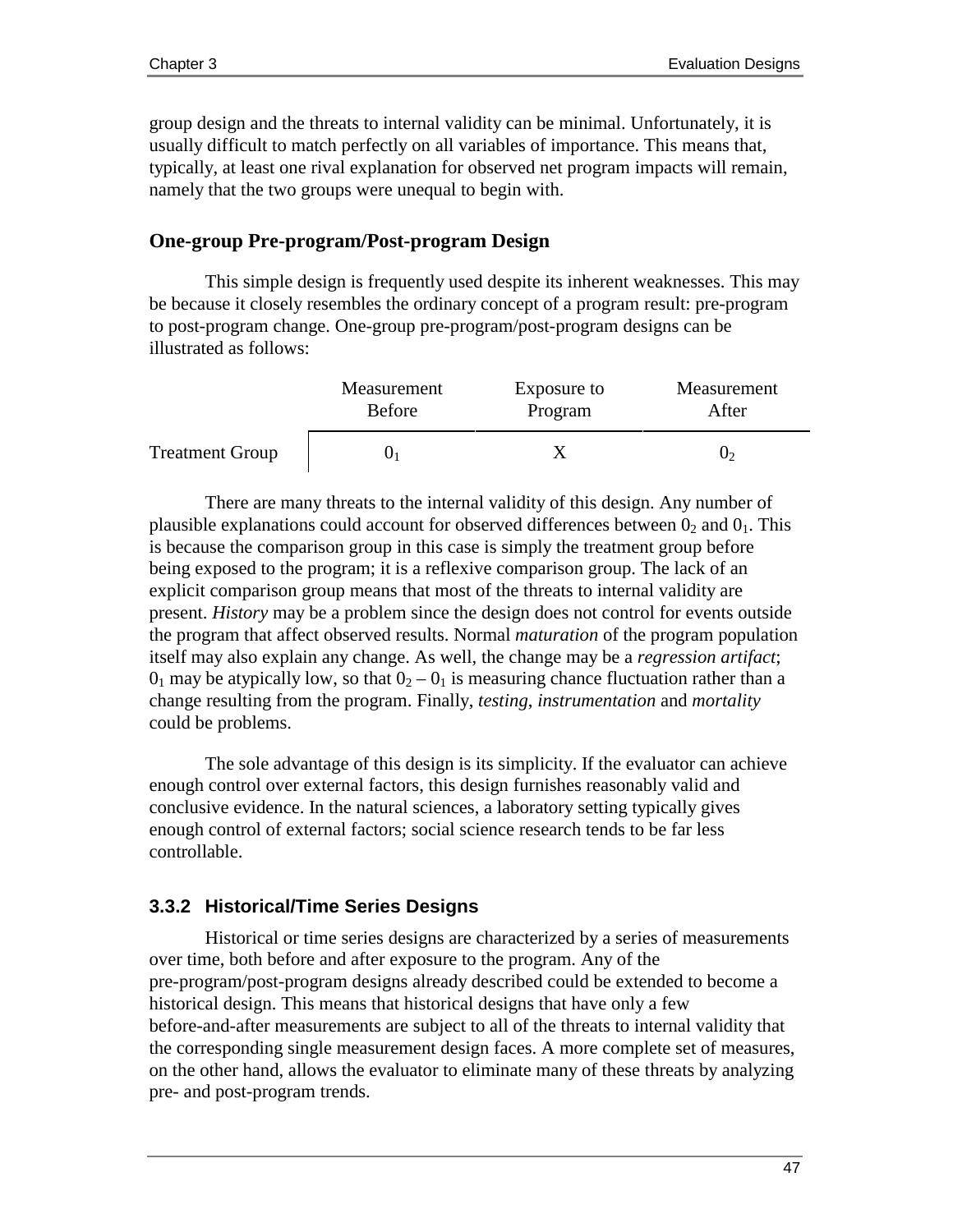group design and the threats to internal validity can be minimal. Unfortunately, it is usually difficult to match perfectly on all variables of importance. This means that, typically, at least one rival explanation for observed net program impacts will remain, namely that the two groups were unequal to begin with.

#### **One-group Pre-program/Post-program Design**

This simple design is frequently used despite its inherent weaknesses. This may be because it closely resembles the ordinary concept of a program result: pre-program to post-program change. One-group pre-program/post-program designs can be illustrated as follows:

|                        | Measurement   | Exposure to | Measurement |
|------------------------|---------------|-------------|-------------|
|                        | <b>Before</b> | Program     | After       |
| <b>Treatment Group</b> |               |             | J۶          |

There are many threats to the internal validity of this design. Any number of plausible explanations could account for observed differences between  $0_2$  and  $0_1$ . This is because the comparison group in this case is simply the treatment group before being exposed to the program; it is a reflexive comparison group. The lack of an explicit comparison group means that most of the threats to internal validity are present. *History* may be a problem since the design does not control for events outside the program that affect observed results. Normal *maturation* of the program population itself may also explain any change. As well, the change may be a *regression artifact*;  $0<sub>1</sub>$  may be atypically low, so that  $0<sub>2</sub> - 0<sub>1</sub>$  is measuring chance fluctuation rather than a change resulting from the program. Finally, *testing*, *instrumentation* and *mortality* could be problems.

The sole advantage of this design is its simplicity. If the evaluator can achieve enough control over external factors, this design furnishes reasonably valid and conclusive evidence. In the natural sciences, a laboratory setting typically gives enough control of external factors; social science research tends to be far less controllable.

#### **3.3.2 Historical/Time Series Designs**

Historical or time series designs are characterized by a series of measurements over time, both before and after exposure to the program. Any of the pre-program/post-program designs already described could be extended to become a historical design. This means that historical designs that have only a few before-and-after measurements are subject to all of the threats to internal validity that the corresponding single measurement design faces. A more complete set of measures, on the other hand, allows the evaluator to eliminate many of these threats by analyzing pre- and post-program trends.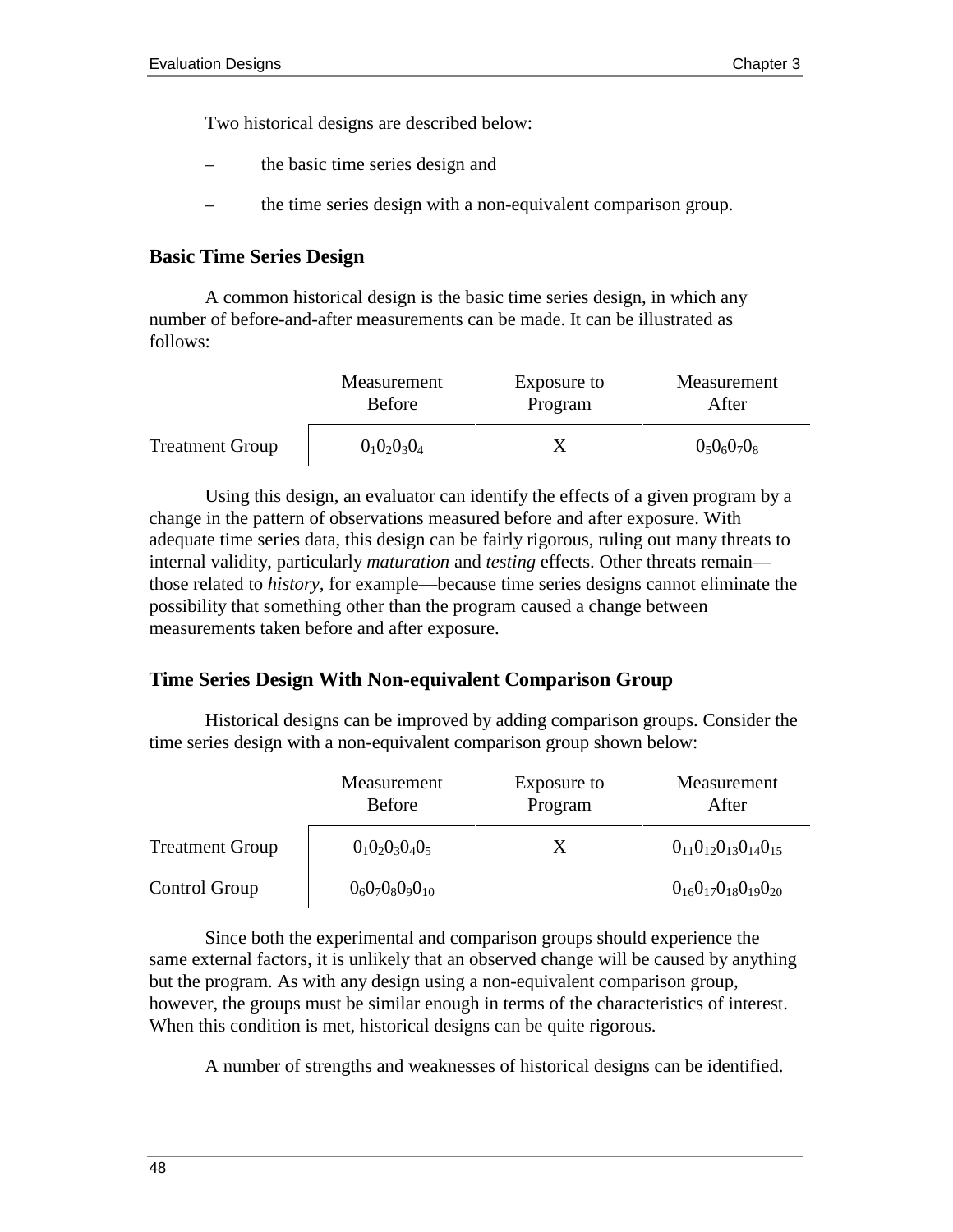Two historical designs are described below:

- the basic time series design and
- the time series design with a non-equivalent comparison group.

#### **Basic Time Series Design**

A common historical design is the basic time series design, in which any number of before-and-after measurements can be made. It can be illustrated as follows:

|                        | Measurement    | Exposure to | Measurement |
|------------------------|----------------|-------------|-------------|
|                        | <b>Before</b>  | Program     | After       |
| <b>Treatment Group</b> | $0_10_20_30_4$ |             | 0.060708    |

Using this design, an evaluator can identify the effects of a given program by a change in the pattern of observations measured before and after exposure. With adequate time series data, this design can be fairly rigorous, ruling out many threats to internal validity, particularly *maturation* and *testing* effects. Other threats remain those related to *history,* for example—because time series designs cannot eliminate the possibility that something other than the program caused a change between measurements taken before and after exposure.

#### **Time Series Design With Non-equivalent Comparison Group**

Historical designs can be improved by adding comparison groups. Consider the time series design with a non-equivalent comparison group shown below:

|                        | Measurement<br><b>Before</b> | Exposure to<br>Program | Measurement<br>After             |
|------------------------|------------------------------|------------------------|----------------------------------|
| <b>Treatment Group</b> | $0_10_20_30_40_5$            | X                      | $0_{11}0_{12}0_{13}0_{14}0_{15}$ |
| Control Group          | $0_60_70_80_90_{10}$         |                        | $0_{16}0_{17}0_{18}0_{19}0_{20}$ |

Since both the experimental and comparison groups should experience the same external factors, it is unlikely that an observed change will be caused by anything but the program. As with any design using a non-equivalent comparison group, however, the groups must be similar enough in terms of the characteristics of interest. When this condition is met, historical designs can be quite rigorous.

A number of strengths and weaknesses of historical designs can be identified.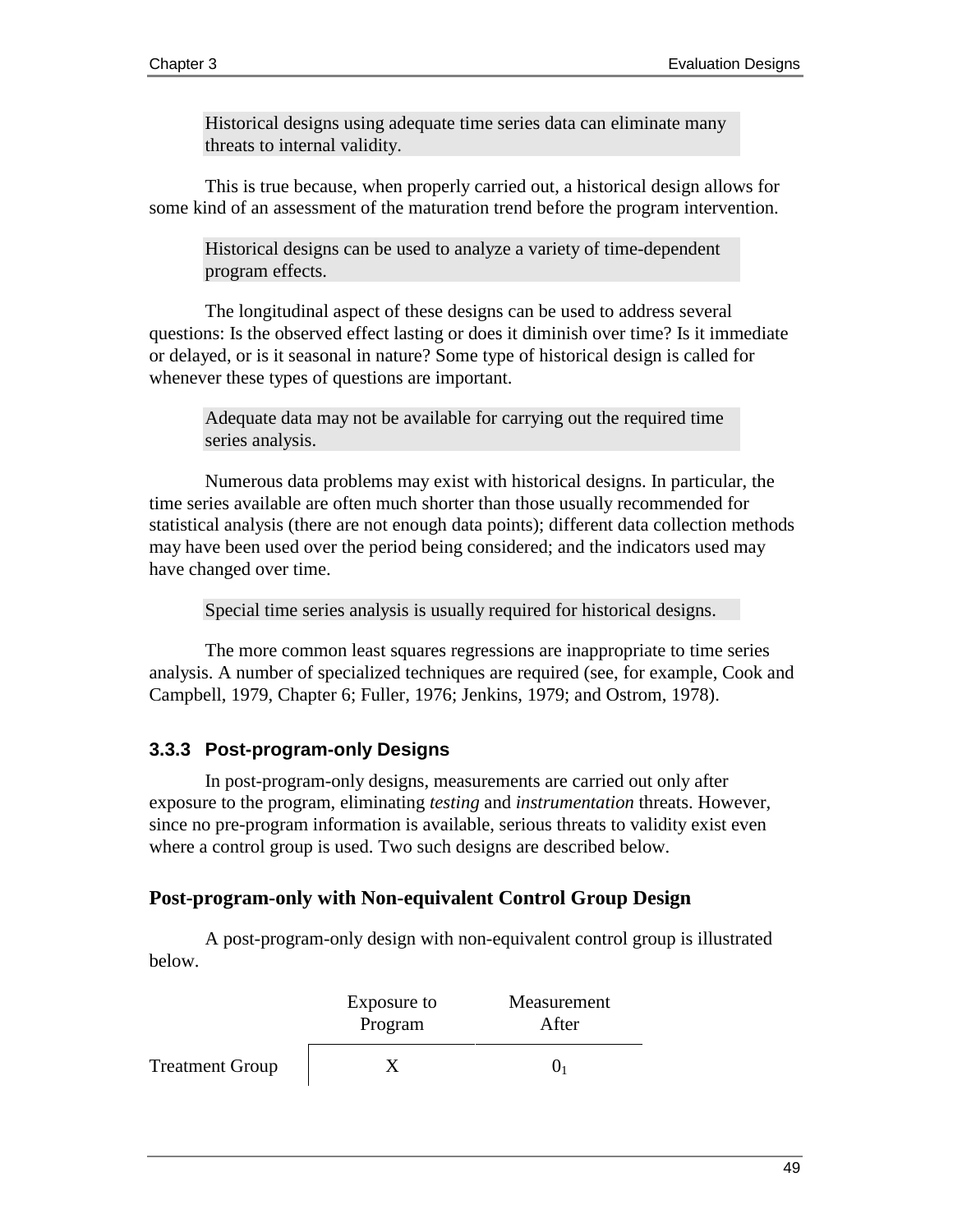Historical designs using adequate time series data can eliminate many threats to internal validity.

This is true because, when properly carried out, a historical design allows for some kind of an assessment of the maturation trend before the program intervention.

Historical designs can be used to analyze a variety of time-dependent program effects.

The longitudinal aspect of these designs can be used to address several questions: Is the observed effect lasting or does it diminish over time? Is it immediate or delayed, or is it seasonal in nature? Some type of historical design is called for whenever these types of questions are important.

Adequate data may not be available for carrying out the required time series analysis.

Numerous data problems may exist with historical designs. In particular, the time series available are often much shorter than those usually recommended for statistical analysis (there are not enough data points); different data collection methods may have been used over the period being considered; and the indicators used may have changed over time.

Special time series analysis is usually required for historical designs.

The more common least squares regressions are inappropriate to time series analysis. A number of specialized techniques are required (see, for example, Cook and Campbell, 1979, Chapter 6; Fuller, 1976; Jenkins, 1979; and Ostrom, 1978).

#### **3.3.3 Post-program-only Designs**

In post-program-only designs, measurements are carried out only after exposure to the program, eliminating *testing* and *instrumentation* threats. However, since no pre-program information is available, serious threats to validity exist even where a control group is used. Two such designs are described below.

## **Post-program-only with Non-equivalent Control Group Design**

A post-program-only design with non-equivalent control group is illustrated below.

|                        | Exposure to<br>Program | Measurement<br>After |
|------------------------|------------------------|----------------------|
| <b>Treatment Group</b> |                        |                      |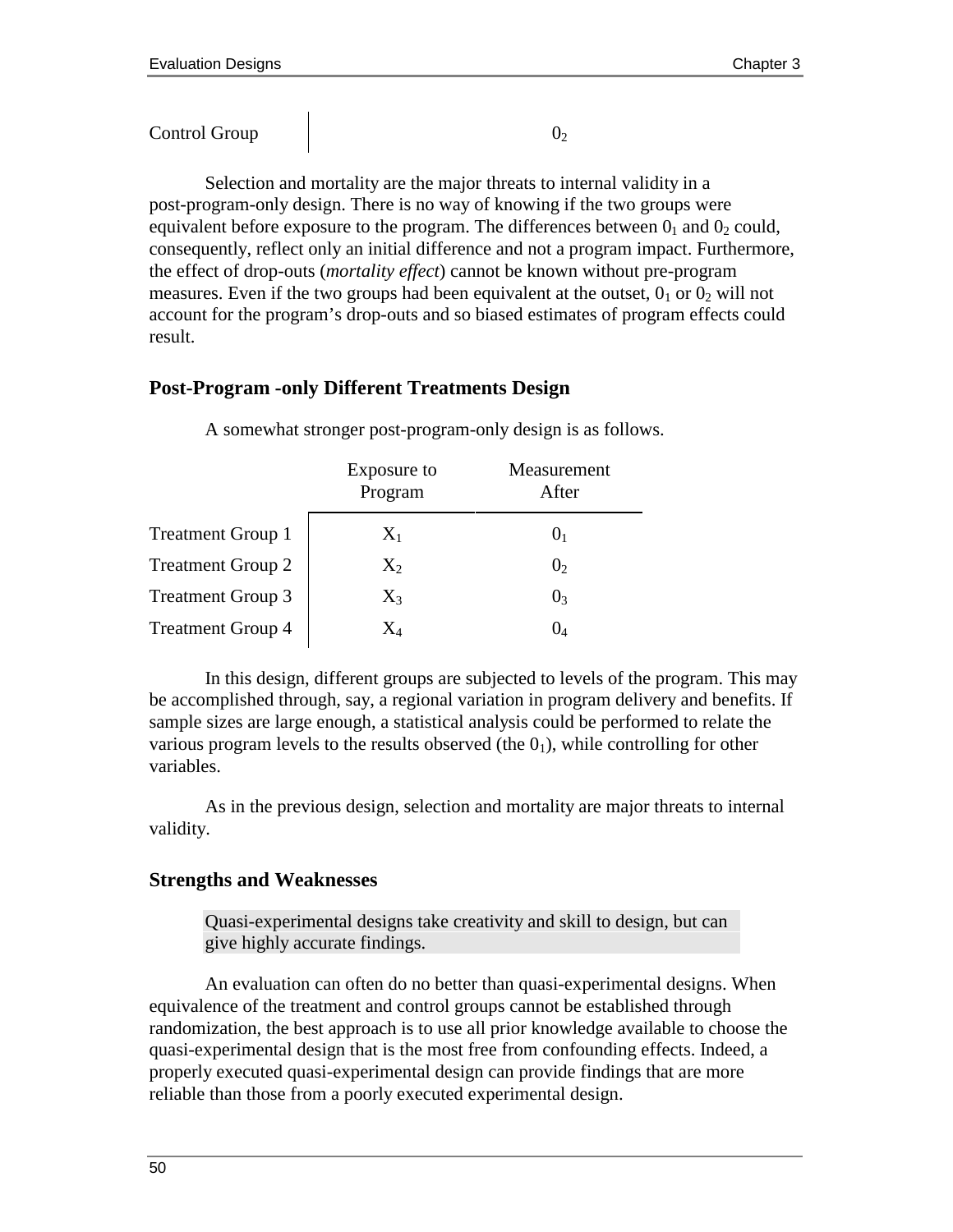Selection and mortality are the major threats to internal validity in a post-program-only design. There is no way of knowing if the two groups were equivalent before exposure to the program. The differences between  $0<sub>1</sub>$  and  $0<sub>2</sub>$  could, consequently, reflect only an initial difference and not a program impact. Furthermore, the effect of drop-outs (*mortality effect*) cannot be known without pre-program measures. Even if the two groups had been equivalent at the outset,  $0<sub>1</sub>$  or  $0<sub>2</sub>$  will not account for the program's drop-outs and so biased estimates of program effects could result.

#### **Post-Program -only Different Treatments Design**

|                          | Exposure to<br>Program | Measurement<br>After |
|--------------------------|------------------------|----------------------|
| <b>Treatment Group 1</b> | $X_1$                  | U1                   |
| <b>Treatment Group 2</b> | $X_2$                  | 0 <sub>2</sub>       |
| <b>Treatment Group 3</b> | $X_3$                  | 0 <sub>3</sub>       |
| <b>Treatment Group 4</b> |                        | O4                   |

A somewhat stronger post-program-only design is as follows.

In this design, different groups are subjected to levels of the program. This may be accomplished through, say, a regional variation in program delivery and benefits. If sample sizes are large enough, a statistical analysis could be performed to relate the various program levels to the results observed (the  $0<sub>1</sub>$ ), while controlling for other variables.

As in the previous design, selection and mortality are major threats to internal validity.

#### **Strengths and Weaknesses**

Quasi-experimental designs take creativity and skill to design, but can give highly accurate findings.

An evaluation can often do no better than quasi-experimental designs. When equivalence of the treatment and control groups cannot be established through randomization, the best approach is to use all prior knowledge available to choose the quasi-experimental design that is the most free from confounding effects. Indeed, a properly executed quasi-experimental design can provide findings that are more reliable than those from a poorly executed experimental design.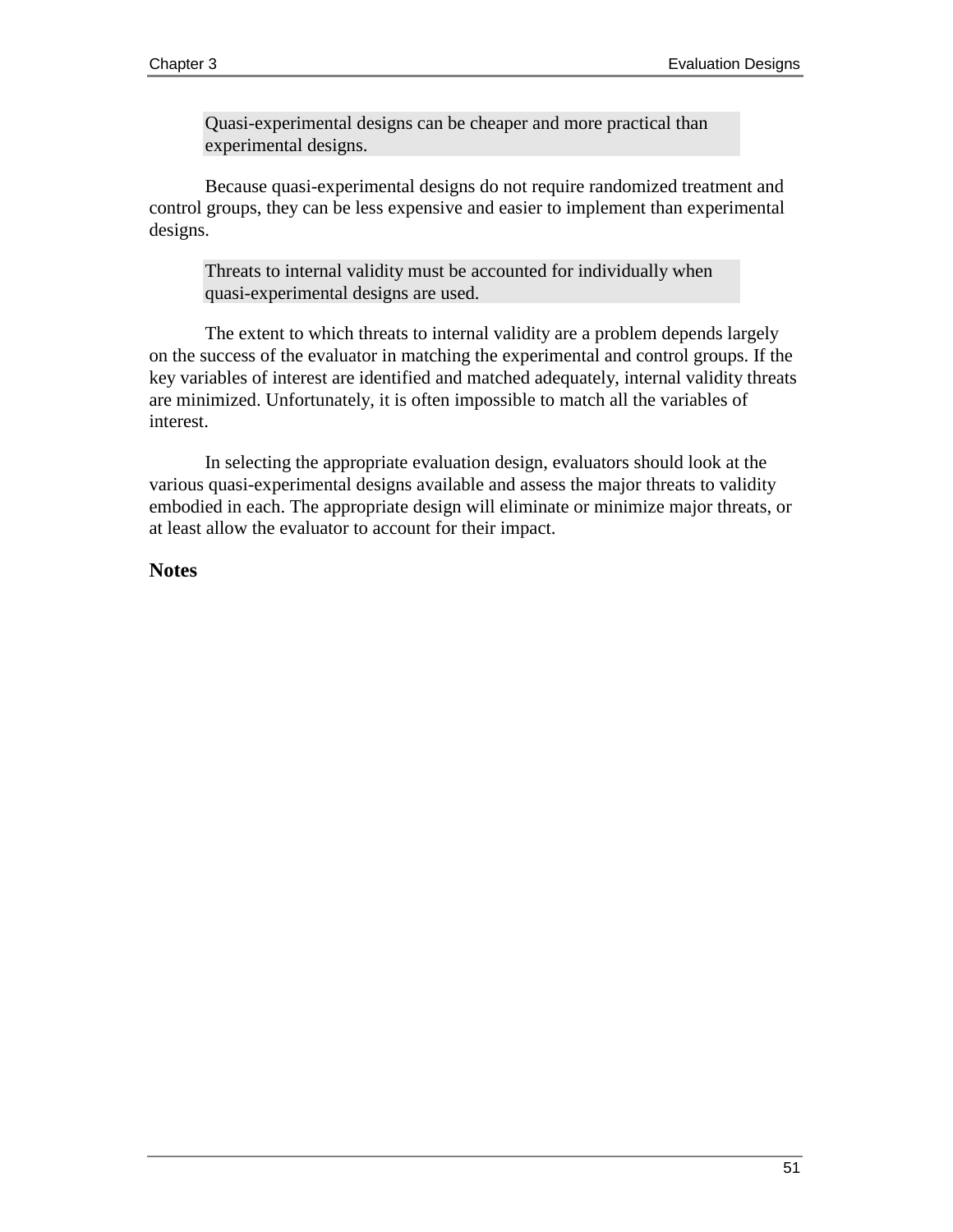Quasi-experimental designs can be cheaper and more practical than experimental designs.

Because quasi-experimental designs do not require randomized treatment and control groups, they can be less expensive and easier to implement than experimental designs.

Threats to internal validity must be accounted for individually when quasi-experimental designs are used.

The extent to which threats to internal validity are a problem depends largely on the success of the evaluator in matching the experimental and control groups. If the key variables of interest are identified and matched adequately, internal validity threats are minimized. Unfortunately, it is often impossible to match all the variables of interest.

In selecting the appropriate evaluation design, evaluators should look at the various quasi-experimental designs available and assess the major threats to validity embodied in each. The appropriate design will eliminate or minimize major threats, or at least allow the evaluator to account for their impact.

#### **Notes**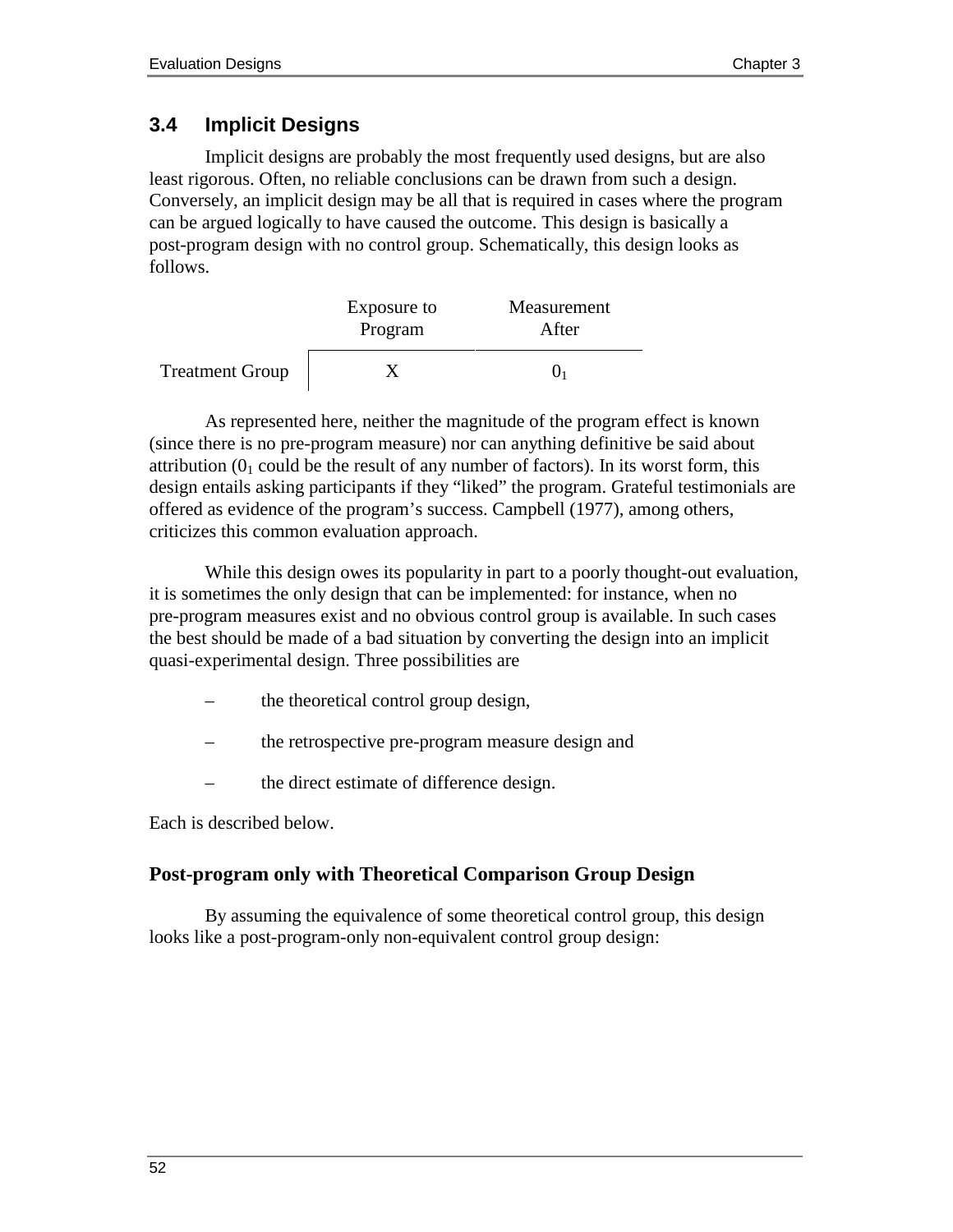# **3.4 Implicit Designs**

Implicit designs are probably the most frequently used designs, but are also least rigorous. Often, no reliable conclusions can be drawn from such a design. Conversely, an implicit design may be all that is required in cases where the program can be argued logically to have caused the outcome. This design is basically a post-program design with no control group. Schematically, this design looks as follows.

|                        | Exposure to<br>Program | Measurement<br>After |
|------------------------|------------------------|----------------------|
| <b>Treatment Group</b> |                        |                      |

As represented here, neither the magnitude of the program effect is known (since there is no pre-program measure) nor can anything definitive be said about attribution  $(0<sub>1</sub>$  could be the result of any number of factors). In its worst form, this design entails asking participants if they "liked" the program. Grateful testimonials are offered as evidence of the program's success. Campbell (1977), among others, criticizes this common evaluation approach.

While this design owes its popularity in part to a poorly thought-out evaluation, it is sometimes the only design that can be implemented: for instance, when no pre-program measures exist and no obvious control group is available. In such cases the best should be made of a bad situation by converting the design into an implicit quasi-experimental design. Three possibilities are

- the theoretical control group design,
- the retrospective pre-program measure design and
- the direct estimate of difference design.

Each is described below.

#### **Post-program only with Theoretical Comparison Group Design**

By assuming the equivalence of some theoretical control group, this design looks like a post-program-only non-equivalent control group design: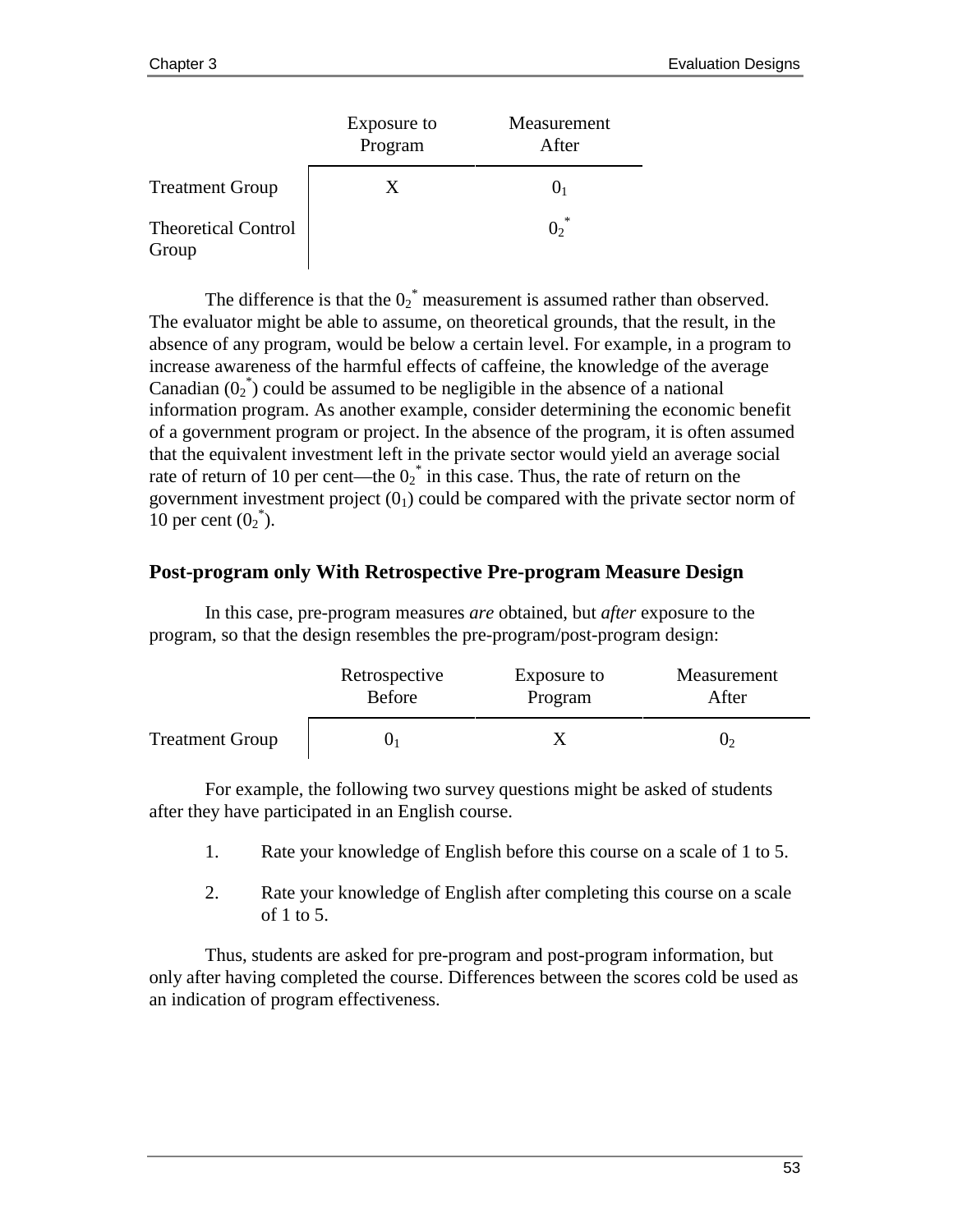|                                     | Exposure to<br>Program | Measurement<br>After |
|-------------------------------------|------------------------|----------------------|
| <b>Treatment Group</b>              | X                      |                      |
| <b>Theoretical Control</b><br>Group |                        |                      |

The difference is that the  $0_2^*$  measurement is assumed rather than observed. The evaluator might be able to assume, on theoretical grounds, that the result, in the absence of any program, would be below a certain level. For example, in a program to increase awareness of the harmful effects of caffeine, the knowledge of the average Canadian  $(0_2^*)$  could be assumed to be negligible in the absence of a national information program. As another example, consider determining the economic benefit of a government program or project. In the absence of the program, it is often assumed that the equivalent investment left in the private sector would yield an average social rate of return of 10 per cent—the  $0_2^*$  in this case. Thus, the rate of return on the government investment project  $(0<sub>1</sub>)$  could be compared with the private sector norm of 10 per cent  $(0_2^*).$ 

#### **Post-program only With Retrospective Pre-program Measure Design**

In this case, pre-program measures *are* obtained, but *after* exposure to the program, so that the design resembles the pre-program/post-program design:

|                        | Retrospective | Exposure to | Measurement |
|------------------------|---------------|-------------|-------------|
|                        | <b>Before</b> | Program     | After       |
| <b>Treatment Group</b> |               |             | U٥          |

For example, the following two survey questions might be asked of students after they have participated in an English course.

- 1. Rate your knowledge of English before this course on a scale of 1 to 5.
- 2. Rate your knowledge of English after completing this course on a scale of 1 to 5.

Thus, students are asked for pre-program and post-program information, but only after having completed the course. Differences between the scores cold be used as an indication of program effectiveness.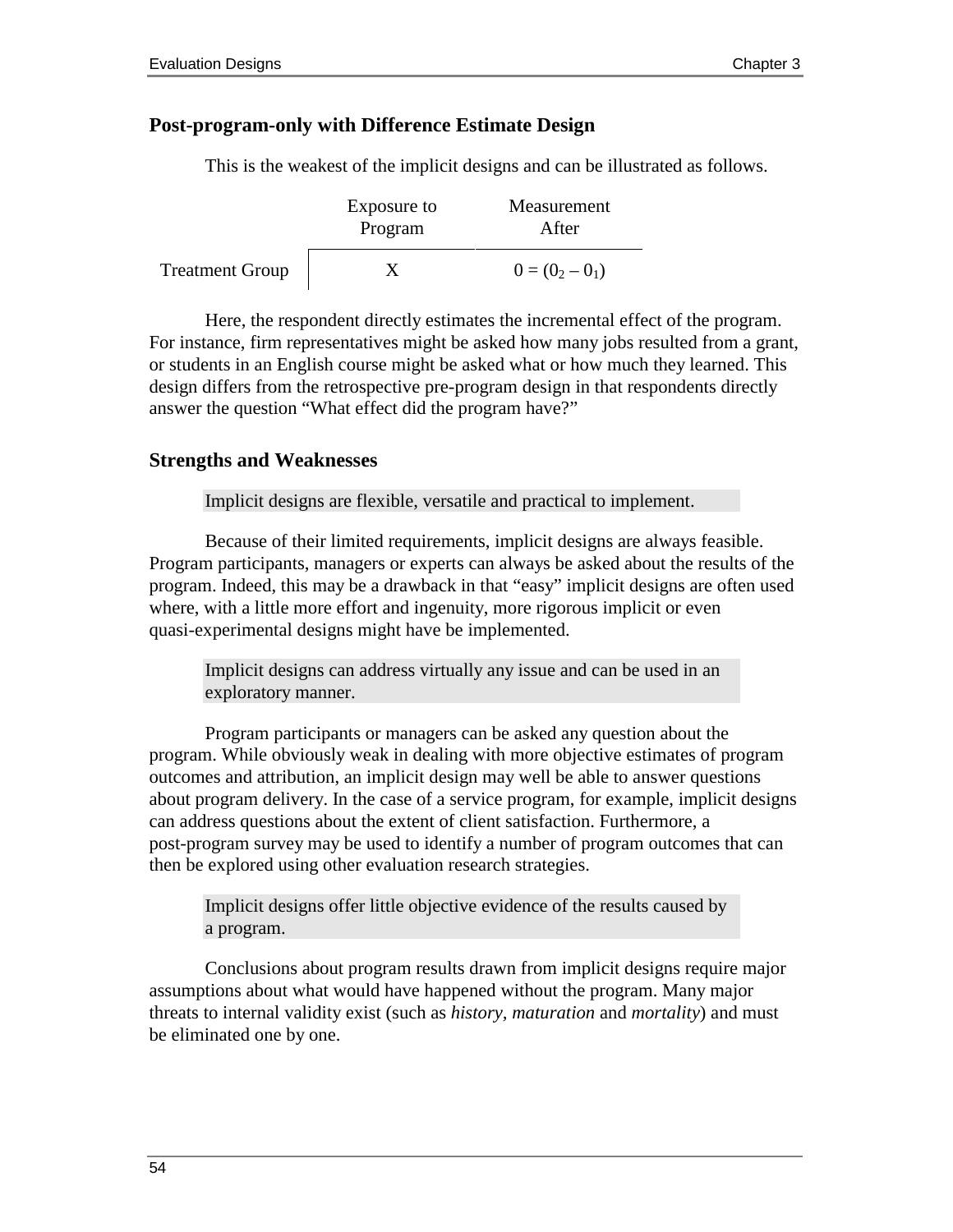#### **Post-program-only with Difference Estimate Design**

This is the weakest of the implicit designs and can be illustrated as follows.

|                        | Exposure to<br>Program | Measurement<br>After |
|------------------------|------------------------|----------------------|
| <b>Treatment Group</b> |                        | $0 = (0_2 - 0_1)$    |

Here, the respondent directly estimates the incremental effect of the program. For instance, firm representatives might be asked how many jobs resulted from a grant, or students in an English course might be asked what or how much they learned. This design differs from the retrospective pre-program design in that respondents directly answer the question "What effect did the program have?"

#### **Strengths and Weaknesses**

Implicit designs are flexible, versatile and practical to implement.

Because of their limited requirements, implicit designs are always feasible. Program participants, managers or experts can always be asked about the results of the program. Indeed, this may be a drawback in that "easy" implicit designs are often used where, with a little more effort and ingenuity, more rigorous implicit or even quasi-experimental designs might have be implemented.

Implicit designs can address virtually any issue and can be used in an exploratory manner.

Program participants or managers can be asked any question about the program. While obviously weak in dealing with more objective estimates of program outcomes and attribution, an implicit design may well be able to answer questions about program delivery. In the case of a service program, for example, implicit designs can address questions about the extent of client satisfaction. Furthermore, a post-program survey may be used to identify a number of program outcomes that can then be explored using other evaluation research strategies.

Implicit designs offer little objective evidence of the results caused by a program.

Conclusions about program results drawn from implicit designs require major assumptions about what would have happened without the program. Many major threats to internal validity exist (such as *history, maturation* and *mortality*) and must be eliminated one by one.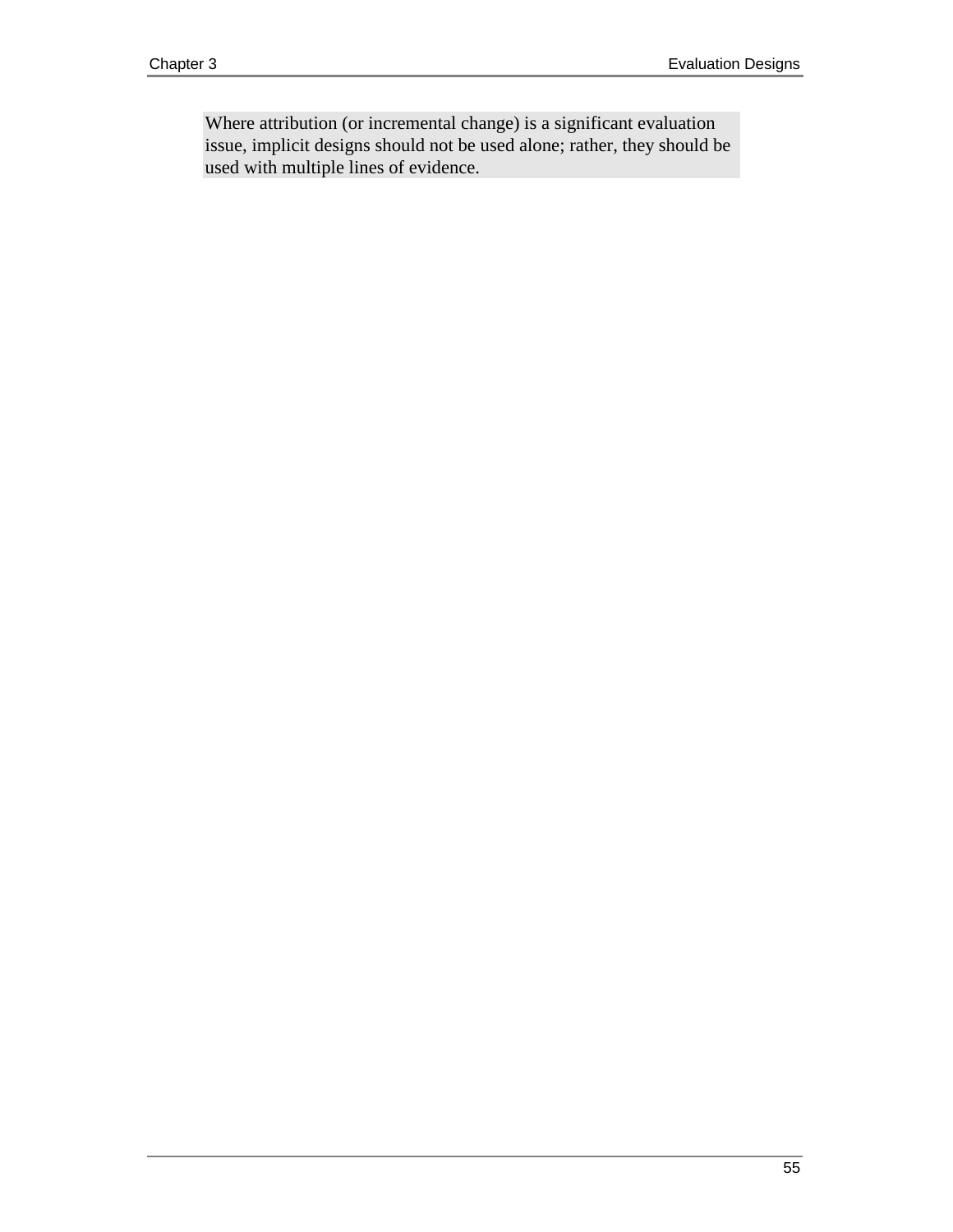Where attribution (or incremental change) is a significant evaluation issue, implicit designs should not be used alone; rather, they should be used with multiple lines of evidence.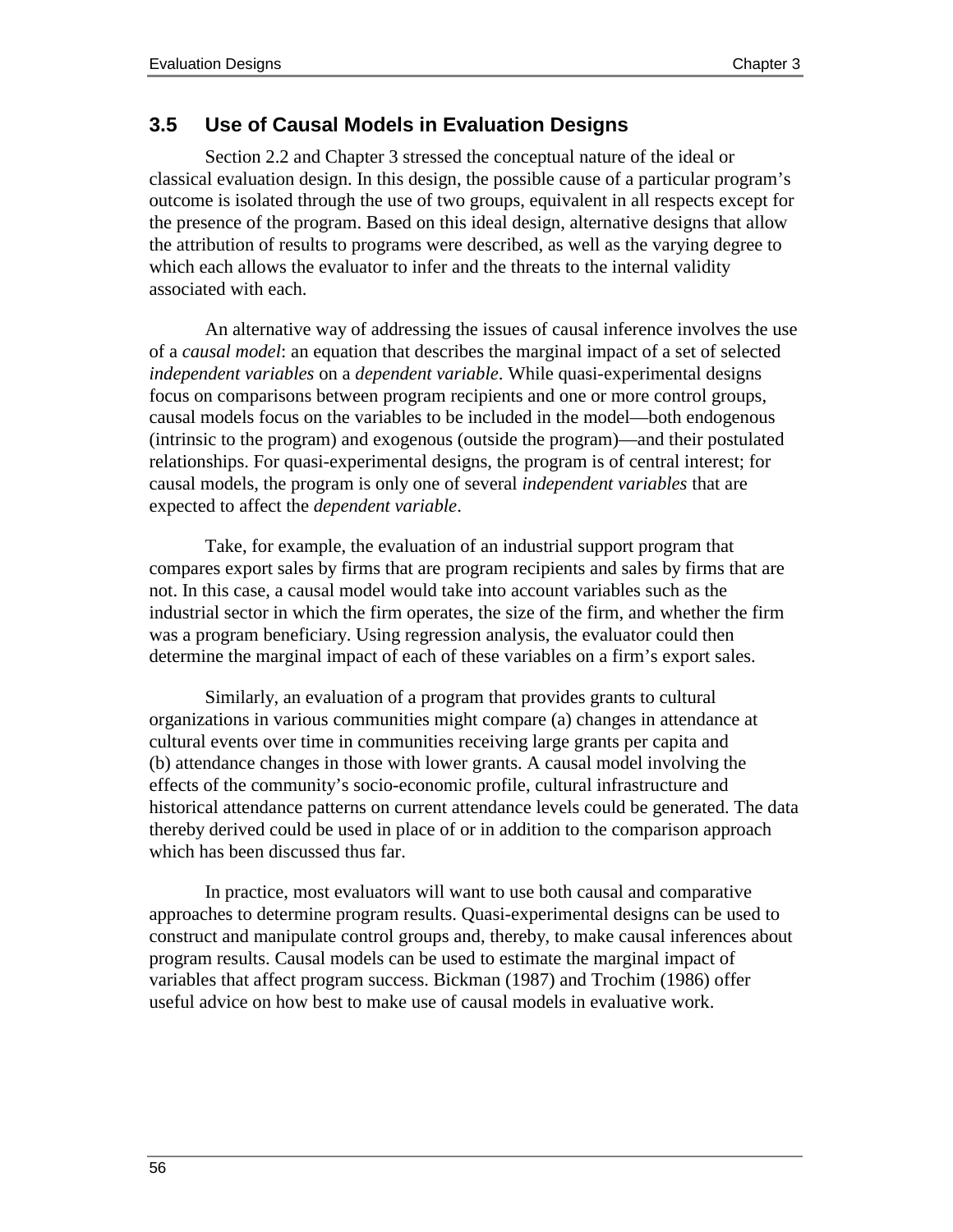## **3.5 Use of Causal Models in Evaluation Designs**

Section 2.2 and Chapter 3 stressed the conceptual nature of the ideal or classical evaluation design. In this design, the possible cause of a particular program's outcome is isolated through the use of two groups, equivalent in all respects except for the presence of the program. Based on this ideal design, alternative designs that allow the attribution of results to programs were described, as well as the varying degree to which each allows the evaluator to infer and the threats to the internal validity associated with each.

An alternative way of addressing the issues of causal inference involves the use of a *causal model*: an equation that describes the marginal impact of a set of selected *independent variables* on a *dependent variable*. While quasi-experimental designs focus on comparisons between program recipients and one or more control groups, causal models focus on the variables to be included in the model—both endogenous (intrinsic to the program) and exogenous (outside the program)—and their postulated relationships. For quasi-experimental designs, the program is of central interest; for causal models, the program is only one of several *independent variables* that are expected to affect the *dependent variable*.

Take, for example, the evaluation of an industrial support program that compares export sales by firms that are program recipients and sales by firms that are not. In this case, a causal model would take into account variables such as the industrial sector in which the firm operates, the size of the firm, and whether the firm was a program beneficiary. Using regression analysis, the evaluator could then determine the marginal impact of each of these variables on a firm's export sales.

Similarly, an evaluation of a program that provides grants to cultural organizations in various communities might compare (a) changes in attendance at cultural events over time in communities receiving large grants per capita and (b) attendance changes in those with lower grants. A causal model involving the effects of the community's socio-economic profile, cultural infrastructure and historical attendance patterns on current attendance levels could be generated. The data thereby derived could be used in place of or in addition to the comparison approach which has been discussed thus far.

In practice, most evaluators will want to use both causal and comparative approaches to determine program results. Quasi-experimental designs can be used to construct and manipulate control groups and, thereby, to make causal inferences about program results. Causal models can be used to estimate the marginal impact of variables that affect program success. Bickman (1987) and Trochim (1986) offer useful advice on how best to make use of causal models in evaluative work.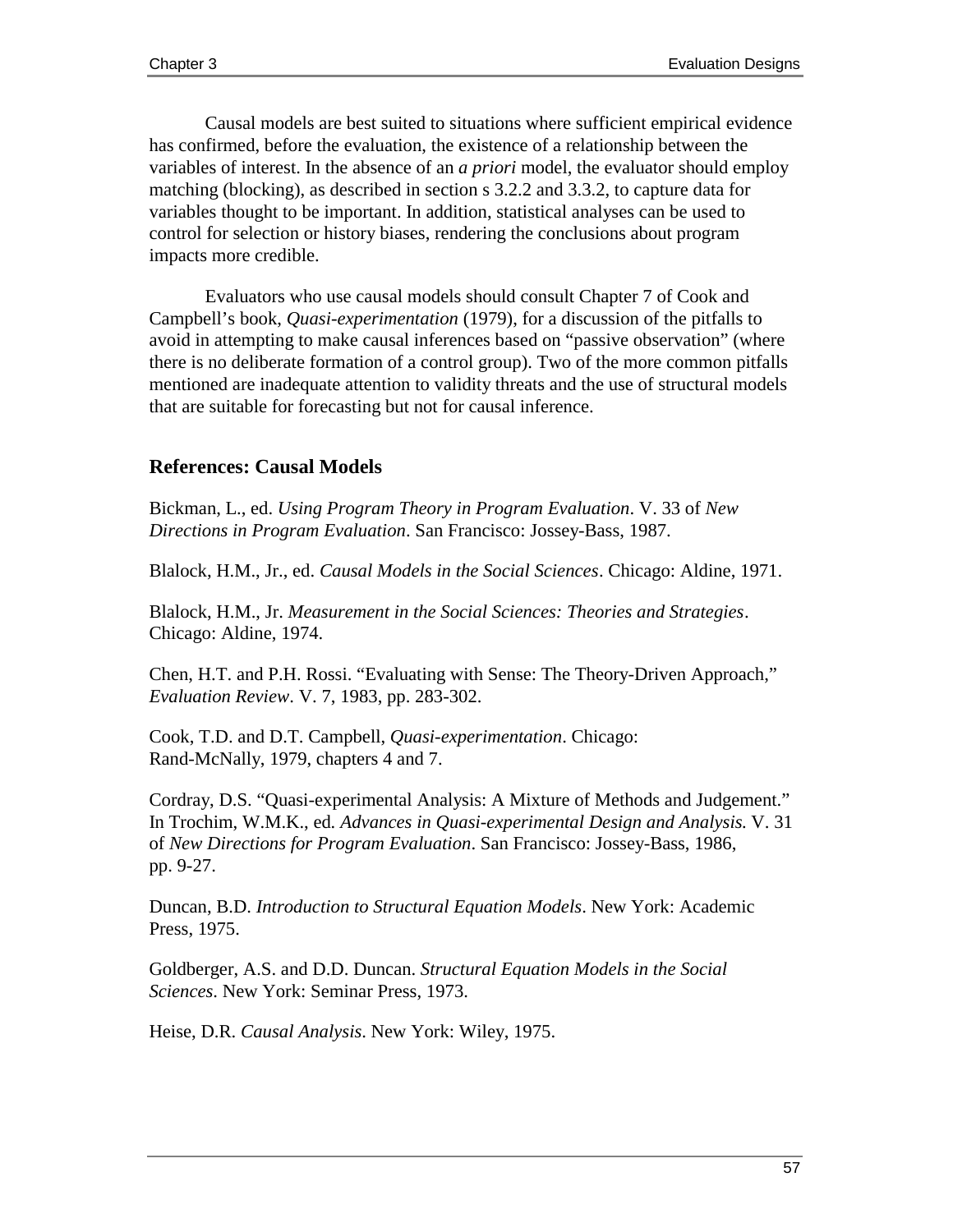Causal models are best suited to situations where sufficient empirical evidence has confirmed, before the evaluation, the existence of a relationship between the variables of interest. In the absence of an *a priori* model, the evaluator should employ matching (blocking), as described in section s 3.2.2 and 3.3.2, to capture data for variables thought to be important. In addition, statistical analyses can be used to control for selection or history biases, rendering the conclusions about program impacts more credible.

Evaluators who use causal models should consult Chapter 7 of Cook and Campbell's book, *Quasi-experimentation* (1979), for a discussion of the pitfalls to avoid in attempting to make causal inferences based on "passive observation" (where there is no deliberate formation of a control group). Two of the more common pitfalls mentioned are inadequate attention to validity threats and the use of structural models that are suitable for forecasting but not for causal inference.

### **References: Causal Models**

Bickman, L., ed. *Using Program Theory in Program Evaluation*. V. 33 of *New Directions in Program Evaluation*. San Francisco: Jossey-Bass, 1987.

Blalock, H.M., Jr., ed. *Causal Models in the Social Sciences*. Chicago: Aldine, 1971.

Blalock, H.M., Jr. *Measurement in the Social Sciences: Theories and Strategies*. Chicago: Aldine, 1974.

Chen, H.T. and P.H. Rossi. "Evaluating with Sense: The Theory-Driven Approach," *Evaluation Review*. V. 7, 1983, pp. 283-302.

Cook, T.D. and D.T. Campbell, *Quasi-experimentation*. Chicago: Rand-McNally, 1979, chapters 4 and 7.

Cordray, D.S. "Quasi-experimental Analysis: A Mixture of Methods and Judgement." In Trochim, W.M.K., ed*. Advances in Quasi-experimental Design and Analysis.* V. 31 of *New Directions for Program Evaluation*. San Francisco: Jossey-Bass, 1986, pp. 9-27.

Duncan, B.D. *Introduction to Structural Equation Models*. New York: Academic Press, 1975.

Goldberger, A.S. and D.D. Duncan. *Structural Equation Models in the Social Sciences*. New York: Seminar Press, 1973.

Heise, D.R. *Causal Analysis*. New York: Wiley, 1975.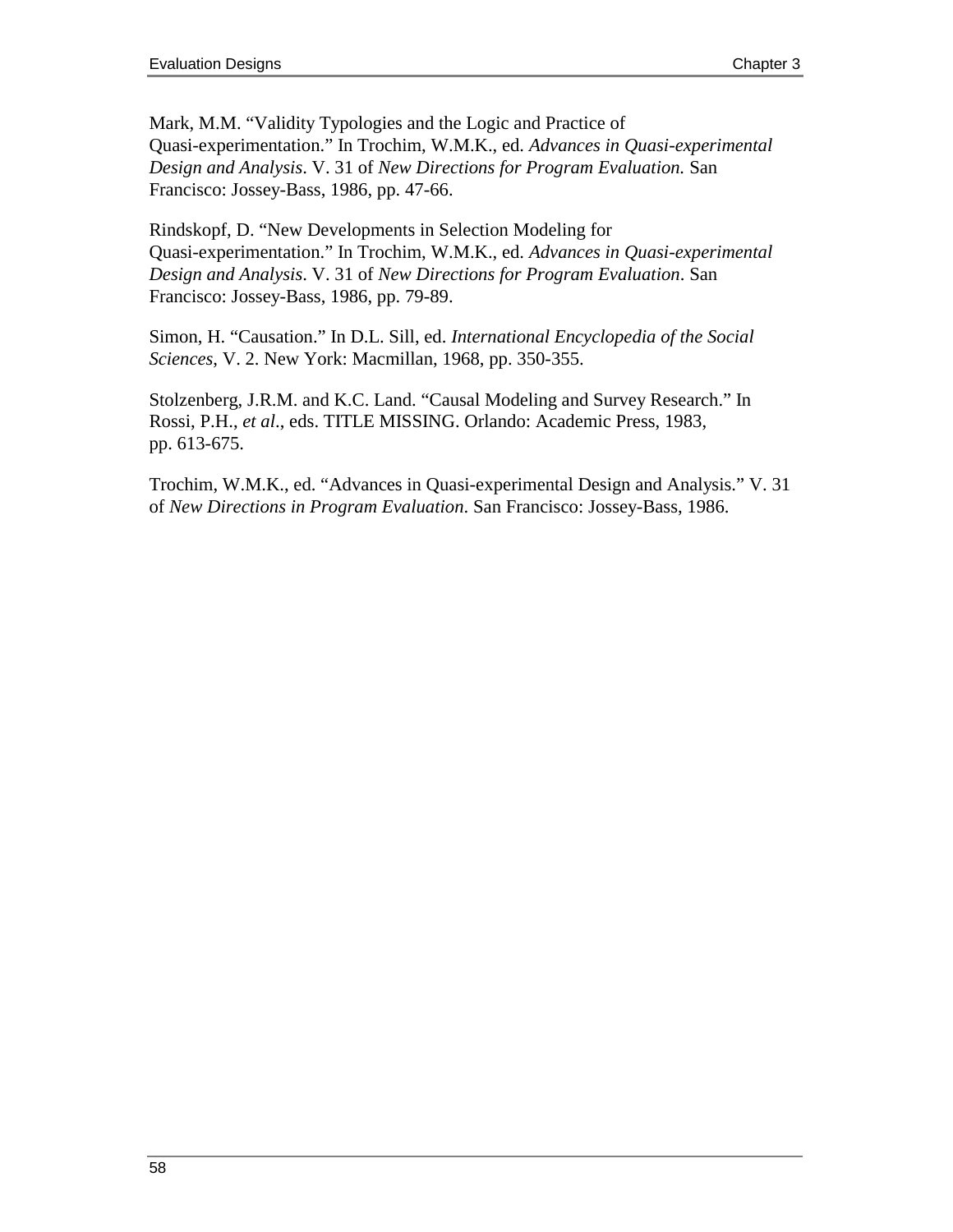Mark, M.M. "Validity Typologies and the Logic and Practice of Quasi-experimentation." In Trochim, W.M.K., ed. *Advances in Quasi-experimental Design and Analysis*. V. 31 of *New Directions for Program Evaluation.* San Francisco: Jossey-Bass, 1986, pp. 47-66.

Rindskopf, D. "New Developments in Selection Modeling for Quasi-experimentation." In Trochim, W.M.K., ed. *Advances in Quasi-experimental Design and Analysis*. V. 31 of *New Directions for Program Evaluation*. San Francisco: Jossey-Bass, 1986, pp. 79-89.

Simon, H. "Causation." In D.L. Sill, ed. *International Encyclopedia of the Social Sciences*, V. 2. New York: Macmillan, 1968, pp. 350-355.

Stolzenberg, J.R.M. and K.C. Land. "Causal Modeling and Survey Research." In Rossi, P.H., *et al*., eds. TITLE MISSING. Orlando: Academic Press, 1983, pp. 613-675.

Trochim, W.M.K., ed. "Advances in Quasi-experimental Design and Analysis." V. 31 of *New Directions in Program Evaluation*. San Francisco: Jossey-Bass, 1986.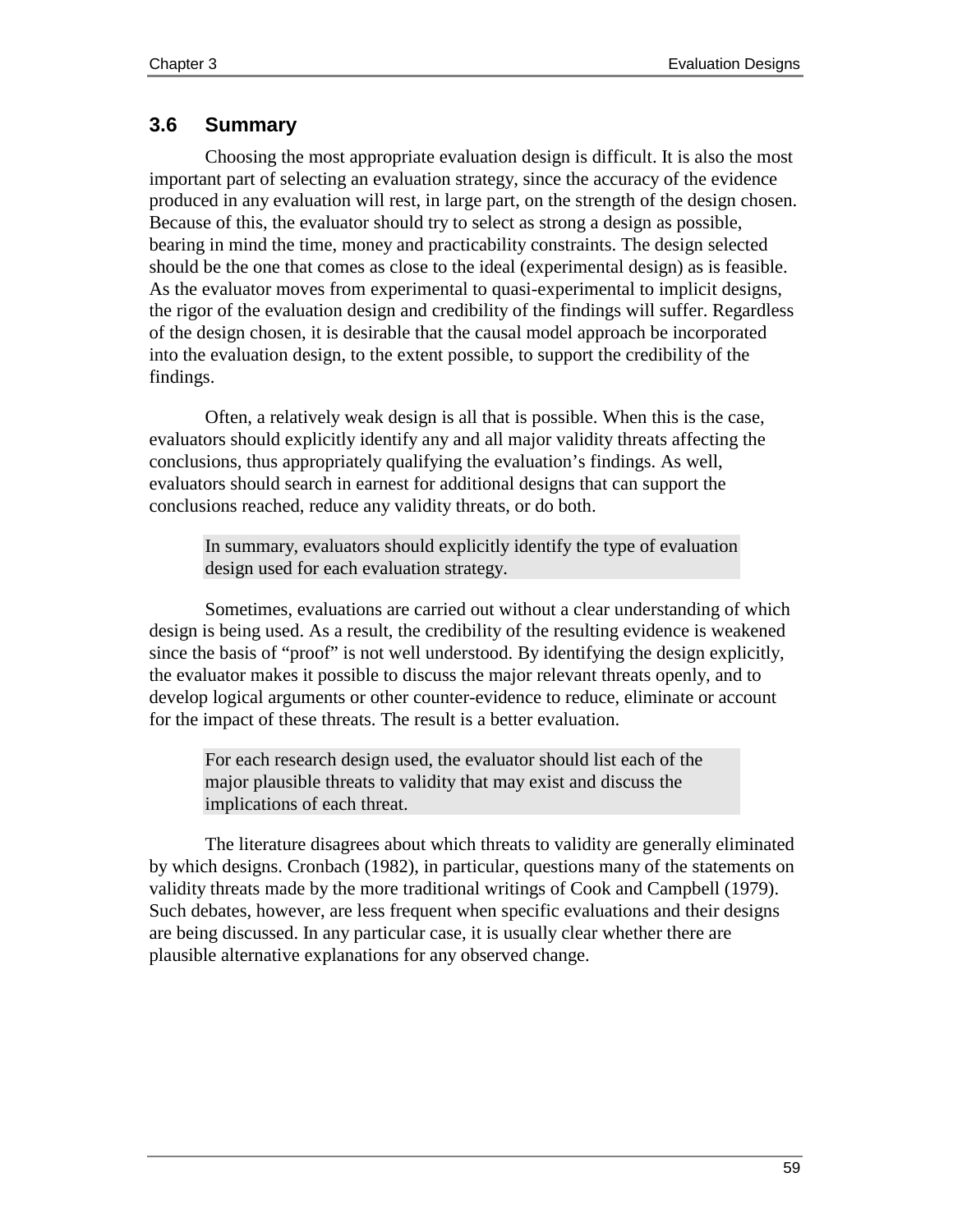## **3.6 Summary**

Choosing the most appropriate evaluation design is difficult. It is also the most important part of selecting an evaluation strategy, since the accuracy of the evidence produced in any evaluation will rest, in large part, on the strength of the design chosen. Because of this, the evaluator should try to select as strong a design as possible, bearing in mind the time, money and practicability constraints. The design selected should be the one that comes as close to the ideal (experimental design) as is feasible. As the evaluator moves from experimental to quasi-experimental to implicit designs, the rigor of the evaluation design and credibility of the findings will suffer. Regardless of the design chosen, it is desirable that the causal model approach be incorporated into the evaluation design, to the extent possible, to support the credibility of the findings.

Often, a relatively weak design is all that is possible. When this is the case, evaluators should explicitly identify any and all major validity threats affecting the conclusions, thus appropriately qualifying the evaluation's findings. As well, evaluators should search in earnest for additional designs that can support the conclusions reached, reduce any validity threats, or do both.

In summary, evaluators should explicitly identify the type of evaluation design used for each evaluation strategy.

Sometimes, evaluations are carried out without a clear understanding of which design is being used. As a result, the credibility of the resulting evidence is weakened since the basis of "proof" is not well understood. By identifying the design explicitly, the evaluator makes it possible to discuss the major relevant threats openly, and to develop logical arguments or other counter-evidence to reduce, eliminate or account for the impact of these threats. The result is a better evaluation.

For each research design used, the evaluator should list each of the major plausible threats to validity that may exist and discuss the implications of each threat.

The literature disagrees about which threats to validity are generally eliminated by which designs. Cronbach (1982), in particular, questions many of the statements on validity threats made by the more traditional writings of Cook and Campbell (1979). Such debates, however, are less frequent when specific evaluations and their designs are being discussed. In any particular case, it is usually clear whether there are plausible alternative explanations for any observed change.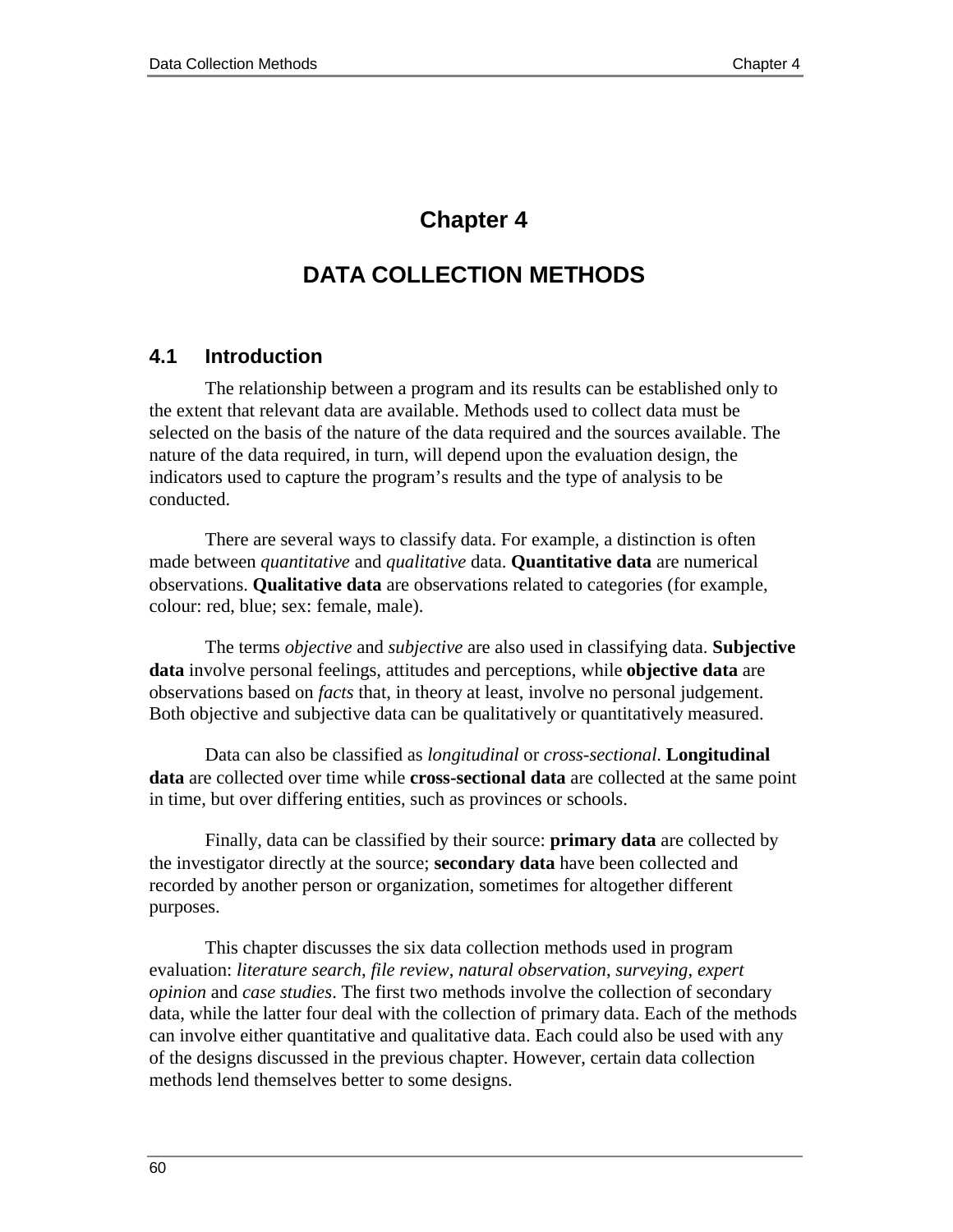# **Chapter 4**

# **DATA COLLECTION METHODS**

#### **4.1 Introduction**

The relationship between a program and its results can be established only to the extent that relevant data are available. Methods used to collect data must be selected on the basis of the nature of the data required and the sources available. The nature of the data required, in turn, will depend upon the evaluation design, the indicators used to capture the program's results and the type of analysis to be conducted.

There are several ways to classify data. For example, a distinction is often made between *quantitative* and *qualitative* data. **Quantitative data** are numerical observations. **Qualitative data** are observations related to categories (for example, colour: red, blue; sex: female, male).

The terms *objective* and *subjective* are also used in classifying data. **Subjective data** involve personal feelings, attitudes and perceptions, while **objective data** are observations based on *facts* that, in theory at least, involve no personal judgement. Both objective and subjective data can be qualitatively or quantitatively measured.

Data can also be classified as *longitudinal* or *cross-sectional*. **Longitudinal data** are collected over time while **cross-sectional data** are collected at the same point in time, but over differing entities, such as provinces or schools.

Finally, data can be classified by their source: **primary data** are collected by the investigator directly at the source; **secondary data** have been collected and recorded by another person or organization, sometimes for altogether different purposes.

This chapter discusses the six data collection methods used in program evaluation: *literature search*, *file review*, *natural observation*, *surveying*, *expert opinion* and *case studies*. The first two methods involve the collection of secondary data, while the latter four deal with the collection of primary data. Each of the methods can involve either quantitative and qualitative data. Each could also be used with any of the designs discussed in the previous chapter. However, certain data collection methods lend themselves better to some designs.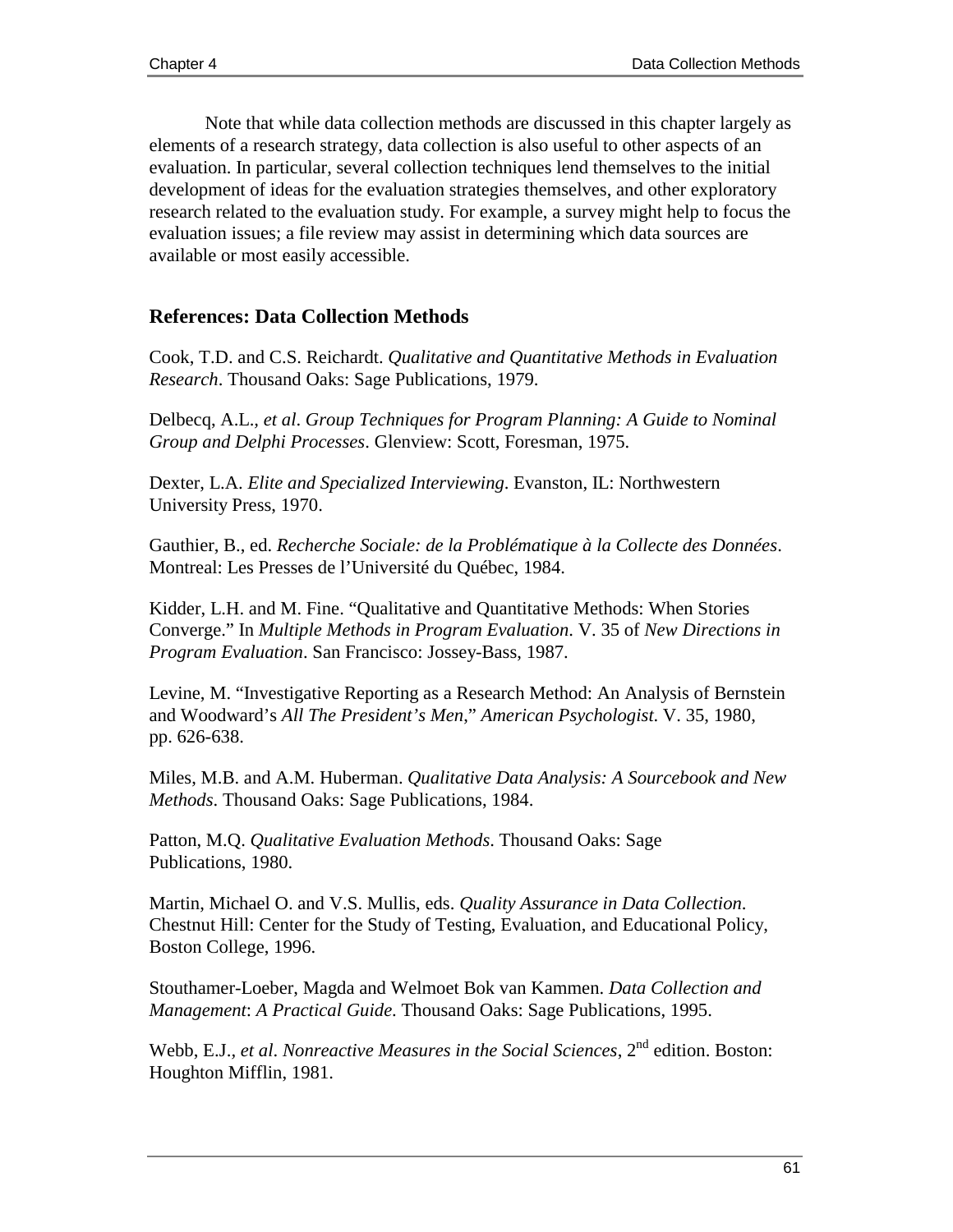Note that while data collection methods are discussed in this chapter largely as elements of a research strategy, data collection is also useful to other aspects of an evaluation. In particular, several collection techniques lend themselves to the initial development of ideas for the evaluation strategies themselves, and other exploratory research related to the evaluation study. For example, a survey might help to focus the evaluation issues; a file review may assist in determining which data sources are available or most easily accessible.

#### **References: Data Collection Methods**

Cook, T.D. and C.S. Reichardt. *Qualitative and Quantitative Methods in Evaluation Research*. Thousand Oaks: Sage Publications, 1979.

Delbecq, A.L.*, et al*. *Group Techniques for Program Planning: A Guide to Nominal Group and Delphi Processes*. Glenview: Scott, Foresman, 1975.

Dexter, L.A. *Elite and Specialized Interviewing*. Evanston, IL: Northwestern University Press, 1970.

Gauthier, B., ed. *Recherche Sociale: de la Problématique à la Collecte des Données*. Montreal: Les Presses de l'Université du Québec, 1984.

Kidder, L.H. and M. Fine. "Qualitative and Quantitative Methods: When Stories Converge." In *Multiple Methods in Program Evaluation*. V. 35 of *New Directions in Program Evaluation*. San Francisco: Jossey-Bass, 1987.

Levine, M. "Investigative Reporting as a Research Method: An Analysis of Bernstein and Woodward's *All The President's Men*," *American Psychologist*. V. 35, 1980, pp. 626-638.

Miles, M.B. and A.M. Huberman. *Qualitative Data Analysis: A Sourcebook and New Methods*. Thousand Oaks: Sage Publications, 1984.

Patton, M.Q. *Qualitative Evaluation Methods*. Thousand Oaks: Sage Publications, 1980.

Martin, Michael O. and V.S. Mullis, eds. *Quality Assurance in Data Collection*. Chestnut Hill: Center for the Study of Testing, Evaluation, and Educational Policy, Boston College, 1996.

Stouthamer-Loeber, Magda and Welmoet Bok van Kammen. *Data Collection and Management*: *A Practical Guide*. Thousand Oaks: Sage Publications, 1995.

Webb, E.J., et al. *Nonreactive Measures in the Social Sciences*, 2<sup>nd</sup> edition. Boston: Houghton Mifflin, 1981.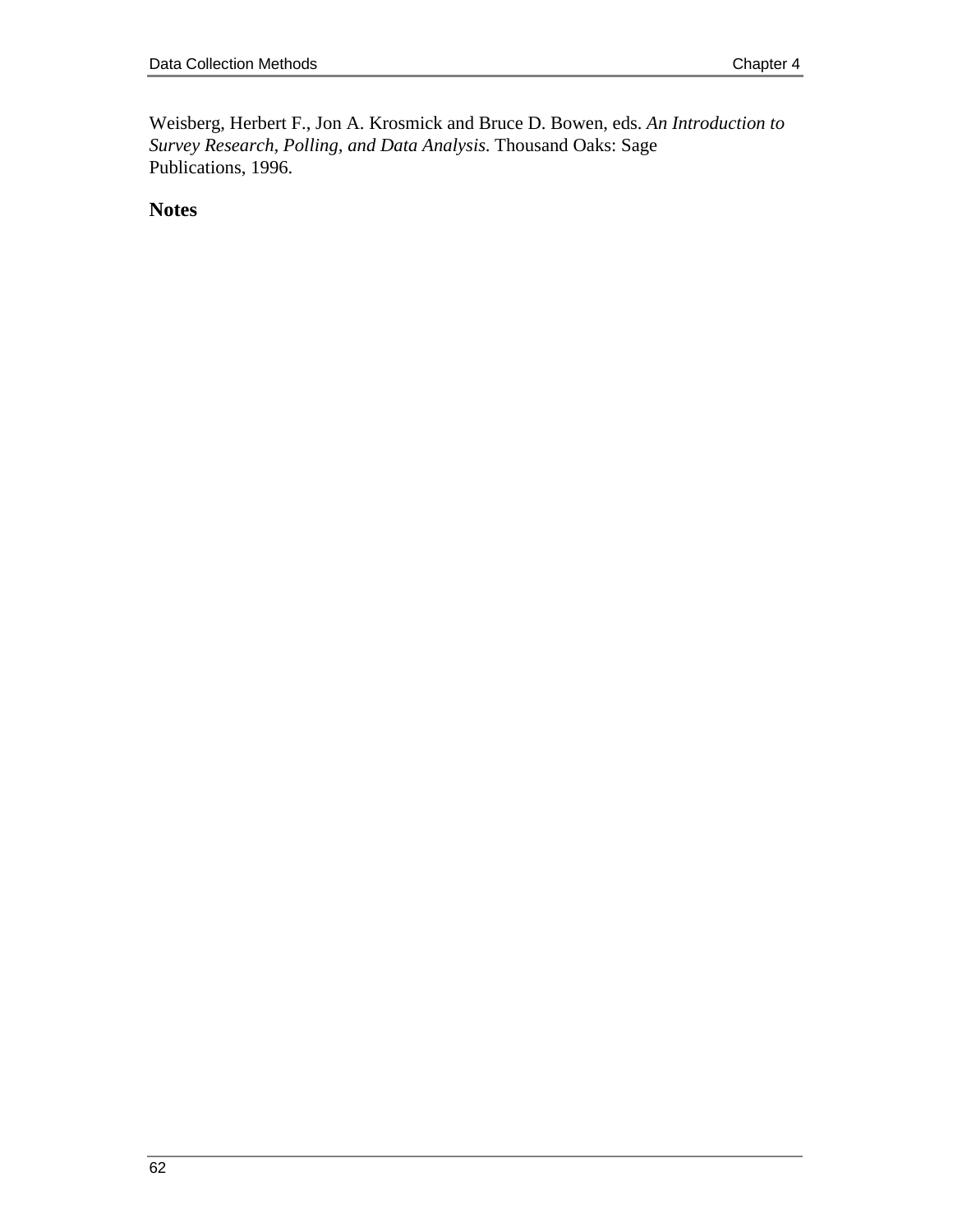Weisberg, Herbert F., Jon A. Krosmick and Bruce D. Bowen, eds. *An Introduction to Survey Research, Polling, and Data Analysis*. Thousand Oaks: Sage Publications, 1996.

**Notes**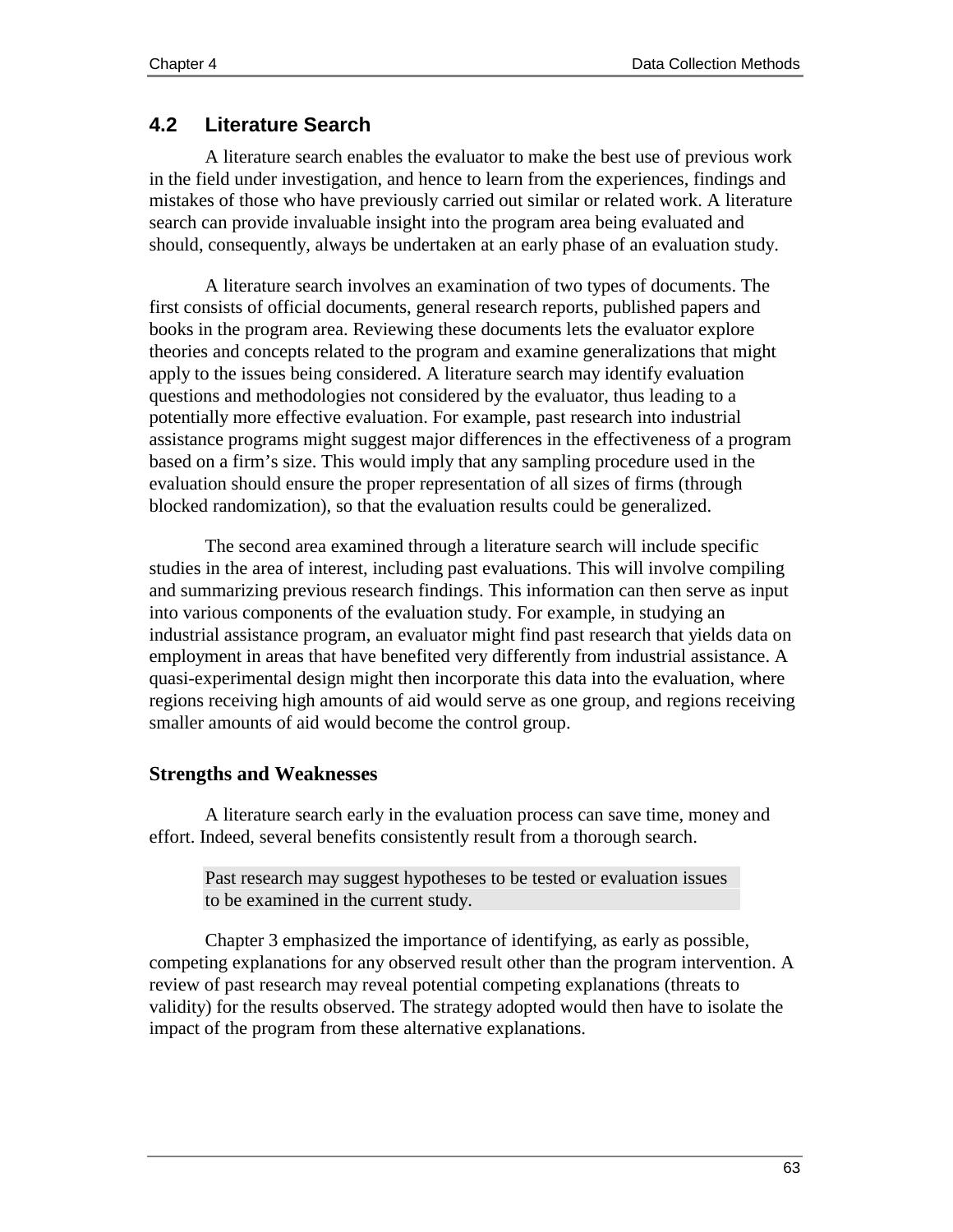### **4.2 Literature Search**

A literature search enables the evaluator to make the best use of previous work in the field under investigation, and hence to learn from the experiences, findings and mistakes of those who have previously carried out similar or related work. A literature search can provide invaluable insight into the program area being evaluated and should, consequently, always be undertaken at an early phase of an evaluation study.

A literature search involves an examination of two types of documents. The first consists of official documents, general research reports, published papers and books in the program area. Reviewing these documents lets the evaluator explore theories and concepts related to the program and examine generalizations that might apply to the issues being considered. A literature search may identify evaluation questions and methodologies not considered by the evaluator, thus leading to a potentially more effective evaluation. For example, past research into industrial assistance programs might suggest major differences in the effectiveness of a program based on a firm's size. This would imply that any sampling procedure used in the evaluation should ensure the proper representation of all sizes of firms (through blocked randomization), so that the evaluation results could be generalized.

The second area examined through a literature search will include specific studies in the area of interest, including past evaluations. This will involve compiling and summarizing previous research findings. This information can then serve as input into various components of the evaluation study. For example, in studying an industrial assistance program, an evaluator might find past research that yields data on employment in areas that have benefited very differently from industrial assistance. A quasi-experimental design might then incorporate this data into the evaluation, where regions receiving high amounts of aid would serve as one group, and regions receiving smaller amounts of aid would become the control group.

#### **Strengths and Weaknesses**

A literature search early in the evaluation process can save time, money and effort. Indeed, several benefits consistently result from a thorough search.

Past research may suggest hypotheses to be tested or evaluation issues to be examined in the current study.

Chapter 3 emphasized the importance of identifying, as early as possible, competing explanations for any observed result other than the program intervention. A review of past research may reveal potential competing explanations (threats to validity) for the results observed. The strategy adopted would then have to isolate the impact of the program from these alternative explanations.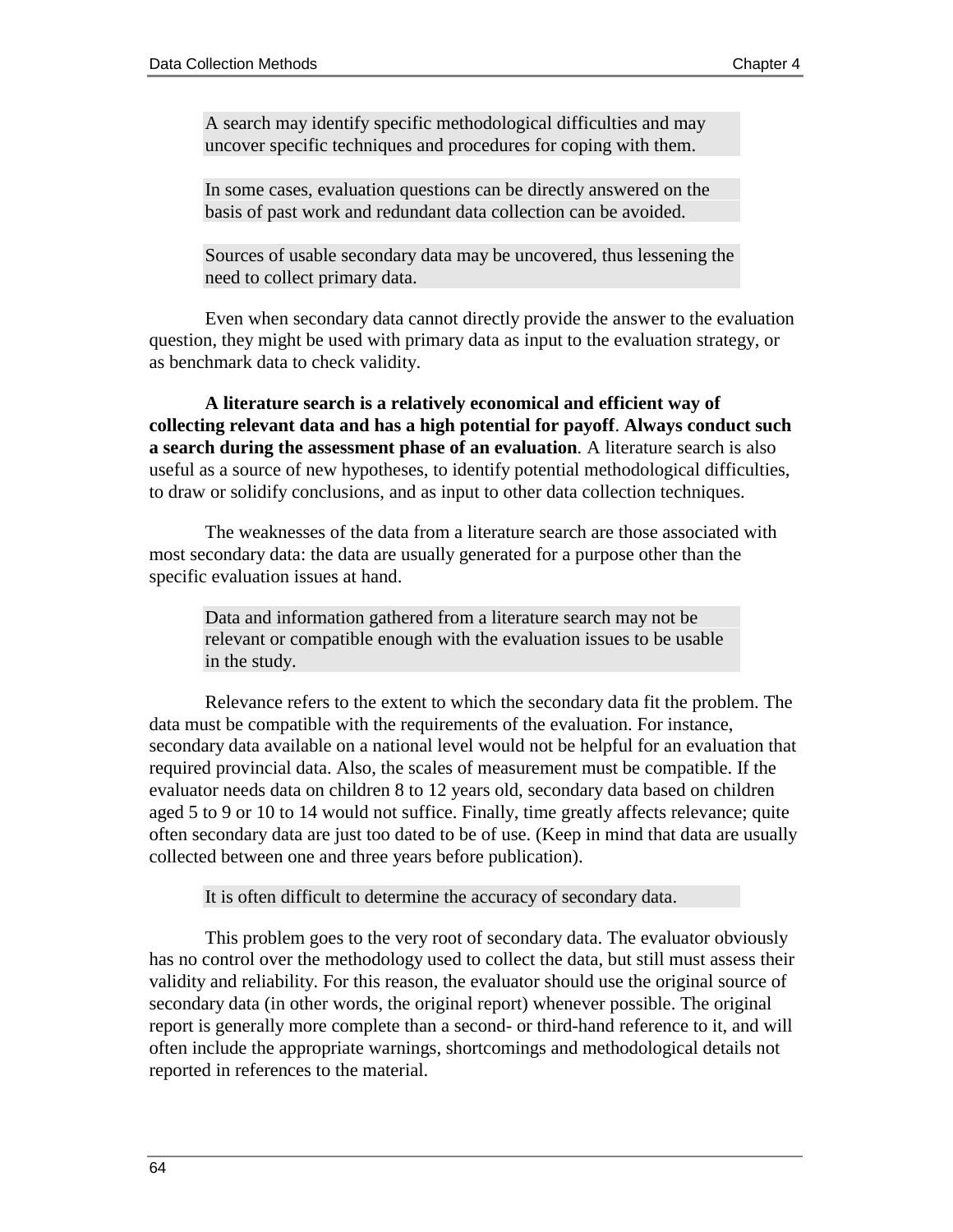A search may identify specific methodological difficulties and may uncover specific techniques and procedures for coping with them.

In some cases, evaluation questions can be directly answered on the basis of past work and redundant data collection can be avoided.

Sources of usable secondary data may be uncovered, thus lessening the need to collect primary data.

Even when secondary data cannot directly provide the answer to the evaluation question, they might be used with primary data as input to the evaluation strategy, or as benchmark data to check validity.

**A literature search is a relatively economical and efficient way of collecting relevant data and has a high potential for payoff**. **Always conduct such a search during the assessment phase of an evaluation***.* A literature search is also useful as a source of new hypotheses, to identify potential methodological difficulties, to draw or solidify conclusions, and as input to other data collection techniques.

The weaknesses of the data from a literature search are those associated with most secondary data: the data are usually generated for a purpose other than the specific evaluation issues at hand.

Data and information gathered from a literature search may not be relevant or compatible enough with the evaluation issues to be usable in the study.

Relevance refers to the extent to which the secondary data fit the problem. The data must be compatible with the requirements of the evaluation. For instance, secondary data available on a national level would not be helpful for an evaluation that required provincial data. Also, the scales of measurement must be compatible. If the evaluator needs data on children 8 to 12 years old, secondary data based on children aged 5 to 9 or 10 to 14 would not suffice. Finally, time greatly affects relevance; quite often secondary data are just too dated to be of use. (Keep in mind that data are usually collected between one and three years before publication).

#### It is often difficult to determine the accuracy of secondary data.

This problem goes to the very root of secondary data. The evaluator obviously has no control over the methodology used to collect the data, but still must assess their validity and reliability. For this reason, the evaluator should use the original source of secondary data (in other words, the original report) whenever possible. The original report is generally more complete than a second- or third-hand reference to it, and will often include the appropriate warnings, shortcomings and methodological details not reported in references to the material.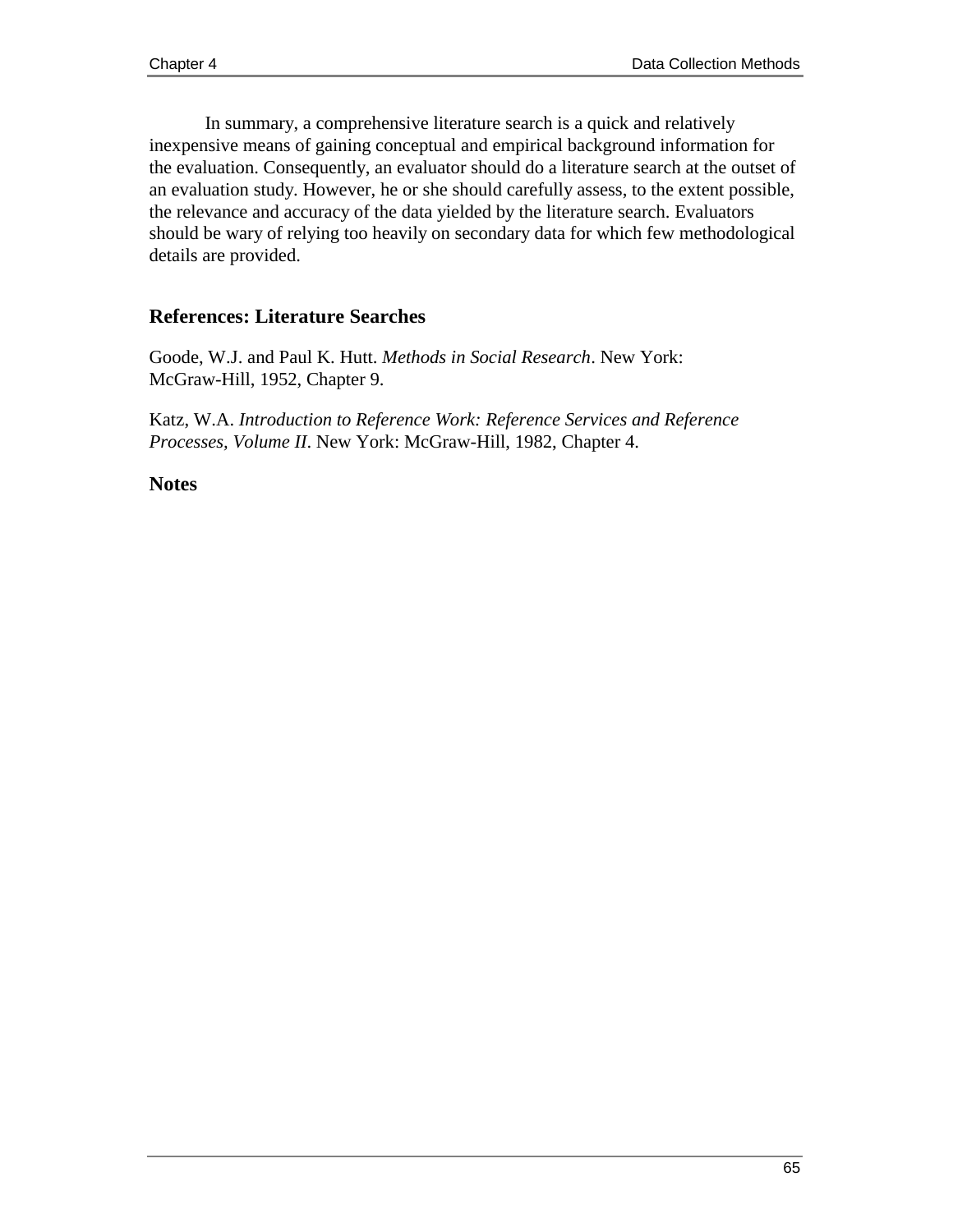In summary, a comprehensive literature search is a quick and relatively inexpensive means of gaining conceptual and empirical background information for the evaluation. Consequently, an evaluator should do a literature search at the outset of an evaluation study. However, he or she should carefully assess, to the extent possible, the relevance and accuracy of the data yielded by the literature search. Evaluators should be wary of relying too heavily on secondary data for which few methodological details are provided.

## **References: Literature Searches**

Goode, W.J. and Paul K. Hutt. *Methods in Social Research*. New York: McGraw-Hill, 1952, Chapter 9.

Katz, W.A. *Introduction to Reference Work: Reference Services and Reference Processes, Volume II*. New York: McGraw-Hill, 1982, Chapter 4.

#### **Notes**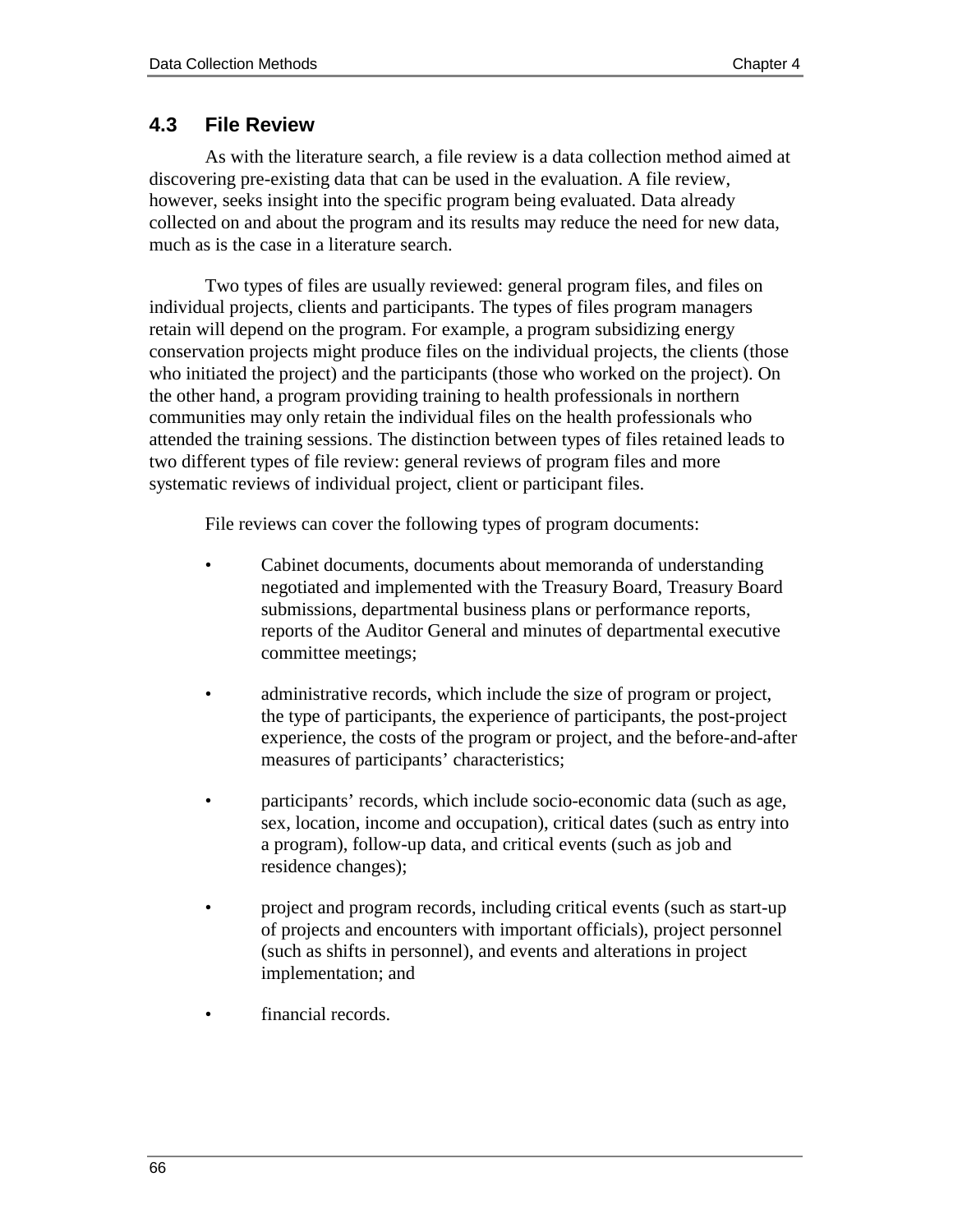## **4.3 File Review**

As with the literature search, a file review is a data collection method aimed at discovering pre-existing data that can be used in the evaluation. A file review, however, seeks insight into the specific program being evaluated. Data already collected on and about the program and its results may reduce the need for new data, much as is the case in a literature search.

Two types of files are usually reviewed: general program files, and files on individual projects, clients and participants. The types of files program managers retain will depend on the program. For example, a program subsidizing energy conservation projects might produce files on the individual projects, the clients (those who initiated the project) and the participants (those who worked on the project). On the other hand, a program providing training to health professionals in northern communities may only retain the individual files on the health professionals who attended the training sessions. The distinction between types of files retained leads to two different types of file review: general reviews of program files and more systematic reviews of individual project, client or participant files.

File reviews can cover the following types of program documents:

- Cabinet documents, documents about memoranda of understanding negotiated and implemented with the Treasury Board, Treasury Board submissions, departmental business plans or performance reports, reports of the Auditor General and minutes of departmental executive committee meetings;
- administrative records, which include the size of program or project, the type of participants, the experience of participants, the post-project experience, the costs of the program or project, and the before-and-after measures of participants' characteristics;
- participants' records, which include socio-economic data (such as age, sex, location, income and occupation), critical dates (such as entry into a program), follow-up data, and critical events (such as job and residence changes);
- project and program records, including critical events (such as start-up of projects and encounters with important officials), project personnel (such as shifts in personnel), and events and alterations in project implementation; and
- financial records.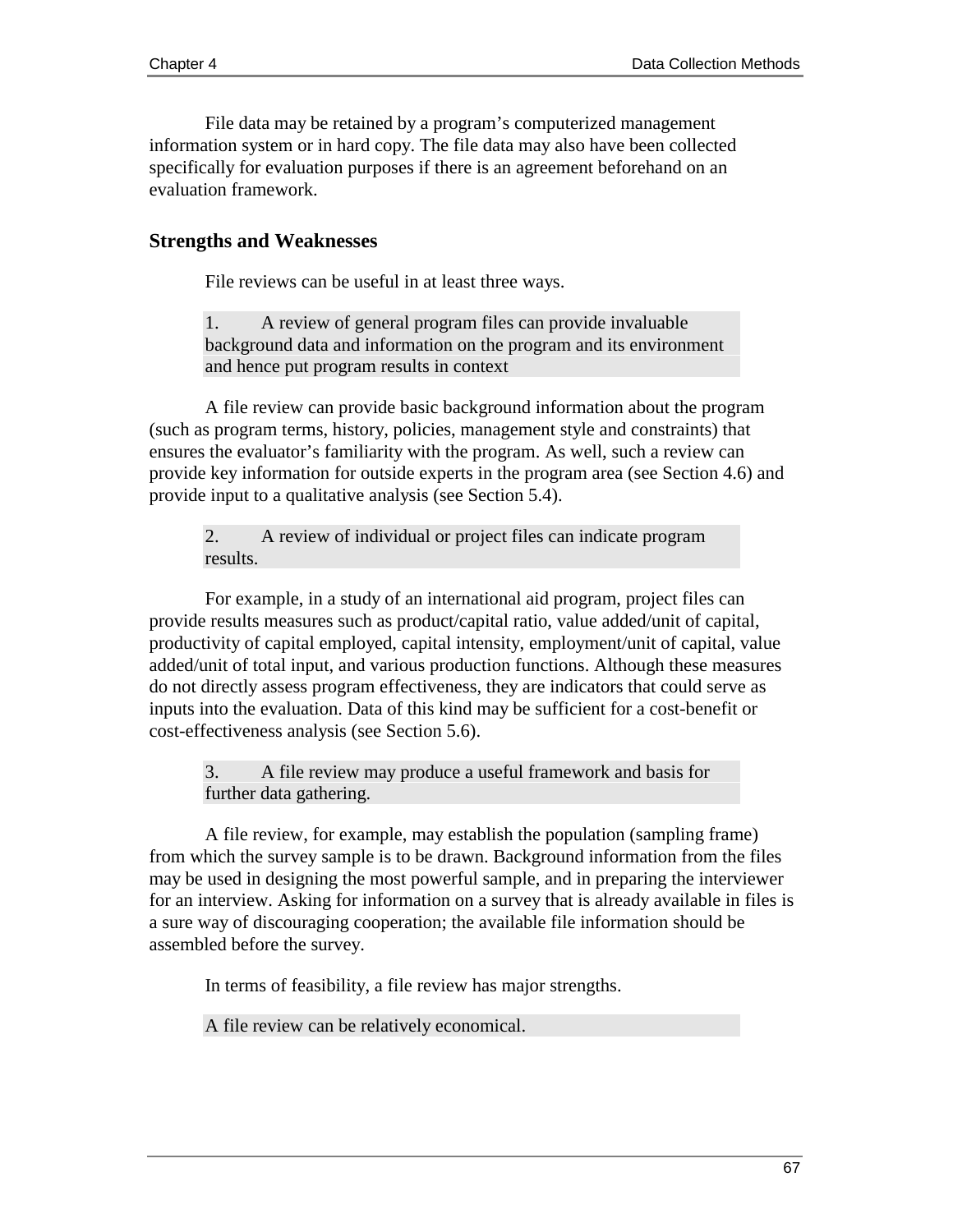File data may be retained by a program's computerized management information system or in hard copy. The file data may also have been collected specifically for evaluation purposes if there is an agreement beforehand on an evaluation framework.

#### **Strengths and Weaknesses**

File reviews can be useful in at least three ways.

1. A review of general program files can provide invaluable background data and information on the program and its environment and hence put program results in context

A file review can provide basic background information about the program (such as program terms, history, policies, management style and constraints) that ensures the evaluator's familiarity with the program. As well, such a review can provide key information for outside experts in the program area (see Section 4.6) and provide input to a qualitative analysis (see Section 5.4).

2. A review of individual or project files can indicate program results.

For example, in a study of an international aid program, project files can provide results measures such as product/capital ratio, value added/unit of capital, productivity of capital employed, capital intensity, employment/unit of capital, value added/unit of total input, and various production functions. Although these measures do not directly assess program effectiveness, they are indicators that could serve as inputs into the evaluation. Data of this kind may be sufficient for a cost-benefit or cost-effectiveness analysis (see Section 5.6).

3. A file review may produce a useful framework and basis for further data gathering.

A file review, for example, may establish the population (sampling frame) from which the survey sample is to be drawn. Background information from the files may be used in designing the most powerful sample, and in preparing the interviewer for an interview. Asking for information on a survey that is already available in files is a sure way of discouraging cooperation; the available file information should be assembled before the survey.

In terms of feasibility, a file review has major strengths.

A file review can be relatively economical.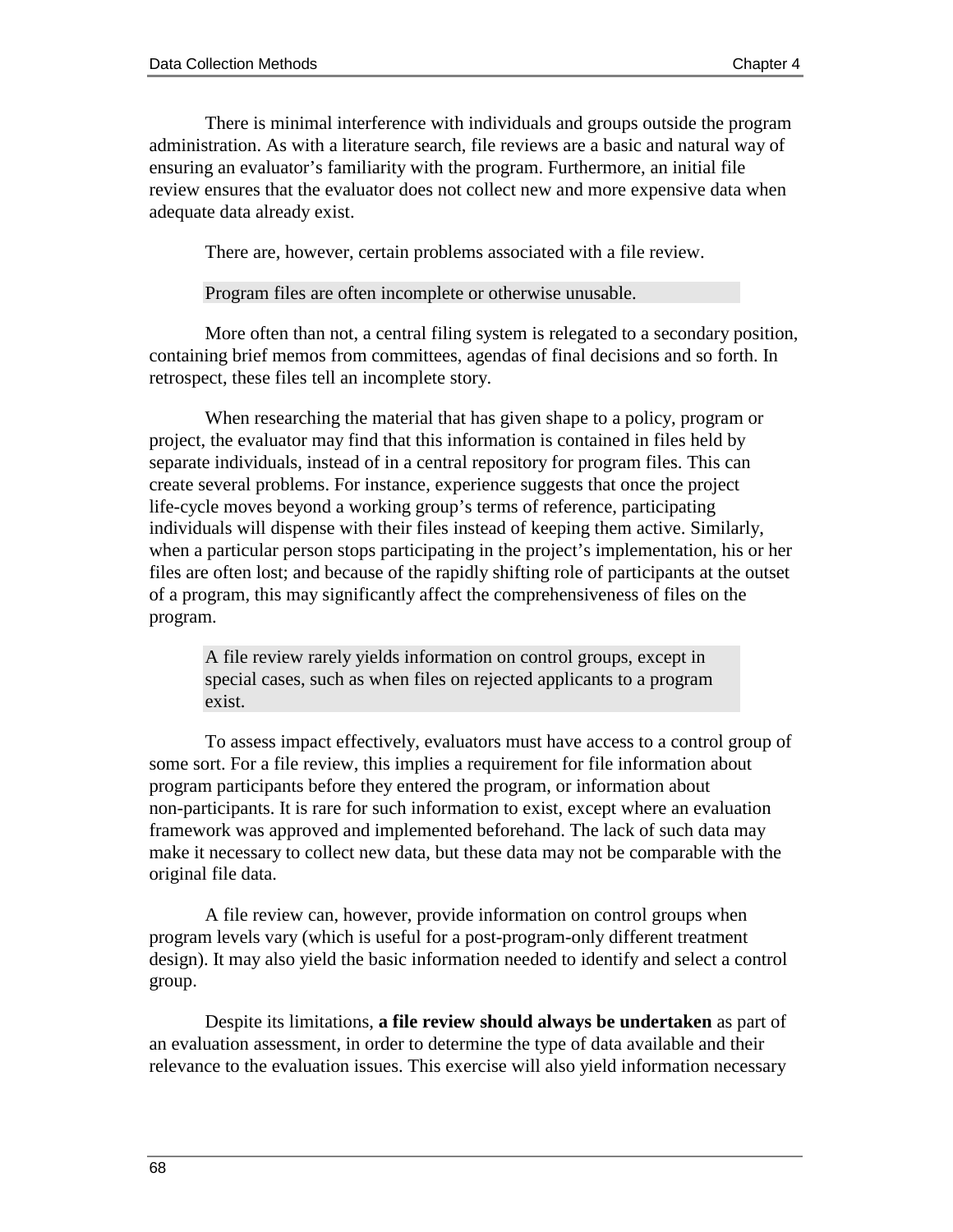There is minimal interference with individuals and groups outside the program administration. As with a literature search, file reviews are a basic and natural way of ensuring an evaluator's familiarity with the program. Furthermore, an initial file review ensures that the evaluator does not collect new and more expensive data when adequate data already exist.

There are, however, certain problems associated with a file review.

Program files are often incomplete or otherwise unusable.

More often than not, a central filing system is relegated to a secondary position, containing brief memos from committees, agendas of final decisions and so forth. In retrospect, these files tell an incomplete story.

When researching the material that has given shape to a policy, program or project, the evaluator may find that this information is contained in files held by separate individuals, instead of in a central repository for program files. This can create several problems. For instance, experience suggests that once the project life-cycle moves beyond a working group's terms of reference, participating individuals will dispense with their files instead of keeping them active. Similarly, when a particular person stops participating in the project's implementation, his or her files are often lost; and because of the rapidly shifting role of participants at the outset of a program, this may significantly affect the comprehensiveness of files on the program.

A file review rarely yields information on control groups, except in special cases, such as when files on rejected applicants to a program exist.

To assess impact effectively, evaluators must have access to a control group of some sort. For a file review, this implies a requirement for file information about program participants before they entered the program, or information about non-participants. It is rare for such information to exist, except where an evaluation framework was approved and implemented beforehand. The lack of such data may make it necessary to collect new data, but these data may not be comparable with the original file data.

A file review can, however, provide information on control groups when program levels vary (which is useful for a post-program-only different treatment design). It may also yield the basic information needed to identify and select a control group.

Despite its limitations, **a file review should always be undertaken** as part of an evaluation assessment, in order to determine the type of data available and their relevance to the evaluation issues. This exercise will also yield information necessary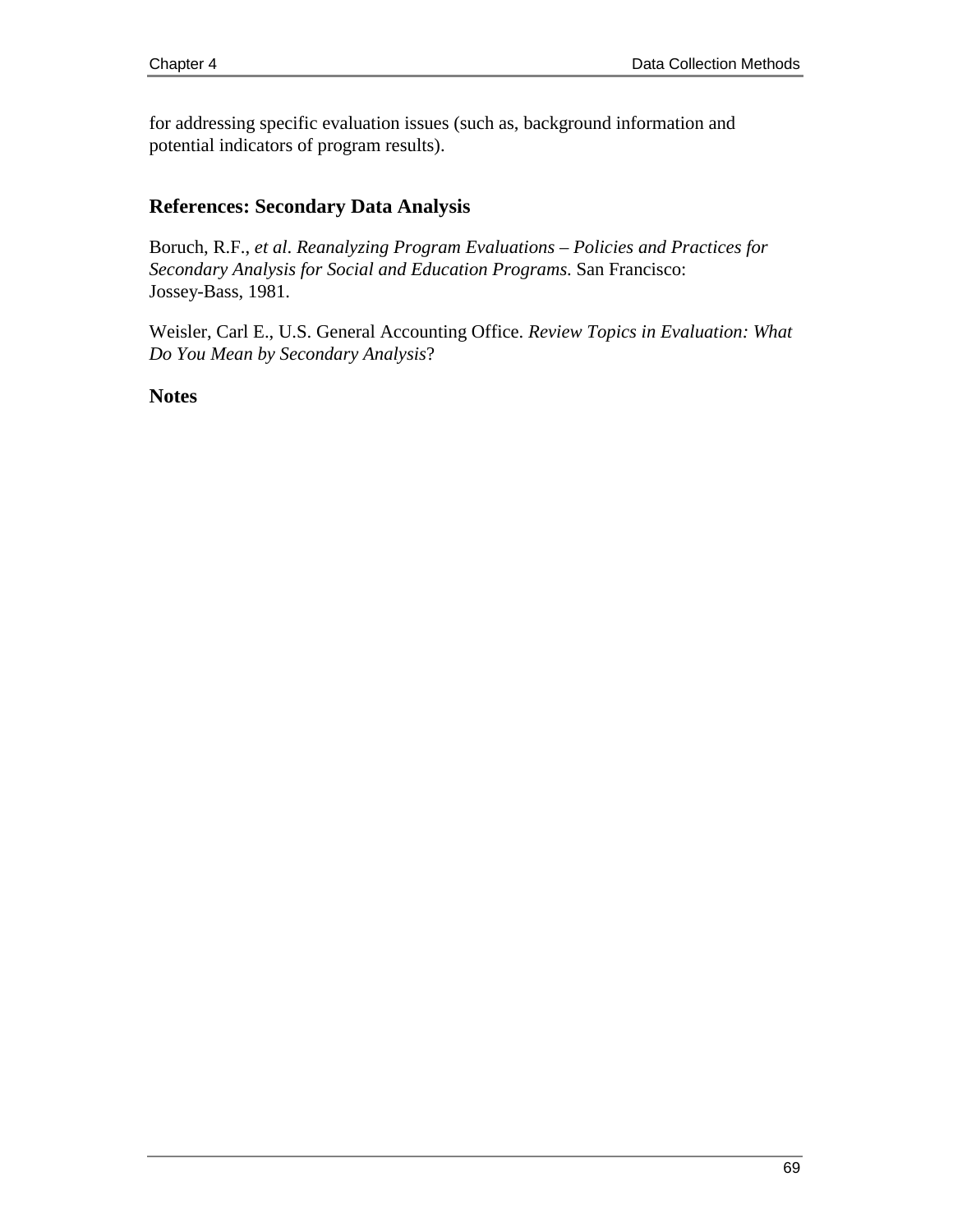for addressing specific evaluation issues (such as, background information and potential indicators of program results).

# **References: Secondary Data Analysis**

Boruch, R.F., *et al*. *Reanalyzing Program Evaluations – Policies and Practices for Secondary Analysis for Social and Education Programs*. San Francisco: Jossey-Bass, 1981.

Weisler, Carl E., U.S. General Accounting Office. *Review Topics in Evaluation: What Do You Mean by Secondary Analysis*?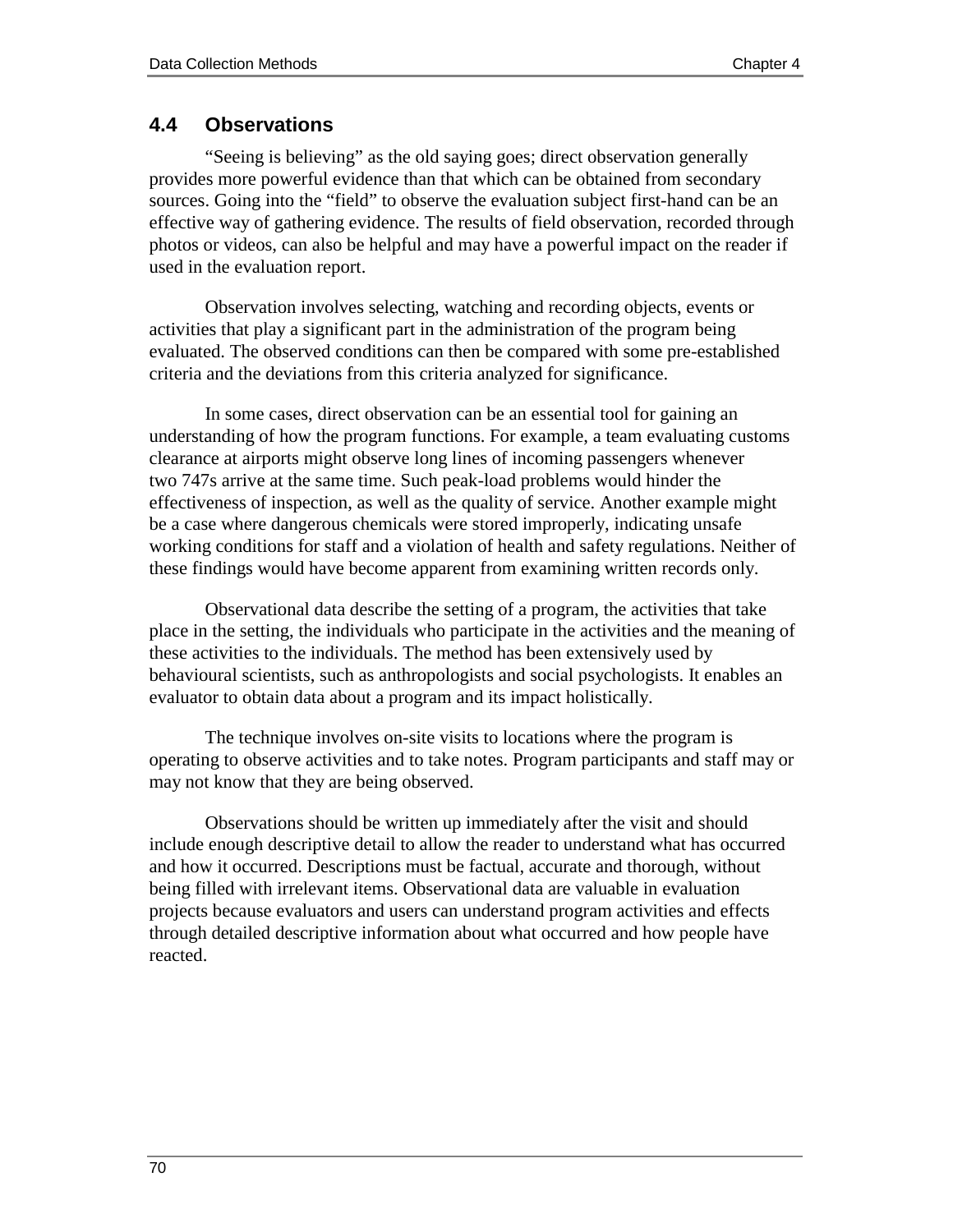# **4.4 Observations**

"Seeing is believing" as the old saying goes; direct observation generally provides more powerful evidence than that which can be obtained from secondary sources. Going into the "field" to observe the evaluation subject first-hand can be an effective way of gathering evidence. The results of field observation, recorded through photos or videos, can also be helpful and may have a powerful impact on the reader if used in the evaluation report.

Observation involves selecting, watching and recording objects, events or activities that play a significant part in the administration of the program being evaluated. The observed conditions can then be compared with some pre-established criteria and the deviations from this criteria analyzed for significance.

In some cases, direct observation can be an essential tool for gaining an understanding of how the program functions. For example, a team evaluating customs clearance at airports might observe long lines of incoming passengers whenever two 747s arrive at the same time. Such peak-load problems would hinder the effectiveness of inspection, as well as the quality of service. Another example might be a case where dangerous chemicals were stored improperly, indicating unsafe working conditions for staff and a violation of health and safety regulations. Neither of these findings would have become apparent from examining written records only.

Observational data describe the setting of a program, the activities that take place in the setting, the individuals who participate in the activities and the meaning of these activities to the individuals. The method has been extensively used by behavioural scientists, such as anthropologists and social psychologists. It enables an evaluator to obtain data about a program and its impact holistically.

The technique involves on-site visits to locations where the program is operating to observe activities and to take notes. Program participants and staff may or may not know that they are being observed.

Observations should be written up immediately after the visit and should include enough descriptive detail to allow the reader to understand what has occurred and how it occurred. Descriptions must be factual, accurate and thorough, without being filled with irrelevant items. Observational data are valuable in evaluation projects because evaluators and users can understand program activities and effects through detailed descriptive information about what occurred and how people have reacted.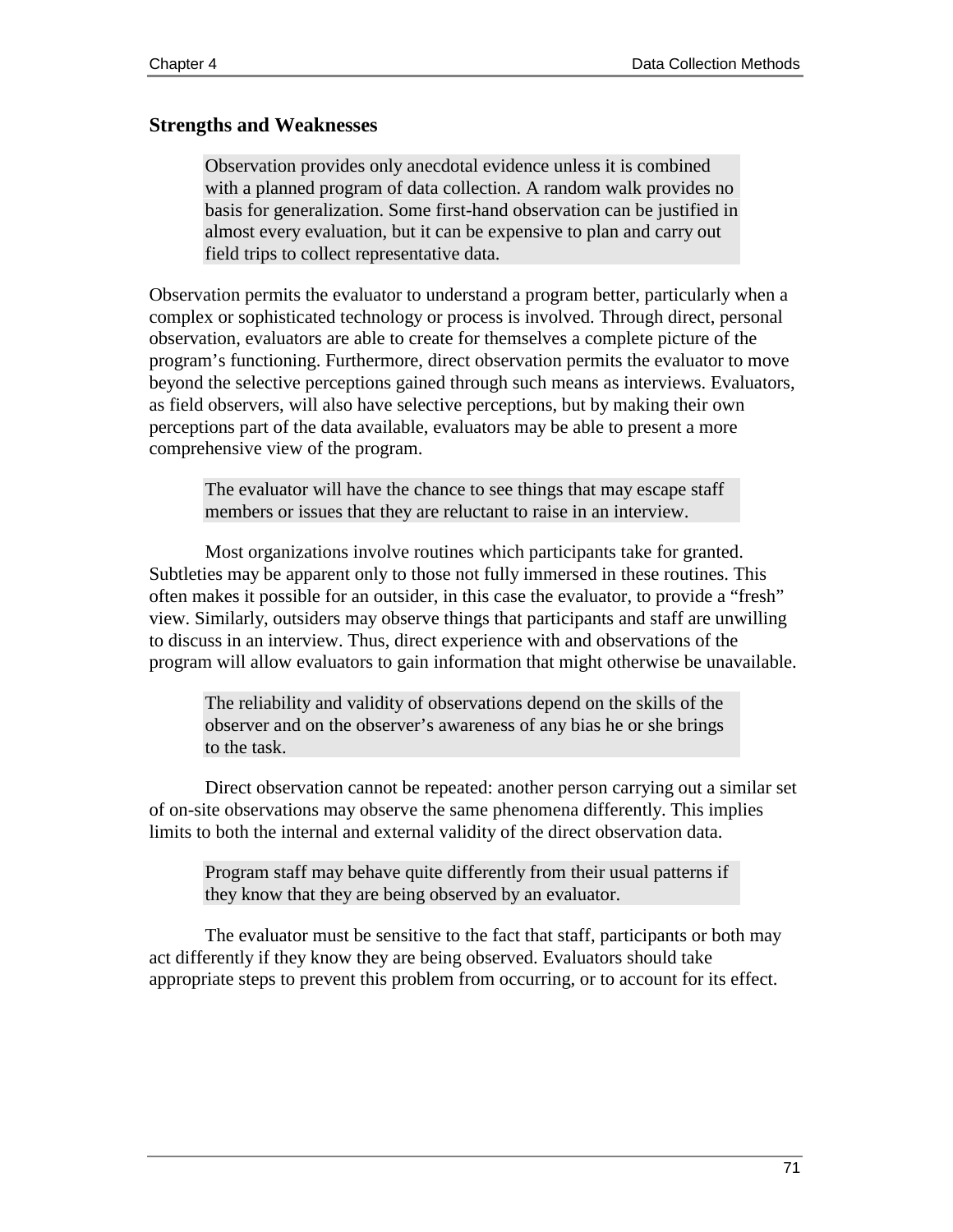#### **Strengths and Weaknesses**

Observation provides only anecdotal evidence unless it is combined with a planned program of data collection. A random walk provides no basis for generalization. Some first-hand observation can be justified in almost every evaluation, but it can be expensive to plan and carry out field trips to collect representative data.

Observation permits the evaluator to understand a program better, particularly when a complex or sophisticated technology or process is involved. Through direct, personal observation, evaluators are able to create for themselves a complete picture of the program's functioning. Furthermore, direct observation permits the evaluator to move beyond the selective perceptions gained through such means as interviews. Evaluators, as field observers, will also have selective perceptions, but by making their own perceptions part of the data available, evaluators may be able to present a more comprehensive view of the program.

The evaluator will have the chance to see things that may escape staff members or issues that they are reluctant to raise in an interview.

Most organizations involve routines which participants take for granted. Subtleties may be apparent only to those not fully immersed in these routines. This often makes it possible for an outsider, in this case the evaluator, to provide a "fresh" view. Similarly, outsiders may observe things that participants and staff are unwilling to discuss in an interview. Thus, direct experience with and observations of the program will allow evaluators to gain information that might otherwise be unavailable.

The reliability and validity of observations depend on the skills of the observer and on the observer's awareness of any bias he or she brings to the task.

Direct observation cannot be repeated: another person carrying out a similar set of on-site observations may observe the same phenomena differently. This implies limits to both the internal and external validity of the direct observation data.

Program staff may behave quite differently from their usual patterns if they know that they are being observed by an evaluator.

The evaluator must be sensitive to the fact that staff, participants or both may act differently if they know they are being observed. Evaluators should take appropriate steps to prevent this problem from occurring, or to account for its effect.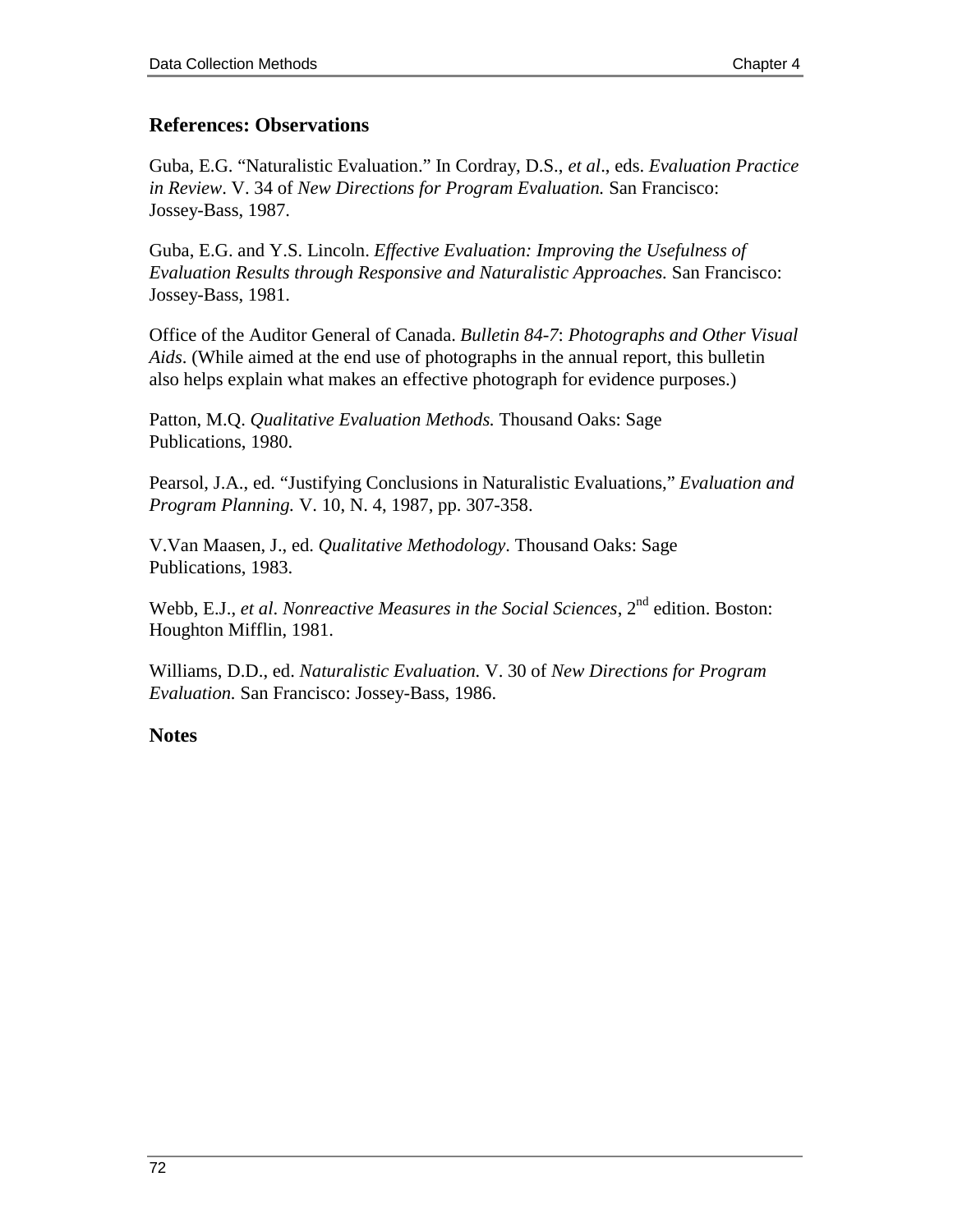## **References: Observations**

Guba, E.G. "Naturalistic Evaluation." In Cordray, D.S., *et al*., eds. *Evaluation Practice in Review*. V. 34 of *New Directions for Program Evaluation.* San Francisco: Jossey-Bass, 1987.

Guba, E.G. and Y.S. Lincoln. *Effective Evaluation: Improving the Usefulness of Evaluation Results through Responsive and Naturalistic Approaches.* San Francisco: Jossey-Bass, 1981.

Office of the Auditor General of Canada. *Bulletin 84-7*: *Photographs and Other Visual Aids*. (While aimed at the end use of photographs in the annual report, this bulletin also helps explain what makes an effective photograph for evidence purposes.)

Patton, M.Q. *Qualitative Evaluation Methods.* Thousand Oaks: Sage Publications, 1980.

Pearsol, J.A., ed. "Justifying Conclusions in Naturalistic Evaluations," *Evaluation and Program Planning.* V. 10, N. 4, 1987, pp. 307-358.

V.Van Maasen, J., ed. *Qualitative Methodology*. Thousand Oaks: Sage Publications, 1983.

Webb, E.J., *et al. Nonreactive Measures in the Social Sciences*,  $2<sup>nd</sup>$  edition. Boston: Houghton Mifflin, 1981.

Williams, D.D., ed. *Naturalistic Evaluation.* V. 30 of *New Directions for Program Evaluation.* San Francisco: Jossey-Bass, 1986.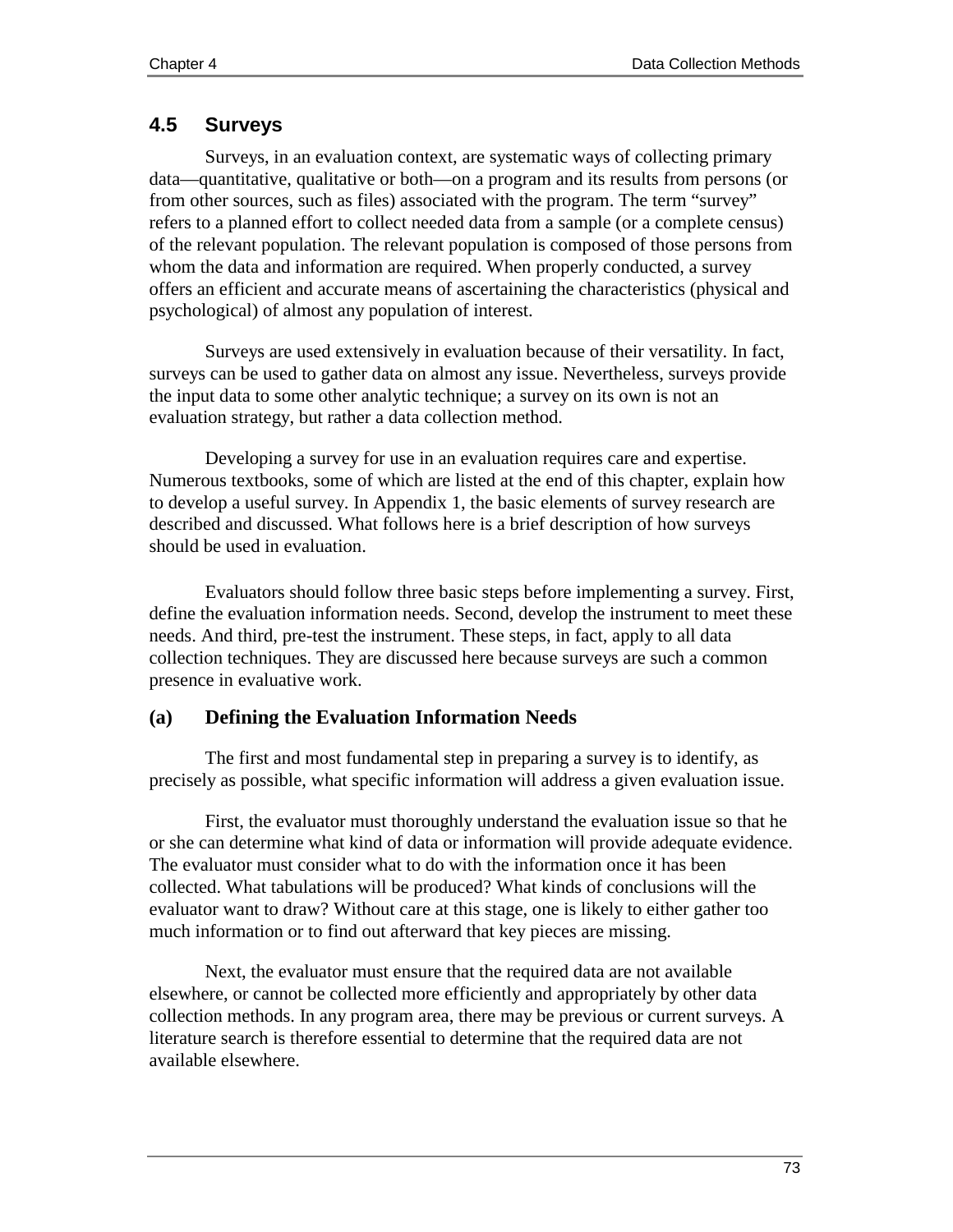# **4.5 Surveys**

Surveys, in an evaluation context, are systematic ways of collecting primary data—quantitative, qualitative or both—on a program and its results from persons (or from other sources, such as files) associated with the program. The term "survey" refers to a planned effort to collect needed data from a sample (or a complete census) of the relevant population. The relevant population is composed of those persons from whom the data and information are required. When properly conducted, a survey offers an efficient and accurate means of ascertaining the characteristics (physical and psychological) of almost any population of interest.

Surveys are used extensively in evaluation because of their versatility. In fact, surveys can be used to gather data on almost any issue. Nevertheless, surveys provide the input data to some other analytic technique; a survey on its own is not an evaluation strategy, but rather a data collection method.

Developing a survey for use in an evaluation requires care and expertise. Numerous textbooks, some of which are listed at the end of this chapter, explain how to develop a useful survey. In Appendix 1, the basic elements of survey research are described and discussed. What follows here is a brief description of how surveys should be used in evaluation.

Evaluators should follow three basic steps before implementing a survey. First, define the evaluation information needs. Second, develop the instrument to meet these needs. And third, pre-test the instrument. These steps, in fact, apply to all data collection techniques. They are discussed here because surveys are such a common presence in evaluative work.

# **(a) Defining the Evaluation Information Needs**

The first and most fundamental step in preparing a survey is to identify, as precisely as possible, what specific information will address a given evaluation issue.

First, the evaluator must thoroughly understand the evaluation issue so that he or she can determine what kind of data or information will provide adequate evidence. The evaluator must consider what to do with the information once it has been collected. What tabulations will be produced? What kinds of conclusions will the evaluator want to draw? Without care at this stage, one is likely to either gather too much information or to find out afterward that key pieces are missing.

Next, the evaluator must ensure that the required data are not available elsewhere, or cannot be collected more efficiently and appropriately by other data collection methods. In any program area, there may be previous or current surveys. A literature search is therefore essential to determine that the required data are not available elsewhere.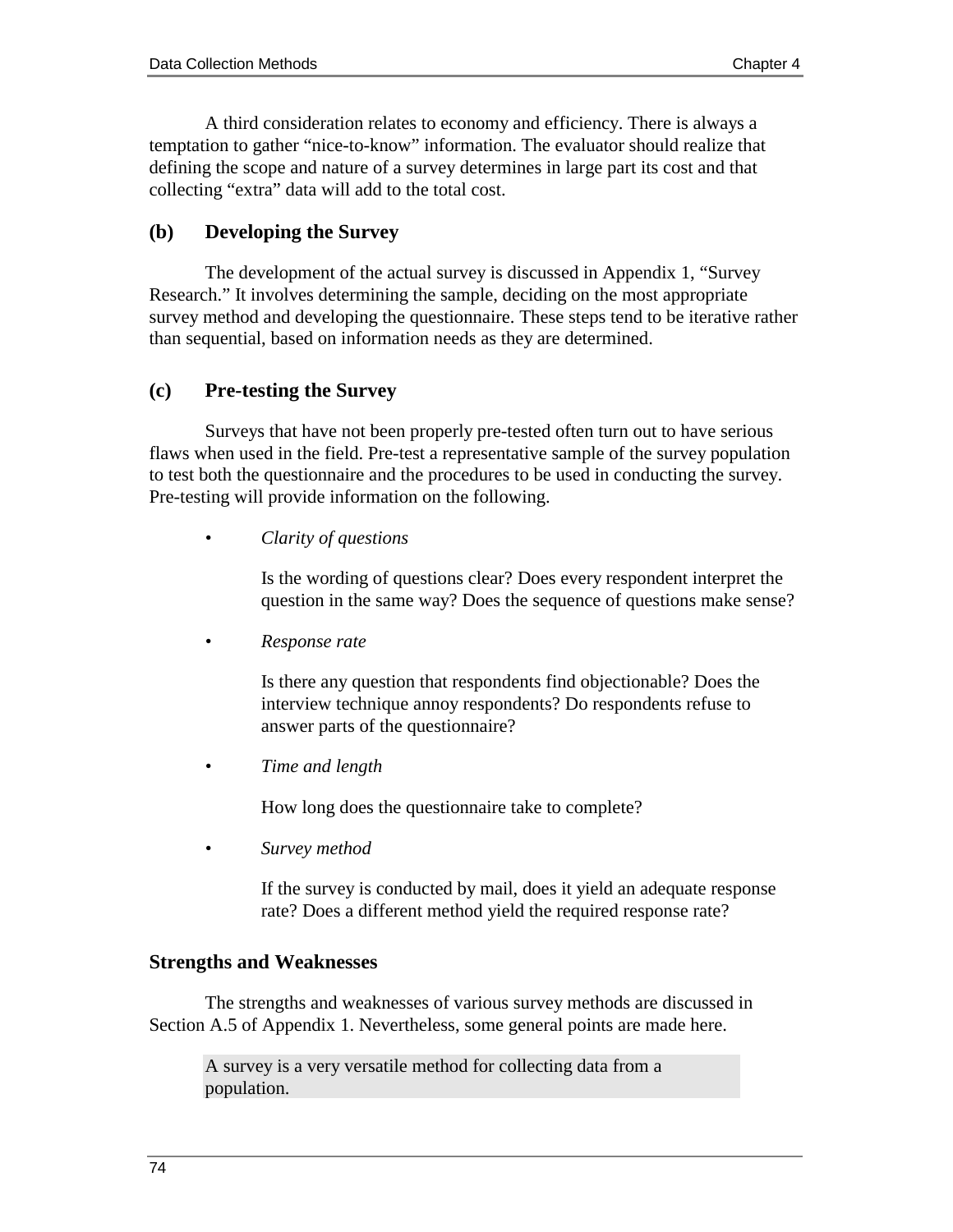A third consideration relates to economy and efficiency. There is always a temptation to gather "nice-to-know" information. The evaluator should realize that defining the scope and nature of a survey determines in large part its cost and that collecting "extra" data will add to the total cost.

## **(b) Developing the Survey**

The development of the actual survey is discussed in Appendix 1, "Survey Research." It involves determining the sample, deciding on the most appropriate survey method and developing the questionnaire. These steps tend to be iterative rather than sequential, based on information needs as they are determined.

## **(c) Pre-testing the Survey**

Surveys that have not been properly pre-tested often turn out to have serious flaws when used in the field. Pre-test a representative sample of the survey population to test both the questionnaire and the procedures to be used in conducting the survey. Pre-testing will provide information on the following.

*• Clarity of questions*

Is the wording of questions clear? Does every respondent interpret the question in the same way? Does the sequence of questions make sense?

*• Response rate*

Is there any question that respondents find objectionable? Does the interview technique annoy respondents? Do respondents refuse to answer parts of the questionnaire?

*• Time and length*

How long does the questionnaire take to complete?

*• Survey method*

If the survey is conducted by mail, does it yield an adequate response rate? Does a different method yield the required response rate?

#### **Strengths and Weaknesses**

The strengths and weaknesses of various survey methods are discussed in Section A.5 of Appendix 1. Nevertheless, some general points are made here.

A survey is a very versatile method for collecting data from a population.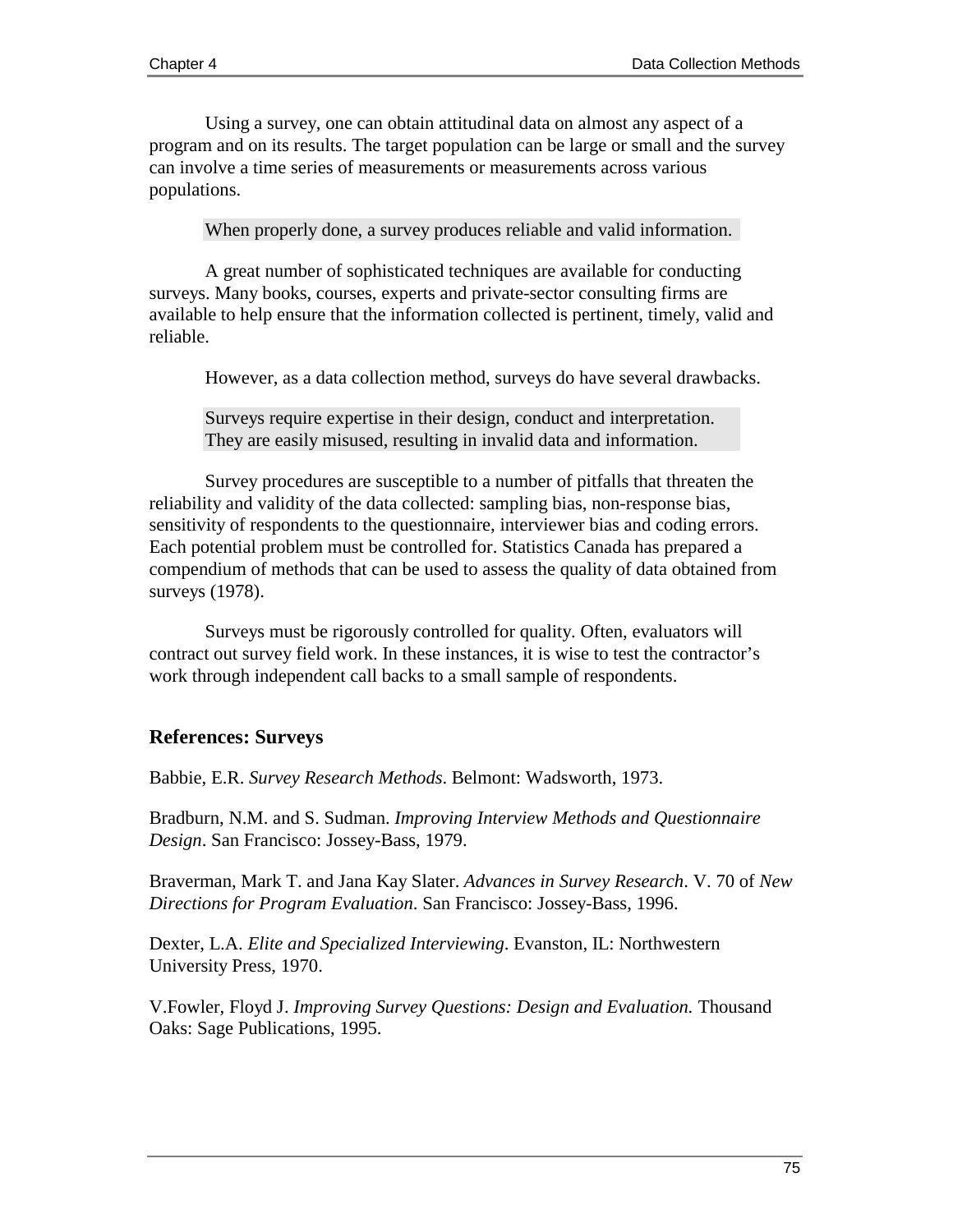Using a survey, one can obtain attitudinal data on almost any aspect of a program and on its results. The target population can be large or small and the survey can involve a time series of measurements or measurements across various populations.

When properly done, a survey produces reliable and valid information.

A great number of sophisticated techniques are available for conducting surveys. Many books, courses, experts and private-sector consulting firms are available to help ensure that the information collected is pertinent, timely, valid and reliable.

However, as a data collection method, surveys do have several drawbacks.

Surveys require expertise in their design, conduct and interpretation. They are easily misused, resulting in invalid data and information.

Survey procedures are susceptible to a number of pitfalls that threaten the reliability and validity of the data collected: sampling bias, non-response bias, sensitivity of respondents to the questionnaire, interviewer bias and coding errors. Each potential problem must be controlled for. Statistics Canada has prepared a compendium of methods that can be used to assess the quality of data obtained from surveys (1978).

Surveys must be rigorously controlled for quality. Often, evaluators will contract out survey field work. In these instances, it is wise to test the contractor's work through independent call backs to a small sample of respondents.

#### **References: Surveys**

Babbie, E.R. *Survey Research Methods*. Belmont: Wadsworth, 1973.

Bradburn, N.M. and S. Sudman. *Improving Interview Methods and Questionnaire Design*. San Francisco: Jossey-Bass, 1979.

Braverman, Mark T. and Jana Kay Slater. *Advances in Survey Research*. V. 70 of *New Directions for Program Evaluation*. San Francisco: Jossey-Bass, 1996.

Dexter, L.A. *Elite and Specialized Interviewing*. Evanston, IL: Northwestern University Press, 1970.

V.Fowler, Floyd J. *Improving Survey Questions: Design and Evaluation.* Thousand Oaks: Sage Publications, 1995.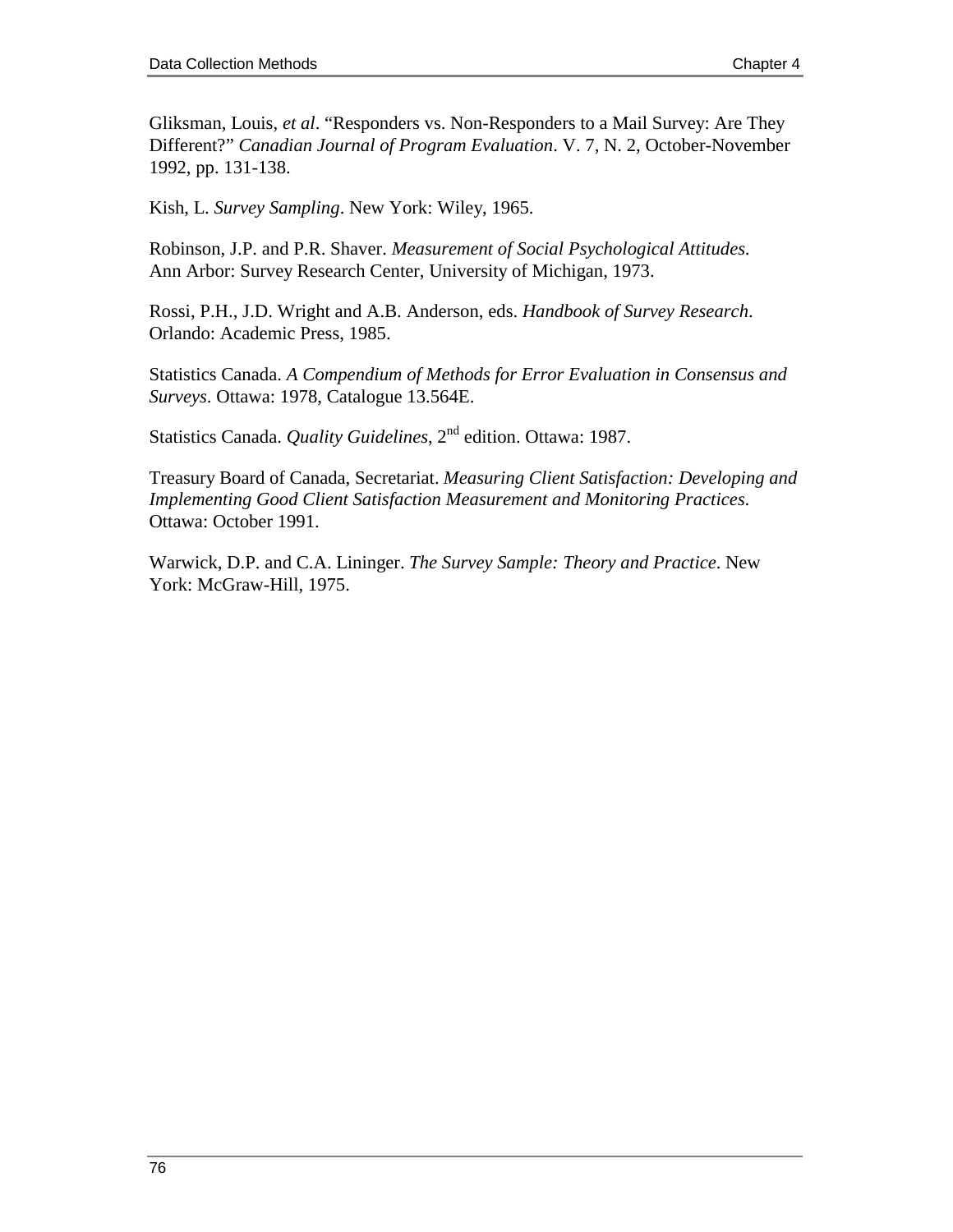Gliksman, Louis, *et al*. "Responders vs. Non-Responders to a Mail Survey: Are They Different?" *Canadian Journal of Program Evaluation*. V. 7, N. 2, October-November 1992, pp. 131-138.

Kish, L. *Survey Sampling*. New York: Wiley, 1965.

Robinson, J.P. and P.R. Shaver. *Measurement of Social Psychological Attitudes*. Ann Arbor: Survey Research Center, University of Michigan, 1973.

Rossi, P.H., J.D. Wright and A.B. Anderson, eds. *Handbook of Survey Research*. Orlando: Academic Press, 1985.

Statistics Canada. *A Compendium of Methods for Error Evaluation in Consensus and Surveys*. Ottawa: 1978, Catalogue 13.564E.

Statistics Canada. *Quality Guidelines*, 2<sup>nd</sup> edition. Ottawa: 1987.

Treasury Board of Canada, Secretariat. *Measuring Client Satisfaction: Developing and Implementing Good Client Satisfaction Measurement and Monitoring Practices*. Ottawa: October 1991.

Warwick, D.P. and C.A. Lininger. *The Survey Sample: Theory and Practice*. New York: McGraw-Hill, 1975.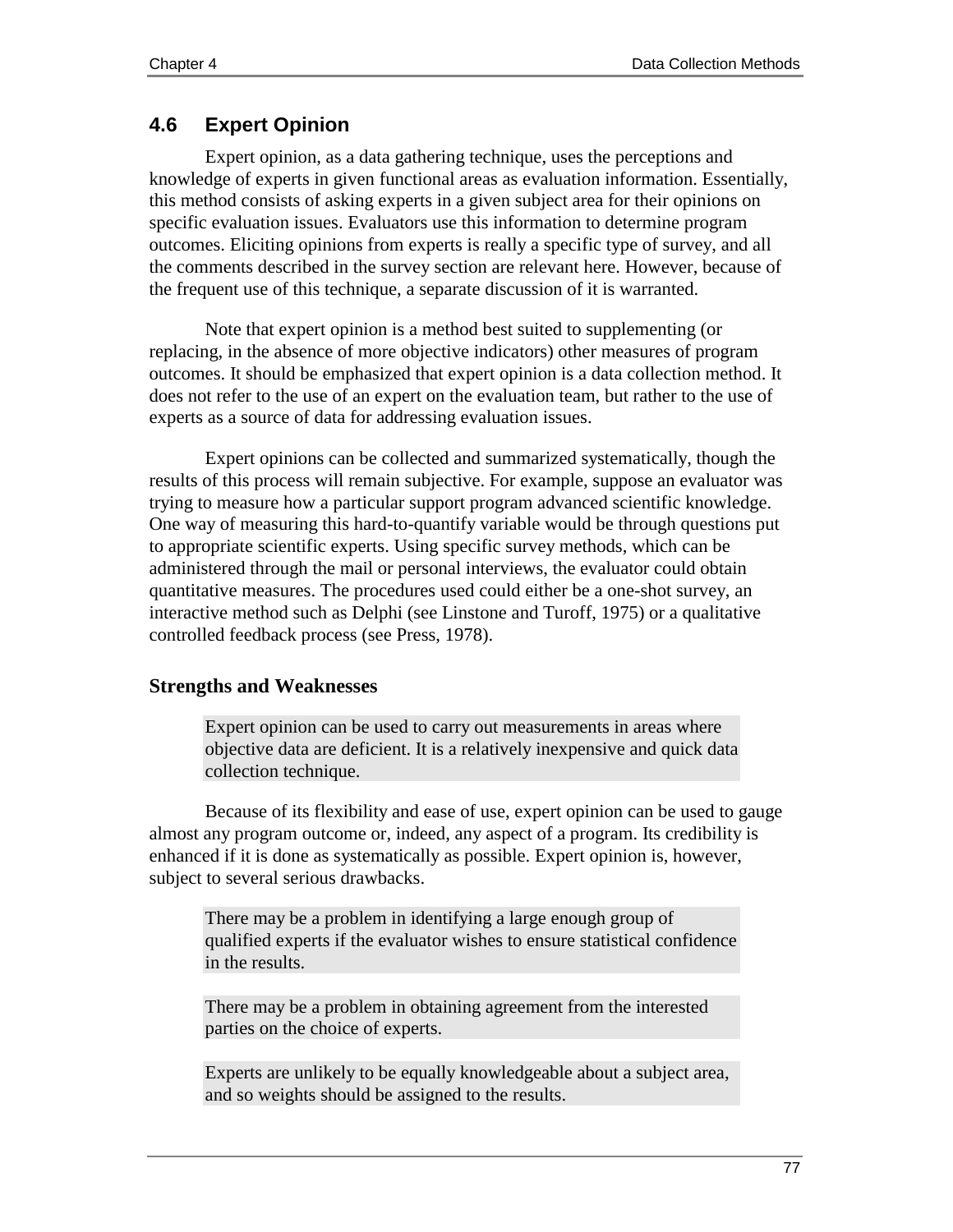# **4.6 Expert Opinion**

Expert opinion, as a data gathering technique, uses the perceptions and knowledge of experts in given functional areas as evaluation information. Essentially, this method consists of asking experts in a given subject area for their opinions on specific evaluation issues. Evaluators use this information to determine program outcomes. Eliciting opinions from experts is really a specific type of survey, and all the comments described in the survey section are relevant here. However, because of the frequent use of this technique, a separate discussion of it is warranted.

Note that expert opinion is a method best suited to supplementing (or replacing, in the absence of more objective indicators) other measures of program outcomes. It should be emphasized that expert opinion is a data collection method. It does not refer to the use of an expert on the evaluation team, but rather to the use of experts as a source of data for addressing evaluation issues.

Expert opinions can be collected and summarized systematically, though the results of this process will remain subjective. For example, suppose an evaluator was trying to measure how a particular support program advanced scientific knowledge. One way of measuring this hard-to-quantify variable would be through questions put to appropriate scientific experts. Using specific survey methods, which can be administered through the mail or personal interviews, the evaluator could obtain quantitative measures. The procedures used could either be a one-shot survey, an interactive method such as Delphi (see Linstone and Turoff, 1975) or a qualitative controlled feedback process (see Press, 1978).

# **Strengths and Weaknesses**

Expert opinion can be used to carry out measurements in areas where objective data are deficient. It is a relatively inexpensive and quick data collection technique.

Because of its flexibility and ease of use, expert opinion can be used to gauge almost any program outcome or, indeed, any aspect of a program. Its credibility is enhanced if it is done as systematically as possible. Expert opinion is, however, subject to several serious drawbacks.

There may be a problem in identifying a large enough group of qualified experts if the evaluator wishes to ensure statistical confidence in the results.

There may be a problem in obtaining agreement from the interested parties on the choice of experts.

Experts are unlikely to be equally knowledgeable about a subject area, and so weights should be assigned to the results.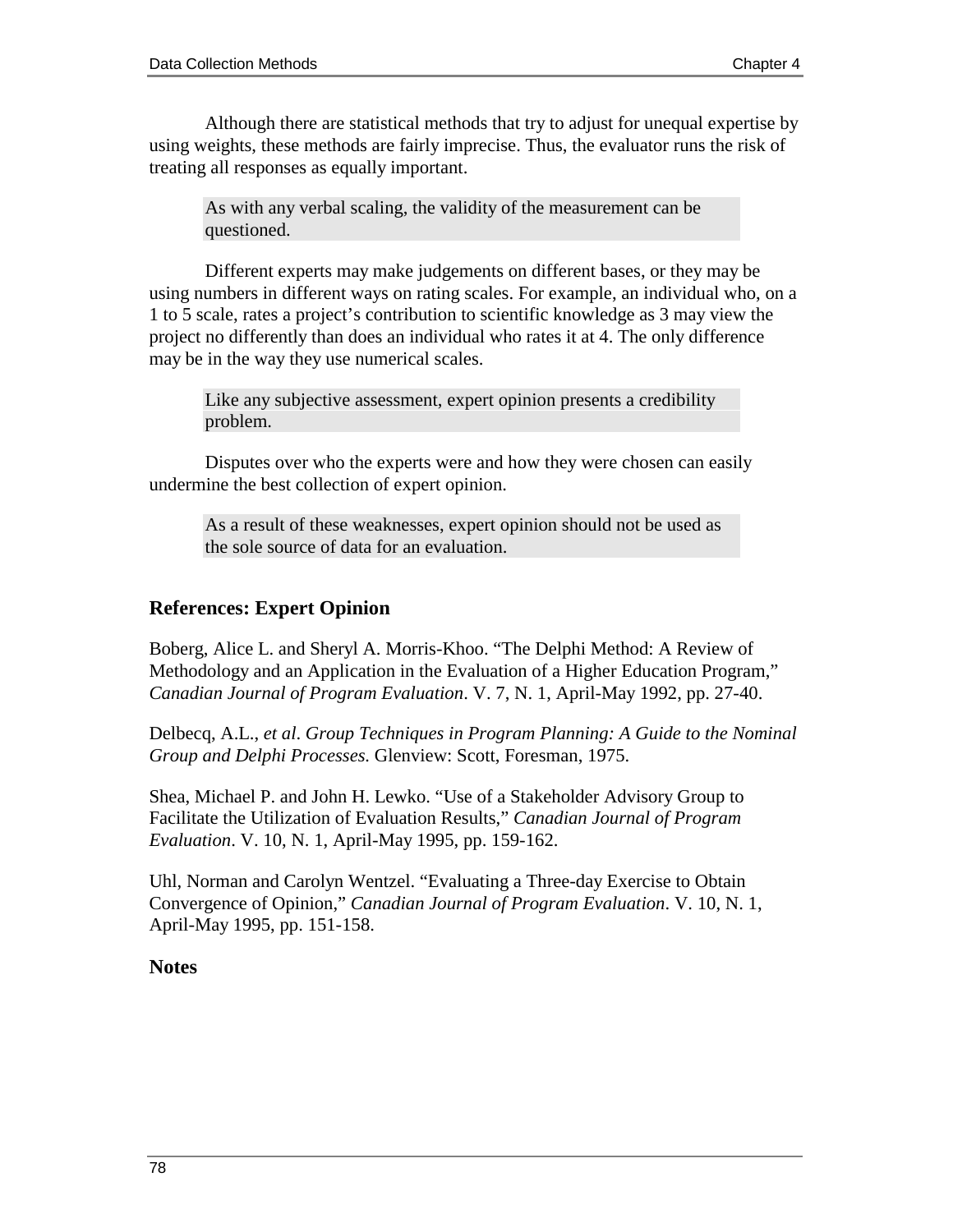Although there are statistical methods that try to adjust for unequal expertise by using weights, these methods are fairly imprecise. Thus, the evaluator runs the risk of treating all responses as equally important.

As with any verbal scaling, the validity of the measurement can be questioned.

Different experts may make judgements on different bases, or they may be using numbers in different ways on rating scales. For example, an individual who, on a 1 to 5 scale, rates a project's contribution to scientific knowledge as 3 may view the project no differently than does an individual who rates it at 4. The only difference may be in the way they use numerical scales.

Like any subjective assessment, expert opinion presents a credibility problem.

Disputes over who the experts were and how they were chosen can easily undermine the best collection of expert opinion.

As a result of these weaknesses, expert opinion should not be used as the sole source of data for an evaluation.

# **References: Expert Opinion**

Boberg, Alice L. and Sheryl A. Morris-Khoo. "The Delphi Method: A Review of Methodology and an Application in the Evaluation of a Higher Education Program," *Canadian Journal of Program Evaluation*. V. 7, N. 1, April-May 1992, pp. 27-40.

Delbecq, A.L., *et al*. *Group Techniques in Program Planning: A Guide to the Nominal Group and Delphi Processes.* Glenview: Scott, Foresman, 1975.

Shea, Michael P. and John H. Lewko. "Use of a Stakeholder Advisory Group to Facilitate the Utilization of Evaluation Results," *Canadian Journal of Program Evaluation*. V. 10, N. 1, April-May 1995, pp. 159-162.

Uhl, Norman and Carolyn Wentzel. "Evaluating a Three-day Exercise to Obtain Convergence of Opinion," *Canadian Journal of Program Evaluation*. V. 10, N. 1, April-May 1995, pp. 151-158.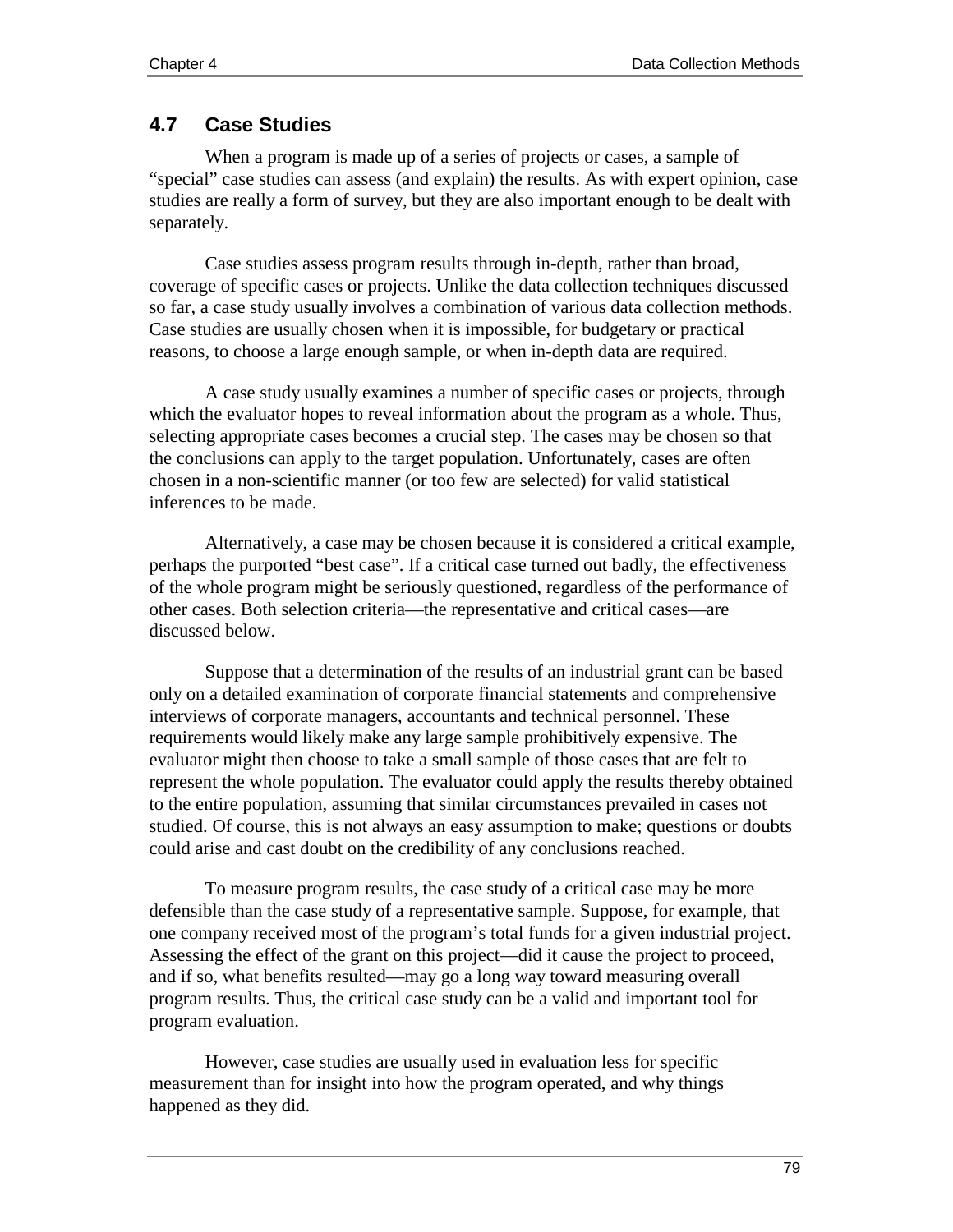# **4.7 Case Studies**

When a program is made up of a series of projects or cases, a sample of "special" case studies can assess (and explain) the results. As with expert opinion, case studies are really a form of survey, but they are also important enough to be dealt with separately.

Case studies assess program results through in-depth, rather than broad, coverage of specific cases or projects. Unlike the data collection techniques discussed so far, a case study usually involves a combination of various data collection methods. Case studies are usually chosen when it is impossible, for budgetary or practical reasons, to choose a large enough sample, or when in-depth data are required.

A case study usually examines a number of specific cases or projects, through which the evaluator hopes to reveal information about the program as a whole. Thus, selecting appropriate cases becomes a crucial step. The cases may be chosen so that the conclusions can apply to the target population. Unfortunately, cases are often chosen in a non-scientific manner (or too few are selected) for valid statistical inferences to be made.

Alternatively, a case may be chosen because it is considered a critical example, perhaps the purported "best case". If a critical case turned out badly, the effectiveness of the whole program might be seriously questioned, regardless of the performance of other cases. Both selection criteria—the representative and critical cases—are discussed below.

Suppose that a determination of the results of an industrial grant can be based only on a detailed examination of corporate financial statements and comprehensive interviews of corporate managers, accountants and technical personnel. These requirements would likely make any large sample prohibitively expensive. The evaluator might then choose to take a small sample of those cases that are felt to represent the whole population. The evaluator could apply the results thereby obtained to the entire population, assuming that similar circumstances prevailed in cases not studied. Of course, this is not always an easy assumption to make; questions or doubts could arise and cast doubt on the credibility of any conclusions reached.

To measure program results, the case study of a critical case may be more defensible than the case study of a representative sample. Suppose, for example, that one company received most of the program's total funds for a given industrial project. Assessing the effect of the grant on this project—did it cause the project to proceed, and if so, what benefits resulted—may go a long way toward measuring overall program results. Thus, the critical case study can be a valid and important tool for program evaluation.

However, case studies are usually used in evaluation less for specific measurement than for insight into how the program operated, and why things happened as they did.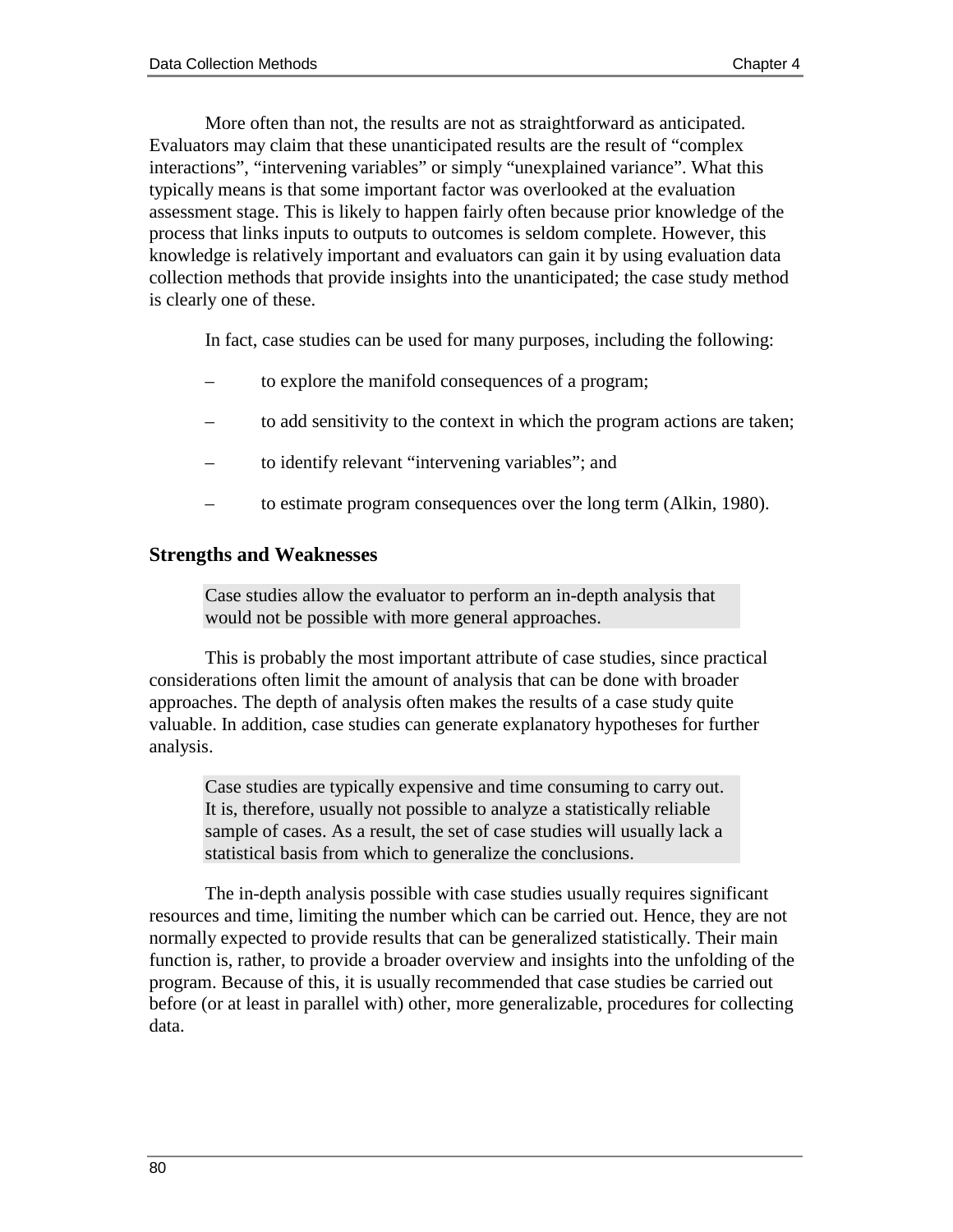More often than not, the results are not as straightforward as anticipated. Evaluators may claim that these unanticipated results are the result of "complex interactions", "intervening variables" or simply "unexplained variance". What this typically means is that some important factor was overlooked at the evaluation assessment stage. This is likely to happen fairly often because prior knowledge of the process that links inputs to outputs to outcomes is seldom complete. However, this knowledge is relatively important and evaluators can gain it by using evaluation data collection methods that provide insights into the unanticipated; the case study method is clearly one of these.

In fact, case studies can be used for many purposes, including the following:

- to explore the manifold consequences of a program;
- to add sensitivity to the context in which the program actions are taken;
- to identify relevant "intervening variables"; and
- to estimate program consequences over the long term (Alkin, 1980).

#### **Strengths and Weaknesses**

Case studies allow the evaluator to perform an in-depth analysis that would not be possible with more general approaches.

This is probably the most important attribute of case studies, since practical considerations often limit the amount of analysis that can be done with broader approaches. The depth of analysis often makes the results of a case study quite valuable. In addition, case studies can generate explanatory hypotheses for further analysis.

Case studies are typically expensive and time consuming to carry out. It is, therefore, usually not possible to analyze a statistically reliable sample of cases. As a result, the set of case studies will usually lack a statistical basis from which to generalize the conclusions.

The in-depth analysis possible with case studies usually requires significant resources and time, limiting the number which can be carried out. Hence, they are not normally expected to provide results that can be generalized statistically. Their main function is, rather, to provide a broader overview and insights into the unfolding of the program. Because of this, it is usually recommended that case studies be carried out before (or at least in parallel with) other, more generalizable, procedures for collecting data.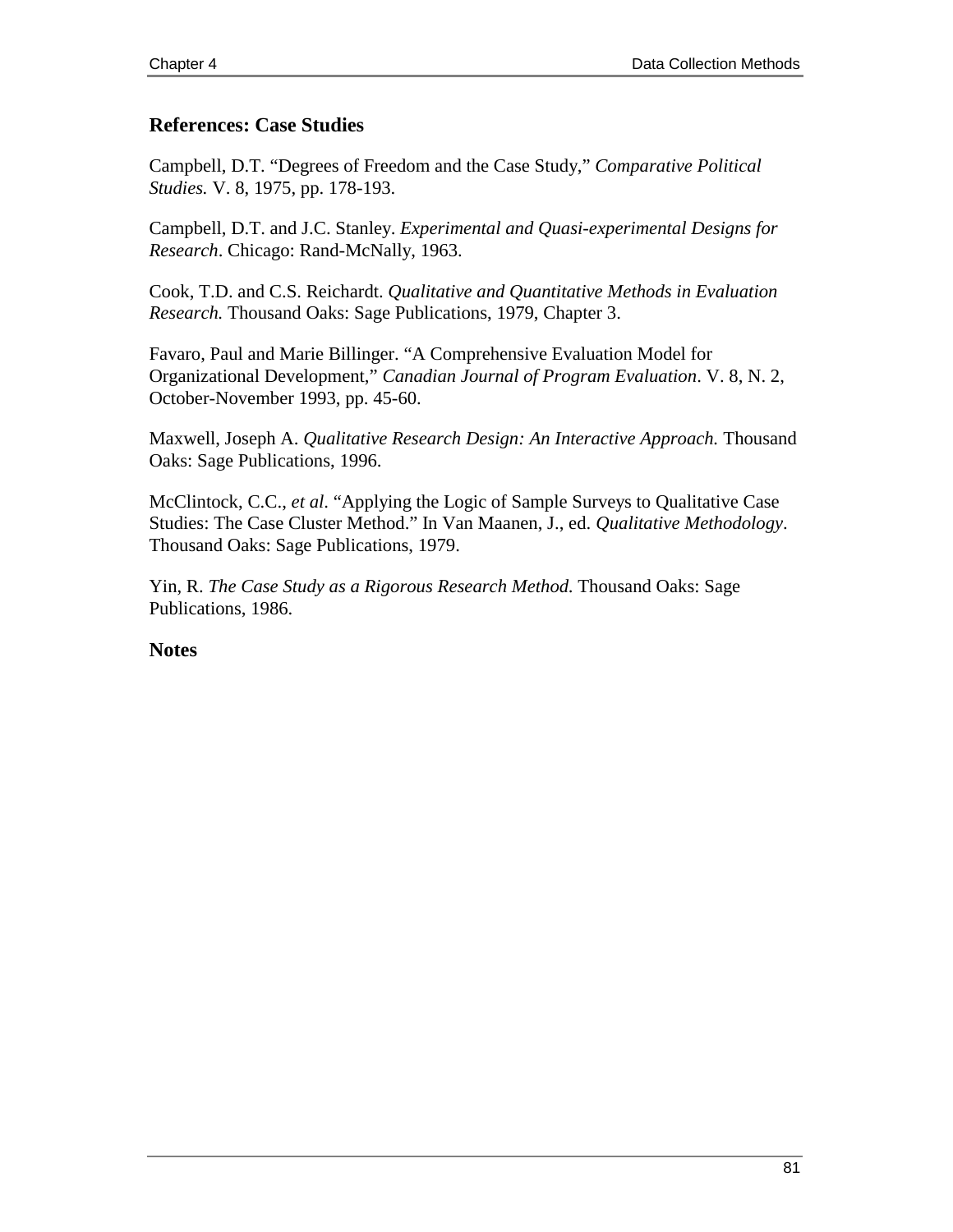# **References: Case Studies**

Campbell, D.T. "Degrees of Freedom and the Case Study," *Comparative Political Studies.* V. 8, 1975, pp. 178-193.

Campbell, D.T. and J.C. Stanley. *Experimental and Quasi-experimental Designs for Research*. Chicago: Rand-McNally, 1963.

Cook, T.D. and C.S. Reichardt. *Qualitative and Quantitative Methods in Evaluation Research.* Thousand Oaks: Sage Publications, 1979, Chapter 3.

Favaro, Paul and Marie Billinger. "A Comprehensive Evaluation Model for Organizational Development," *Canadian Journal of Program Evaluation*. V. 8, N. 2, October-November 1993, pp. 45-60.

Maxwell, Joseph A. *Qualitative Research Design: An Interactive Approach.* Thousand Oaks: Sage Publications, 1996.

McClintock, C.C., *et al*. "Applying the Logic of Sample Surveys to Qualitative Case Studies: The Case Cluster Method." In Van Maanen, J., ed. *Qualitative Methodology*. Thousand Oaks: Sage Publications, 1979.

Yin, R. *The Case Study as a Rigorous Research Method*. Thousand Oaks: Sage Publications, 1986.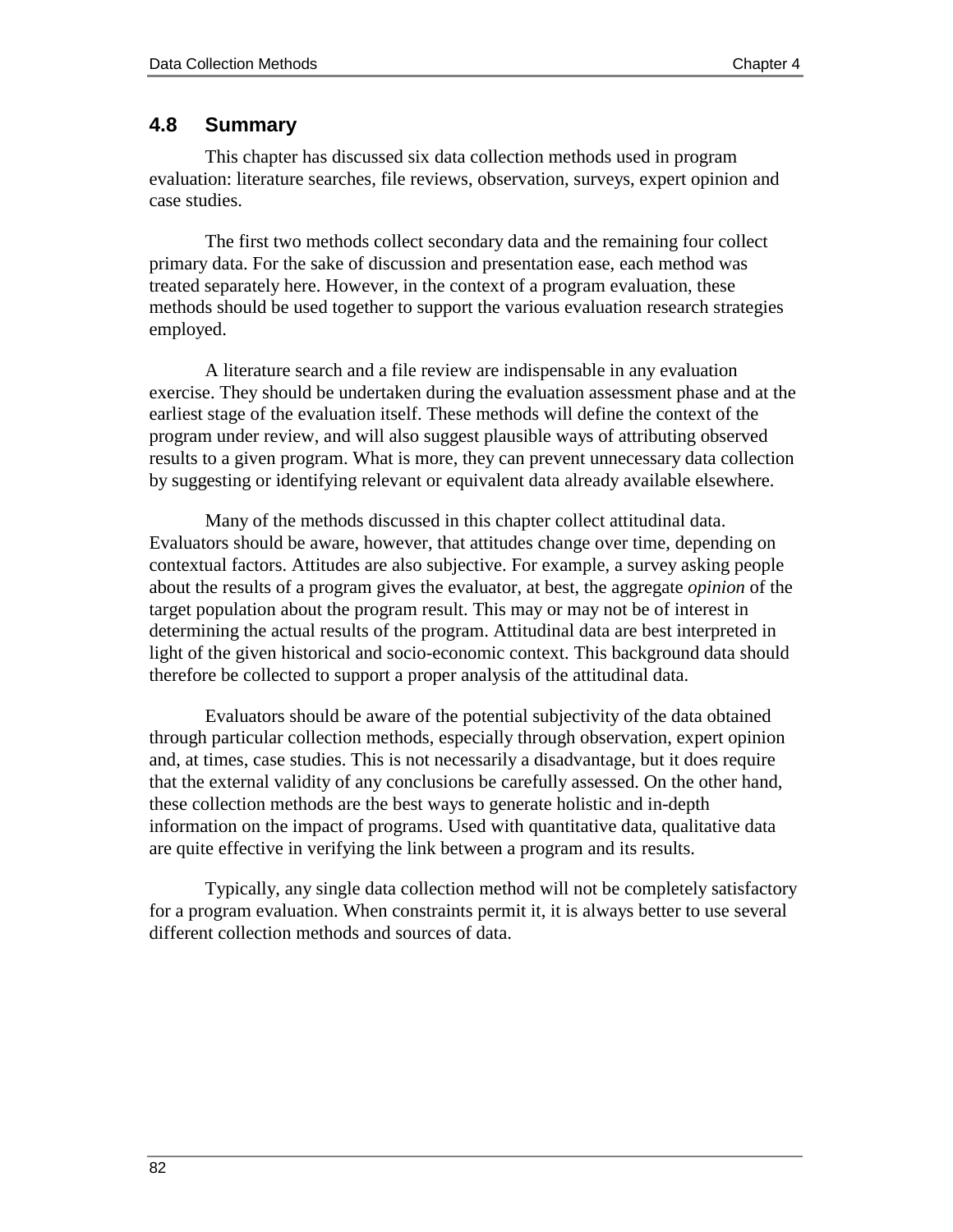#### **4.8 Summary**

This chapter has discussed six data collection methods used in program evaluation: literature searches, file reviews, observation, surveys, expert opinion and case studies.

The first two methods collect secondary data and the remaining four collect primary data. For the sake of discussion and presentation ease, each method was treated separately here. However, in the context of a program evaluation, these methods should be used together to support the various evaluation research strategies employed.

A literature search and a file review are indispensable in any evaluation exercise. They should be undertaken during the evaluation assessment phase and at the earliest stage of the evaluation itself. These methods will define the context of the program under review, and will also suggest plausible ways of attributing observed results to a given program. What is more, they can prevent unnecessary data collection by suggesting or identifying relevant or equivalent data already available elsewhere.

Many of the methods discussed in this chapter collect attitudinal data. Evaluators should be aware, however, that attitudes change over time, depending on contextual factors. Attitudes are also subjective. For example, a survey asking people about the results of a program gives the evaluator, at best, the aggregate *opinion* of the target population about the program result. This may or may not be of interest in determining the actual results of the program. Attitudinal data are best interpreted in light of the given historical and socio-economic context. This background data should therefore be collected to support a proper analysis of the attitudinal data.

Evaluators should be aware of the potential subjectivity of the data obtained through particular collection methods, especially through observation, expert opinion and, at times, case studies. This is not necessarily a disadvantage, but it does require that the external validity of any conclusions be carefully assessed. On the other hand, these collection methods are the best ways to generate holistic and in-depth information on the impact of programs. Used with quantitative data, qualitative data are quite effective in verifying the link between a program and its results.

Typically, any single data collection method will not be completely satisfactory for a program evaluation. When constraints permit it, it is always better to use several different collection methods and sources of data.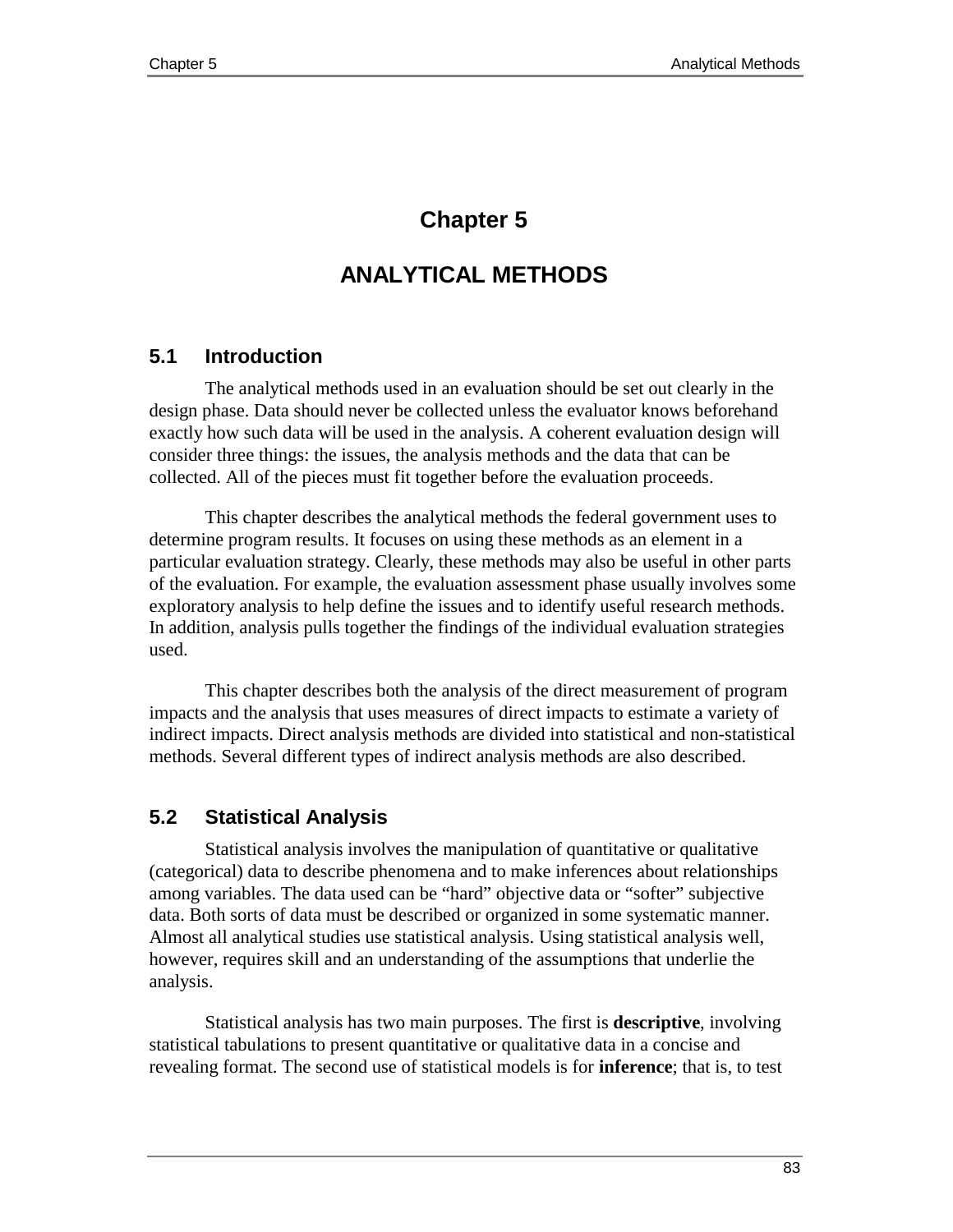# **Chapter 5**

# **ANALYTICAL METHODS**

# **5.1 Introduction**

The analytical methods used in an evaluation should be set out clearly in the design phase. Data should never be collected unless the evaluator knows beforehand exactly how such data will be used in the analysis. A coherent evaluation design will consider three things: the issues, the analysis methods and the data that can be collected. All of the pieces must fit together before the evaluation proceeds.

This chapter describes the analytical methods the federal government uses to determine program results. It focuses on using these methods as an element in a particular evaluation strategy. Clearly, these methods may also be useful in other parts of the evaluation. For example, the evaluation assessment phase usually involves some exploratory analysis to help define the issues and to identify useful research methods. In addition, analysis pulls together the findings of the individual evaluation strategies used.

This chapter describes both the analysis of the direct measurement of program impacts and the analysis that uses measures of direct impacts to estimate a variety of indirect impacts. Direct analysis methods are divided into statistical and non-statistical methods. Several different types of indirect analysis methods are also described.

# **5.2 Statistical Analysis**

Statistical analysis involves the manipulation of quantitative or qualitative (categorical) data to describe phenomena and to make inferences about relationships among variables. The data used can be "hard" objective data or "softer" subjective data. Both sorts of data must be described or organized in some systematic manner. Almost all analytical studies use statistical analysis. Using statistical analysis well, however, requires skill and an understanding of the assumptions that underlie the analysis.

Statistical analysis has two main purposes. The first is **descriptive**, involving statistical tabulations to present quantitative or qualitative data in a concise and revealing format. The second use of statistical models is for **inference**; that is, to test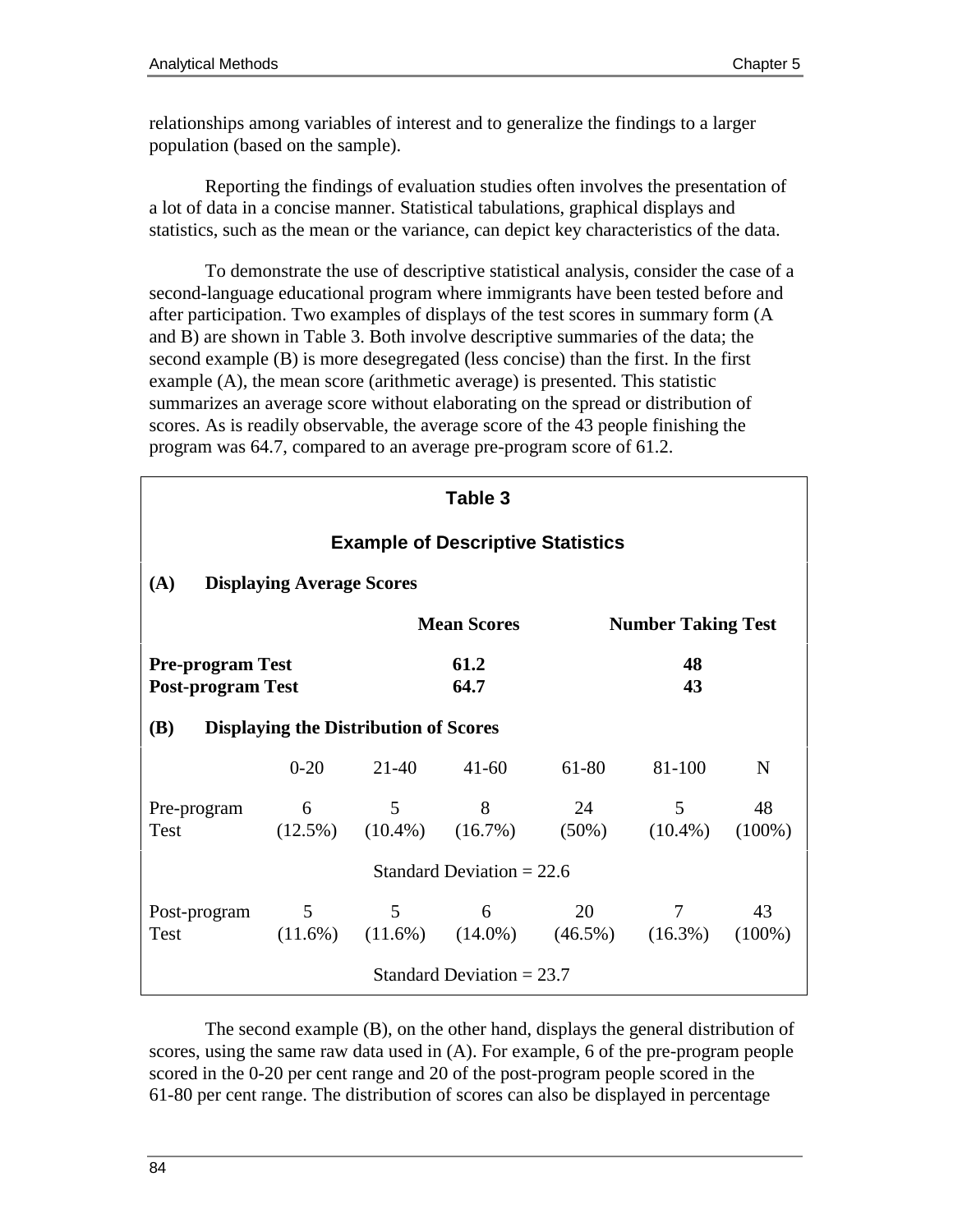relationships among variables of interest and to generalize the findings to a larger population (based on the sample).

Reporting the findings of evaluation studies often involves the presentation of a lot of data in a concise manner. Statistical tabulations, graphical displays and statistics, such as the mean or the variance, can depict key characteristics of the data.

To demonstrate the use of descriptive statistical analysis, consider the case of a second-language educational program where immigrants have been tested before and after participation. Two examples of displays of the test scores in summary form (A and B) are shown in Table 3. Both involve descriptive summaries of the data; the second example (B) is more desegregated (less concise) than the first. In the first example (A), the mean score (arithmetic average) is presented. This statistic summarizes an average score without elaborating on the spread or distribution of scores. As is readily observable, the average score of the 43 people finishing the program was 64.7, compared to an average pre-program score of 61.2.

| Table 3                                                                         |                                  |              |                    |                                                                          |                           |                 |
|---------------------------------------------------------------------------------|----------------------------------|--------------|--------------------|--------------------------------------------------------------------------|---------------------------|-----------------|
| <b>Example of Descriptive Statistics</b>                                        |                                  |              |                    |                                                                          |                           |                 |
| (A)                                                                             | <b>Displaying Average Scores</b> |              |                    |                                                                          |                           |                 |
|                                                                                 |                                  |              | <b>Mean Scores</b> |                                                                          | <b>Number Taking Test</b> |                 |
| 61.2<br>48<br><b>Pre-program Test</b><br><b>Post-program Test</b><br>64.7<br>43 |                                  |              |                    |                                                                          |                           |                 |
| <b>Displaying the Distribution of Scores</b><br><b>(B)</b>                      |                                  |              |                    |                                                                          |                           |                 |
|                                                                                 |                                  | $0-20$ 21-40 | $41 - 60$          | 61-80                                                                    | 81-100                    | N               |
| Pre-program 6 5 8<br><b>Test</b>                                                |                                  |              |                    | 24<br>$(12.5\%)$ $(10.4\%)$ $(16.7\%)$ $(50\%)$ $(10.4\%)$ $(100\%)$     | 5 <sup>5</sup>            | 48              |
| Standard Deviation = $22.6$                                                     |                                  |              |                    |                                                                          |                           |                 |
| Post-program<br><b>Test</b>                                                     | 5 <sup>5</sup>                   |              |                    | $5 \t 6 \t 20$<br>$(11.6\%)$ $(11.6\%)$ $(14.0\%)$ $(46.5\%)$ $(16.3\%)$ | $7\overline{ }$           | 43<br>$(100\%)$ |
| Standard Deviation $= 23.7$                                                     |                                  |              |                    |                                                                          |                           |                 |

The second example (B), on the other hand, displays the general distribution of scores, using the same raw data used in (A). For example, 6 of the pre-program people scored in the 0-20 per cent range and 20 of the post-program people scored in the 61-80 per cent range. The distribution of scores can also be displayed in percentage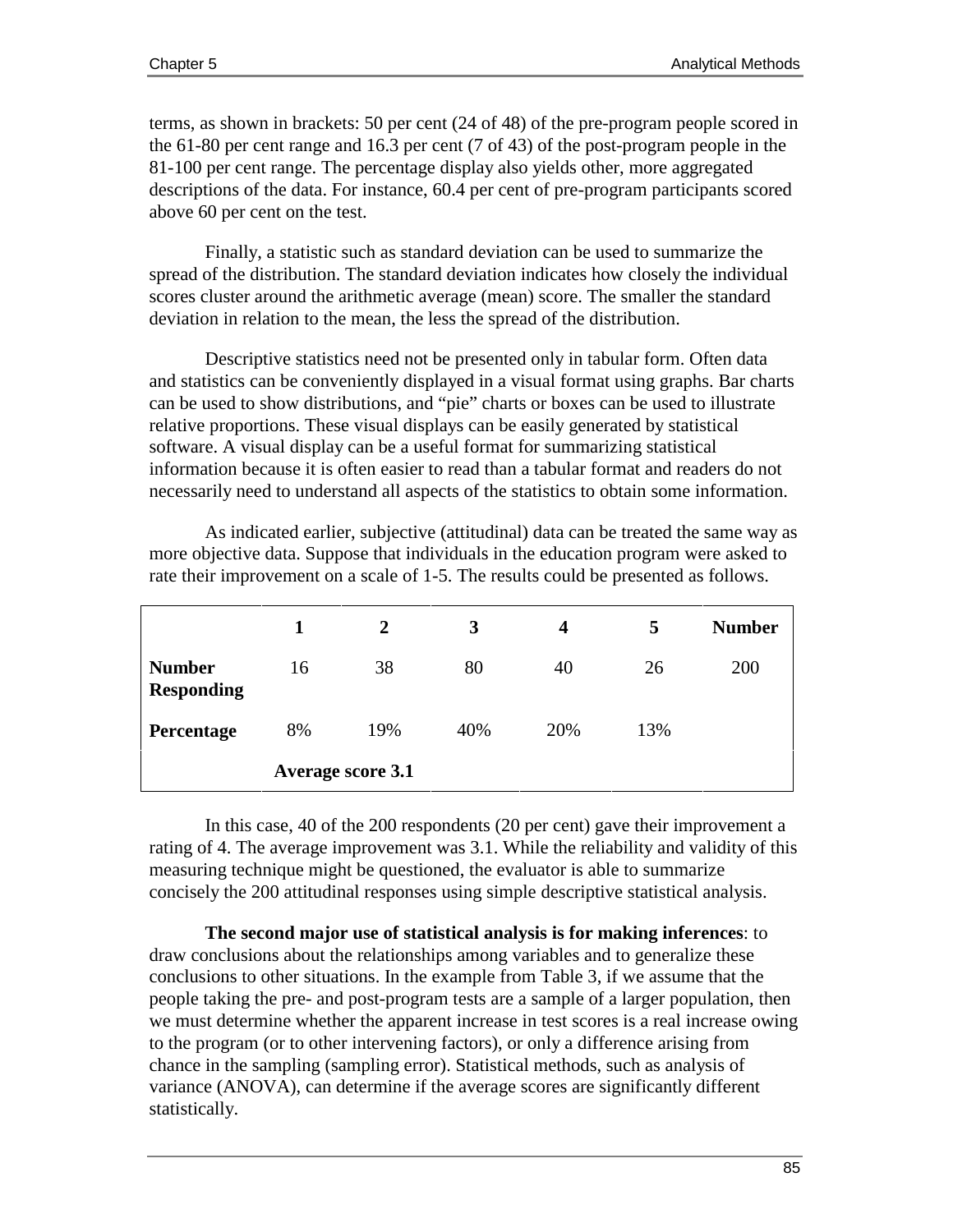terms, as shown in brackets: 50 per cent (24 of 48) of the pre-program people scored in the 61-80 per cent range and 16.3 per cent (7 of 43) of the post-program people in the 81-100 per cent range. The percentage display also yields other, more aggregated descriptions of the data. For instance, 60.4 per cent of pre-program participants scored above 60 per cent on the test.

Finally, a statistic such as standard deviation can be used to summarize the spread of the distribution. The standard deviation indicates how closely the individual scores cluster around the arithmetic average (mean) score. The smaller the standard deviation in relation to the mean, the less the spread of the distribution.

Descriptive statistics need not be presented only in tabular form. Often data and statistics can be conveniently displayed in a visual format using graphs. Bar charts can be used to show distributions, and "pie" charts or boxes can be used to illustrate relative proportions. These visual displays can be easily generated by statistical software. A visual display can be a useful format for summarizing statistical information because it is often easier to read than a tabular format and readers do not necessarily need to understand all aspects of the statistics to obtain some information.

|                                    | 1                        | 2   | 3   | $\boldsymbol{4}$ | 5   | <b>Number</b> |
|------------------------------------|--------------------------|-----|-----|------------------|-----|---------------|
| <b>Number</b><br><b>Responding</b> | 16                       | 38  | 80  | 40               | 26  | 200           |
| Percentage                         | 8%                       | 19% | 40% | 20%              | 13% |               |
|                                    | <b>Average score 3.1</b> |     |     |                  |     |               |

As indicated earlier, subjective (attitudinal) data can be treated the same way as more objective data. Suppose that individuals in the education program were asked to rate their improvement on a scale of 1-5. The results could be presented as follows.

In this case, 40 of the 200 respondents (20 per cent) gave their improvement a rating of 4. The average improvement was 3.1. While the reliability and validity of this measuring technique might be questioned, the evaluator is able to summarize concisely the 200 attitudinal responses using simple descriptive statistical analysis.

**The second major use of statistical analysis is for making inferences**: to draw conclusions about the relationships among variables and to generalize these conclusions to other situations. In the example from Table 3, if we assume that the people taking the pre- and post-program tests are a sample of a larger population, then we must determine whether the apparent increase in test scores is a real increase owing to the program (or to other intervening factors), or only a difference arising from chance in the sampling (sampling error). Statistical methods, such as analysis of variance (ANOVA), can determine if the average scores are significantly different statistically.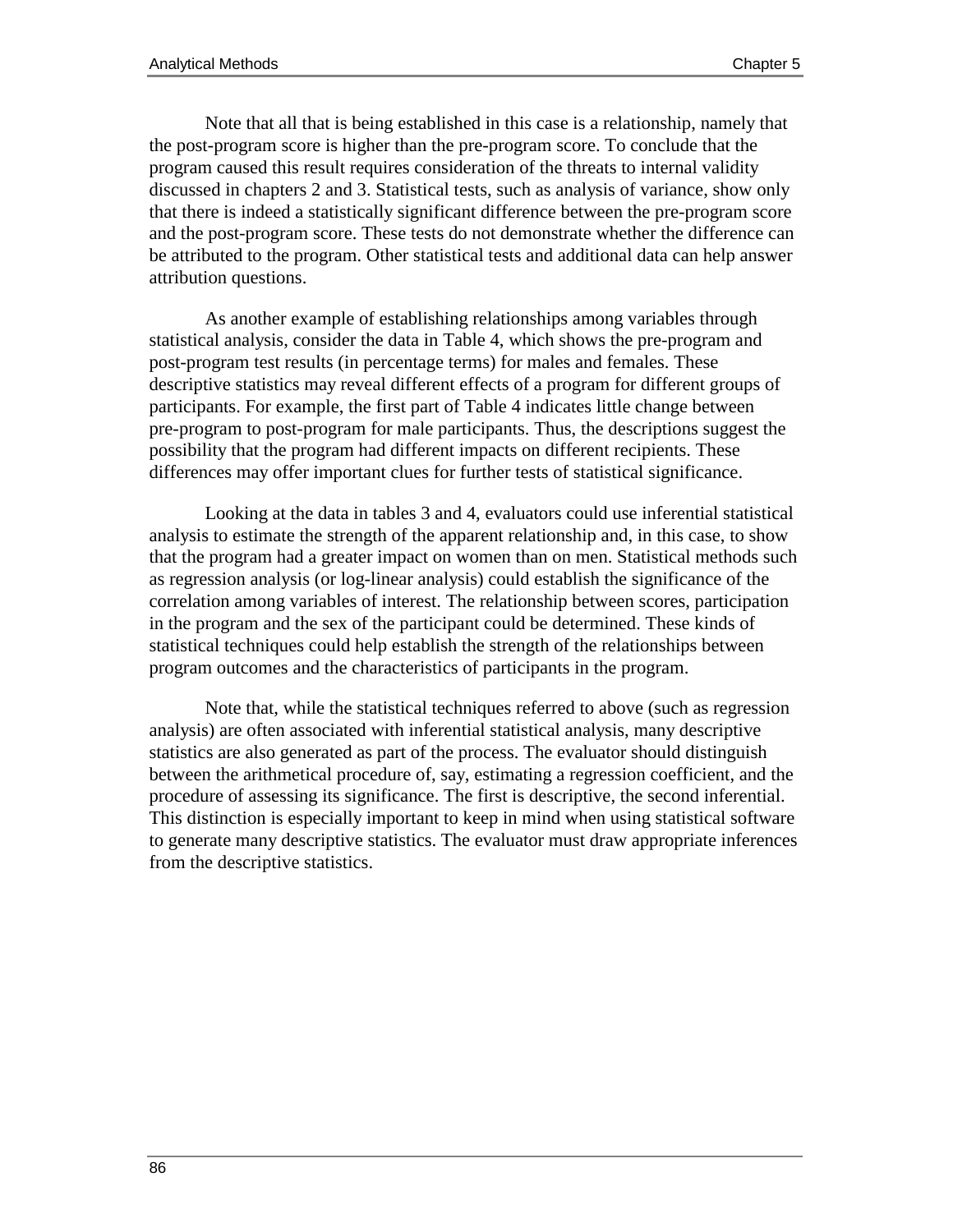Note that all that is being established in this case is a relationship, namely that the post-program score is higher than the pre-program score. To conclude that the program caused this result requires consideration of the threats to internal validity discussed in chapters 2 and 3. Statistical tests, such as analysis of variance, show only that there is indeed a statistically significant difference between the pre-program score and the post-program score. These tests do not demonstrate whether the difference can be attributed to the program. Other statistical tests and additional data can help answer attribution questions.

As another example of establishing relationships among variables through statistical analysis, consider the data in Table 4, which shows the pre-program and post-program test results (in percentage terms) for males and females. These descriptive statistics may reveal different effects of a program for different groups of participants. For example, the first part of Table 4 indicates little change between pre-program to post-program for male participants. Thus, the descriptions suggest the possibility that the program had different impacts on different recipients. These differences may offer important clues for further tests of statistical significance.

Looking at the data in tables 3 and 4, evaluators could use inferential statistical analysis to estimate the strength of the apparent relationship and, in this case, to show that the program had a greater impact on women than on men. Statistical methods such as regression analysis (or log-linear analysis) could establish the significance of the correlation among variables of interest. The relationship between scores, participation in the program and the sex of the participant could be determined. These kinds of statistical techniques could help establish the strength of the relationships between program outcomes and the characteristics of participants in the program.

Note that, while the statistical techniques referred to above (such as regression analysis) are often associated with inferential statistical analysis, many descriptive statistics are also generated as part of the process. The evaluator should distinguish between the arithmetical procedure of, say, estimating a regression coefficient, and the procedure of assessing its significance. The first is descriptive, the second inferential. This distinction is especially important to keep in mind when using statistical software to generate many descriptive statistics. The evaluator must draw appropriate inferences from the descriptive statistics.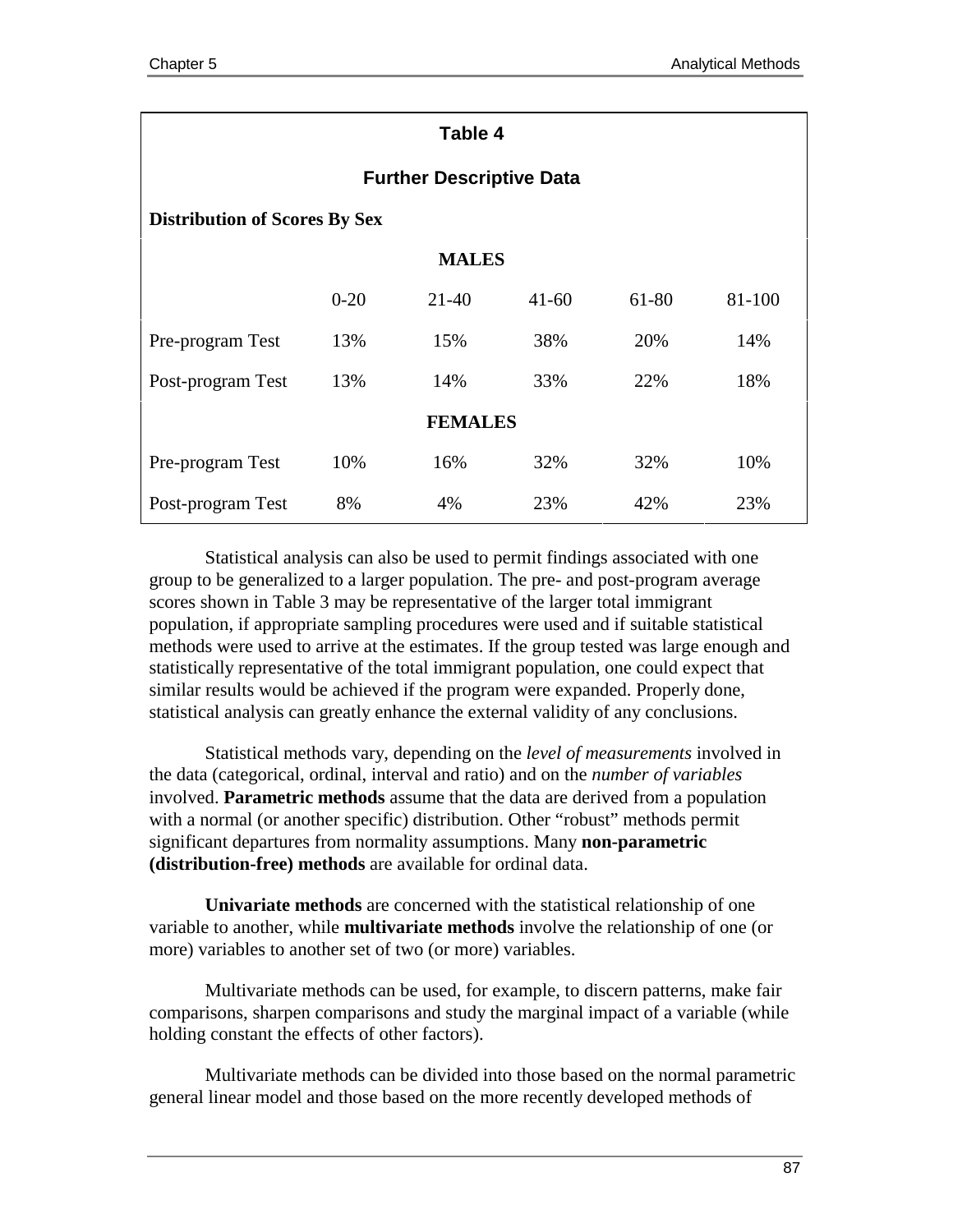| Table 4                              |                                 |           |           |       |        |  |  |
|--------------------------------------|---------------------------------|-----------|-----------|-------|--------|--|--|
|                                      | <b>Further Descriptive Data</b> |           |           |       |        |  |  |
| <b>Distribution of Scores By Sex</b> |                                 |           |           |       |        |  |  |
|                                      | <b>MALES</b>                    |           |           |       |        |  |  |
|                                      | $0 - 20$                        | $21 - 40$ | $41 - 60$ | 61-80 | 81-100 |  |  |
| Pre-program Test                     | 13%                             | 15%       | 38%       | 20%   | 14%    |  |  |
| Post-program Test                    | 13%                             | 14%       | 33%       | 22%   | 18%    |  |  |
| <b>FEMALES</b>                       |                                 |           |           |       |        |  |  |
| Pre-program Test                     | 10%                             | 16%       | 32%       | 32%   | 10%    |  |  |
| Post-program Test                    | 8%                              | 4%        | 23%       | 42%   | 23%    |  |  |

Statistical analysis can also be used to permit findings associated with one group to be generalized to a larger population. The pre- and post-program average scores shown in Table 3 may be representative of the larger total immigrant population, if appropriate sampling procedures were used and if suitable statistical methods were used to arrive at the estimates. If the group tested was large enough and statistically representative of the total immigrant population, one could expect that similar results would be achieved if the program were expanded. Properly done, statistical analysis can greatly enhance the external validity of any conclusions.

Statistical methods vary, depending on the *level of measurements* involved in the data (categorical, ordinal, interval and ratio) and on the *number of variables* involved. **Parametric methods** assume that the data are derived from a population with a normal (or another specific) distribution. Other "robust" methods permit significant departures from normality assumptions. Many **non-parametric (distribution-free) methods** are available for ordinal data.

**Univariate methods** are concerned with the statistical relationship of one variable to another, while **multivariate methods** involve the relationship of one (or more) variables to another set of two (or more) variables.

Multivariate methods can be used, for example, to discern patterns, make fair comparisons, sharpen comparisons and study the marginal impact of a variable (while holding constant the effects of other factors).

Multivariate methods can be divided into those based on the normal parametric general linear model and those based on the more recently developed methods of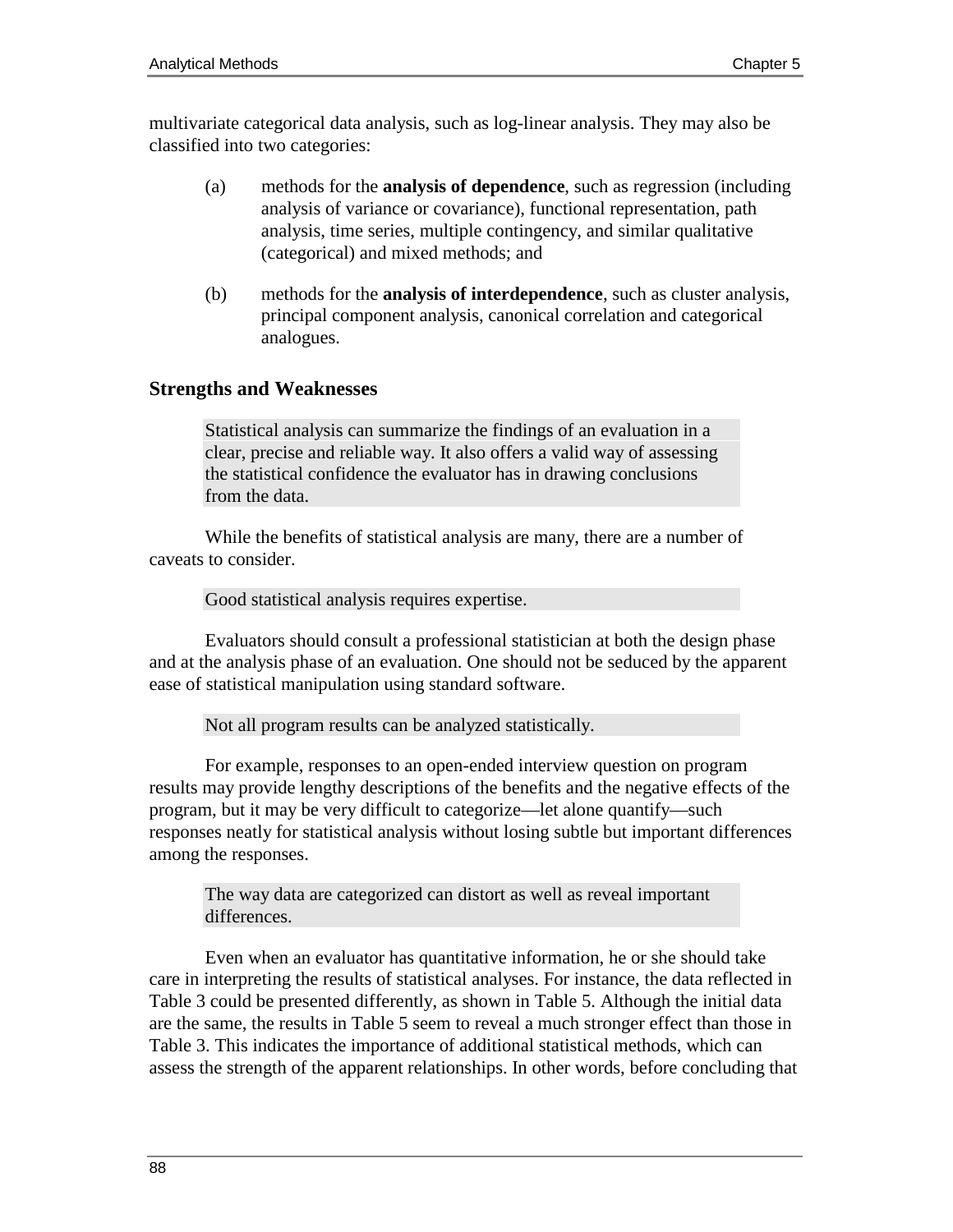multivariate categorical data analysis, such as log-linear analysis. They may also be classified into two categories:

- (a) methods for the **analysis of dependence**, such as regression (including analysis of variance or covariance), functional representation, path analysis, time series, multiple contingency, and similar qualitative (categorical) and mixed methods; and
- (b) methods for the **analysis of interdependence**, such as cluster analysis, principal component analysis, canonical correlation and categorical analogues.

## **Strengths and Weaknesses**

Statistical analysis can summarize the findings of an evaluation in a clear, precise and reliable way. It also offers a valid way of assessing the statistical confidence the evaluator has in drawing conclusions from the data.

While the benefits of statistical analysis are many, there are a number of caveats to consider.

Good statistical analysis requires expertise.

Evaluators should consult a professional statistician at both the design phase and at the analysis phase of an evaluation. One should not be seduced by the apparent ease of statistical manipulation using standard software.

Not all program results can be analyzed statistically.

For example, responses to an open-ended interview question on program results may provide lengthy descriptions of the benefits and the negative effects of the program, but it may be very difficult to categorize—let alone quantify—such responses neatly for statistical analysis without losing subtle but important differences among the responses.

The way data are categorized can distort as well as reveal important differences.

Even when an evaluator has quantitative information, he or she should take care in interpreting the results of statistical analyses. For instance, the data reflected in Table 3 could be presented differently, as shown in Table 5. Although the initial data are the same, the results in Table 5 seem to reveal a much stronger effect than those in Table 3. This indicates the importance of additional statistical methods, which can assess the strength of the apparent relationships. In other words, before concluding that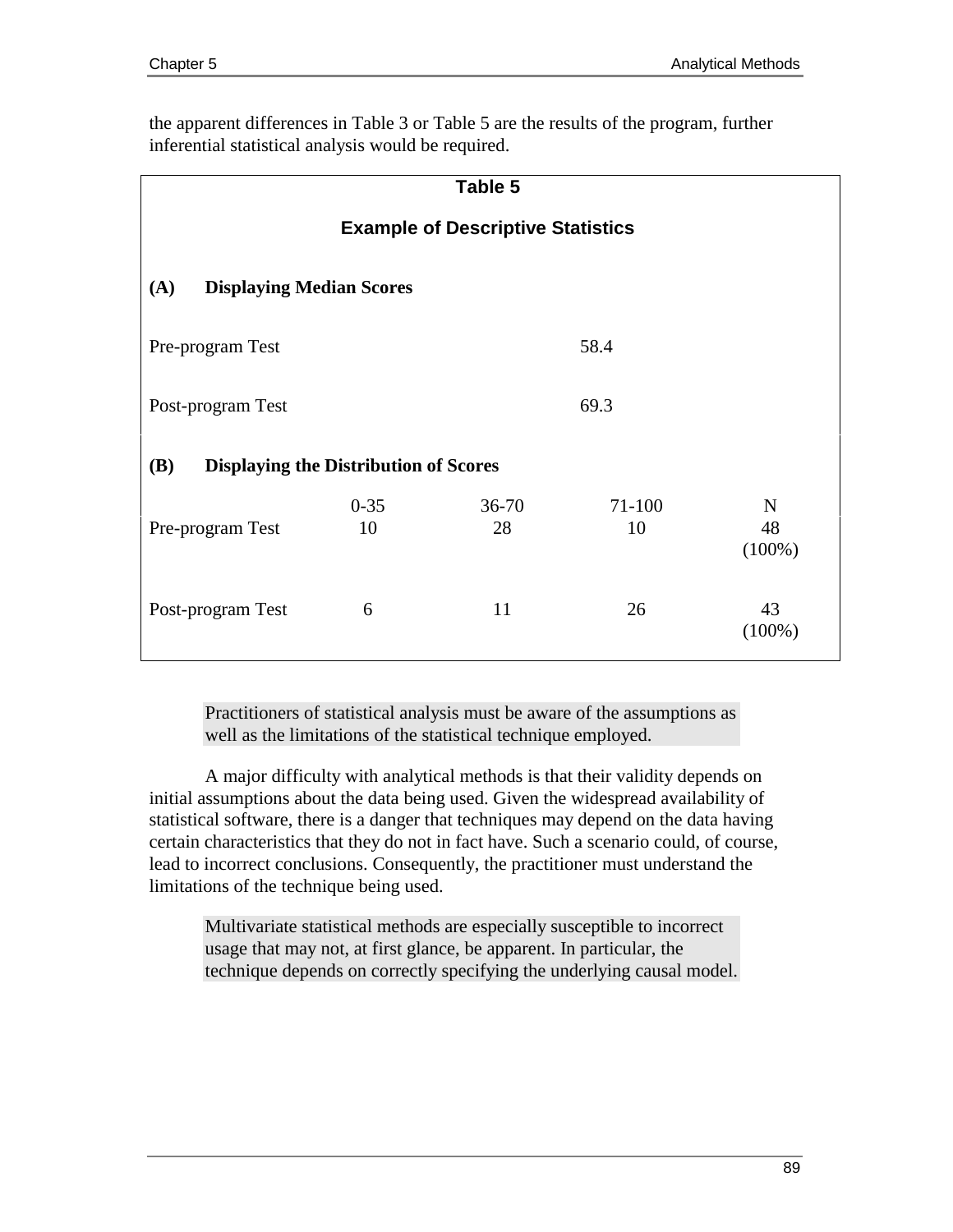the apparent differences in Table 3 or Table 5 are the results of the program, further inferential statistical analysis would be required.

| Table 5                                                    |                                          |                 |                  |                                |  |  |
|------------------------------------------------------------|------------------------------------------|-----------------|------------------|--------------------------------|--|--|
|                                                            | <b>Example of Descriptive Statistics</b> |                 |                  |                                |  |  |
| <b>Displaying Median Scores</b><br>(A)                     |                                          |                 |                  |                                |  |  |
| 58.4<br>Pre-program Test                                   |                                          |                 |                  |                                |  |  |
| 69.3<br>Post-program Test                                  |                                          |                 |                  |                                |  |  |
| <b>Displaying the Distribution of Scores</b><br><b>(B)</b> |                                          |                 |                  |                                |  |  |
| Pre-program Test                                           | $0 - 35$<br>10                           | $36 - 70$<br>28 | $71 - 100$<br>10 | $\mathbf N$<br>48<br>$(100\%)$ |  |  |
| Post-program Test                                          | 6                                        | 11              | 26               | 43<br>$(100\%)$                |  |  |

Practitioners of statistical analysis must be aware of the assumptions as well as the limitations of the statistical technique employed.

A major difficulty with analytical methods is that their validity depends on initial assumptions about the data being used. Given the widespread availability of statistical software, there is a danger that techniques may depend on the data having certain characteristics that they do not in fact have. Such a scenario could, of course, lead to incorrect conclusions. Consequently, the practitioner must understand the limitations of the technique being used.

Multivariate statistical methods are especially susceptible to incorrect usage that may not, at first glance, be apparent. In particular, the technique depends on correctly specifying the underlying causal model.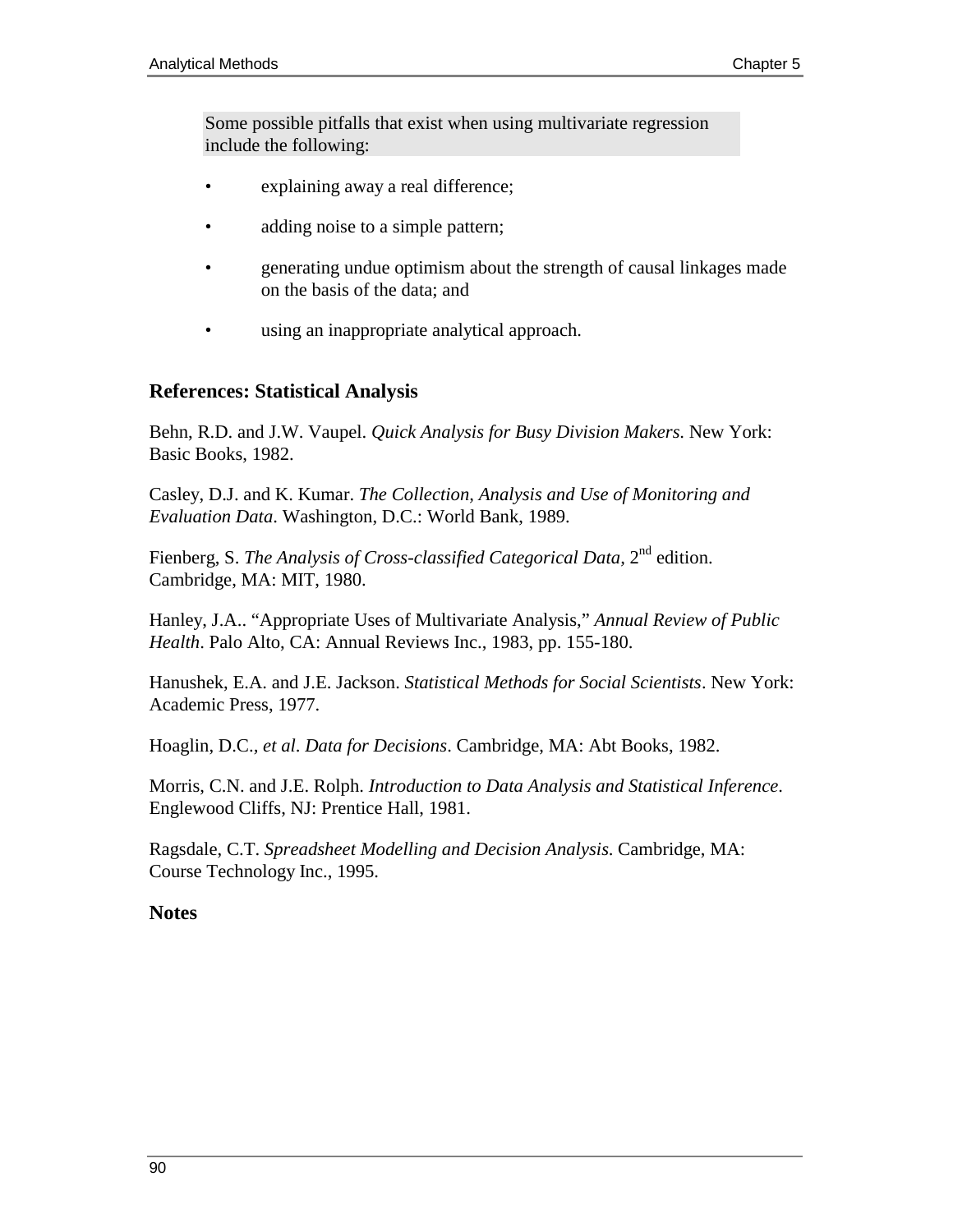Some possible pitfalls that exist when using multivariate regression include the following:

- explaining away a real difference;
- adding noise to a simple pattern;
- generating undue optimism about the strength of causal linkages made on the basis of the data; and
- using an inappropriate analytical approach.

## **References: Statistical Analysis**

Behn, R.D. and J.W. Vaupel. *Quick Analysis for Busy Division Makers*. New York: Basic Books, 1982.

Casley, D.J. and K. Kumar. *The Collection, Analysis and Use of Monitoring and Evaluation Data*. Washington, D.C.: World Bank, 1989.

Fienberg, S. *The Analysis of Cross-classified Categorical Data*, 2<sup>nd</sup> edition. Cambridge, MA: MIT, 1980.

Hanley, J.A.. "Appropriate Uses of Multivariate Analysis," *Annual Review of Public Health*. Palo Alto, CA: Annual Reviews Inc., 1983, pp. 155-180.

Hanushek, E.A. and J.E. Jackson. *Statistical Methods for Social Scientists*. New York: Academic Press, 1977.

Hoaglin, D.C.*, et al*. *Data for Decisions*. Cambridge, MA: Abt Books, 1982.

Morris, C.N. and J.E. Rolph. *Introduction to Data Analysis and Statistical Inference*. Englewood Cliffs, NJ: Prentice Hall, 1981.

Ragsdale, C.T. *Spreadsheet Modelling and Decision Analysis*. Cambridge, MA: Course Technology Inc., 1995.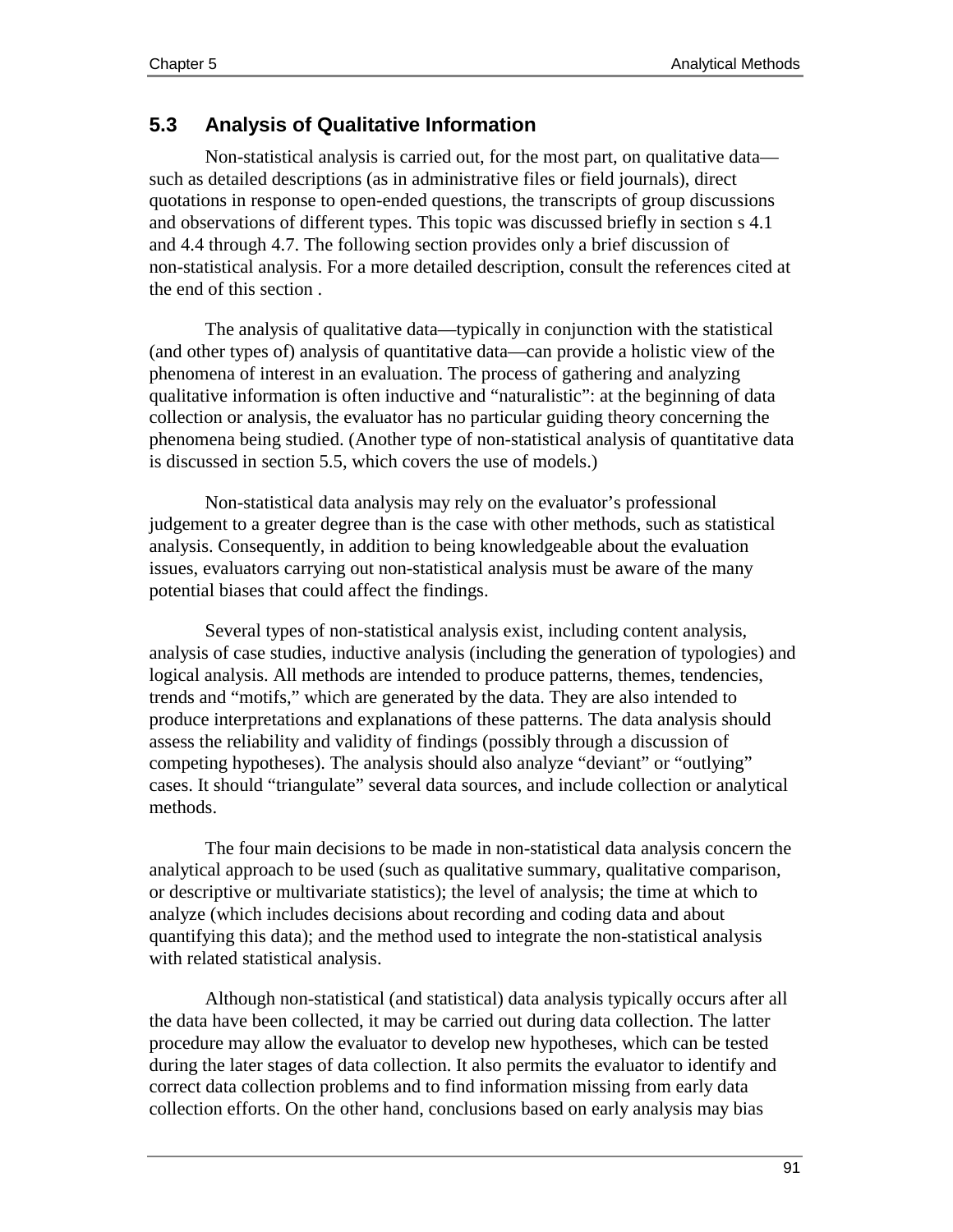# **5.3 Analysis of Qualitative Information**

Non-statistical analysis is carried out, for the most part, on qualitative data such as detailed descriptions (as in administrative files or field journals), direct quotations in response to open-ended questions, the transcripts of group discussions and observations of different types. This topic was discussed briefly in section s 4.1 and 4.4 through 4.7. The following section provides only a brief discussion of non-statistical analysis. For a more detailed description, consult the references cited at the end of this section .

The analysis of qualitative data—typically in conjunction with the statistical (and other types of) analysis of quantitative data—can provide a holistic view of the phenomena of interest in an evaluation. The process of gathering and analyzing qualitative information is often inductive and "naturalistic": at the beginning of data collection or analysis, the evaluator has no particular guiding theory concerning the phenomena being studied. (Another type of non-statistical analysis of quantitative data is discussed in section 5.5, which covers the use of models.)

Non-statistical data analysis may rely on the evaluator's professional judgement to a greater degree than is the case with other methods, such as statistical analysis. Consequently, in addition to being knowledgeable about the evaluation issues, evaluators carrying out non-statistical analysis must be aware of the many potential biases that could affect the findings.

Several types of non-statistical analysis exist, including content analysis, analysis of case studies, inductive analysis (including the generation of typologies) and logical analysis. All methods are intended to produce patterns, themes, tendencies, trends and "motifs," which are generated by the data. They are also intended to produce interpretations and explanations of these patterns. The data analysis should assess the reliability and validity of findings (possibly through a discussion of competing hypotheses). The analysis should also analyze "deviant" or "outlying" cases. It should "triangulate" several data sources, and include collection or analytical methods.

The four main decisions to be made in non-statistical data analysis concern the analytical approach to be used (such as qualitative summary, qualitative comparison, or descriptive or multivariate statistics); the level of analysis; the time at which to analyze (which includes decisions about recording and coding data and about quantifying this data); and the method used to integrate the non-statistical analysis with related statistical analysis.

Although non-statistical (and statistical) data analysis typically occurs after all the data have been collected, it may be carried out during data collection. The latter procedure may allow the evaluator to develop new hypotheses, which can be tested during the later stages of data collection. It also permits the evaluator to identify and correct data collection problems and to find information missing from early data collection efforts. On the other hand, conclusions based on early analysis may bias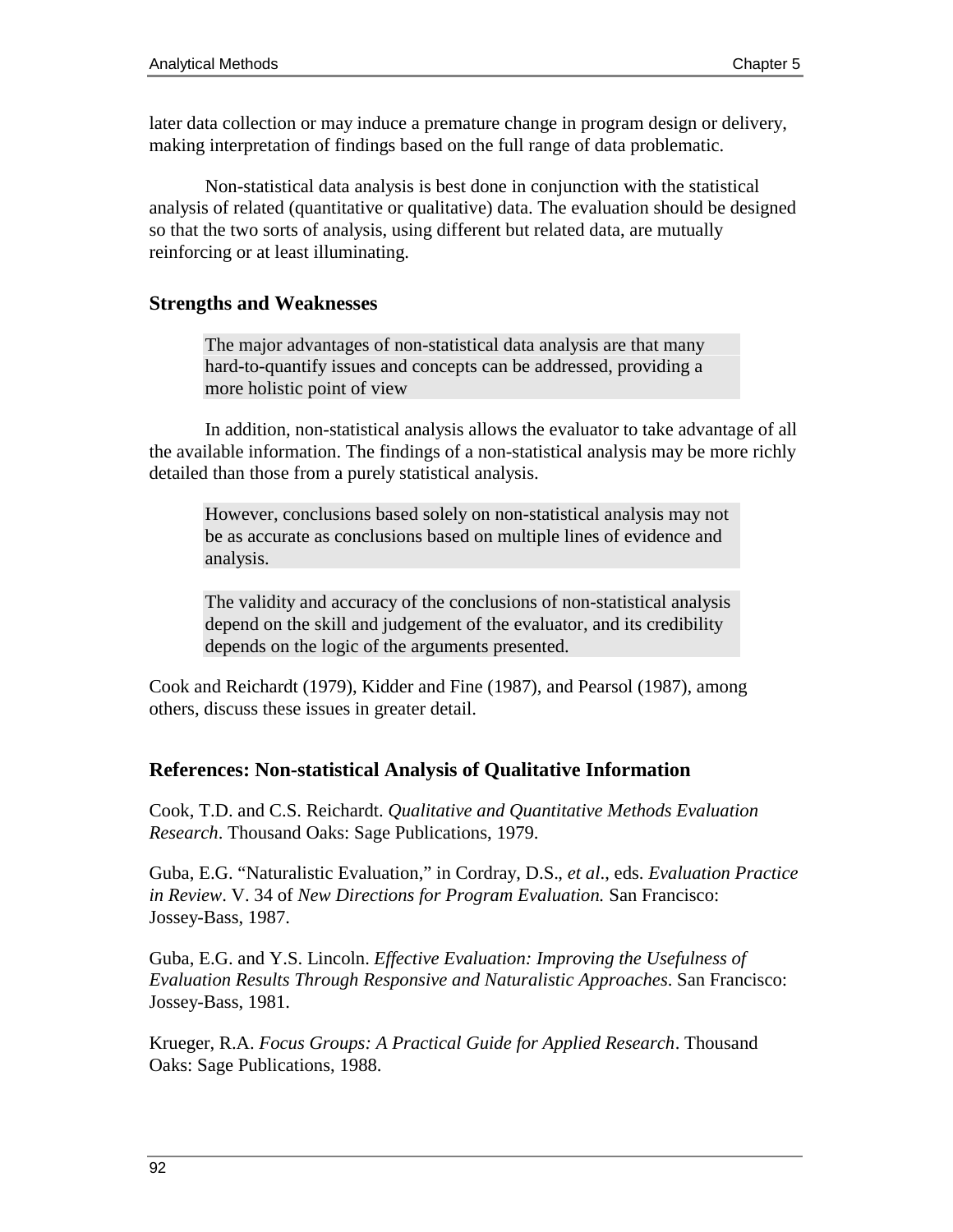later data collection or may induce a premature change in program design or delivery, making interpretation of findings based on the full range of data problematic.

Non-statistical data analysis is best done in conjunction with the statistical analysis of related (quantitative or qualitative) data. The evaluation should be designed so that the two sorts of analysis, using different but related data, are mutually reinforcing or at least illuminating.

## **Strengths and Weaknesses**

The major advantages of non-statistical data analysis are that many hard-to-quantify issues and concepts can be addressed, providing a more holistic point of view

In addition, non-statistical analysis allows the evaluator to take advantage of all the available information. The findings of a non-statistical analysis may be more richly detailed than those from a purely statistical analysis.

However, conclusions based solely on non-statistical analysis may not be as accurate as conclusions based on multiple lines of evidence and analysis.

The validity and accuracy of the conclusions of non-statistical analysis depend on the skill and judgement of the evaluator, and its credibility depends on the logic of the arguments presented.

Cook and Reichardt (1979), Kidder and Fine (1987), and Pearsol (1987), among others, discuss these issues in greater detail.

# **References: Non-statistical Analysis of Qualitative Information**

Cook, T.D. and C.S. Reichardt. *Qualitative and Quantitative Methods Evaluation Research*. Thousand Oaks: Sage Publications, 1979.

Guba, E.G. "Naturalistic Evaluation," in Cordray, D.S.*, et al*., eds. *Evaluation Practice in Review*. V. 34 of *New Directions for Program Evaluation.* San Francisco: Jossey-Bass, 1987.

Guba, E.G. and Y.S. Lincoln. *Effective Evaluation: Improving the Usefulness of Evaluation Results Through Responsive and Naturalistic Approaches*. San Francisco: Jossey-Bass, 1981.

Krueger, R.A. *Focus Groups: A Practical Guide for Applied Research*. Thousand Oaks: Sage Publications, 1988.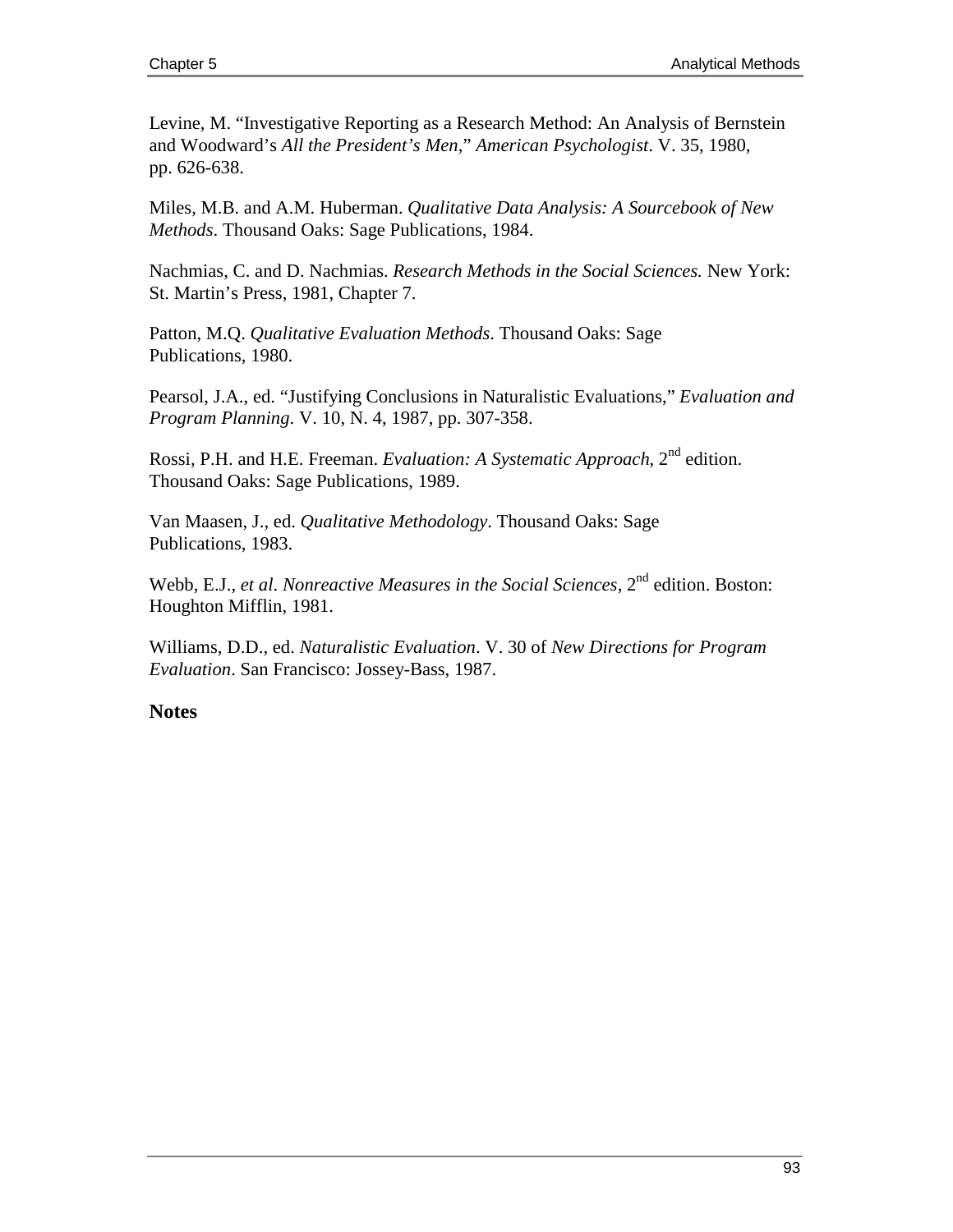Levine, M. "Investigative Reporting as a Research Method: An Analysis of Bernstein and Woodward's *All the President's Men*," *American Psychologist*. V. 35, 1980, pp. 626-638.

Miles, M.B. and A.M. Huberman. *Qualitative Data Analysis: A Sourcebook of New Methods*. Thousand Oaks: Sage Publications, 1984.

Nachmias, C. and D. Nachmias. *Research Methods in the Social Sciences.* New York: St. Martin's Press, 1981, Chapter 7.

Patton, M.Q. *Qualitative Evaluation Methods*. Thousand Oaks: Sage Publications, 1980.

Pearsol, J.A., ed. "Justifying Conclusions in Naturalistic Evaluations," *Evaluation and Program Planning*. V. 10, N. 4, 1987, pp. 307-358.

Rossi, P.H. and H.E. Freeman. *Evaluation: A Systematic Approach*, 2<sup>nd</sup> edition. Thousand Oaks: Sage Publications, 1989.

Van Maasen, J., ed. *Qualitative Methodology*. Thousand Oaks: Sage Publications, 1983.

Webb, E.J., et al. *Nonreactive Measures in the Social Sciences*, 2<sup>nd</sup> edition. Boston: Houghton Mifflin, 1981.

Williams, D.D., ed. *Naturalistic Evaluation*. V. 30 of *New Directions for Program Evaluation*. San Francisco: Jossey-Bass, 1987.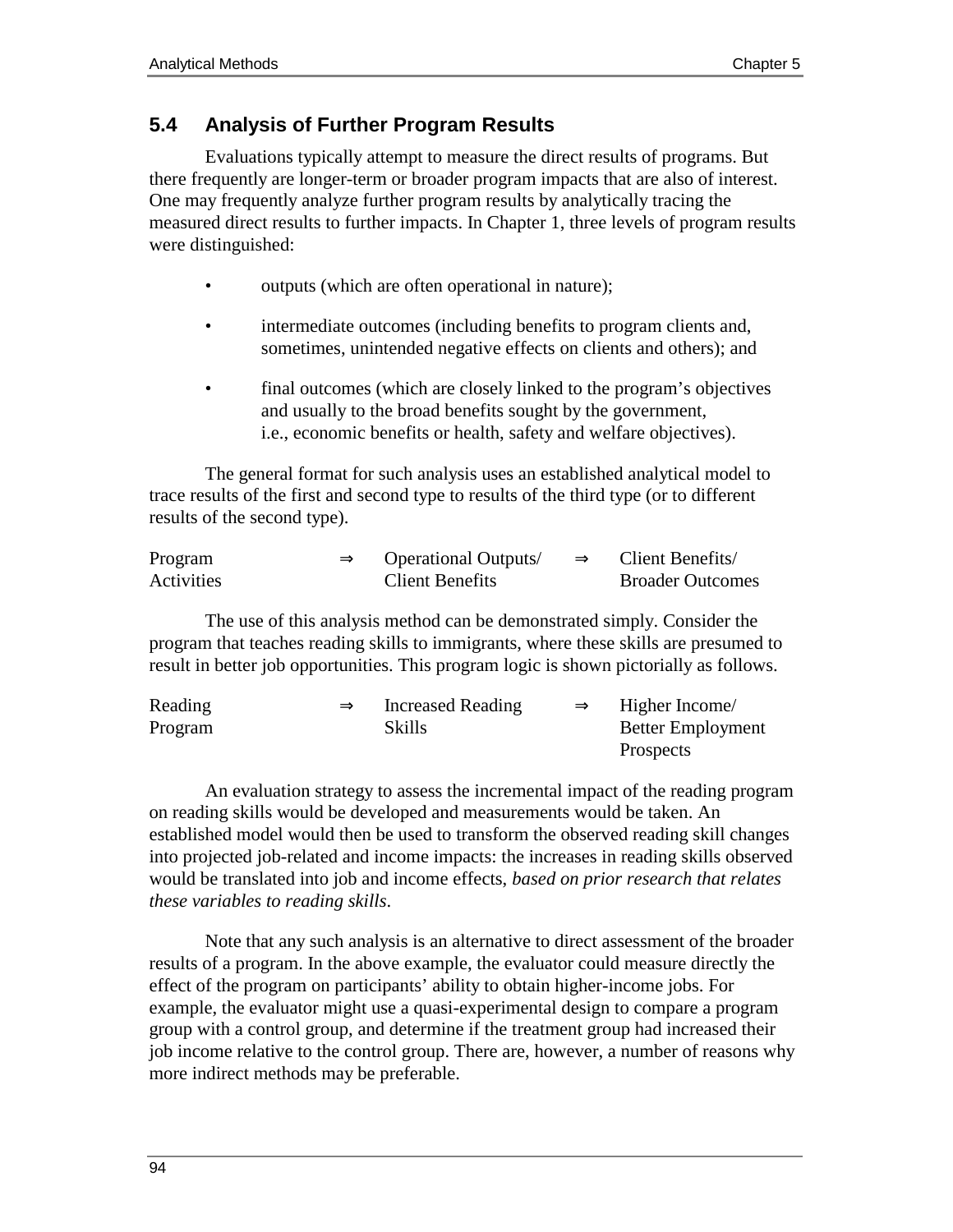# **5.4 Analysis of Further Program Results**

Evaluations typically attempt to measure the direct results of programs. But there frequently are longer-term or broader program impacts that are also of interest. One may frequently analyze further program results by analytically tracing the measured direct results to further impacts. In Chapter 1, three levels of program results were distinguished:

- outputs (which are often operational in nature);
- intermediate outcomes (including benefits to program clients and, sometimes, unintended negative effects on clients and others); and
- final outcomes (which are closely linked to the program's objectives and usually to the broad benefits sought by the government, i.e., economic benefits or health, safety and welfare objectives).

The general format for such analysis uses an established analytical model to trace results of the first and second type to results of the third type (or to different results of the second type).

| Program    | $\Rightarrow$ | <b>Operational Outputs</b> | $\Rightarrow$ | Client Benefits/        |
|------------|---------------|----------------------------|---------------|-------------------------|
| Activities |               | <b>Client Benefits</b>     |               | <b>Broader Outcomes</b> |

The use of this analysis method can be demonstrated simply. Consider the program that teaches reading skills to immigrants, where these skills are presumed to result in better job opportunities. This program logic is shown pictorially as follows.

| Reading | $\Rightarrow$ | Increased Reading | $\Rightarrow$ | Higher Income/           |
|---------|---------------|-------------------|---------------|--------------------------|
| Program |               | <b>Skills</b>     |               | <b>Better Employment</b> |
|         |               |                   |               | <b>Prospects</b>         |

An evaluation strategy to assess the incremental impact of the reading program on reading skills would be developed and measurements would be taken. An established model would then be used to transform the observed reading skill changes into projected job-related and income impacts: the increases in reading skills observed would be translated into job and income effects, *based on prior research that relates these variables to reading skills*.

Note that any such analysis is an alternative to direct assessment of the broader results of a program. In the above example, the evaluator could measure directly the effect of the program on participants' ability to obtain higher-income jobs. For example, the evaluator might use a quasi-experimental design to compare a program group with a control group, and determine if the treatment group had increased their job income relative to the control group. There are, however, a number of reasons why more indirect methods may be preferable.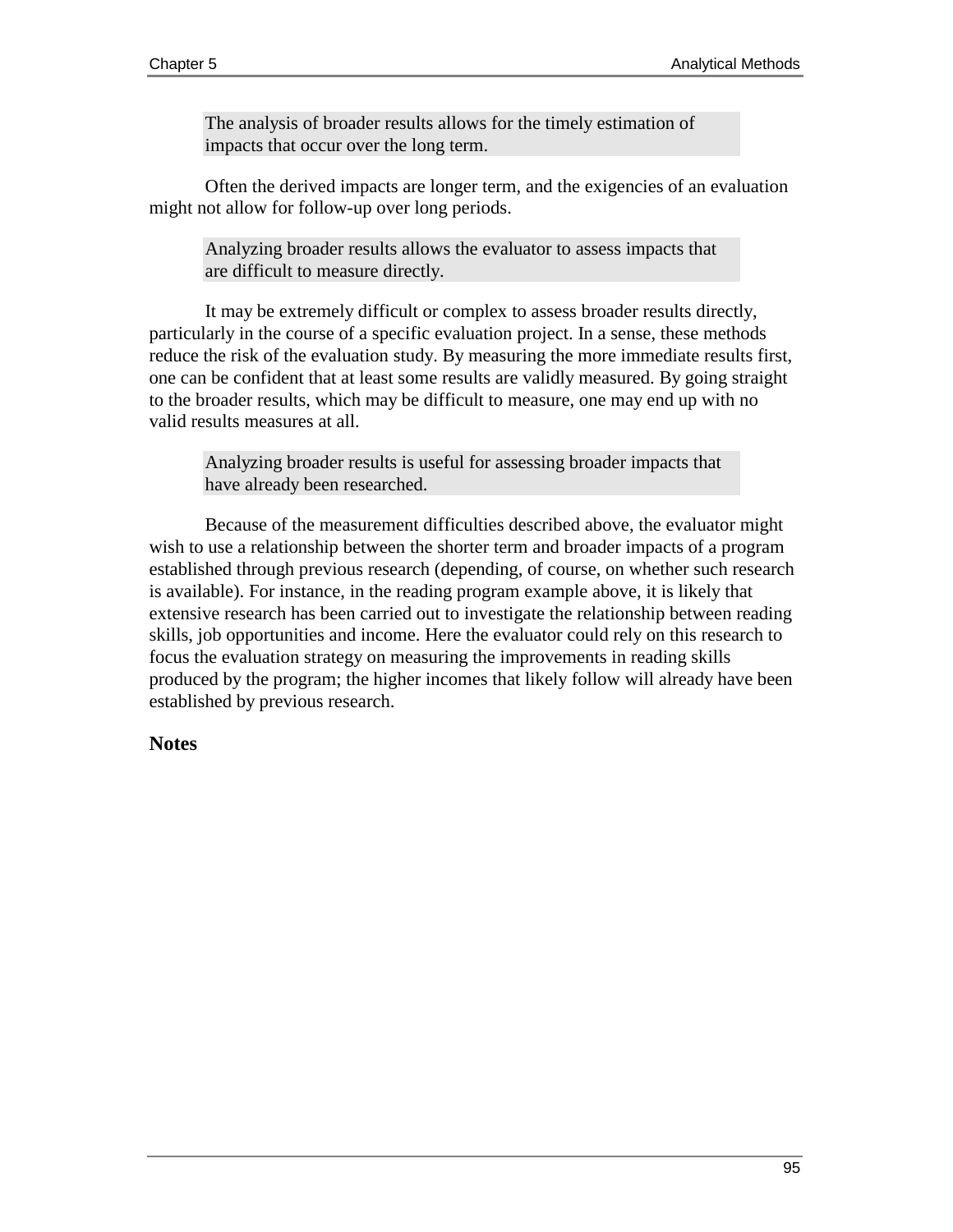The analysis of broader results allows for the timely estimation of impacts that occur over the long term.

Often the derived impacts are longer term, and the exigencies of an evaluation might not allow for follow-up over long periods.

Analyzing broader results allows the evaluator to assess impacts that are difficult to measure directly.

It may be extremely difficult or complex to assess broader results directly, particularly in the course of a specific evaluation project. In a sense, these methods reduce the risk of the evaluation study. By measuring the more immediate results first, one can be confident that at least some results are validly measured. By going straight to the broader results, which may be difficult to measure, one may end up with no valid results measures at all.

Analyzing broader results is useful for assessing broader impacts that have already been researched.

Because of the measurement difficulties described above, the evaluator might wish to use a relationship between the shorter term and broader impacts of a program established through previous research (depending, of course, on whether such research is available). For instance, in the reading program example above, it is likely that extensive research has been carried out to investigate the relationship between reading skills, job opportunities and income. Here the evaluator could rely on this research to focus the evaluation strategy on measuring the improvements in reading skills produced by the program; the higher incomes that likely follow will already have been established by previous research.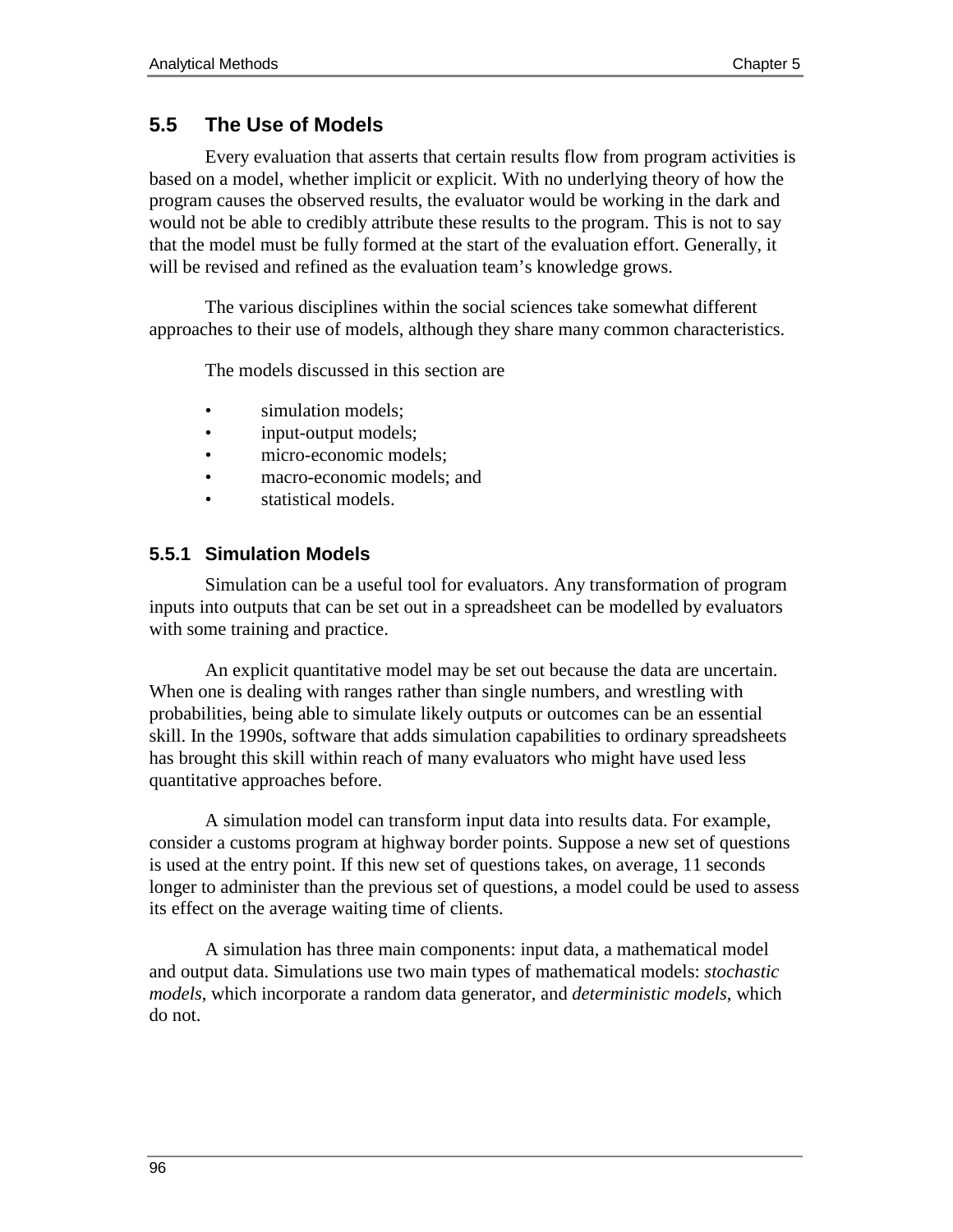# **5.5 The Use of Models**

Every evaluation that asserts that certain results flow from program activities is based on a model, whether implicit or explicit. With no underlying theory of how the program causes the observed results, the evaluator would be working in the dark and would not be able to credibly attribute these results to the program. This is not to say that the model must be fully formed at the start of the evaluation effort. Generally, it will be revised and refined as the evaluation team's knowledge grows.

The various disciplines within the social sciences take somewhat different approaches to their use of models, although they share many common characteristics.

The models discussed in this section are

- simulation models:
- input-output models;
- micro-economic models;
- macro-economic models; and
- statistical models.

# **5.5.1 Simulation Models**

Simulation can be a useful tool for evaluators. Any transformation of program inputs into outputs that can be set out in a spreadsheet can be modelled by evaluators with some training and practice.

An explicit quantitative model may be set out because the data are uncertain. When one is dealing with ranges rather than single numbers, and wrestling with probabilities, being able to simulate likely outputs or outcomes can be an essential skill. In the 1990s, software that adds simulation capabilities to ordinary spreadsheets has brought this skill within reach of many evaluators who might have used less quantitative approaches before.

A simulation model can transform input data into results data. For example, consider a customs program at highway border points. Suppose a new set of questions is used at the entry point. If this new set of questions takes, on average, 11 seconds longer to administer than the previous set of questions, a model could be used to assess its effect on the average waiting time of clients.

A simulation has three main components: input data, a mathematical model and output data. Simulations use two main types of mathematical models: *stochastic models*, which incorporate a random data generator, and *deterministic models*, which do not.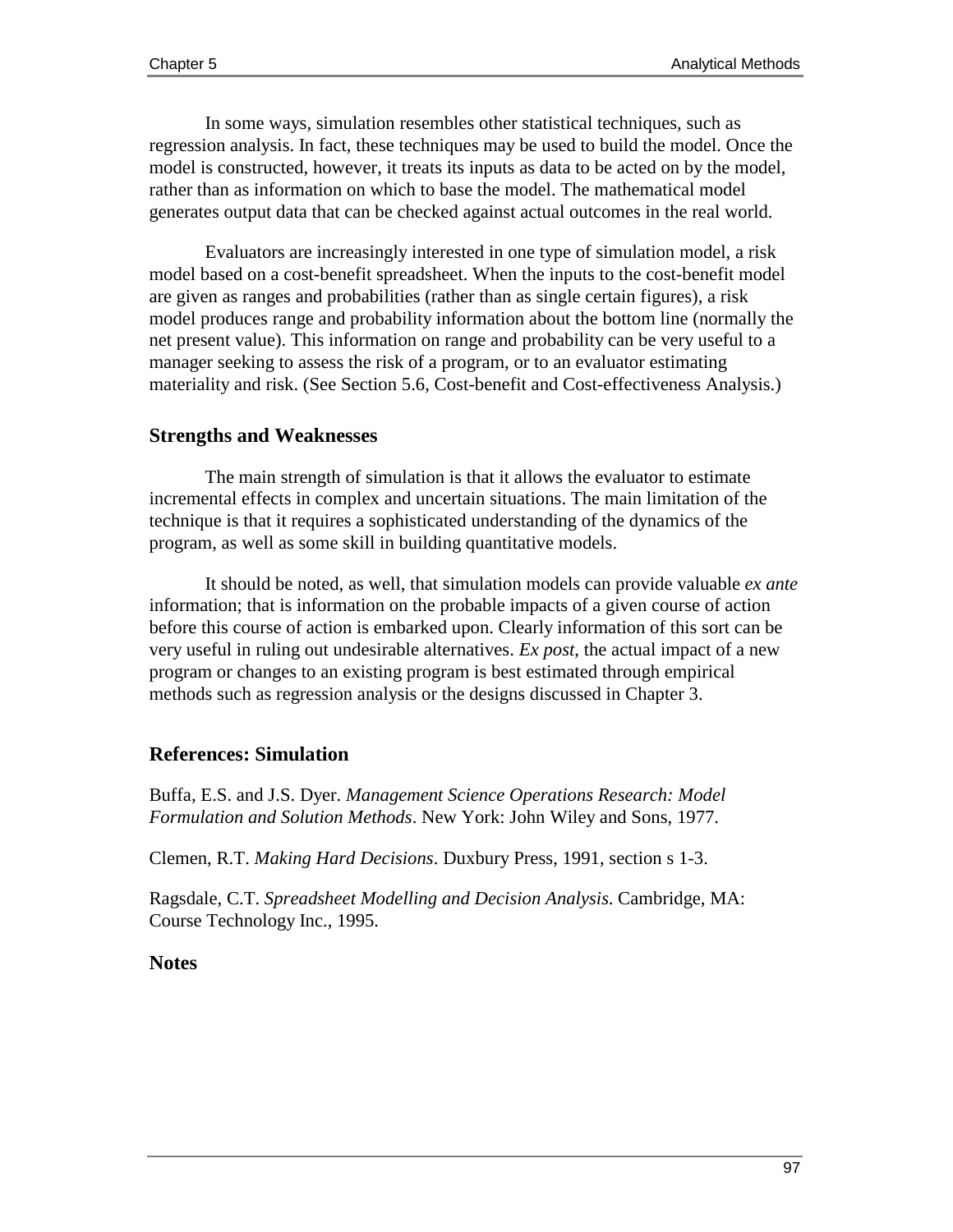In some ways, simulation resembles other statistical techniques, such as regression analysis. In fact, these techniques may be used to build the model. Once the model is constructed, however, it treats its inputs as data to be acted on by the model, rather than as information on which to base the model. The mathematical model generates output data that can be checked against actual outcomes in the real world.

Evaluators are increasingly interested in one type of simulation model, a risk model based on a cost-benefit spreadsheet. When the inputs to the cost-benefit model are given as ranges and probabilities (rather than as single certain figures), a risk model produces range and probability information about the bottom line (normally the net present value). This information on range and probability can be very useful to a manager seeking to assess the risk of a program, or to an evaluator estimating materiality and risk. (See Section 5.6, Cost-benefit and Cost-effectiveness Analysis.)

## **Strengths and Weaknesses**

The main strength of simulation is that it allows the evaluator to estimate incremental effects in complex and uncertain situations. The main limitation of the technique is that it requires a sophisticated understanding of the dynamics of the program, as well as some skill in building quantitative models.

It should be noted, as well, that simulation models can provide valuable *ex ante* information; that is information on the probable impacts of a given course of action before this course of action is embarked upon. Clearly information of this sort can be very useful in ruling out undesirable alternatives. *Ex post*, the actual impact of a new program or changes to an existing program is best estimated through empirical methods such as regression analysis or the designs discussed in Chapter 3.

# **References: Simulation**

Buffa, E.S. and J.S. Dyer. *Management Science Operations Research: Model Formulation and Solution Methods*. New York: John Wiley and Sons, 1977.

Clemen, R.T. *Making Hard Decisions*. Duxbury Press, 1991, section s 1-3.

Ragsdale, C.T. *Spreadsheet Modelling and Decision Analysis*. Cambridge, MA: Course Technology Inc., 1995.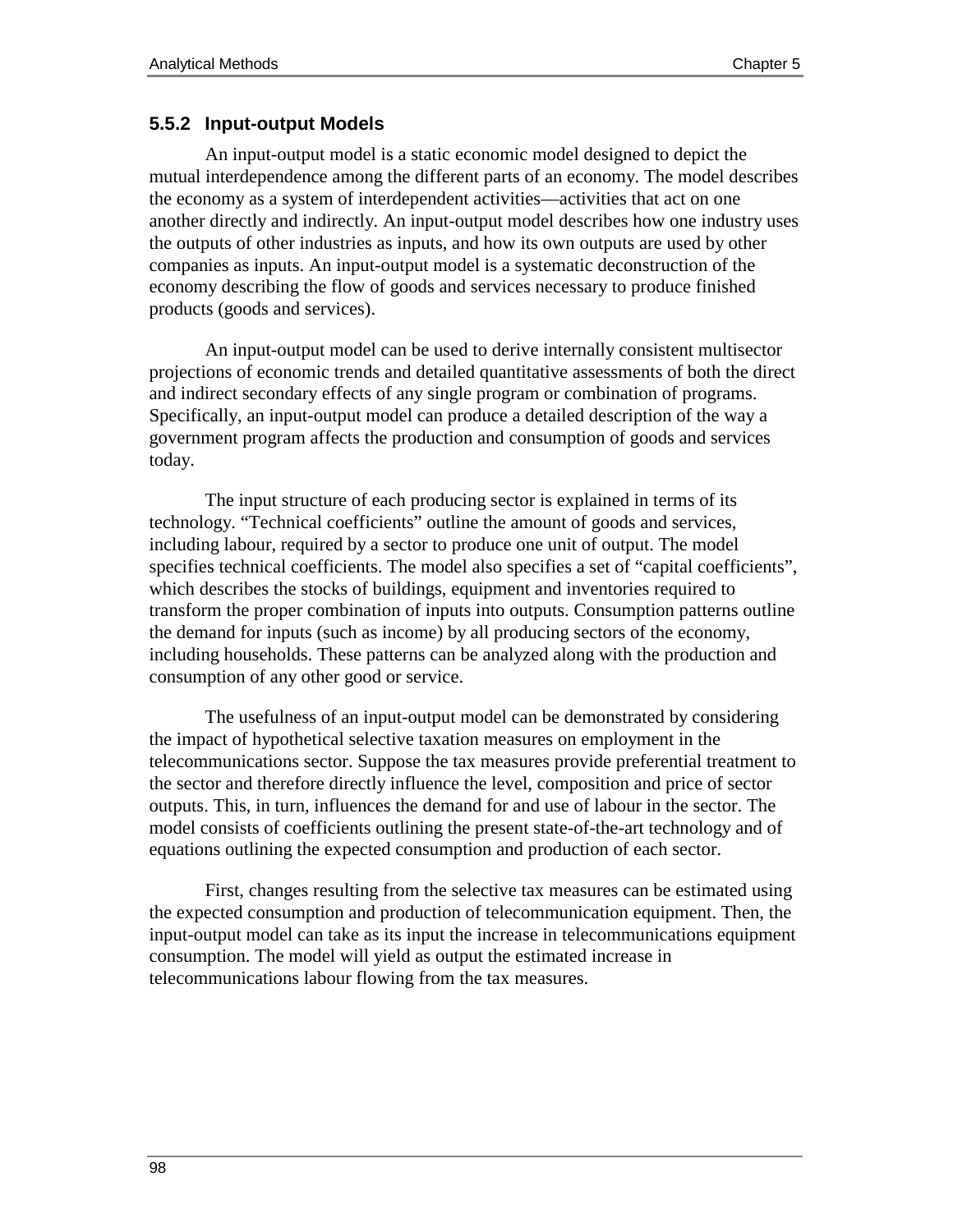#### **5.5.2 Input-output Models**

An input-output model is a static economic model designed to depict the mutual interdependence among the different parts of an economy. The model describes the economy as a system of interdependent activities—activities that act on one another directly and indirectly. An input-output model describes how one industry uses the outputs of other industries as inputs, and how its own outputs are used by other companies as inputs. An input-output model is a systematic deconstruction of the economy describing the flow of goods and services necessary to produce finished products (goods and services).

An input-output model can be used to derive internally consistent multisector projections of economic trends and detailed quantitative assessments of both the direct and indirect secondary effects of any single program or combination of programs. Specifically, an input-output model can produce a detailed description of the way a government program affects the production and consumption of goods and services today.

The input structure of each producing sector is explained in terms of its technology. "Technical coefficients" outline the amount of goods and services, including labour, required by a sector to produce one unit of output. The model specifies technical coefficients. The model also specifies a set of "capital coefficients", which describes the stocks of buildings, equipment and inventories required to transform the proper combination of inputs into outputs. Consumption patterns outline the demand for inputs (such as income) by all producing sectors of the economy, including households. These patterns can be analyzed along with the production and consumption of any other good or service.

The usefulness of an input-output model can be demonstrated by considering the impact of hypothetical selective taxation measures on employment in the telecommunications sector. Suppose the tax measures provide preferential treatment to the sector and therefore directly influence the level, composition and price of sector outputs. This, in turn, influences the demand for and use of labour in the sector. The model consists of coefficients outlining the present state-of-the-art technology and of equations outlining the expected consumption and production of each sector.

First, changes resulting from the selective tax measures can be estimated using the expected consumption and production of telecommunication equipment. Then, the input-output model can take as its input the increase in telecommunications equipment consumption. The model will yield as output the estimated increase in telecommunications labour flowing from the tax measures.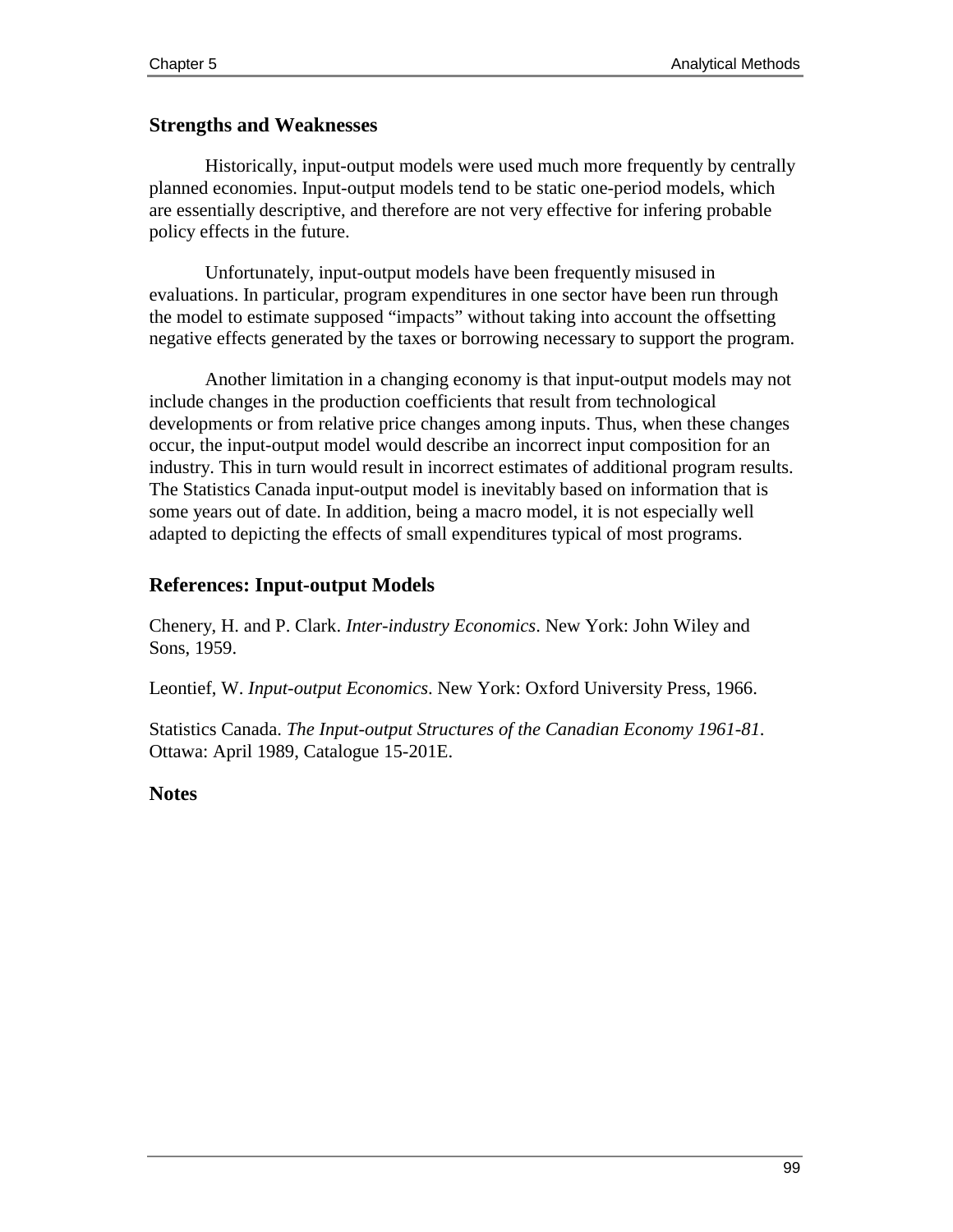#### **Strengths and Weaknesses**

Historically, input-output models were used much more frequently by centrally planned economies. Input-output models tend to be static one-period models, which are essentially descriptive, and therefore are not very effective for infering probable policy effects in the future.

Unfortunately, input-output models have been frequently misused in evaluations. In particular, program expenditures in one sector have been run through the model to estimate supposed "impacts" without taking into account the offsetting negative effects generated by the taxes or borrowing necessary to support the program.

Another limitation in a changing economy is that input-output models may not include changes in the production coefficients that result from technological developments or from relative price changes among inputs. Thus, when these changes occur, the input-output model would describe an incorrect input composition for an industry. This in turn would result in incorrect estimates of additional program results. The Statistics Canada input-output model is inevitably based on information that is some years out of date. In addition, being a macro model, it is not especially well adapted to depicting the effects of small expenditures typical of most programs.

# **References: Input-output Models**

Chenery, H. and P. Clark. *Inter-industry Economics*. New York: John Wiley and Sons, 1959.

Leontief, W. *Input-output Economics*. New York: Oxford University Press, 1966.

Statistics Canada. *The Input-output Structures of the Canadian Economy 1961-81*. Ottawa: April 1989, Catalogue 15-201E.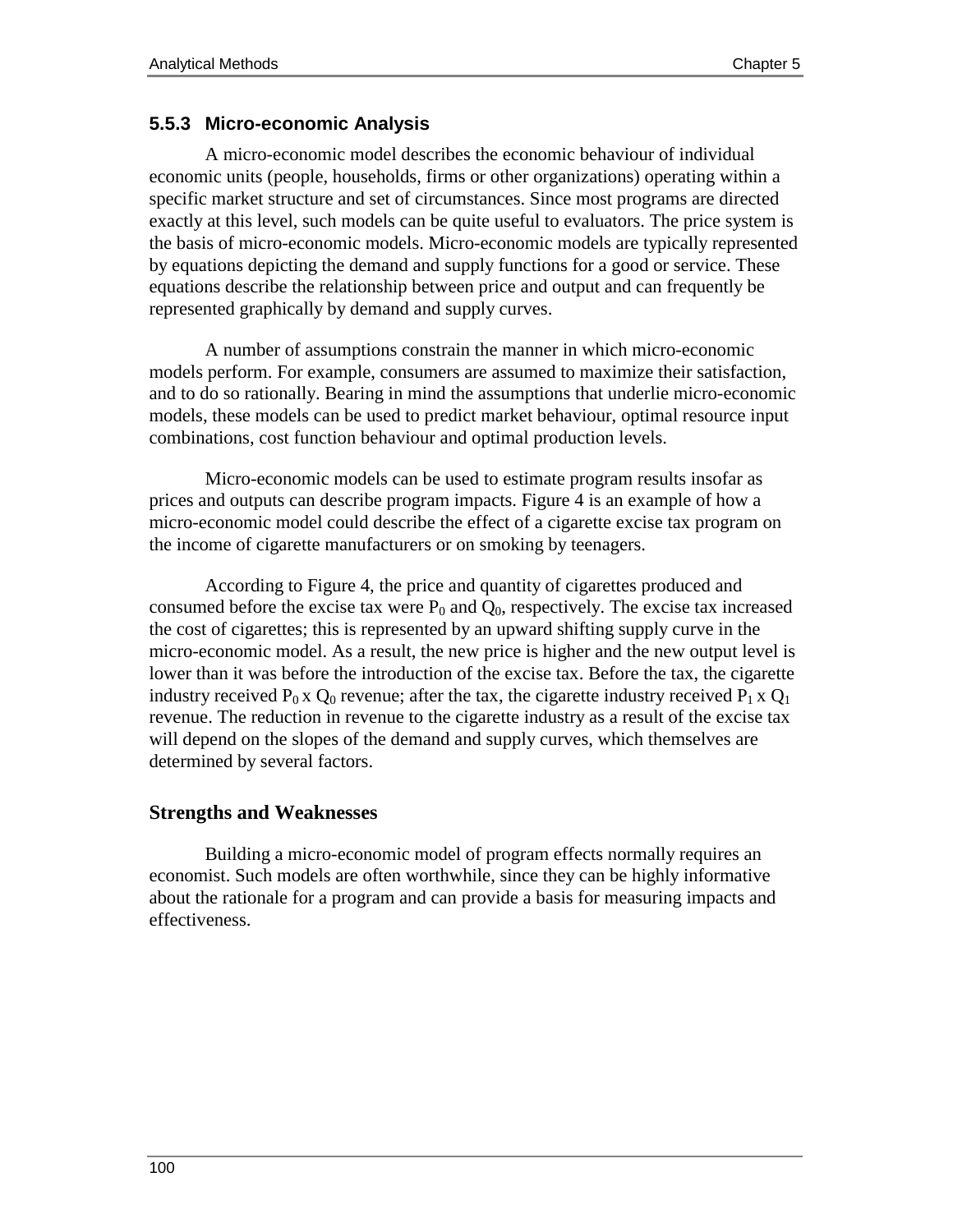## **5.5.3 Micro-economic Analysis**

A micro-economic model describes the economic behaviour of individual economic units (people, households, firms or other organizations) operating within a specific market structure and set of circumstances. Since most programs are directed exactly at this level, such models can be quite useful to evaluators. The price system is the basis of micro-economic models. Micro-economic models are typically represented by equations depicting the demand and supply functions for a good or service. These equations describe the relationship between price and output and can frequently be represented graphically by demand and supply curves.

A number of assumptions constrain the manner in which micro-economic models perform. For example, consumers are assumed to maximize their satisfaction, and to do so rationally. Bearing in mind the assumptions that underlie micro-economic models, these models can be used to predict market behaviour, optimal resource input combinations, cost function behaviour and optimal production levels.

Micro-economic models can be used to estimate program results insofar as prices and outputs can describe program impacts. Figure 4 is an example of how a micro-economic model could describe the effect of a cigarette excise tax program on the income of cigarette manufacturers or on smoking by teenagers.

According to Figure 4, the price and quantity of cigarettes produced and consumed before the excise tax were  $P_0$  and  $Q_0$ , respectively. The excise tax increased the cost of cigarettes; this is represented by an upward shifting supply curve in the micro-economic model. As a result, the new price is higher and the new output level is lower than it was before the introduction of the excise tax. Before the tax, the cigarette industry received  $P_0 x Q_0$  revenue; after the tax, the cigarette industry received  $P_1 x Q_1$ revenue. The reduction in revenue to the cigarette industry as a result of the excise tax will depend on the slopes of the demand and supply curves, which themselves are determined by several factors.

#### **Strengths and Weaknesses**

Building a micro-economic model of program effects normally requires an economist. Such models are often worthwhile, since they can be highly informative about the rationale for a program and can provide a basis for measuring impacts and effectiveness.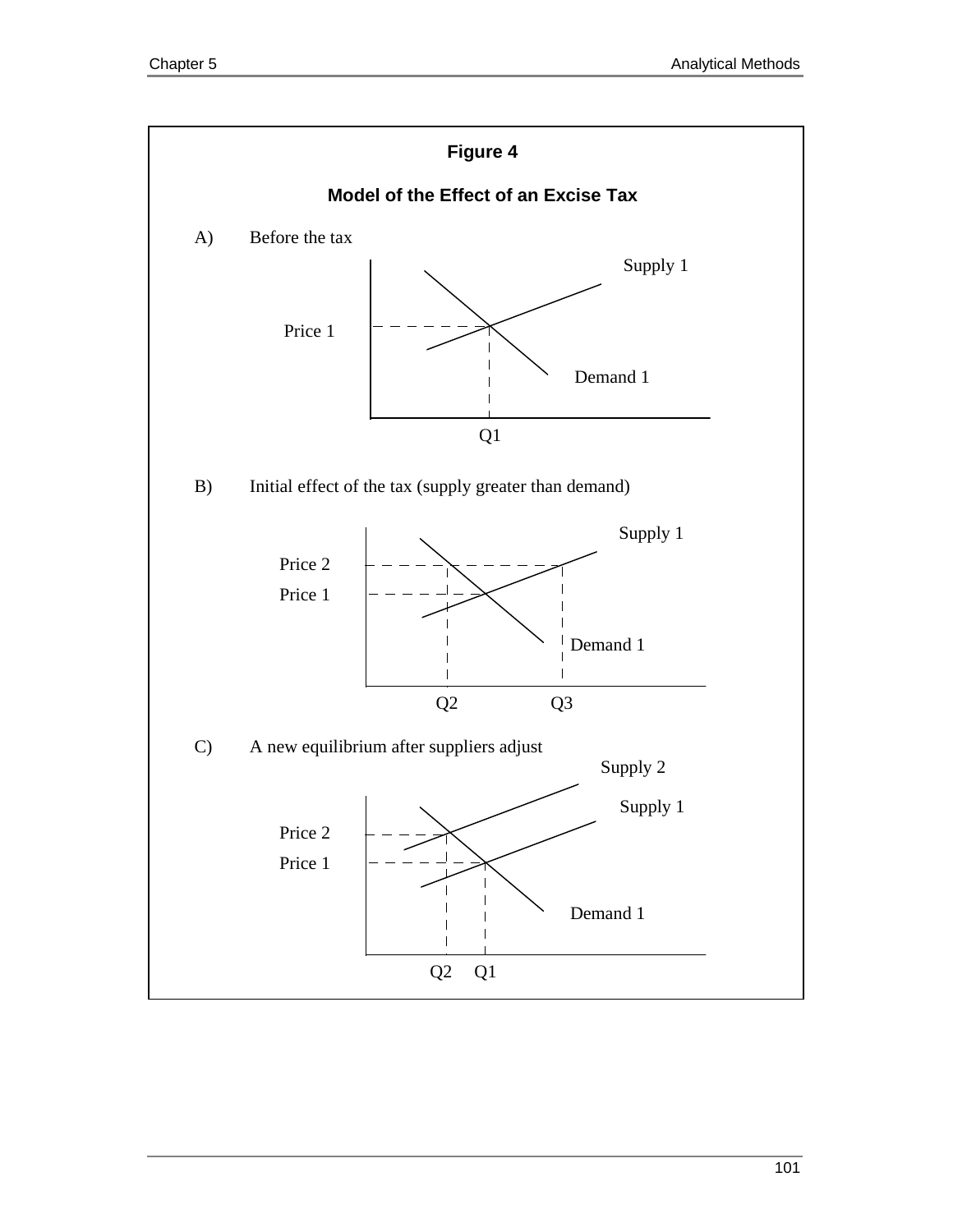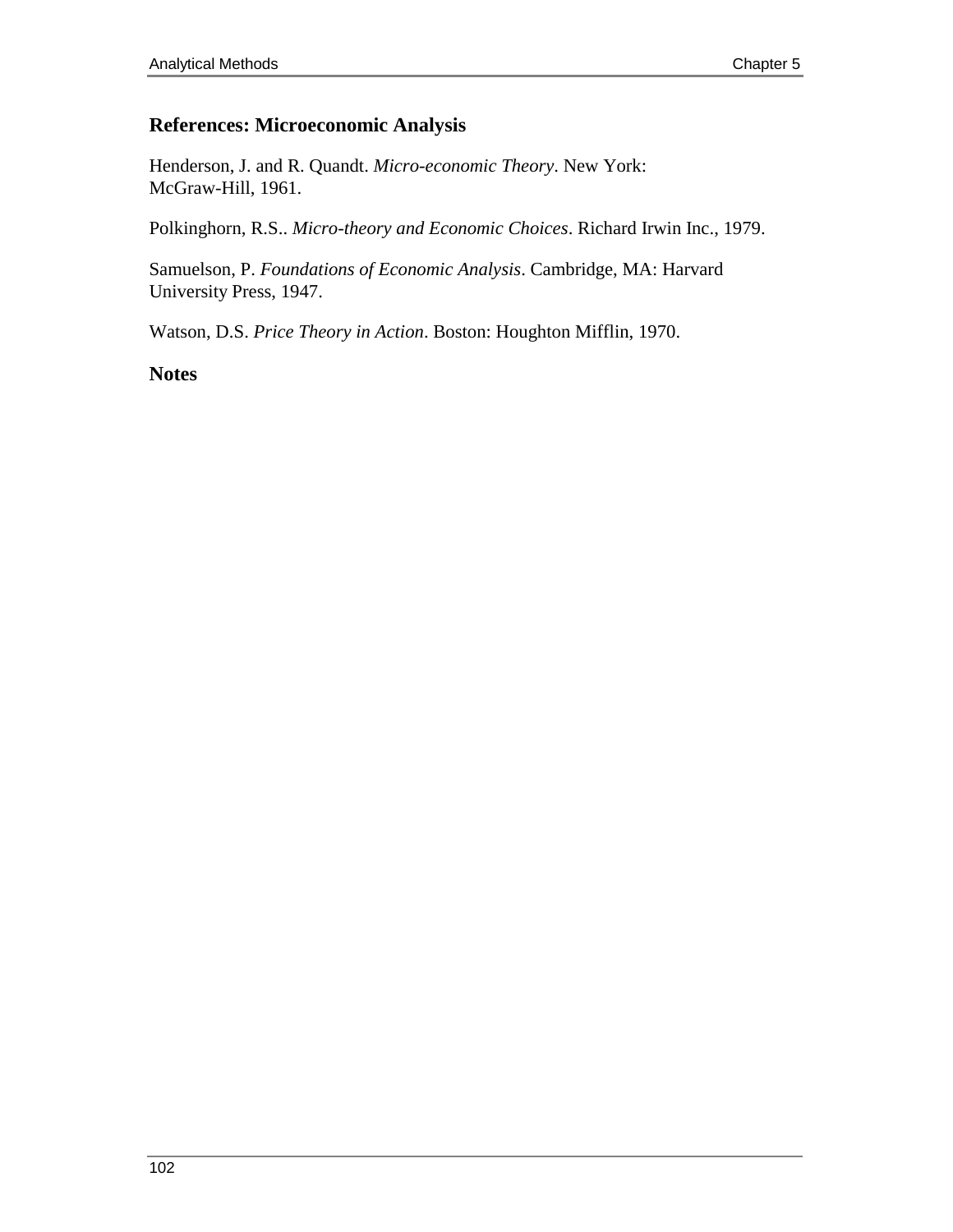# **References: Microeconomic Analysis**

Henderson, J. and R. Quandt. *Micro-economic Theory*. New York: McGraw-Hill, 1961.

Polkinghorn, R.S.. *Micro-theory and Economic Choices*. Richard Irwin Inc., 1979.

Samuelson, P. *Foundations of Economic Analysis*. Cambridge, MA: Harvard University Press, 1947.

Watson, D.S. *Price Theory in Action*. Boston: Houghton Mifflin, 1970.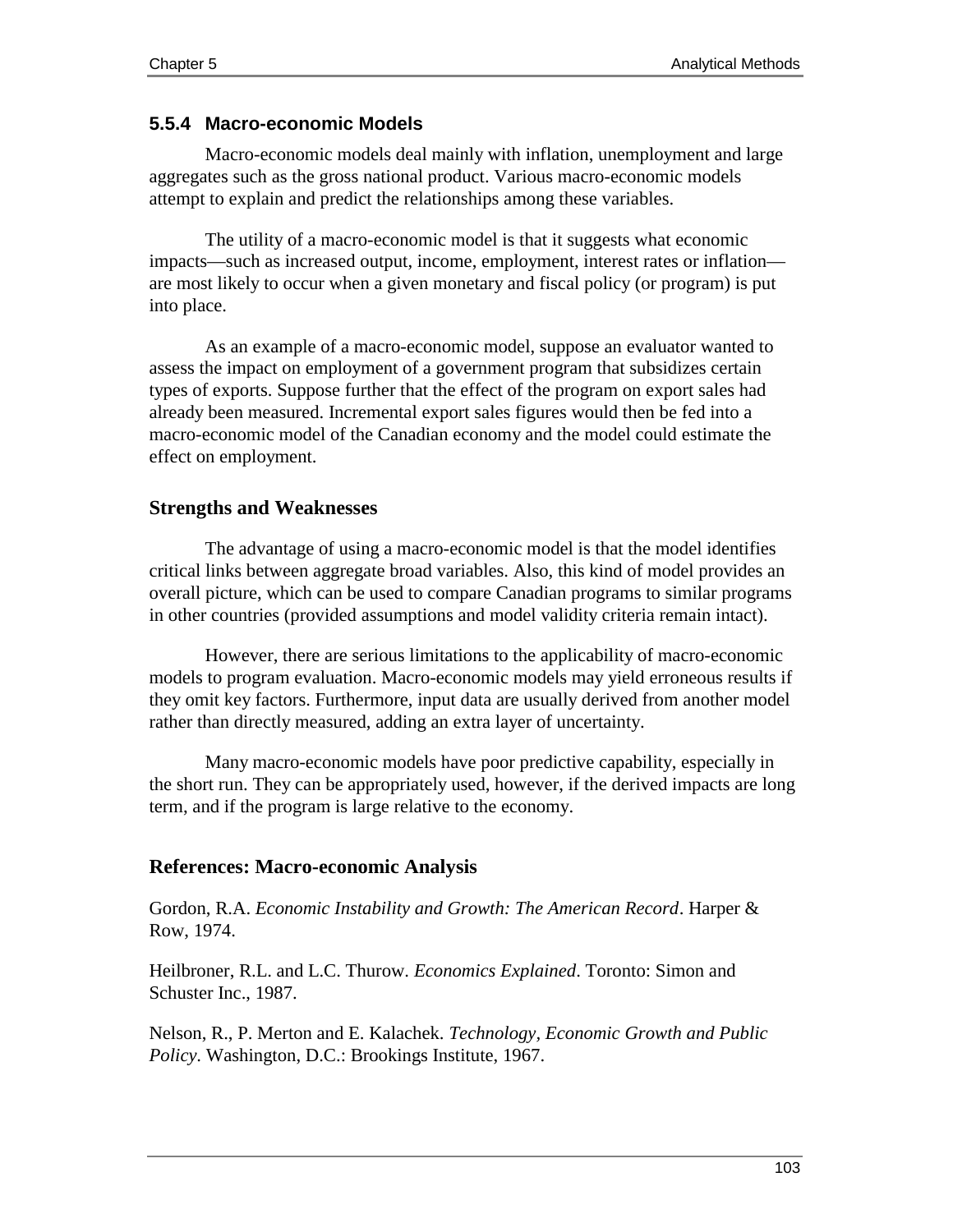## **5.5.4 Macro-economic Models**

Macro-economic models deal mainly with inflation, unemployment and large aggregates such as the gross national product. Various macro-economic models attempt to explain and predict the relationships among these variables.

The utility of a macro-economic model is that it suggests what economic impacts—such as increased output, income, employment, interest rates or inflation are most likely to occur when a given monetary and fiscal policy (or program) is put into place.

As an example of a macro-economic model, suppose an evaluator wanted to assess the impact on employment of a government program that subsidizes certain types of exports. Suppose further that the effect of the program on export sales had already been measured. Incremental export sales figures would then be fed into a macro-economic model of the Canadian economy and the model could estimate the effect on employment.

## **Strengths and Weaknesses**

The advantage of using a macro-economic model is that the model identifies critical links between aggregate broad variables. Also, this kind of model provides an overall picture, which can be used to compare Canadian programs to similar programs in other countries (provided assumptions and model validity criteria remain intact).

However, there are serious limitations to the applicability of macro-economic models to program evaluation. Macro-economic models may yield erroneous results if they omit key factors. Furthermore, input data are usually derived from another model rather than directly measured, adding an extra layer of uncertainty.

Many macro-economic models have poor predictive capability, especially in the short run. They can be appropriately used, however, if the derived impacts are long term, and if the program is large relative to the economy.

# **References: Macro-economic Analysis**

Gordon, R.A. *Economic Instability and Growth: The American Record*. Harper & Row, 1974.

Heilbroner, R.L. and L.C. Thurow. *Economics Explained*. Toronto: Simon and Schuster Inc., 1987.

Nelson, R., P. Merton and E. Kalachek. *Technology, Economic Growth and Public Policy*. Washington, D.C.: Brookings Institute, 1967.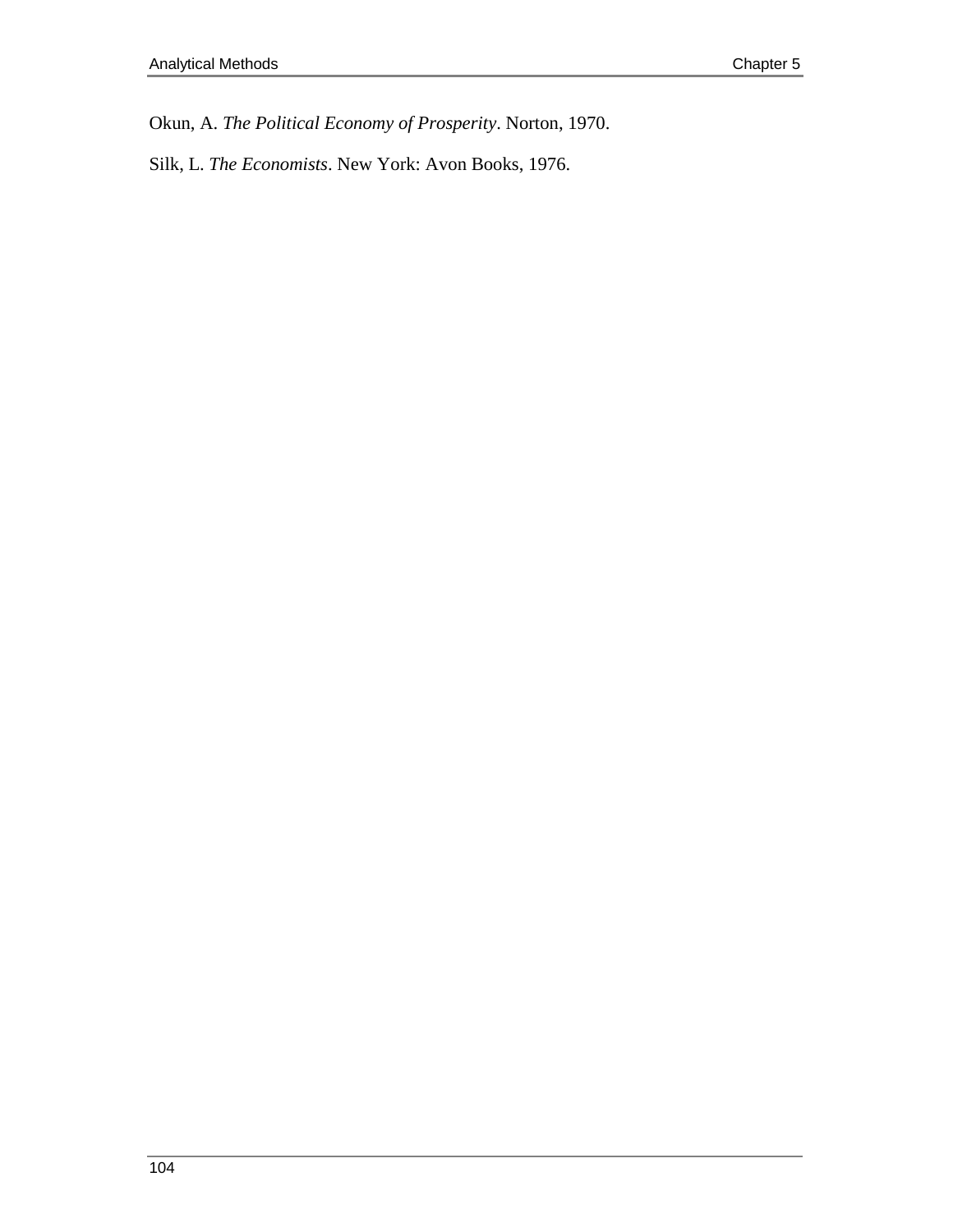Okun, A. *The Political Economy of Prosperity*. Norton, 1970.

Silk, L. *The Economists*. New York: Avon Books, 1976.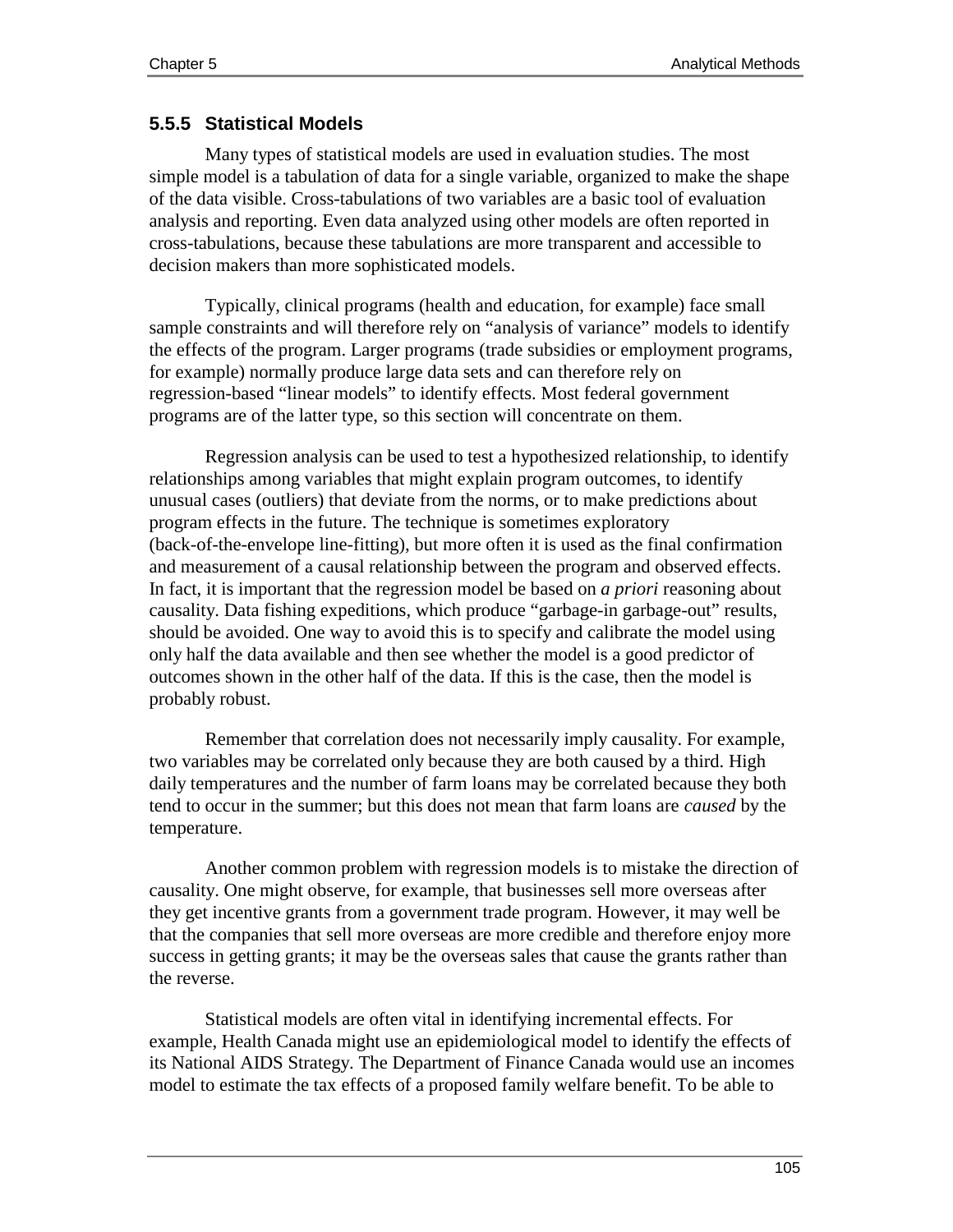## **5.5.5 Statistical Models**

Many types of statistical models are used in evaluation studies. The most simple model is a tabulation of data for a single variable, organized to make the shape of the data visible. Cross-tabulations of two variables are a basic tool of evaluation analysis and reporting. Even data analyzed using other models are often reported in cross-tabulations, because these tabulations are more transparent and accessible to decision makers than more sophisticated models.

Typically, clinical programs (health and education, for example) face small sample constraints and will therefore rely on "analysis of variance" models to identify the effects of the program. Larger programs (trade subsidies or employment programs, for example) normally produce large data sets and can therefore rely on regression-based "linear models" to identify effects. Most federal government programs are of the latter type, so this section will concentrate on them.

Regression analysis can be used to test a hypothesized relationship, to identify relationships among variables that might explain program outcomes, to identify unusual cases (outliers) that deviate from the norms, or to make predictions about program effects in the future. The technique is sometimes exploratory (back-of-the-envelope line-fitting), but more often it is used as the final confirmation and measurement of a causal relationship between the program and observed effects. In fact, it is important that the regression model be based on *a priori* reasoning about causality. Data fishing expeditions, which produce "garbage-in garbage-out" results, should be avoided. One way to avoid this is to specify and calibrate the model using only half the data available and then see whether the model is a good predictor of outcomes shown in the other half of the data. If this is the case, then the model is probably robust.

Remember that correlation does not necessarily imply causality. For example, two variables may be correlated only because they are both caused by a third. High daily temperatures and the number of farm loans may be correlated because they both tend to occur in the summer; but this does not mean that farm loans are *caused* by the temperature.

Another common problem with regression models is to mistake the direction of causality. One might observe, for example, that businesses sell more overseas after they get incentive grants from a government trade program. However, it may well be that the companies that sell more overseas are more credible and therefore enjoy more success in getting grants; it may be the overseas sales that cause the grants rather than the reverse.

Statistical models are often vital in identifying incremental effects. For example, Health Canada might use an epidemiological model to identify the effects of its National AIDS Strategy. The Department of Finance Canada would use an incomes model to estimate the tax effects of a proposed family welfare benefit. To be able to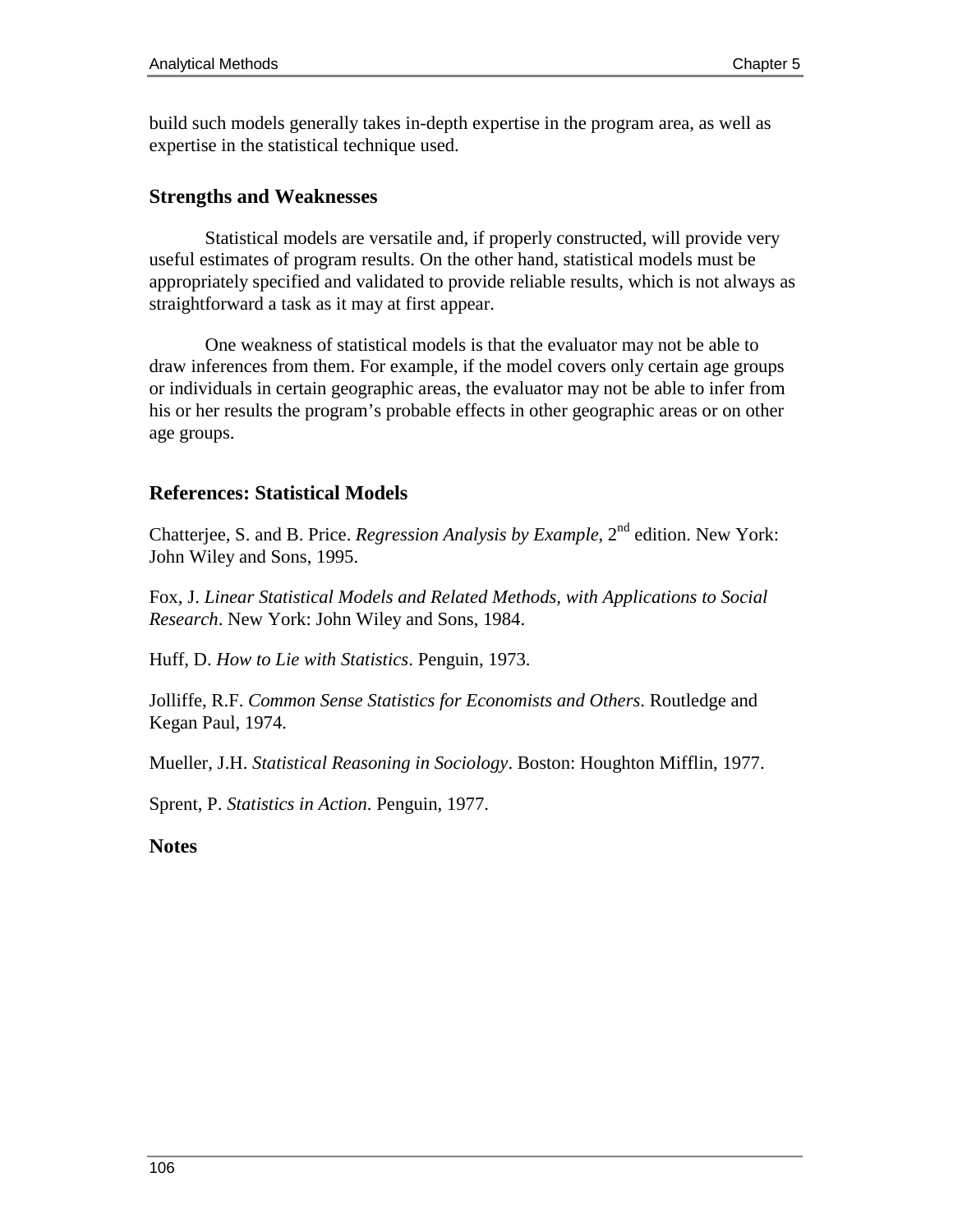build such models generally takes in-depth expertise in the program area, as well as expertise in the statistical technique used.

### **Strengths and Weaknesses**

Statistical models are versatile and, if properly constructed, will provide very useful estimates of program results. On the other hand, statistical models must be appropriately specified and validated to provide reliable results, which is not always as straightforward a task as it may at first appear.

One weakness of statistical models is that the evaluator may not be able to draw inferences from them. For example, if the model covers only certain age groups or individuals in certain geographic areas, the evaluator may not be able to infer from his or her results the program's probable effects in other geographic areas or on other age groups.

## **References: Statistical Models**

Chatterjee, S. and B. Price. *Regression Analysis by Example*, 2<sup>nd</sup> edition. New York: John Wiley and Sons, 1995.

Fox, J. *Linear Statistical Models and Related Methods, with Applications to Social Research*. New York: John Wiley and Sons, 1984.

Huff, D. *How to Lie with Statistics*. Penguin, 1973.

Jolliffe, R.F. *Common Sense Statistics for Economists and Others*. Routledge and Kegan Paul, 1974.

Mueller, J.H. *Statistical Reasoning in Sociology*. Boston: Houghton Mifflin, 1977.

Sprent, P. *Statistics in Action*. Penguin, 1977.

#### **Notes**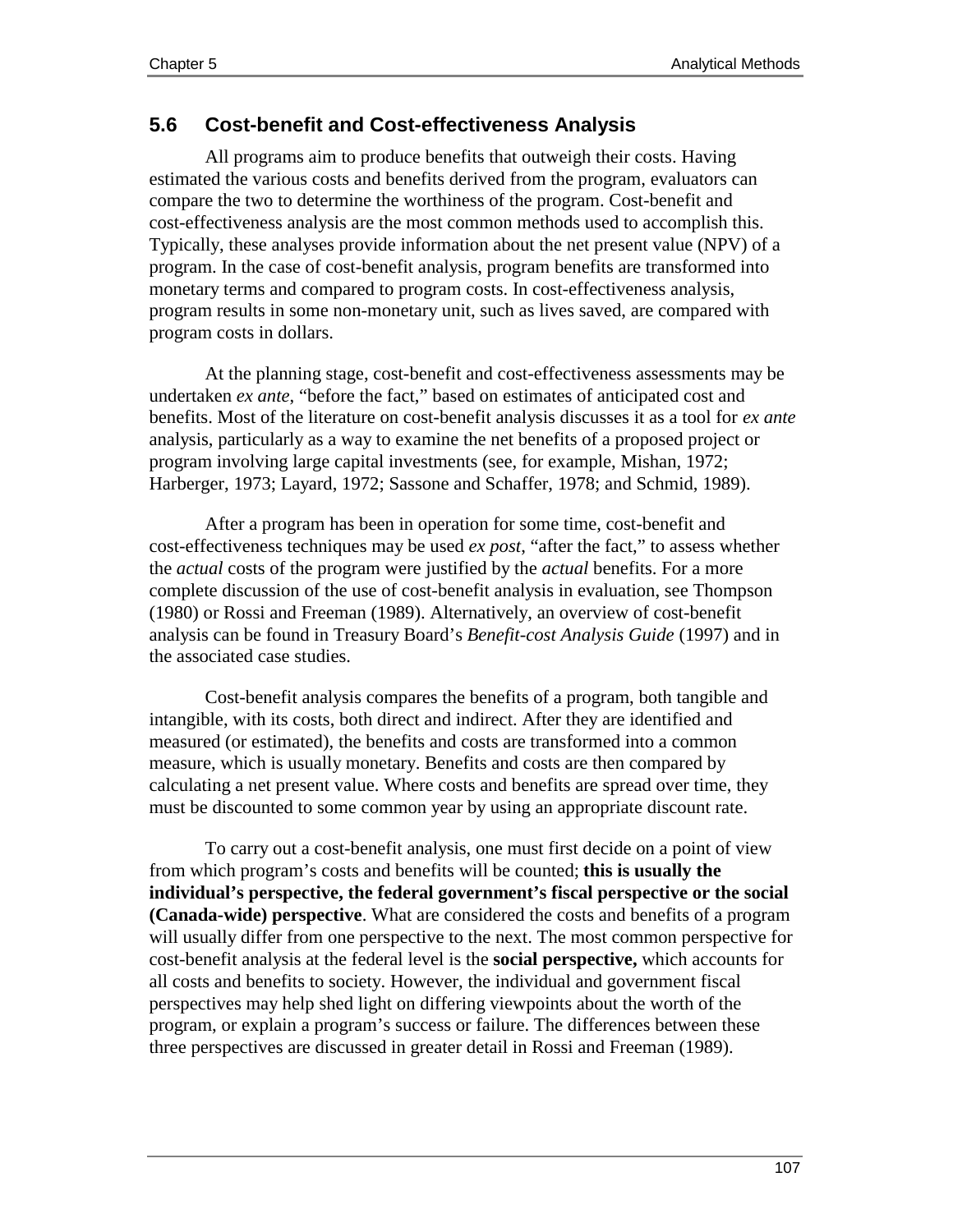## **5.6 Cost-benefit and Cost-effectiveness Analysis**

All programs aim to produce benefits that outweigh their costs. Having estimated the various costs and benefits derived from the program, evaluators can compare the two to determine the worthiness of the program. Cost-benefit and cost-effectiveness analysis are the most common methods used to accomplish this. Typically, these analyses provide information about the net present value (NPV) of a program. In the case of cost-benefit analysis, program benefits are transformed into monetary terms and compared to program costs. In cost-effectiveness analysis, program results in some non-monetary unit, such as lives saved, are compared with program costs in dollars.

At the planning stage, cost-benefit and cost-effectiveness assessments may be undertaken *ex ante*, "before the fact," based on estimates of anticipated cost and benefits. Most of the literature on cost-benefit analysis discusses it as a tool for *ex ante* analysis, particularly as a way to examine the net benefits of a proposed project or program involving large capital investments (see, for example, Mishan, 1972; Harberger, 1973; Layard, 1972; Sassone and Schaffer, 1978; and Schmid, 1989).

After a program has been in operation for some time, cost-benefit and cost-effectiveness techniques may be used *ex post*, "after the fact," to assess whether the *actual* costs of the program were justified by the *actual* benefits. For a more complete discussion of the use of cost-benefit analysis in evaluation, see Thompson (1980) or Rossi and Freeman (1989). Alternatively, an overview of cost-benefit analysis can be found in Treasury Board's *Benefit-cost Analysis Guide* (1997) and in the associated case studies.

Cost-benefit analysis compares the benefits of a program, both tangible and intangible, with its costs, both direct and indirect. After they are identified and measured (or estimated), the benefits and costs are transformed into a common measure, which is usually monetary. Benefits and costs are then compared by calculating a net present value. Where costs and benefits are spread over time, they must be discounted to some common year by using an appropriate discount rate.

To carry out a cost-benefit analysis, one must first decide on a point of view from which program's costs and benefits will be counted; **this is usually the individual's perspective, the federal government's fiscal perspective or the social (Canada-wide) perspective**. What are considered the costs and benefits of a program will usually differ from one perspective to the next. The most common perspective for cost-benefit analysis at the federal level is the **social perspective,** which accounts for all costs and benefits to society. However, the individual and government fiscal perspectives may help shed light on differing viewpoints about the worth of the program, or explain a program's success or failure. The differences between these three perspectives are discussed in greater detail in Rossi and Freeman (1989).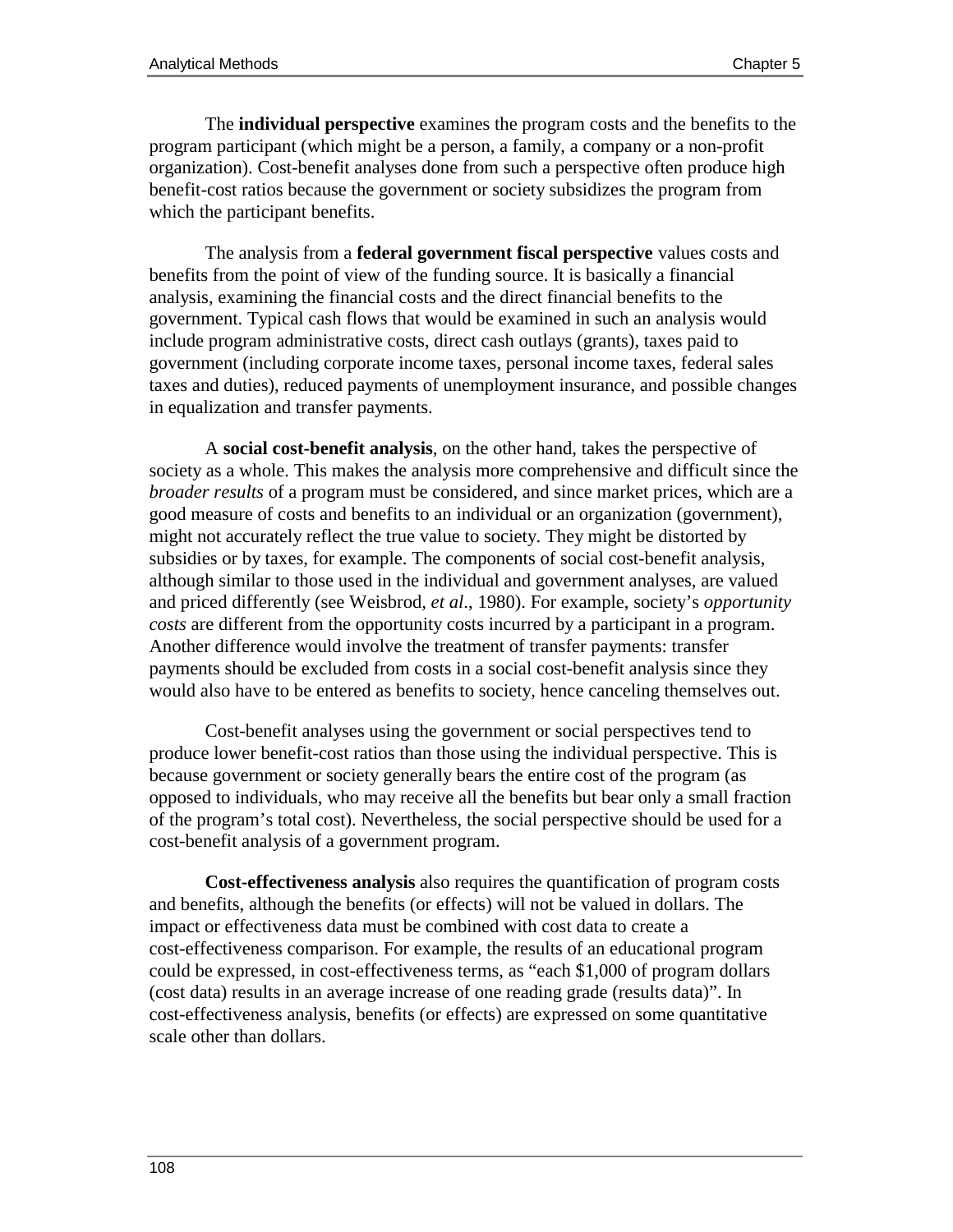The **individual perspective** examines the program costs and the benefits to the program participant (which might be a person, a family, a company or a non-profit organization). Cost-benefit analyses done from such a perspective often produce high benefit-cost ratios because the government or society subsidizes the program from which the participant benefits.

The analysis from a **federal government fiscal perspective** values costs and benefits from the point of view of the funding source. It is basically a financial analysis, examining the financial costs and the direct financial benefits to the government. Typical cash flows that would be examined in such an analysis would include program administrative costs, direct cash outlays (grants), taxes paid to government (including corporate income taxes, personal income taxes, federal sales taxes and duties), reduced payments of unemployment insurance, and possible changes in equalization and transfer payments.

A **social cost-benefit analysis**, on the other hand, takes the perspective of society as a whole. This makes the analysis more comprehensive and difficult since the *broader results* of a program must be considered, and since market prices, which are a good measure of costs and benefits to an individual or an organization (government), might not accurately reflect the true value to society. They might be distorted by subsidies or by taxes, for example. The components of social cost-benefit analysis, although similar to those used in the individual and government analyses, are valued and priced differently (see Weisbrod*, et al*., 1980). For example, society's *opportunity costs* are different from the opportunity costs incurred by a participant in a program. Another difference would involve the treatment of transfer payments: transfer payments should be excluded from costs in a social cost-benefit analysis since they would also have to be entered as benefits to society, hence canceling themselves out.

Cost-benefit analyses using the government or social perspectives tend to produce lower benefit-cost ratios than those using the individual perspective. This is because government or society generally bears the entire cost of the program (as opposed to individuals, who may receive all the benefits but bear only a small fraction of the program's total cost). Nevertheless, the social perspective should be used for a cost-benefit analysis of a government program.

**Cost-effectiveness analysis** also requires the quantification of program costs and benefits, although the benefits (or effects) will not be valued in dollars. The impact or effectiveness data must be combined with cost data to create a cost-effectiveness comparison. For example, the results of an educational program could be expressed, in cost-effectiveness terms, as "each \$1,000 of program dollars (cost data) results in an average increase of one reading grade (results data)". In cost-effectiveness analysis, benefits (or effects) are expressed on some quantitative scale other than dollars.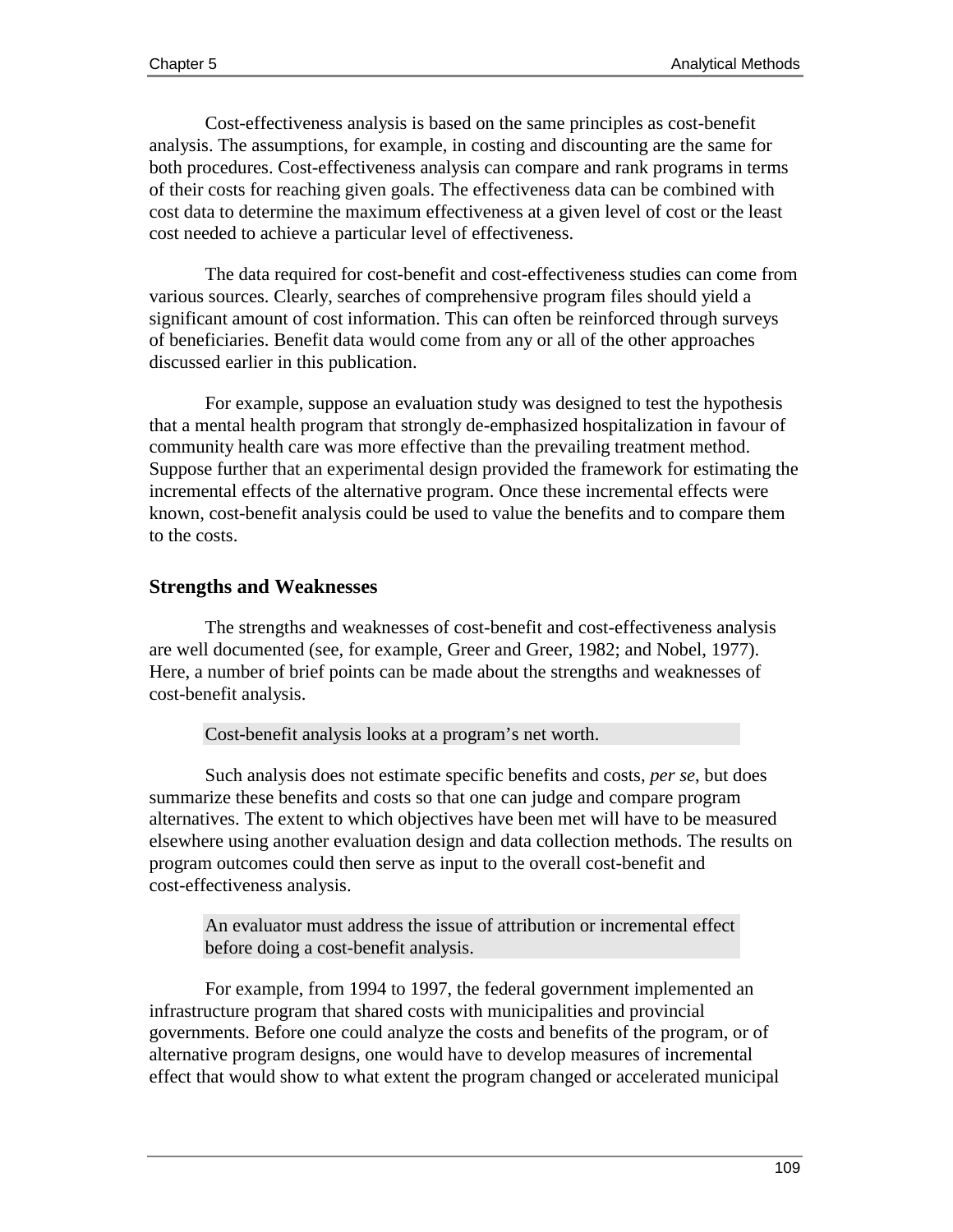Cost-effectiveness analysis is based on the same principles as cost-benefit analysis. The assumptions, for example, in costing and discounting are the same for both procedures. Cost-effectiveness analysis can compare and rank programs in terms of their costs for reaching given goals. The effectiveness data can be combined with cost data to determine the maximum effectiveness at a given level of cost or the least cost needed to achieve a particular level of effectiveness.

The data required for cost-benefit and cost-effectiveness studies can come from various sources. Clearly, searches of comprehensive program files should yield a significant amount of cost information. This can often be reinforced through surveys of beneficiaries. Benefit data would come from any or all of the other approaches discussed earlier in this publication.

For example, suppose an evaluation study was designed to test the hypothesis that a mental health program that strongly de-emphasized hospitalization in favour of community health care was more effective than the prevailing treatment method. Suppose further that an experimental design provided the framework for estimating the incremental effects of the alternative program. Once these incremental effects were known, cost-benefit analysis could be used to value the benefits and to compare them to the costs.

#### **Strengths and Weaknesses**

The strengths and weaknesses of cost-benefit and cost-effectiveness analysis are well documented (see, for example, Greer and Greer, 1982; and Nobel, 1977). Here, a number of brief points can be made about the strengths and weaknesses of cost-benefit analysis.

Cost-benefit analysis looks at a program's net worth.

Such analysis does not estimate specific benefits and costs, *per se*, but does summarize these benefits and costs so that one can judge and compare program alternatives. The extent to which objectives have been met will have to be measured elsewhere using another evaluation design and data collection methods. The results on program outcomes could then serve as input to the overall cost-benefit and cost-effectiveness analysis.

An evaluator must address the issue of attribution or incremental effect before doing a cost-benefit analysis.

For example, from 1994 to 1997, the federal government implemented an infrastructure program that shared costs with municipalities and provincial governments. Before one could analyze the costs and benefits of the program, or of alternative program designs, one would have to develop measures of incremental effect that would show to what extent the program changed or accelerated municipal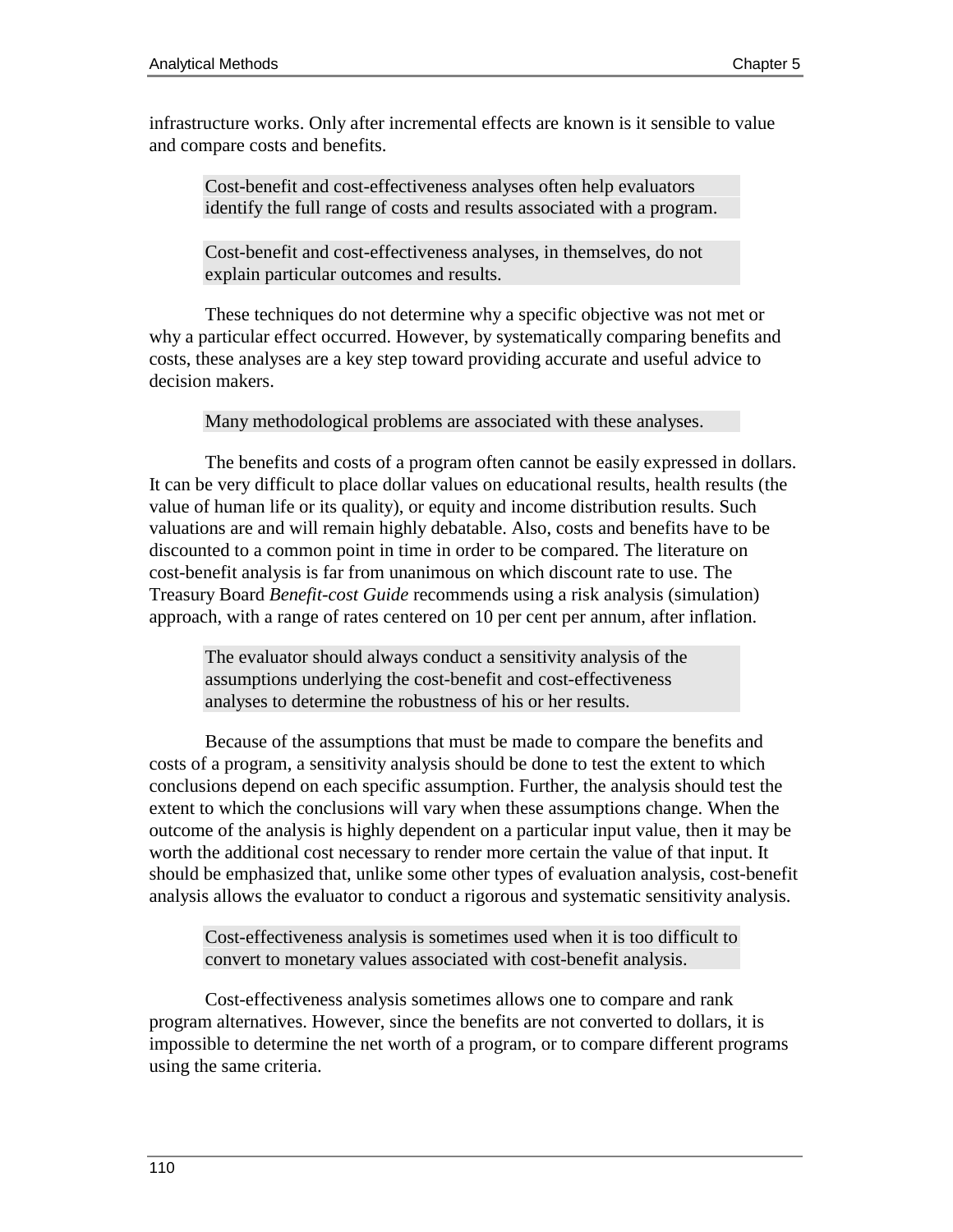infrastructure works. Only after incremental effects are known is it sensible to value and compare costs and benefits.

Cost-benefit and cost-effectiveness analyses often help evaluators identify the full range of costs and results associated with a program.

Cost-benefit and cost-effectiveness analyses, in themselves, do not explain particular outcomes and results.

These techniques do not determine why a specific objective was not met or why a particular effect occurred. However, by systematically comparing benefits and costs, these analyses are a key step toward providing accurate and useful advice to decision makers.

Many methodological problems are associated with these analyses.

The benefits and costs of a program often cannot be easily expressed in dollars. It can be very difficult to place dollar values on educational results, health results (the value of human life or its quality), or equity and income distribution results. Such valuations are and will remain highly debatable. Also, costs and benefits have to be discounted to a common point in time in order to be compared. The literature on cost-benefit analysis is far from unanimous on which discount rate to use. The Treasury Board *Benefit-cost Guide* recommends using a risk analysis (simulation) approach, with a range of rates centered on 10 per cent per annum, after inflation.

The evaluator should always conduct a sensitivity analysis of the assumptions underlying the cost-benefit and cost-effectiveness analyses to determine the robustness of his or her results.

Because of the assumptions that must be made to compare the benefits and costs of a program, a sensitivity analysis should be done to test the extent to which conclusions depend on each specific assumption. Further, the analysis should test the extent to which the conclusions will vary when these assumptions change. When the outcome of the analysis is highly dependent on a particular input value, then it may be worth the additional cost necessary to render more certain the value of that input. It should be emphasized that, unlike some other types of evaluation analysis, cost-benefit analysis allows the evaluator to conduct a rigorous and systematic sensitivity analysis.

Cost-effectiveness analysis is sometimes used when it is too difficult to convert to monetary values associated with cost-benefit analysis.

Cost-effectiveness analysis sometimes allows one to compare and rank program alternatives. However, since the benefits are not converted to dollars, it is impossible to determine the net worth of a program, or to compare different programs using the same criteria.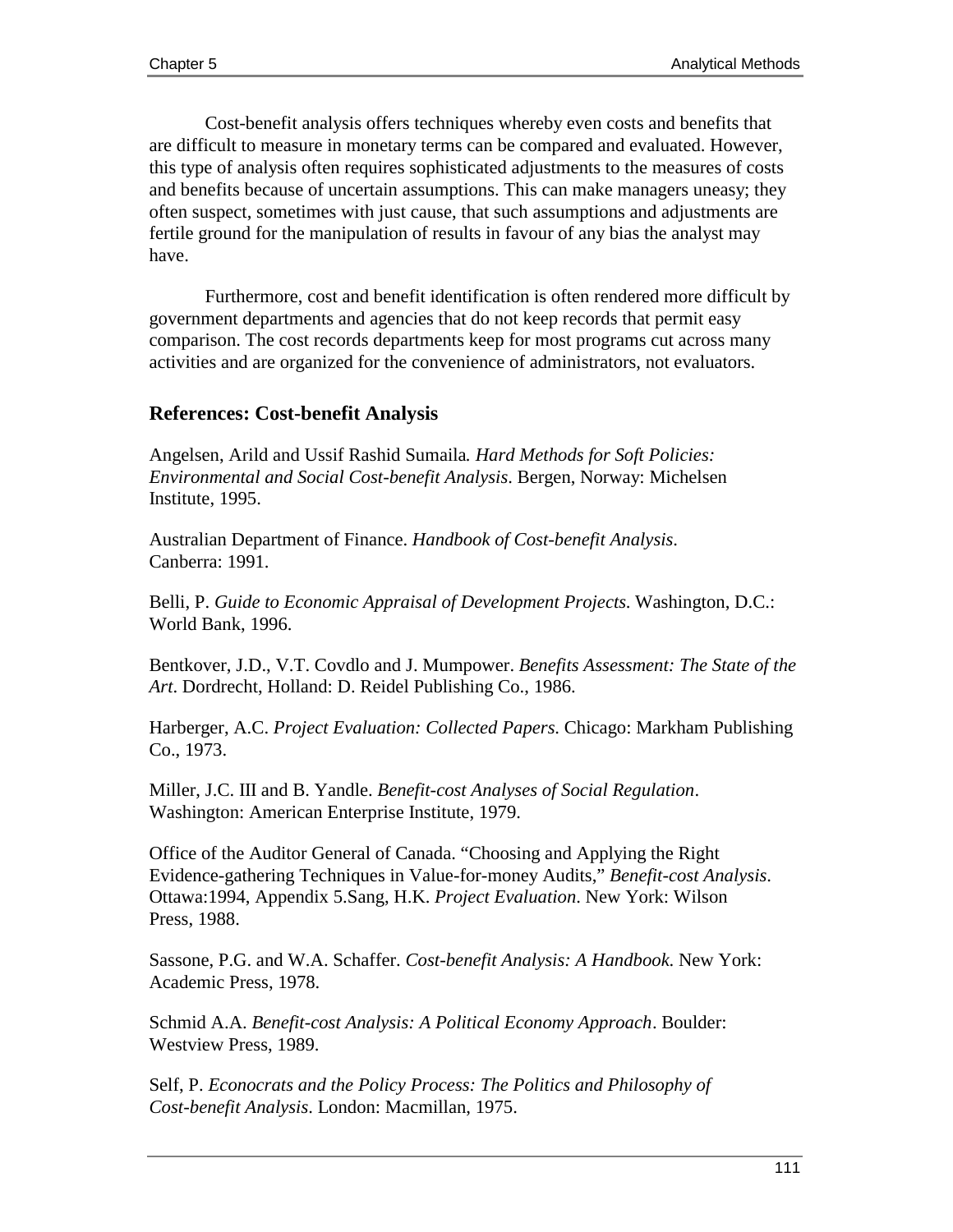Cost-benefit analysis offers techniques whereby even costs and benefits that are difficult to measure in monetary terms can be compared and evaluated. However, this type of analysis often requires sophisticated adjustments to the measures of costs and benefits because of uncertain assumptions. This can make managers uneasy; they often suspect, sometimes with just cause, that such assumptions and adjustments are fertile ground for the manipulation of results in favour of any bias the analyst may have.

Furthermore, cost and benefit identification is often rendered more difficult by government departments and agencies that do not keep records that permit easy comparison. The cost records departments keep for most programs cut across many activities and are organized for the convenience of administrators, not evaluators.

## **References: Cost-benefit Analysis**

Angelsen, Arild and Ussif Rashid Sumaila*. Hard Methods for Soft Policies: Environmental and Social Cost-benefit Analysis*. Bergen, Norway: Michelsen Institute, 1995.

Australian Department of Finance. *Handbook of Cost-benefit Analysis*. Canberra: 1991.

Belli, P. *Guide to Economic Appraisal of Development Projects*. Washington, D.C.: World Bank, 1996.

Bentkover, J.D., V.T. Covdlo and J. Mumpower. *Benefits Assessment: The State of the Art*. Dordrecht, Holland: D. Reidel Publishing Co., 1986.

Harberger, A.C. *Project Evaluation: Collected Papers*. Chicago: Markham Publishing Co., 1973.

Miller, J.C. III and B. Yandle. *Benefit-cost Analyses of Social Regulation*. Washington: American Enterprise Institute, 1979.

Office of the Auditor General of Canada. "Choosing and Applying the Right Evidence-gathering Techniques in Value-for-money Audits," *Benefit-cost Analysis*. Ottawa:1994, Appendix 5.Sang, H.K. *Project Evaluation*. New York: Wilson Press, 1988.

Sassone, P.G. and W.A. Schaffer. *Cost-benefit Analysis: A Handbook*. New York: Academic Press, 1978.

Schmid A.A. *Benefit-cost Analysis: A Political Economy Approach*. Boulder: Westview Press, 1989.

Self, P. *Econocrats and the Policy Process: The Politics and Philosophy of Cost-benefit Analysis*. London: Macmillan, 1975.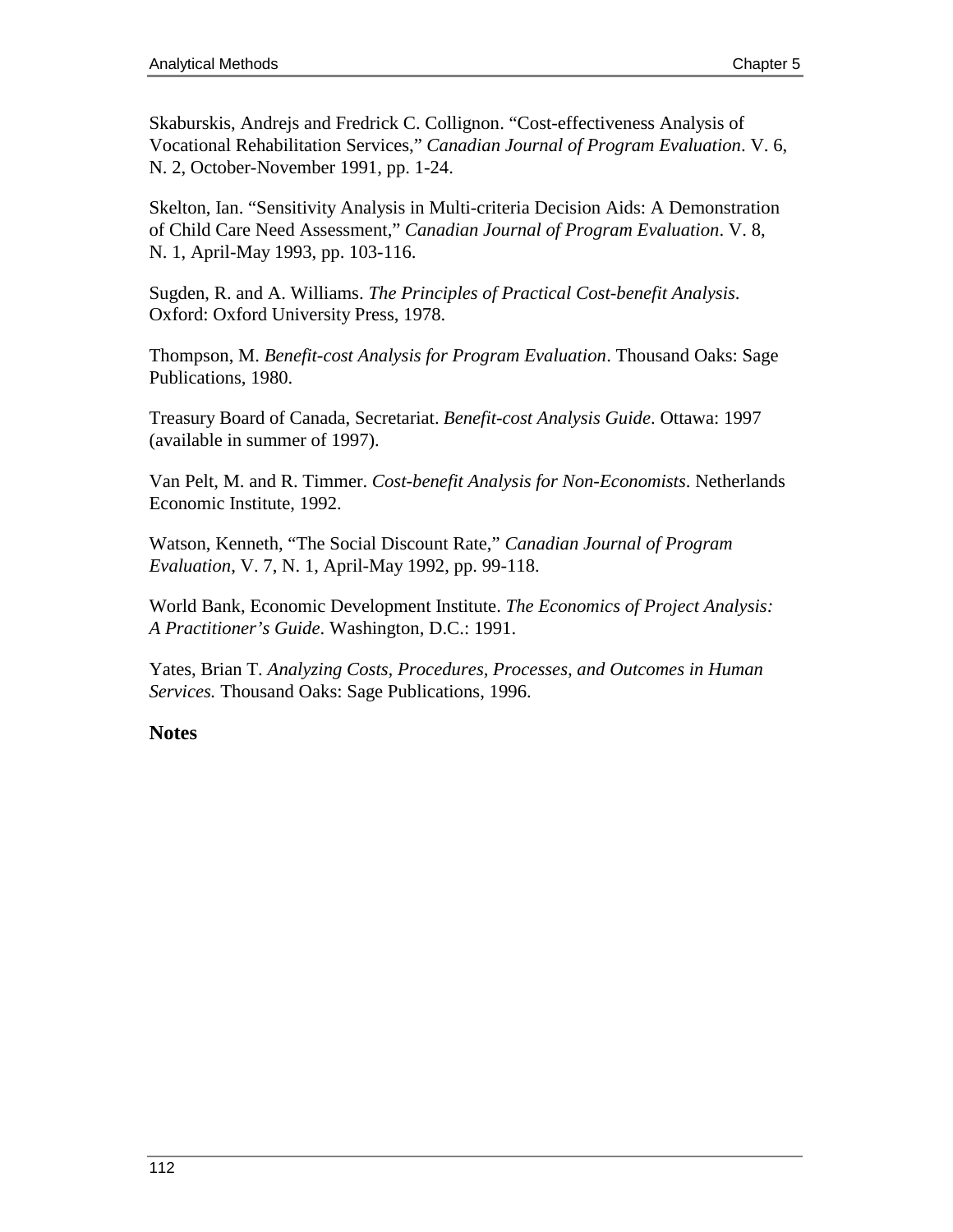Skaburskis, Andrejs and Fredrick C. Collignon. "Cost-effectiveness Analysis of Vocational Rehabilitation Services," *Canadian Journal of Program Evaluation*. V. 6, N. 2, October-November 1991, pp. 1-24.

Skelton, Ian. "Sensitivity Analysis in Multi-criteria Decision Aids: A Demonstration of Child Care Need Assessment," *Canadian Journal of Program Evaluation*. V. 8, N. 1, April-May 1993, pp. 103-116.

Sugden, R. and A. Williams. *The Principles of Practical Cost-benefit Analysis*. Oxford: Oxford University Press, 1978.

Thompson, M. *Benefit-cost Analysis for Program Evaluation*. Thousand Oaks: Sage Publications, 1980.

Treasury Board of Canada, Secretariat. *Benefit-cost Analysis Guide*. Ottawa: 1997 (available in summer of 1997).

Van Pelt, M. and R. Timmer. *Cost-benefit Analysis for Non-Economists*. Netherlands Economic Institute, 1992.

Watson, Kenneth, "The Social Discount Rate," *Canadian Journal of Program Evaluation*, V. 7, N. 1, April-May 1992, pp. 99-118.

World Bank, Economic Development Institute. *The Economics of Project Analysis: A Practitioner's Guide*. Washington, D.C.: 1991.

Yates, Brian T. *Analyzing Costs, Procedures, Processes, and Outcomes in Human Services.* Thousand Oaks: Sage Publications, 1996.

## **Notes**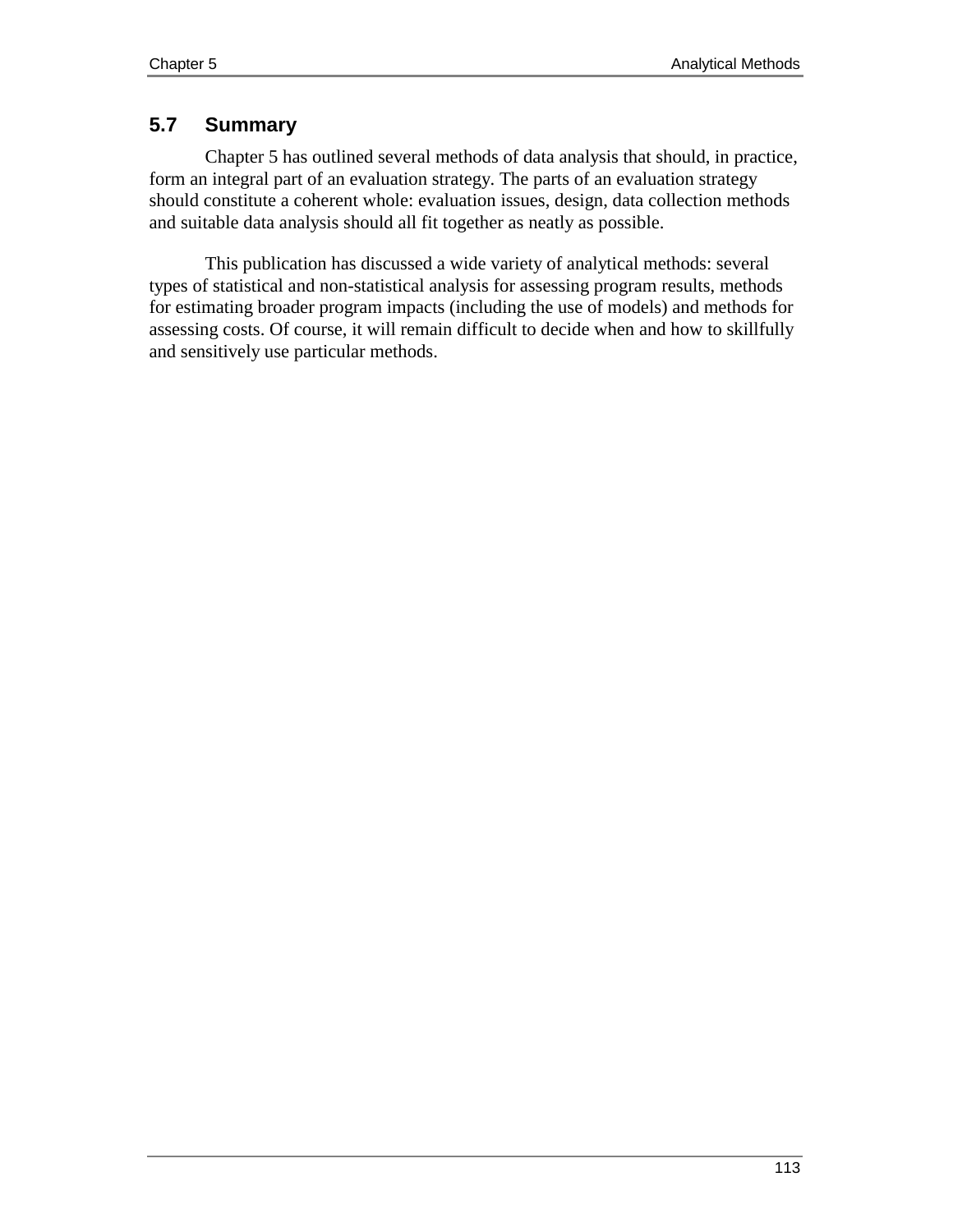## **5.7 Summary**

Chapter 5 has outlined several methods of data analysis that should, in practice, form an integral part of an evaluation strategy. The parts of an evaluation strategy should constitute a coherent whole: evaluation issues, design, data collection methods and suitable data analysis should all fit together as neatly as possible.

This publication has discussed a wide variety of analytical methods: several types of statistical and non-statistical analysis for assessing program results, methods for estimating broader program impacts (including the use of models) and methods for assessing costs. Of course, it will remain difficult to decide when and how to skillfully and sensitively use particular methods.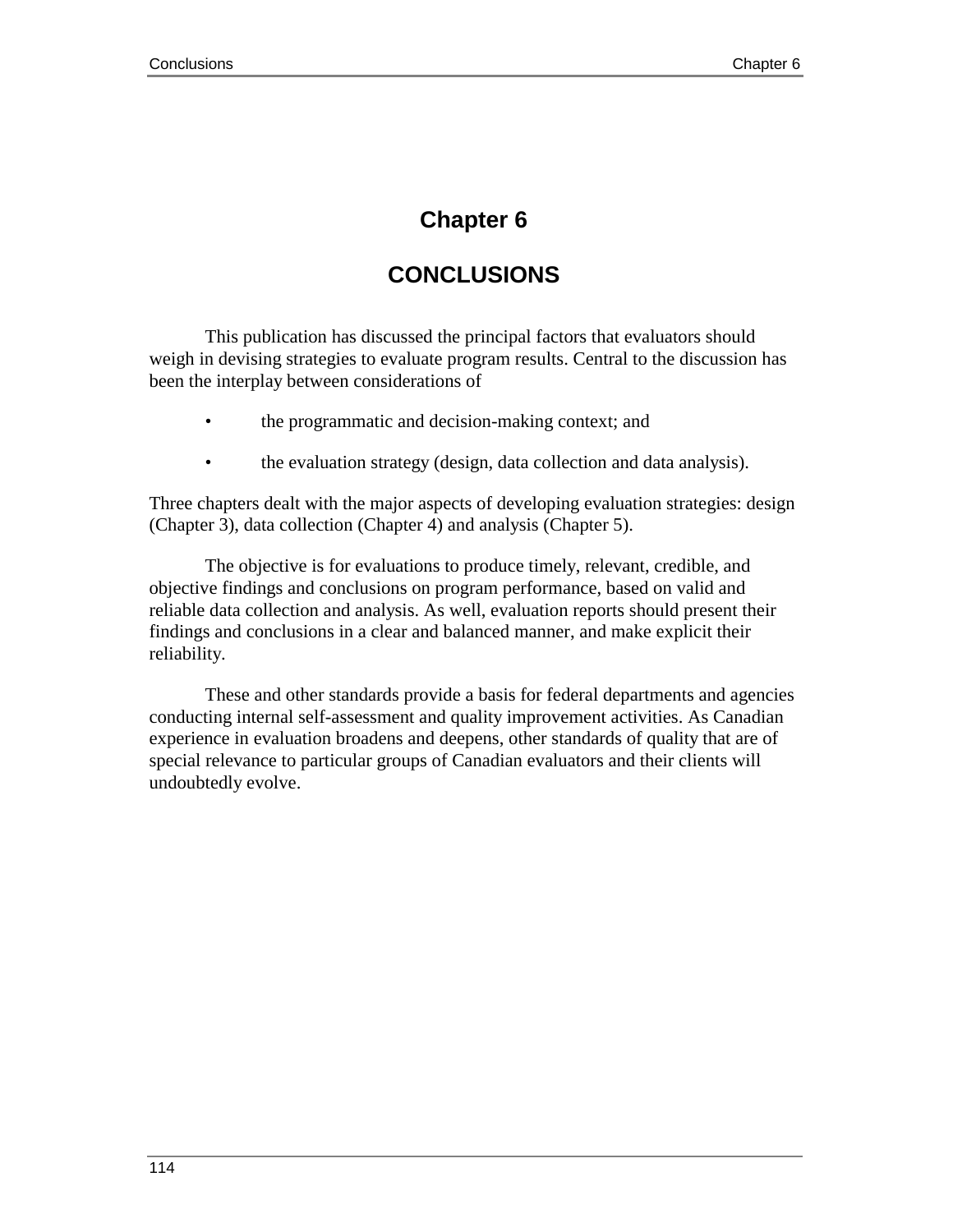## **Chapter 6**

# **CONCLUSIONS**

This publication has discussed the principal factors that evaluators should weigh in devising strategies to evaluate program results. Central to the discussion has been the interplay between considerations of

- the programmatic and decision-making context; and
- the evaluation strategy (design, data collection and data analysis).

Three chapters dealt with the major aspects of developing evaluation strategies: design (Chapter 3), data collection (Chapter 4) and analysis (Chapter 5).

The objective is for evaluations to produce timely, relevant, credible, and objective findings and conclusions on program performance, based on valid and reliable data collection and analysis. As well, evaluation reports should present their findings and conclusions in a clear and balanced manner, and make explicit their reliability.

These and other standards provide a basis for federal departments and agencies conducting internal self-assessment and quality improvement activities. As Canadian experience in evaluation broadens and deepens, other standards of quality that are of special relevance to particular groups of Canadian evaluators and their clients will undoubtedly evolve.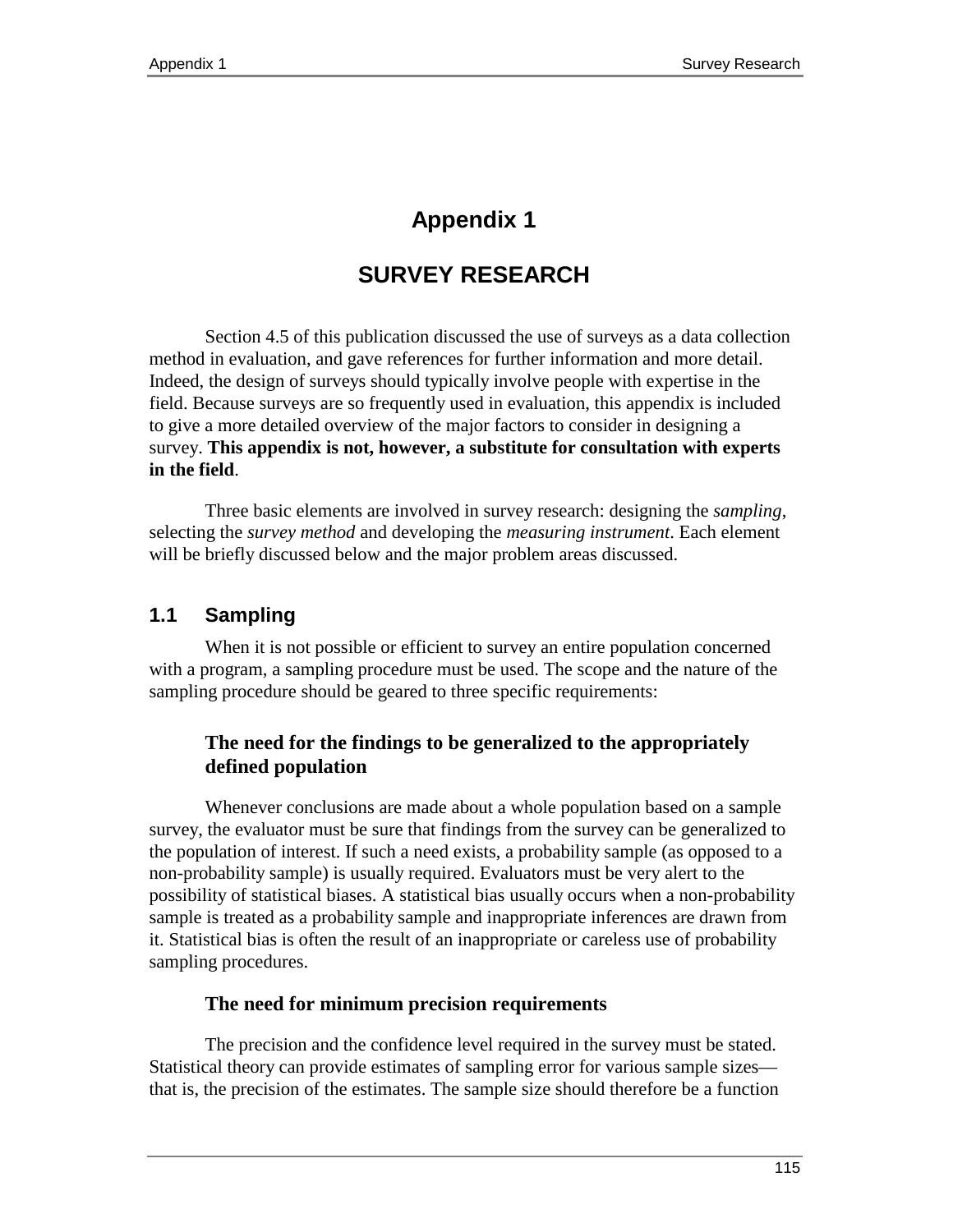# **Appendix 1**

# **SURVEY RESEARCH**

Section 4.5 of this publication discussed the use of surveys as a data collection method in evaluation, and gave references for further information and more detail. Indeed, the design of surveys should typically involve people with expertise in the field. Because surveys are so frequently used in evaluation, this appendix is included to give a more detailed overview of the major factors to consider in designing a survey. **This appendix is not, however, a substitute for consultation with experts in the field**.

Three basic elements are involved in survey research: designing the *sampling*, selecting the *survey method* and developing the *measuring instrument*. Each element will be briefly discussed below and the major problem areas discussed.

## **1.1 Sampling**

When it is not possible or efficient to survey an entire population concerned with a program, a sampling procedure must be used. The scope and the nature of the sampling procedure should be geared to three specific requirements:

## **The need for the findings to be generalized to the appropriately defined population**

Whenever conclusions are made about a whole population based on a sample survey, the evaluator must be sure that findings from the survey can be generalized to the population of interest. If such a need exists, a probability sample (as opposed to a non-probability sample) is usually required. Evaluators must be very alert to the possibility of statistical biases. A statistical bias usually occurs when a non-probability sample is treated as a probability sample and inappropriate inferences are drawn from it. Statistical bias is often the result of an inappropriate or careless use of probability sampling procedures.

## **The need for minimum precision requirements**

The precision and the confidence level required in the survey must be stated. Statistical theory can provide estimates of sampling error for various sample sizes that is, the precision of the estimates. The sample size should therefore be a function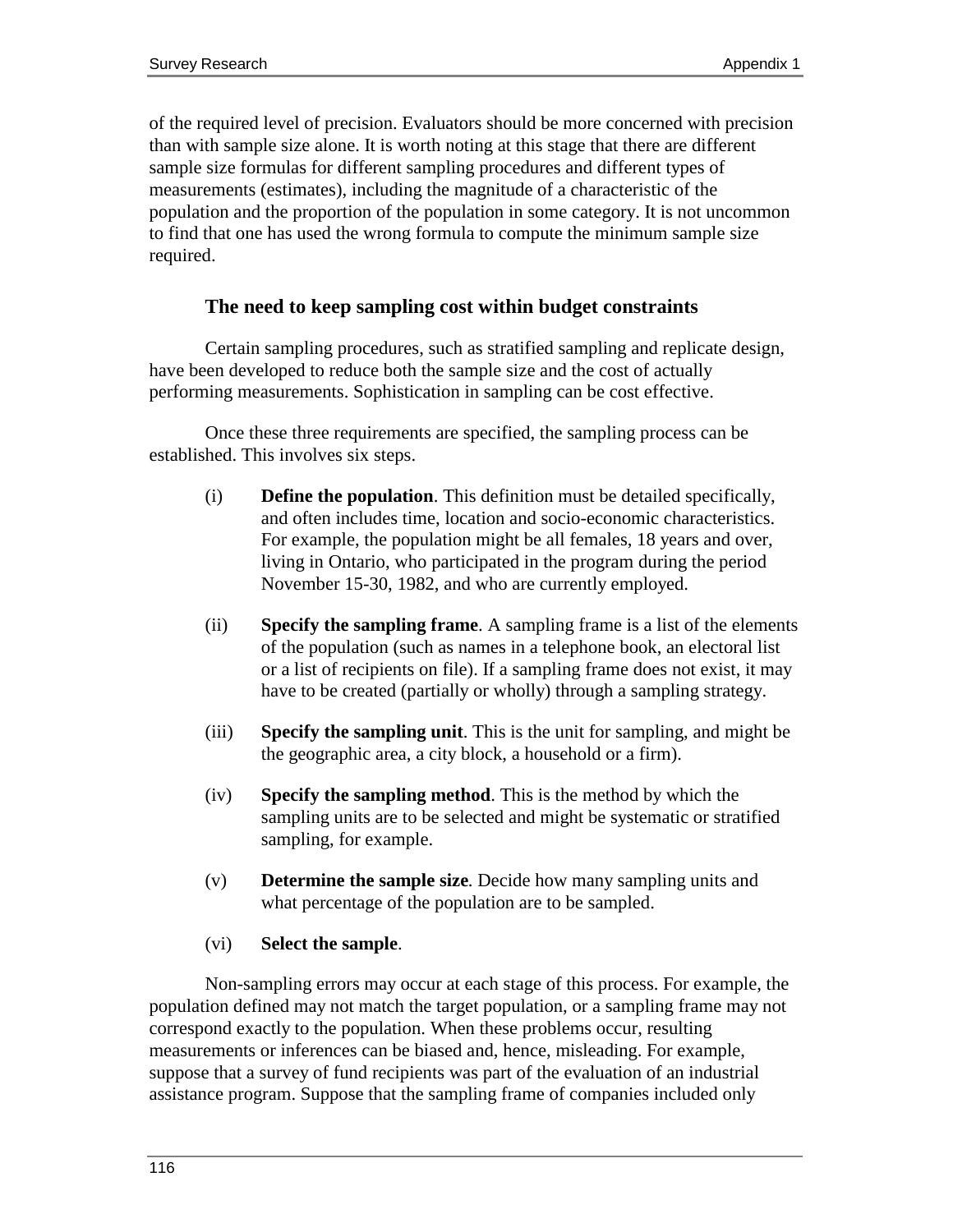of the required level of precision. Evaluators should be more concerned with precision than with sample size alone. It is worth noting at this stage that there are different sample size formulas for different sampling procedures and different types of measurements (estimates), including the magnitude of a characteristic of the population and the proportion of the population in some category. It is not uncommon to find that one has used the wrong formula to compute the minimum sample size required.

### **The need to keep sampling cost within budget constraints**

Certain sampling procedures, such as stratified sampling and replicate design, have been developed to reduce both the sample size and the cost of actually performing measurements. Sophistication in sampling can be cost effective.

Once these three requirements are specified, the sampling process can be established. This involves six steps.

- (i) **Define the population**. This definition must be detailed specifically, and often includes time, location and socio-economic characteristics. For example, the population might be all females, 18 years and over, living in Ontario, who participated in the program during the period November 15-30, 1982, and who are currently employed.
- (ii) **Specify the sampling frame**. A sampling frame is a list of the elements of the population (such as names in a telephone book, an electoral list or a list of recipients on file). If a sampling frame does not exist, it may have to be created (partially or wholly) through a sampling strategy.
- (iii) **Specify the sampling unit**. This is the unit for sampling, and might be the geographic area, a city block, a household or a firm).
- (iv) **Specify the sampling method**. This is the method by which the sampling units are to be selected and might be systematic or stratified sampling, for example.
- (v) **Determine the sample size**. Decide how many sampling units and what percentage of the population are to be sampled.

#### (vi) **Select the sample**.

Non-sampling errors may occur at each stage of this process. For example, the population defined may not match the target population, or a sampling frame may not correspond exactly to the population. When these problems occur, resulting measurements or inferences can be biased and, hence, misleading. For example, suppose that a survey of fund recipients was part of the evaluation of an industrial assistance program. Suppose that the sampling frame of companies included only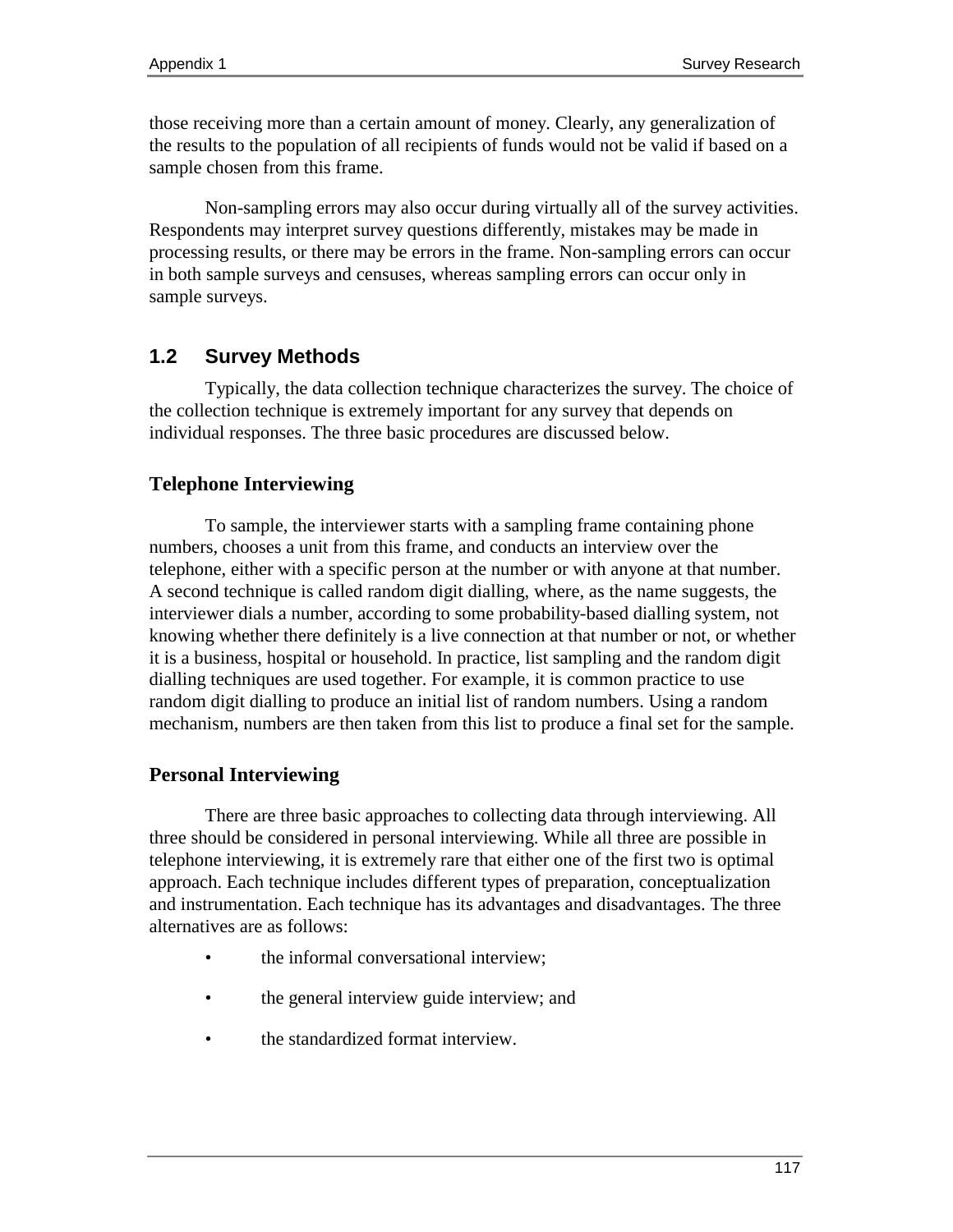those receiving more than a certain amount of money. Clearly, any generalization of the results to the population of all recipients of funds would not be valid if based on a sample chosen from this frame.

Non-sampling errors may also occur during virtually all of the survey activities. Respondents may interpret survey questions differently, mistakes may be made in processing results, or there may be errors in the frame. Non-sampling errors can occur in both sample surveys and censuses, whereas sampling errors can occur only in sample surveys.

## **1.2 Survey Methods**

Typically, the data collection technique characterizes the survey. The choice of the collection technique is extremely important for any survey that depends on individual responses. The three basic procedures are discussed below.

## **Telephone Interviewing**

To sample, the interviewer starts with a sampling frame containing phone numbers, chooses a unit from this frame, and conducts an interview over the telephone, either with a specific person at the number or with anyone at that number. A second technique is called random digit dialling, where, as the name suggests, the interviewer dials a number, according to some probability-based dialling system, not knowing whether there definitely is a live connection at that number or not, or whether it is a business, hospital or household. In practice, list sampling and the random digit dialling techniques are used together. For example, it is common practice to use random digit dialling to produce an initial list of random numbers. Using a random mechanism, numbers are then taken from this list to produce a final set for the sample.

## **Personal Interviewing**

There are three basic approaches to collecting data through interviewing. All three should be considered in personal interviewing. While all three are possible in telephone interviewing, it is extremely rare that either one of the first two is optimal approach. Each technique includes different types of preparation, conceptualization and instrumentation. Each technique has its advantages and disadvantages. The three alternatives are as follows:

- the informal conversational interview;
- the general interview guide interview; and
- the standardized format interview.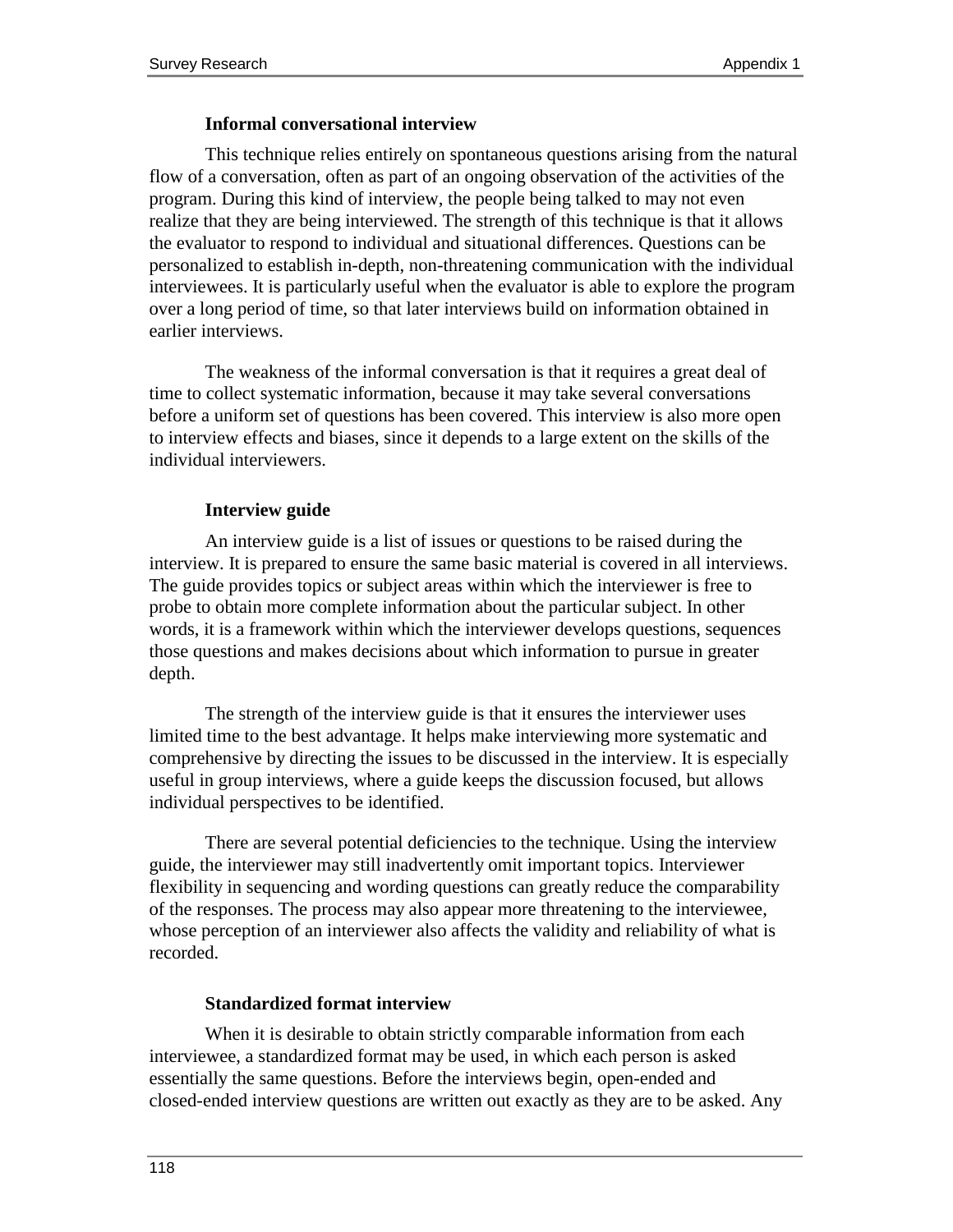#### **Informal conversational interview**

This technique relies entirely on spontaneous questions arising from the natural flow of a conversation, often as part of an ongoing observation of the activities of the program. During this kind of interview, the people being talked to may not even realize that they are being interviewed. The strength of this technique is that it allows the evaluator to respond to individual and situational differences. Questions can be personalized to establish in-depth, non-threatening communication with the individual interviewees. It is particularly useful when the evaluator is able to explore the program over a long period of time, so that later interviews build on information obtained in earlier interviews.

The weakness of the informal conversation is that it requires a great deal of time to collect systematic information, because it may take several conversations before a uniform set of questions has been covered. This interview is also more open to interview effects and biases, since it depends to a large extent on the skills of the individual interviewers.

#### **Interview guide**

An interview guide is a list of issues or questions to be raised during the interview. It is prepared to ensure the same basic material is covered in all interviews. The guide provides topics or subject areas within which the interviewer is free to probe to obtain more complete information about the particular subject. In other words, it is a framework within which the interviewer develops questions, sequences those questions and makes decisions about which information to pursue in greater depth.

The strength of the interview guide is that it ensures the interviewer uses limited time to the best advantage. It helps make interviewing more systematic and comprehensive by directing the issues to be discussed in the interview. It is especially useful in group interviews, where a guide keeps the discussion focused, but allows individual perspectives to be identified.

There are several potential deficiencies to the technique. Using the interview guide, the interviewer may still inadvertently omit important topics. Interviewer flexibility in sequencing and wording questions can greatly reduce the comparability of the responses. The process may also appear more threatening to the interviewee, whose perception of an interviewer also affects the validity and reliability of what is recorded.

#### **Standardized format interview**

When it is desirable to obtain strictly comparable information from each interviewee, a standardized format may be used, in which each person is asked essentially the same questions. Before the interviews begin, open-ended and closed-ended interview questions are written out exactly as they are to be asked. Any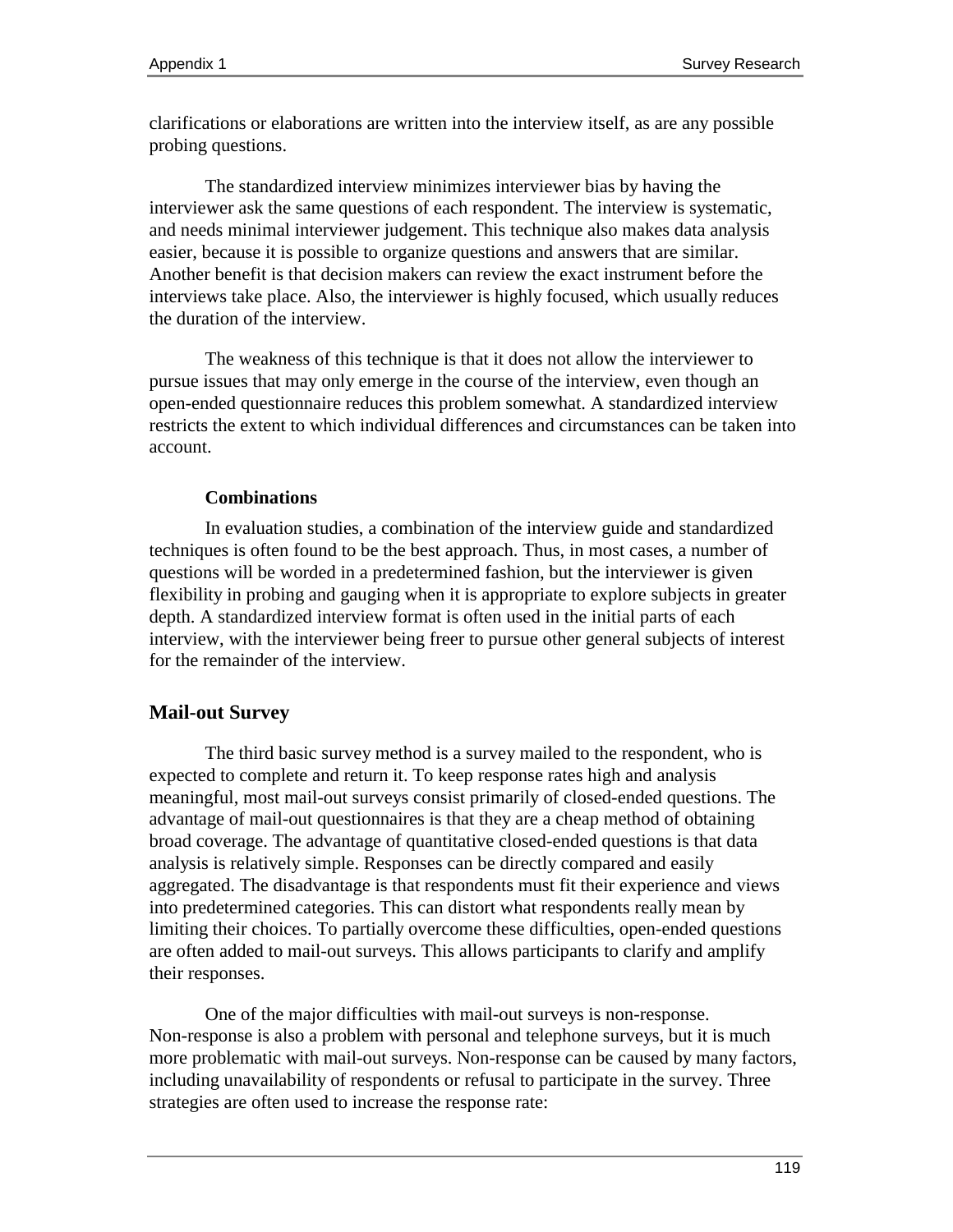clarifications or elaborations are written into the interview itself, as are any possible probing questions.

The standardized interview minimizes interviewer bias by having the interviewer ask the same questions of each respondent. The interview is systematic, and needs minimal interviewer judgement. This technique also makes data analysis easier, because it is possible to organize questions and answers that are similar. Another benefit is that decision makers can review the exact instrument before the interviews take place. Also, the interviewer is highly focused, which usually reduces the duration of the interview.

The weakness of this technique is that it does not allow the interviewer to pursue issues that may only emerge in the course of the interview, even though an open-ended questionnaire reduces this problem somewhat. A standardized interview restricts the extent to which individual differences and circumstances can be taken into account.

#### **Combinations**

In evaluation studies, a combination of the interview guide and standardized techniques is often found to be the best approach. Thus, in most cases, a number of questions will be worded in a predetermined fashion, but the interviewer is given flexibility in probing and gauging when it is appropriate to explore subjects in greater depth. A standardized interview format is often used in the initial parts of each interview, with the interviewer being freer to pursue other general subjects of interest for the remainder of the interview.

## **Mail-out Survey**

The third basic survey method is a survey mailed to the respondent, who is expected to complete and return it. To keep response rates high and analysis meaningful, most mail-out surveys consist primarily of closed-ended questions. The advantage of mail-out questionnaires is that they are a cheap method of obtaining broad coverage. The advantage of quantitative closed-ended questions is that data analysis is relatively simple. Responses can be directly compared and easily aggregated. The disadvantage is that respondents must fit their experience and views into predetermined categories. This can distort what respondents really mean by limiting their choices. To partially overcome these difficulties, open-ended questions are often added to mail-out surveys. This allows participants to clarify and amplify their responses.

One of the major difficulties with mail-out surveys is non-response. Non-response is also a problem with personal and telephone surveys, but it is much more problematic with mail-out surveys. Non-response can be caused by many factors, including unavailability of respondents or refusal to participate in the survey. Three strategies are often used to increase the response rate: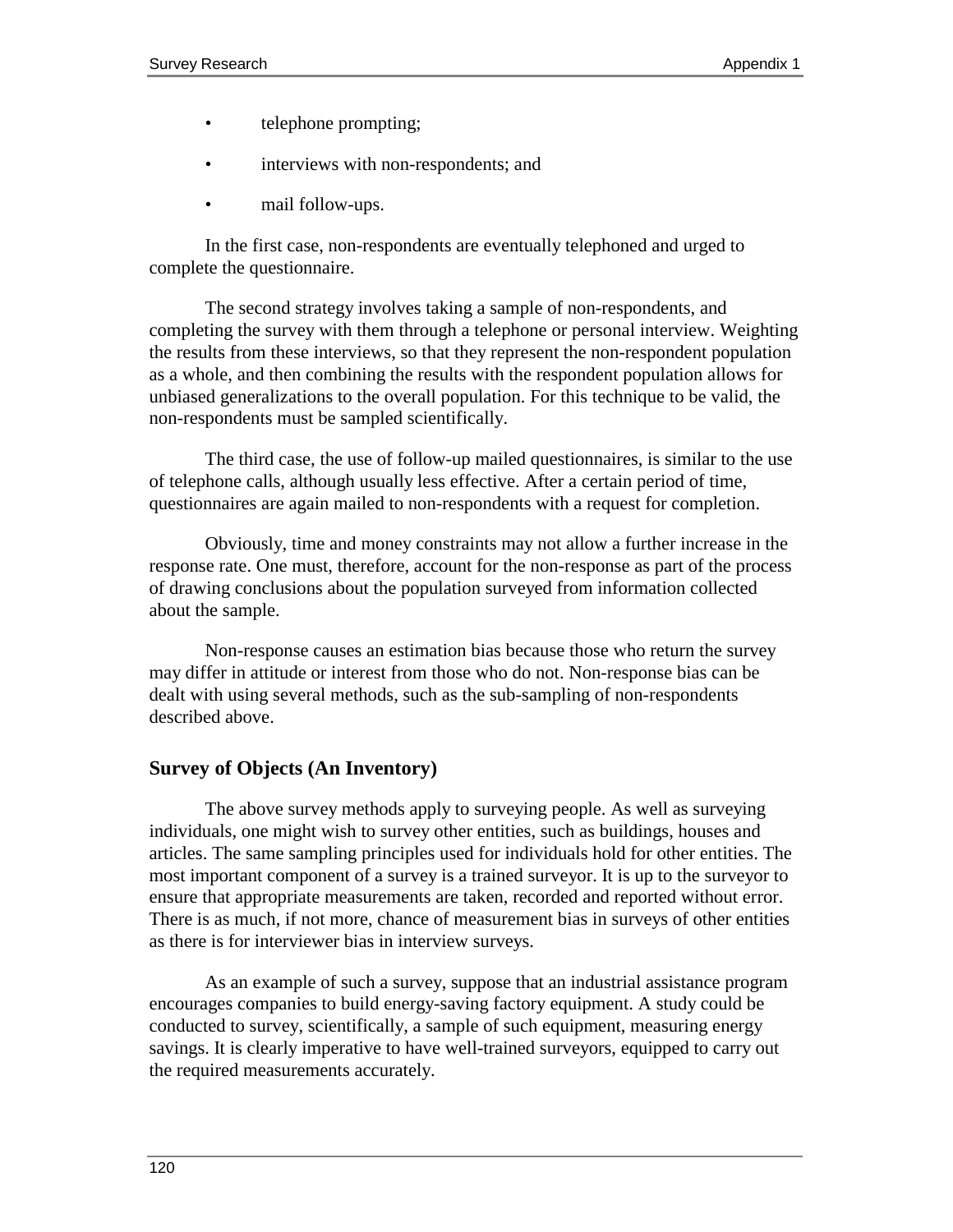- telephone prompting;
- interviews with non-respondents; and
- mail follow-ups.

In the first case, non-respondents are eventually telephoned and urged to complete the questionnaire.

The second strategy involves taking a sample of non-respondents, and completing the survey with them through a telephone or personal interview. Weighting the results from these interviews, so that they represent the non-respondent population as a whole, and then combining the results with the respondent population allows for unbiased generalizations to the overall population. For this technique to be valid, the non-respondents must be sampled scientifically.

The third case, the use of follow-up mailed questionnaires, is similar to the use of telephone calls, although usually less effective. After a certain period of time, questionnaires are again mailed to non-respondents with a request for completion.

Obviously, time and money constraints may not allow a further increase in the response rate. One must, therefore, account for the non-response as part of the process of drawing conclusions about the population surveyed from information collected about the sample.

Non-response causes an estimation bias because those who return the survey may differ in attitude or interest from those who do not. Non-response bias can be dealt with using several methods, such as the sub-sampling of non-respondents described above.

## **Survey of Objects (An Inventory)**

The above survey methods apply to surveying people. As well as surveying individuals, one might wish to survey other entities, such as buildings, houses and articles. The same sampling principles used for individuals hold for other entities. The most important component of a survey is a trained surveyor. It is up to the surveyor to ensure that appropriate measurements are taken, recorded and reported without error. There is as much, if not more, chance of measurement bias in surveys of other entities as there is for interviewer bias in interview surveys.

As an example of such a survey, suppose that an industrial assistance program encourages companies to build energy-saving factory equipment. A study could be conducted to survey, scientifically, a sample of such equipment, measuring energy savings. It is clearly imperative to have well-trained surveyors, equipped to carry out the required measurements accurately.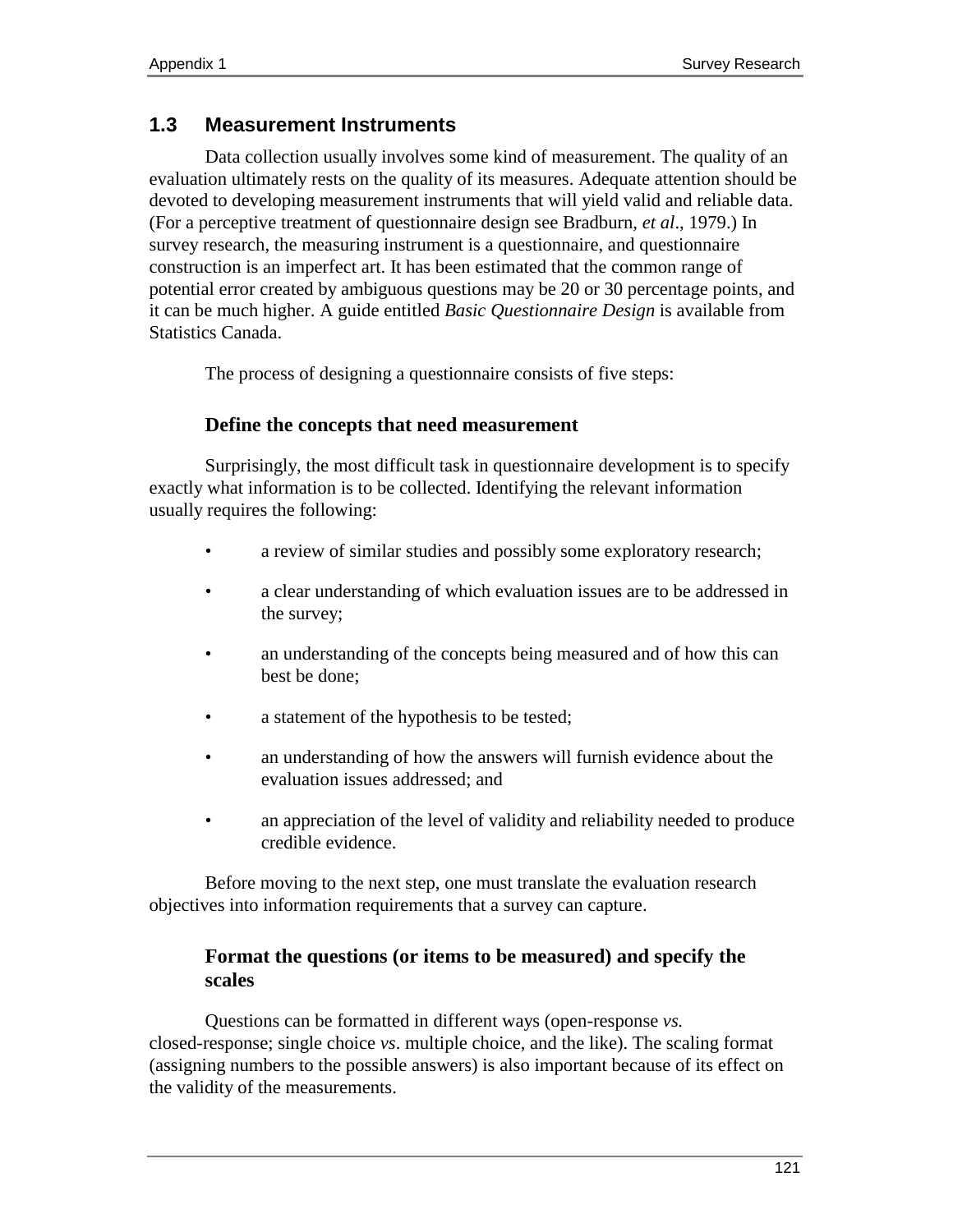## **1.3 Measurement Instruments**

Data collection usually involves some kind of measurement. The quality of an evaluation ultimately rests on the quality of its measures. Adequate attention should be devoted to developing measurement instruments that will yield valid and reliable data. (For a perceptive treatment of questionnaire design see Bradburn*, et al*., 1979.) In survey research, the measuring instrument is a questionnaire, and questionnaire construction is an imperfect art. It has been estimated that the common range of potential error created by ambiguous questions may be 20 or 30 percentage points, and it can be much higher. A guide entitled *Basic Questionnaire Design* is available from Statistics Canada.

The process of designing a questionnaire consists of five steps:

## **Define the concepts that need measurement**

Surprisingly, the most difficult task in questionnaire development is to specify exactly what information is to be collected. Identifying the relevant information usually requires the following:

- a review of similar studies and possibly some exploratory research;
- a clear understanding of which evaluation issues are to be addressed in the survey;
- an understanding of the concepts being measured and of how this can best be done;
- a statement of the hypothesis to be tested;
- an understanding of how the answers will furnish evidence about the evaluation issues addressed; and
- an appreciation of the level of validity and reliability needed to produce credible evidence.

Before moving to the next step, one must translate the evaluation research objectives into information requirements that a survey can capture.

## **Format the questions (or items to be measured) and specify the scales**

Questions can be formatted in different ways (open-response *vs.* closed-response; single choice *vs*. multiple choice, and the like). The scaling format (assigning numbers to the possible answers) is also important because of its effect on the validity of the measurements.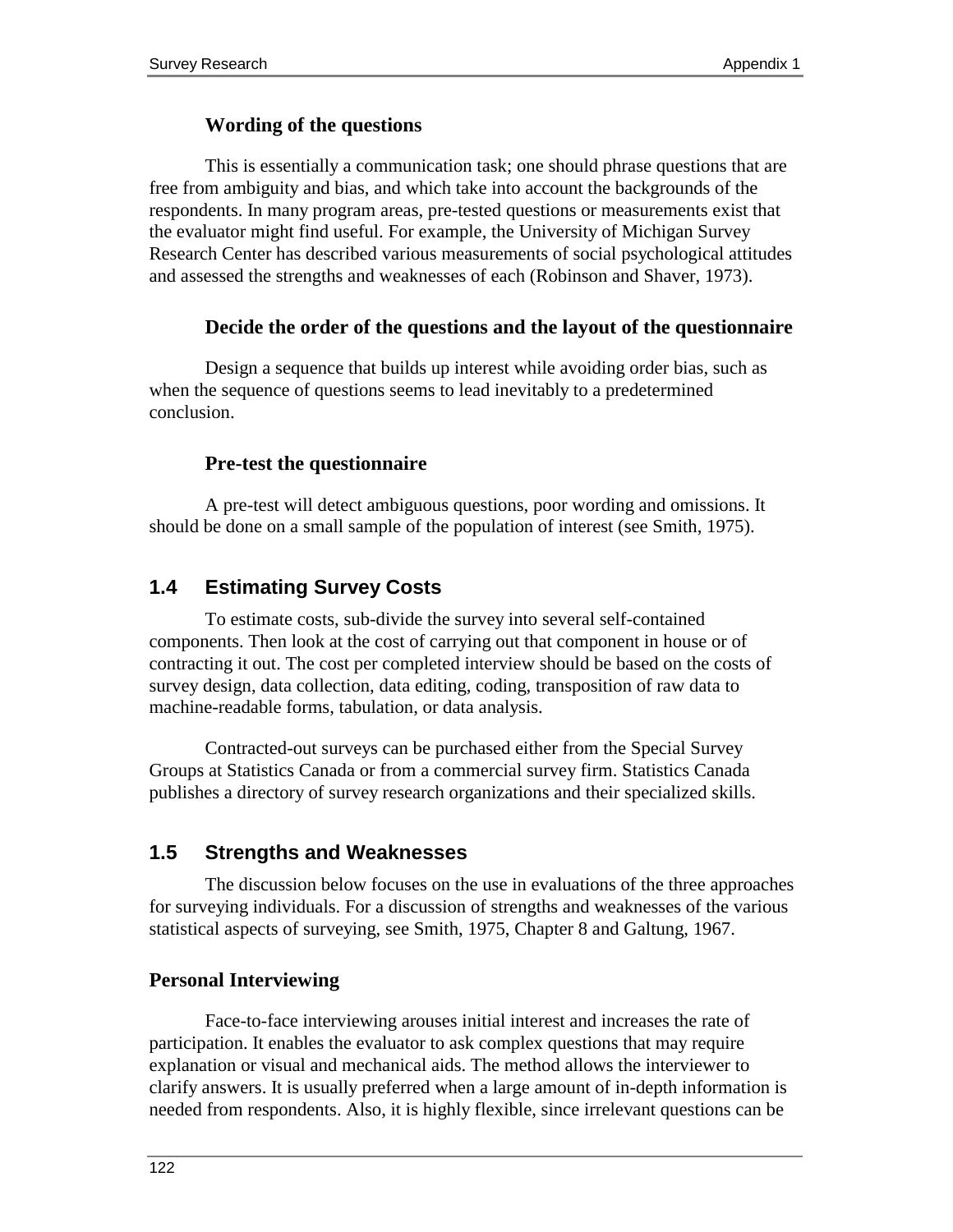### **Wording of the questions**

This is essentially a communication task; one should phrase questions that are free from ambiguity and bias, and which take into account the backgrounds of the respondents. In many program areas, pre-tested questions or measurements exist that the evaluator might find useful. For example, the University of Michigan Survey Research Center has described various measurements of social psychological attitudes and assessed the strengths and weaknesses of each (Robinson and Shaver, 1973).

#### **Decide the order of the questions and the layout of the questionnaire**

Design a sequence that builds up interest while avoiding order bias, such as when the sequence of questions seems to lead inevitably to a predetermined conclusion.

### **Pre-test the questionnaire**

A pre-test will detect ambiguous questions, poor wording and omissions. It should be done on a small sample of the population of interest (see Smith, 1975).

## **1.4 Estimating Survey Costs**

To estimate costs, sub-divide the survey into several self-contained components. Then look at the cost of carrying out that component in house or of contracting it out. The cost per completed interview should be based on the costs of survey design, data collection, data editing, coding, transposition of raw data to machine-readable forms, tabulation, or data analysis.

Contracted-out surveys can be purchased either from the Special Survey Groups at Statistics Canada or from a commercial survey firm. Statistics Canada publishes a directory of survey research organizations and their specialized skills.

## **1.5 Strengths and Weaknesses**

The discussion below focuses on the use in evaluations of the three approaches for surveying individuals. For a discussion of strengths and weaknesses of the various statistical aspects of surveying, see Smith, 1975, Chapter 8 and Galtung, 1967.

## **Personal Interviewing**

Face-to-face interviewing arouses initial interest and increases the rate of participation. It enables the evaluator to ask complex questions that may require explanation or visual and mechanical aids. The method allows the interviewer to clarify answers. It is usually preferred when a large amount of in-depth information is needed from respondents. Also, it is highly flexible, since irrelevant questions can be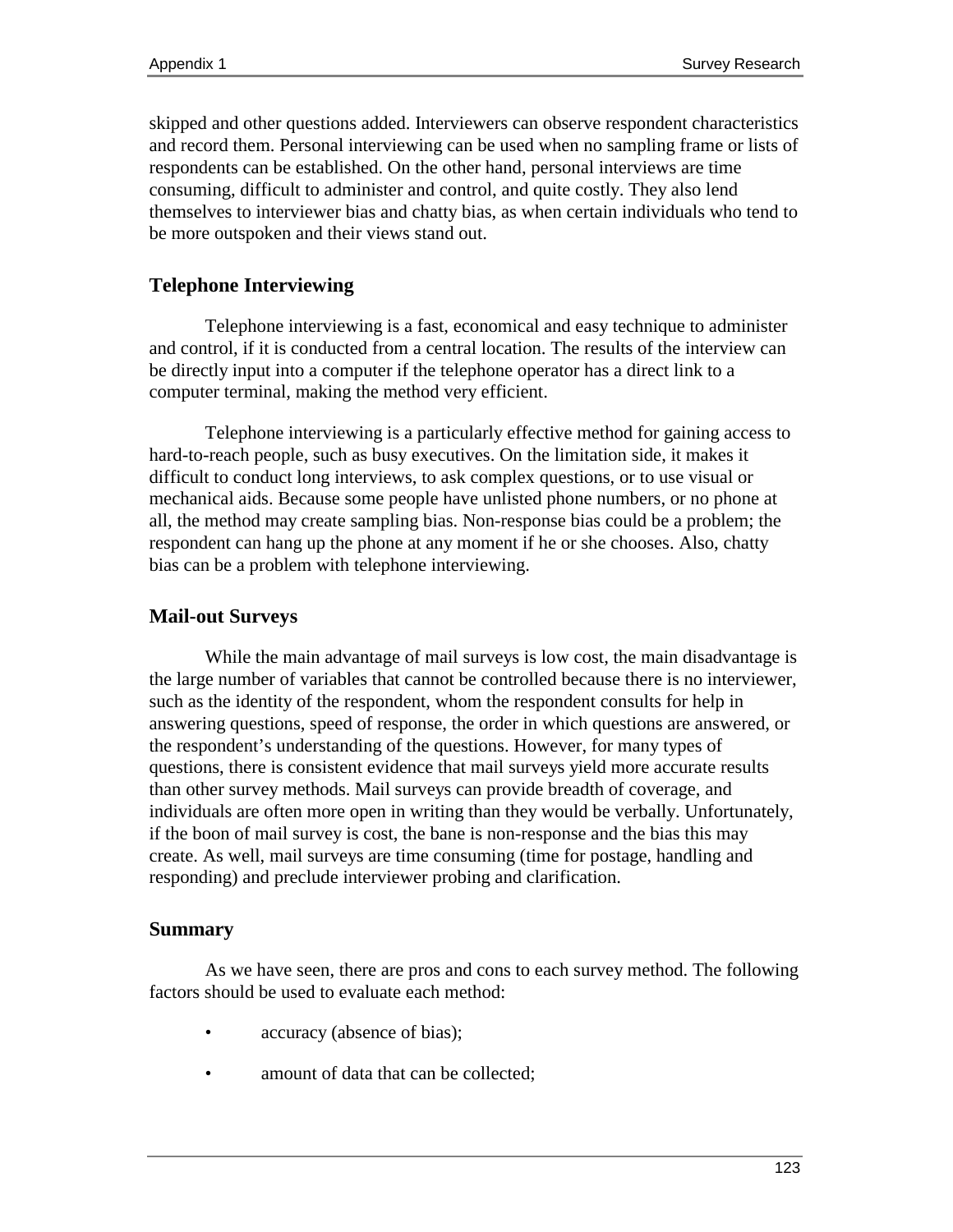skipped and other questions added. Interviewers can observe respondent characteristics and record them. Personal interviewing can be used when no sampling frame or lists of respondents can be established. On the other hand, personal interviews are time consuming, difficult to administer and control, and quite costly. They also lend themselves to interviewer bias and chatty bias, as when certain individuals who tend to be more outspoken and their views stand out.

## **Telephone Interviewing**

Telephone interviewing is a fast, economical and easy technique to administer and control, if it is conducted from a central location. The results of the interview can be directly input into a computer if the telephone operator has a direct link to a computer terminal, making the method very efficient.

Telephone interviewing is a particularly effective method for gaining access to hard-to-reach people, such as busy executives. On the limitation side, it makes it difficult to conduct long interviews, to ask complex questions, or to use visual or mechanical aids. Because some people have unlisted phone numbers, or no phone at all, the method may create sampling bias. Non-response bias could be a problem; the respondent can hang up the phone at any moment if he or she chooses. Also, chatty bias can be a problem with telephone interviewing.

## **Mail-out Surveys**

While the main advantage of mail surveys is low cost, the main disadvantage is the large number of variables that cannot be controlled because there is no interviewer, such as the identity of the respondent, whom the respondent consults for help in answering questions, speed of response, the order in which questions are answered, or the respondent's understanding of the questions. However, for many types of questions, there is consistent evidence that mail surveys yield more accurate results than other survey methods. Mail surveys can provide breadth of coverage, and individuals are often more open in writing than they would be verbally. Unfortunately, if the boon of mail survey is cost, the bane is non-response and the bias this may create. As well, mail surveys are time consuming (time for postage, handling and responding) and preclude interviewer probing and clarification.

#### **Summary**

As we have seen, there are pros and cons to each survey method. The following factors should be used to evaluate each method:

- accuracy (absence of bias);
- amount of data that can be collected;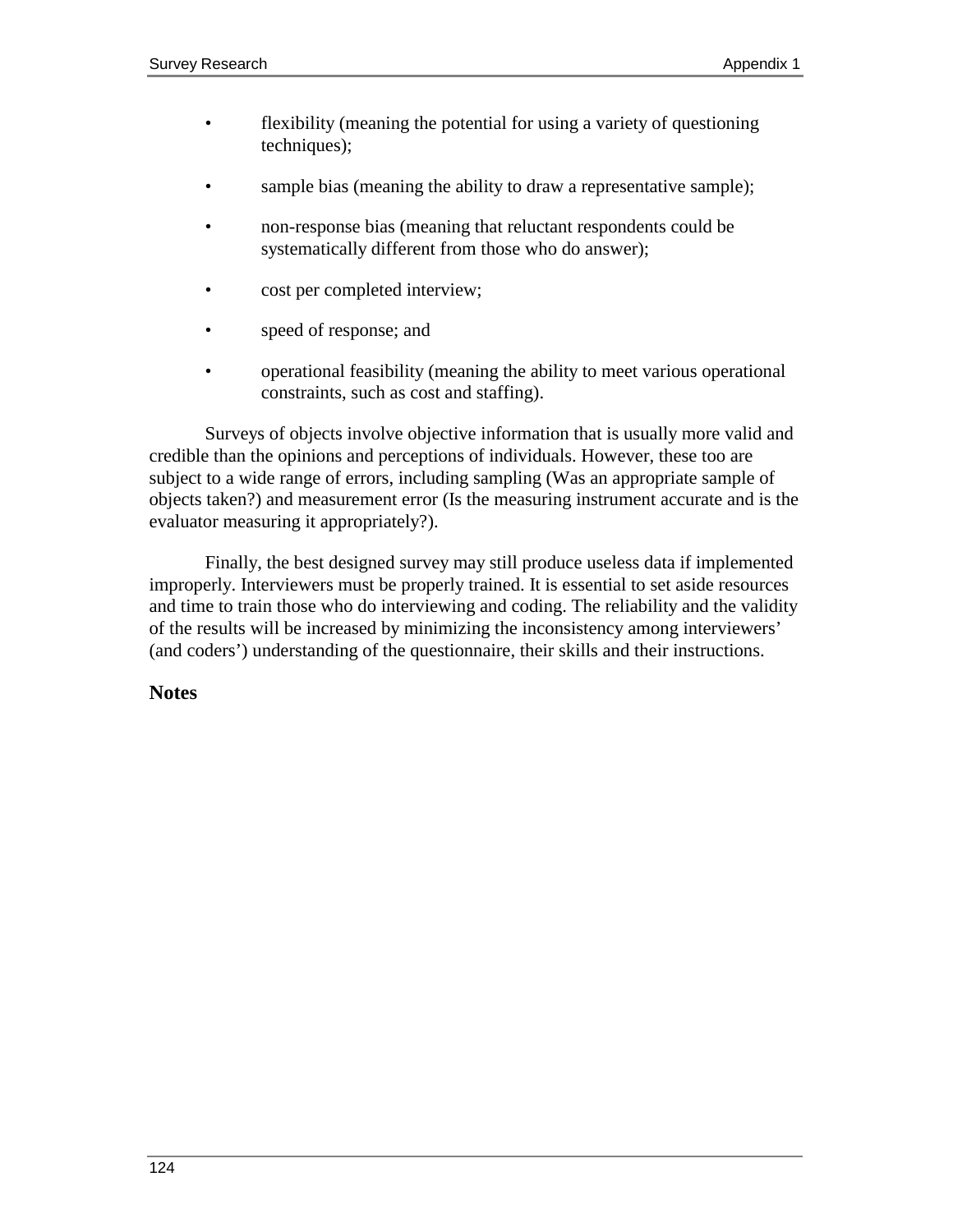- flexibility (meaning the potential for using a variety of questioning techniques);
- sample bias (meaning the ability to draw a representative sample);
- non-response bias (meaning that reluctant respondents could be systematically different from those who do answer);
- cost per completed interview;
- speed of response; and
- operational feasibility (meaning the ability to meet various operational constraints, such as cost and staffing).

Surveys of objects involve objective information that is usually more valid and credible than the opinions and perceptions of individuals. However, these too are subject to a wide range of errors, including sampling (Was an appropriate sample of objects taken?) and measurement error (Is the measuring instrument accurate and is the evaluator measuring it appropriately?).

Finally, the best designed survey may still produce useless data if implemented improperly. Interviewers must be properly trained. It is essential to set aside resources and time to train those who do interviewing and coding. The reliability and the validity of the results will be increased by minimizing the inconsistency among interviewers' (and coders') understanding of the questionnaire, their skills and their instructions.

#### **Notes**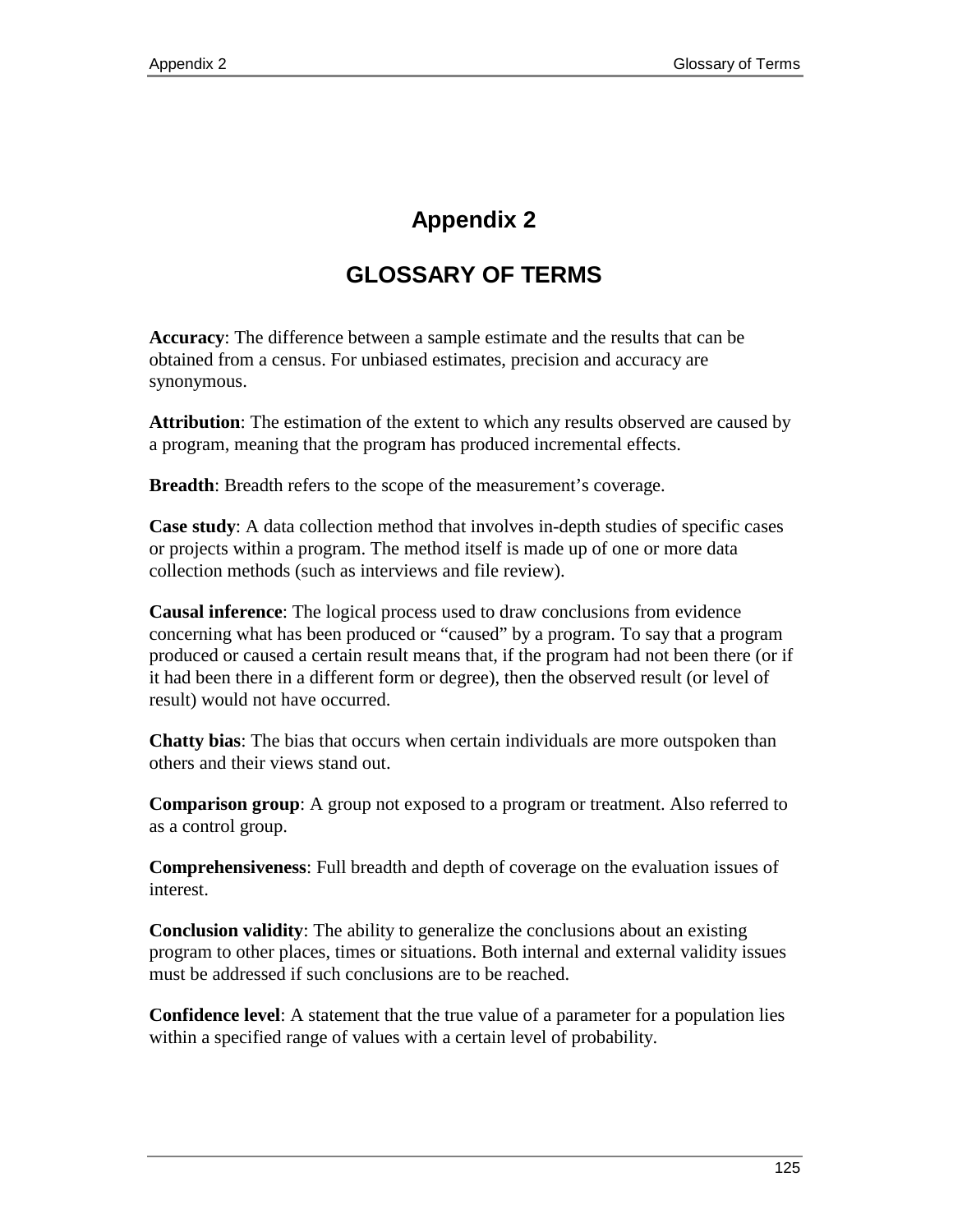# **Appendix 2**

# **GLOSSARY OF TERMS**

**Accuracy**: The difference between a sample estimate and the results that can be obtained from a census. For unbiased estimates, precision and accuracy are synonymous.

**Attribution**: The estimation of the extent to which any results observed are caused by a program, meaning that the program has produced incremental effects.

**Breadth:** Breadth refers to the scope of the measurement's coverage.

**Case study**: A data collection method that involves in-depth studies of specific cases or projects within a program. The method itself is made up of one or more data collection methods (such as interviews and file review).

**Causal inference**: The logical process used to draw conclusions from evidence concerning what has been produced or "caused" by a program. To say that a program produced or caused a certain result means that, if the program had not been there (or if it had been there in a different form or degree), then the observed result (or level of result) would not have occurred.

**Chatty bias**: The bias that occurs when certain individuals are more outspoken than others and their views stand out.

**Comparison group**: A group not exposed to a program or treatment. Also referred to as a control group.

**Comprehensiveness**: Full breadth and depth of coverage on the evaluation issues of interest.

**Conclusion validity**: The ability to generalize the conclusions about an existing program to other places, times or situations. Both internal and external validity issues must be addressed if such conclusions are to be reached.

**Confidence level**: A statement that the true value of a parameter for a population lies within a specified range of values with a certain level of probability.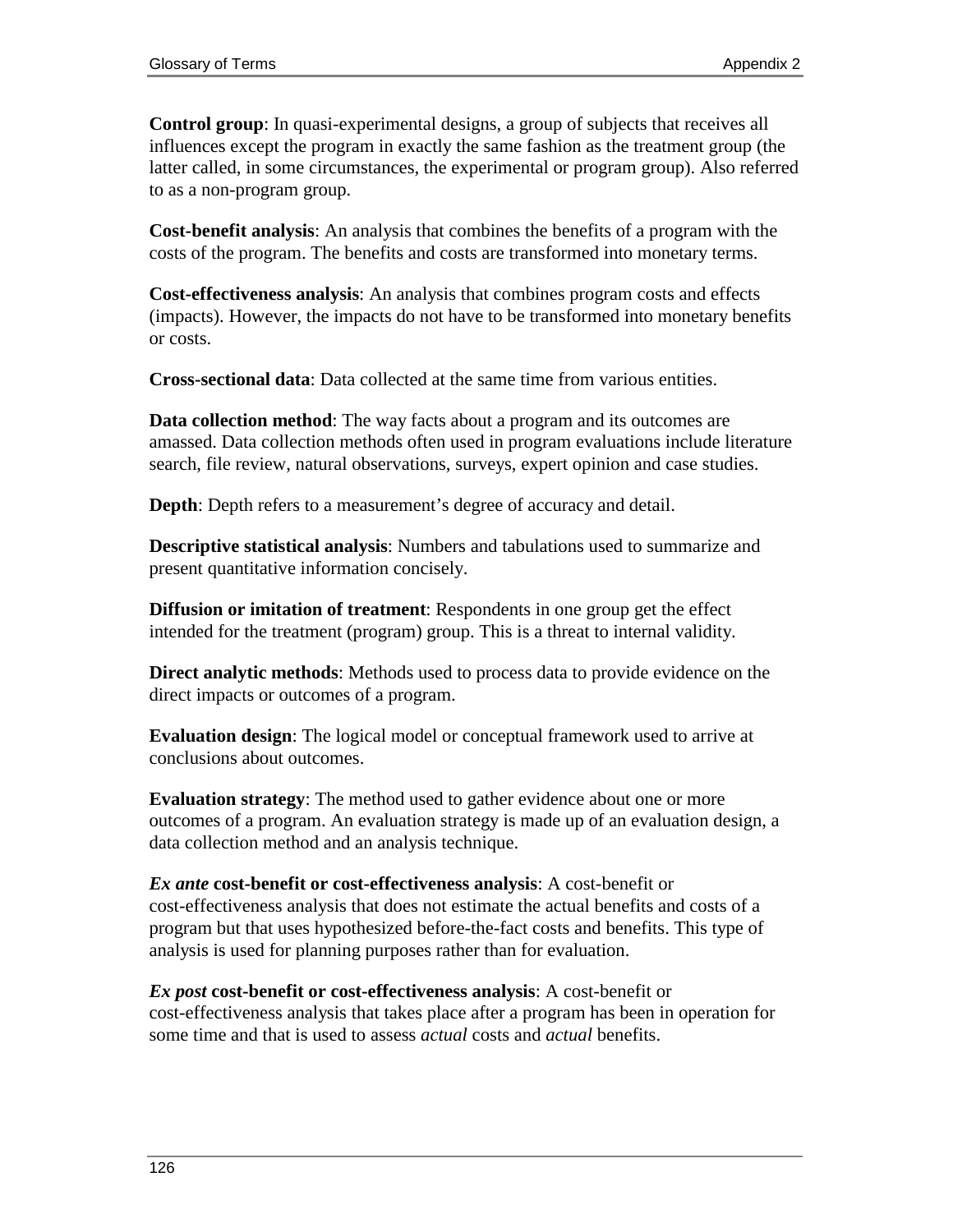**Control group**: In quasi-experimental designs, a group of subjects that receives all influences except the program in exactly the same fashion as the treatment group (the latter called, in some circumstances, the experimental or program group). Also referred to as a non-program group.

**Cost-benefit analysis**: An analysis that combines the benefits of a program with the costs of the program. The benefits and costs are transformed into monetary terms.

**Cost-effectiveness analysis**: An analysis that combines program costs and effects (impacts). However, the impacts do not have to be transformed into monetary benefits or costs.

**Cross-sectional data**: Data collected at the same time from various entities.

**Data collection method**: The way facts about a program and its outcomes are amassed. Data collection methods often used in program evaluations include literature search, file review, natural observations, surveys, expert opinion and case studies.

**Depth**: Depth refers to a measurement's degree of accuracy and detail.

**Descriptive statistical analysis**: Numbers and tabulations used to summarize and present quantitative information concisely.

**Diffusion or imitation of treatment**: Respondents in one group get the effect intended for the treatment (program) group. This is a threat to internal validity.

**Direct analytic methods**: Methods used to process data to provide evidence on the direct impacts or outcomes of a program.

**Evaluation design**: The logical model or conceptual framework used to arrive at conclusions about outcomes.

**Evaluation strategy**: The method used to gather evidence about one or more outcomes of a program. An evaluation strategy is made up of an evaluation design, a data collection method and an analysis technique.

*Ex ante* **cost-benefit or cost-effectiveness analysis**: A cost-benefit or cost-effectiveness analysis that does not estimate the actual benefits and costs of a program but that uses hypothesized before-the-fact costs and benefits. This type of analysis is used for planning purposes rather than for evaluation.

*Ex post* **cost-benefit or cost-effectiveness analysis**: A cost-benefit or cost-effectiveness analysis that takes place after a program has been in operation for some time and that is used to assess *actual* costs and *actual* benefits.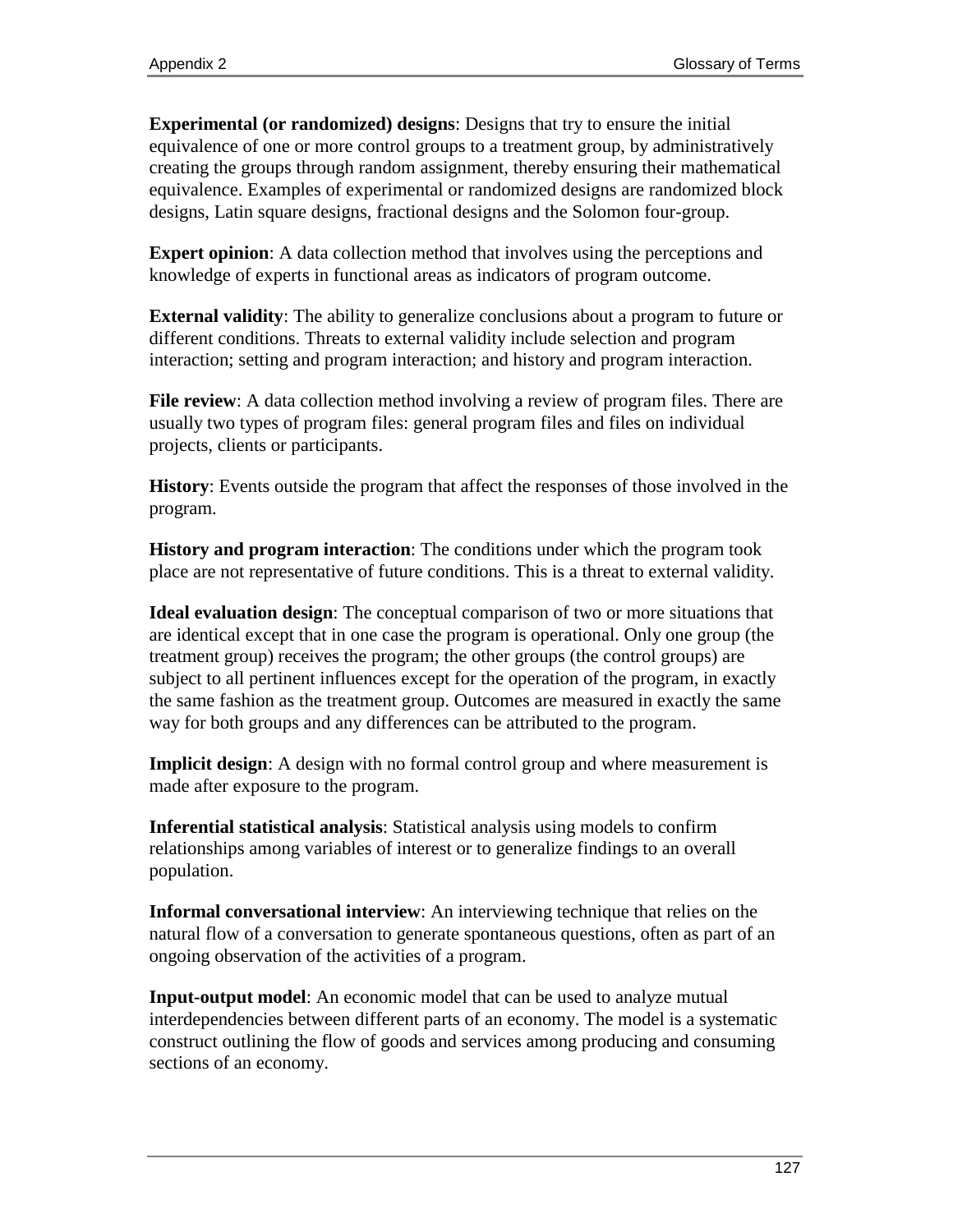**Experimental (or randomized) designs**: Designs that try to ensure the initial equivalence of one or more control groups to a treatment group, by administratively creating the groups through random assignment, thereby ensuring their mathematical equivalence. Examples of experimental or randomized designs are randomized block designs, Latin square designs, fractional designs and the Solomon four-group.

**Expert opinion**: A data collection method that involves using the perceptions and knowledge of experts in functional areas as indicators of program outcome.

**External validity**: The ability to generalize conclusions about a program to future or different conditions. Threats to external validity include selection and program interaction; setting and program interaction; and history and program interaction.

**File review**: A data collection method involving a review of program files. There are usually two types of program files: general program files and files on individual projects, clients or participants.

**History**: Events outside the program that affect the responses of those involved in the program.

**History and program interaction**: The conditions under which the program took place are not representative of future conditions. This is a threat to external validity.

**Ideal evaluation design**: The conceptual comparison of two or more situations that are identical except that in one case the program is operational. Only one group (the treatment group) receives the program; the other groups (the control groups) are subject to all pertinent influences except for the operation of the program, in exactly the same fashion as the treatment group. Outcomes are measured in exactly the same way for both groups and any differences can be attributed to the program.

**Implicit design**: A design with no formal control group and where measurement is made after exposure to the program.

**Inferential statistical analysis**: Statistical analysis using models to confirm relationships among variables of interest or to generalize findings to an overall population.

**Informal conversational interview**: An interviewing technique that relies on the natural flow of a conversation to generate spontaneous questions, often as part of an ongoing observation of the activities of a program.

**Input-output model**: An economic model that can be used to analyze mutual interdependencies between different parts of an economy. The model is a systematic construct outlining the flow of goods and services among producing and consuming sections of an economy.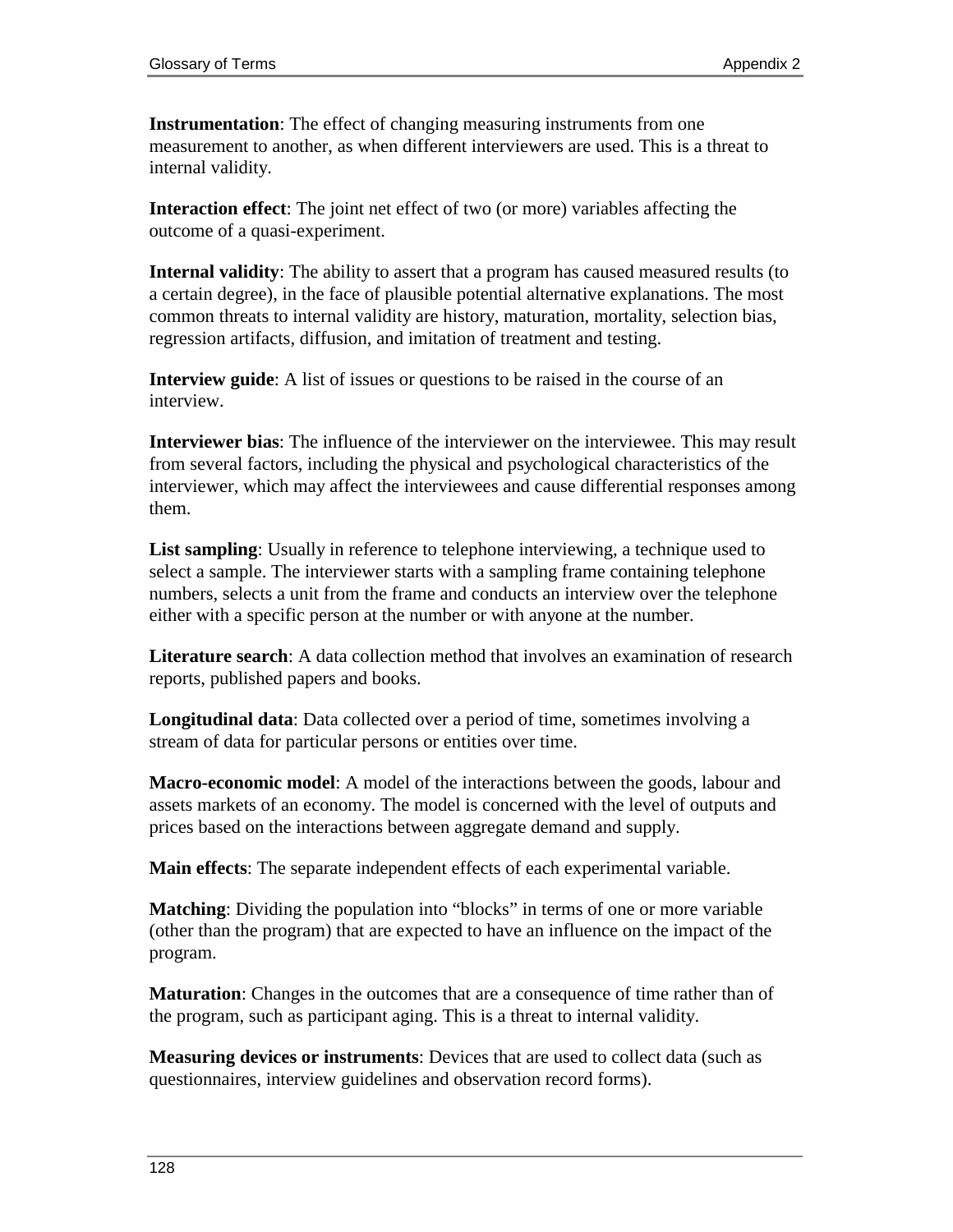**Instrumentation**: The effect of changing measuring instruments from one measurement to another, as when different interviewers are used. This is a threat to internal validity.

**Interaction effect**: The joint net effect of two (or more) variables affecting the outcome of a quasi-experiment.

**Internal validity**: The ability to assert that a program has caused measured results (to a certain degree), in the face of plausible potential alternative explanations. The most common threats to internal validity are history, maturation, mortality, selection bias, regression artifacts, diffusion, and imitation of treatment and testing.

**Interview guide**: A list of issues or questions to be raised in the course of an interview.

**Interviewer bias**: The influence of the interviewer on the interviewee. This may result from several factors, including the physical and psychological characteristics of the interviewer, which may affect the interviewees and cause differential responses among them.

**List sampling**: Usually in reference to telephone interviewing, a technique used to select a sample. The interviewer starts with a sampling frame containing telephone numbers, selects a unit from the frame and conducts an interview over the telephone either with a specific person at the number or with anyone at the number.

**Literature search**: A data collection method that involves an examination of research reports, published papers and books.

**Longitudinal data**: Data collected over a period of time, sometimes involving a stream of data for particular persons or entities over time.

**Macro-economic model**: A model of the interactions between the goods, labour and assets markets of an economy. The model is concerned with the level of outputs and prices based on the interactions between aggregate demand and supply.

**Main effects**: The separate independent effects of each experimental variable.

**Matching**: Dividing the population into "blocks" in terms of one or more variable (other than the program) that are expected to have an influence on the impact of the program.

**Maturation**: Changes in the outcomes that are a consequence of time rather than of the program, such as participant aging. This is a threat to internal validity.

**Measuring devices or instruments**: Devices that are used to collect data (such as questionnaires, interview guidelines and observation record forms).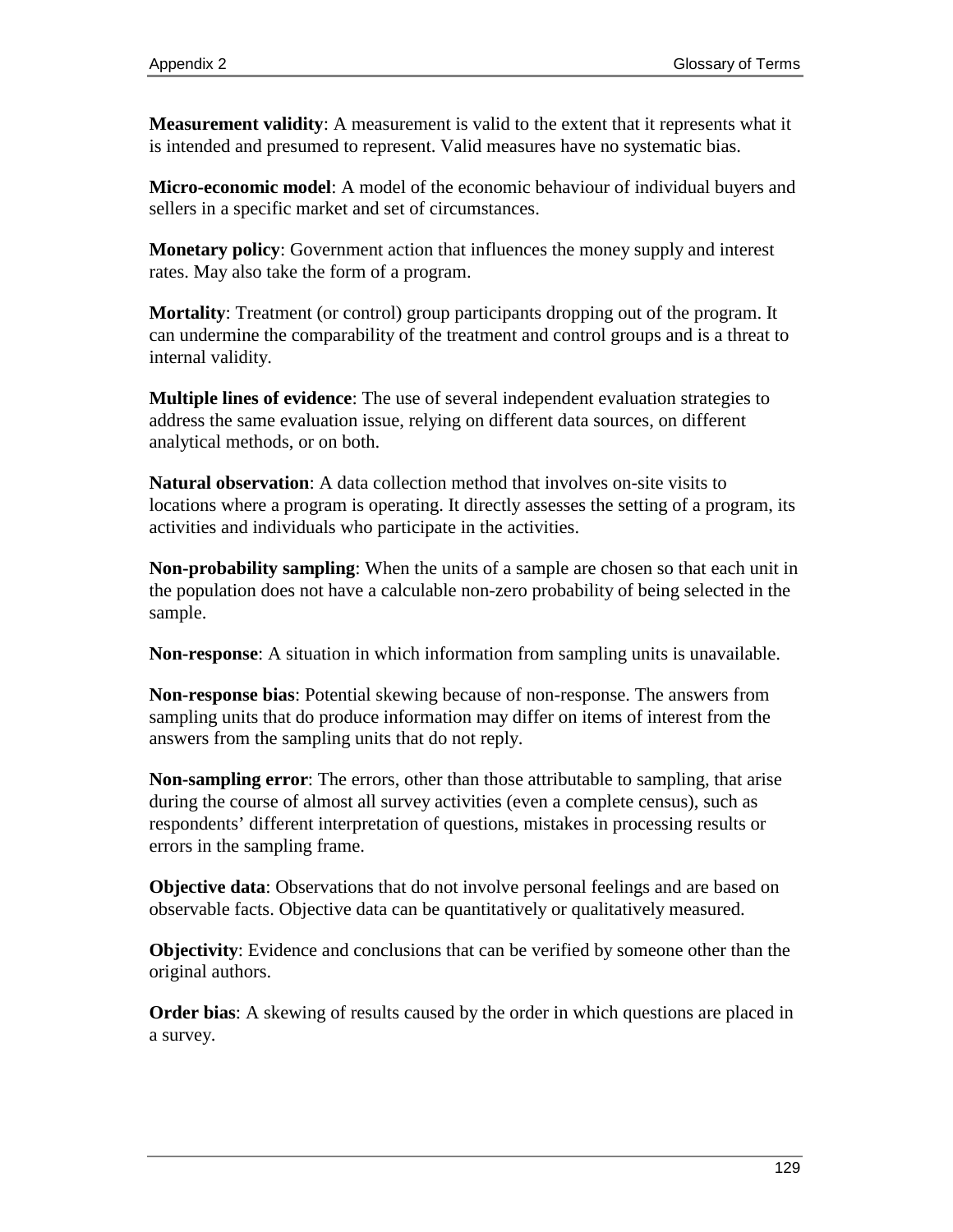**Measurement validity**: A measurement is valid to the extent that it represents what it is intended and presumed to represent. Valid measures have no systematic bias.

**Micro-economic model**: A model of the economic behaviour of individual buyers and sellers in a specific market and set of circumstances.

**Monetary policy**: Government action that influences the money supply and interest rates. May also take the form of a program.

**Mortality**: Treatment (or control) group participants dropping out of the program. It can undermine the comparability of the treatment and control groups and is a threat to internal validity.

**Multiple lines of evidence**: The use of several independent evaluation strategies to address the same evaluation issue, relying on different data sources, on different analytical methods, or on both.

**Natural observation**: A data collection method that involves on-site visits to locations where a program is operating. It directly assesses the setting of a program, its activities and individuals who participate in the activities.

**Non-probability sampling**: When the units of a sample are chosen so that each unit in the population does not have a calculable non-zero probability of being selected in the sample.

**Non-response**: A situation in which information from sampling units is unavailable.

**Non-response bias**: Potential skewing because of non-response. The answers from sampling units that do produce information may differ on items of interest from the answers from the sampling units that do not reply.

**Non-sampling error**: The errors, other than those attributable to sampling, that arise during the course of almost all survey activities (even a complete census), such as respondents' different interpretation of questions, mistakes in processing results or errors in the sampling frame.

**Objective data**: Observations that do not involve personal feelings and are based on observable facts. Objective data can be quantitatively or qualitatively measured.

**Objectivity**: Evidence and conclusions that can be verified by someone other than the original authors.

**Order bias**: A skewing of results caused by the order in which questions are placed in a survey.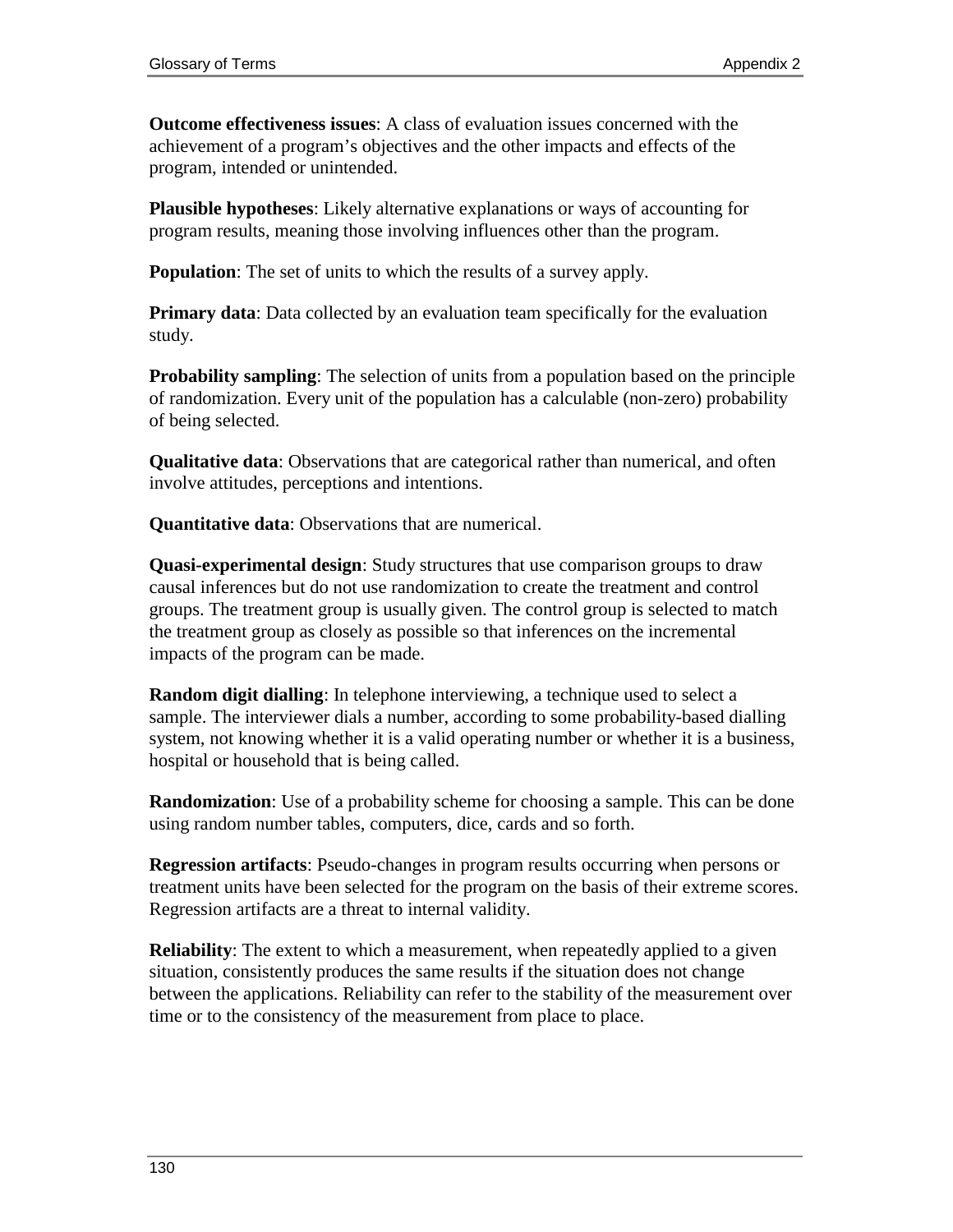**Outcome effectiveness issues**: A class of evaluation issues concerned with the achievement of a program's objectives and the other impacts and effects of the program, intended or unintended.

**Plausible hypotheses**: Likely alternative explanations or ways of accounting for program results, meaning those involving influences other than the program.

**Population**: The set of units to which the results of a survey apply.

**Primary data**: Data collected by an evaluation team specifically for the evaluation study.

**Probability sampling**: The selection of units from a population based on the principle of randomization. Every unit of the population has a calculable (non-zero) probability of being selected.

**Qualitative data**: Observations that are categorical rather than numerical, and often involve attitudes, perceptions and intentions.

**Quantitative data**: Observations that are numerical.

**Quasi-experimental design**: Study structures that use comparison groups to draw causal inferences but do not use randomization to create the treatment and control groups. The treatment group is usually given. The control group is selected to match the treatment group as closely as possible so that inferences on the incremental impacts of the program can be made.

**Random digit dialling**: In telephone interviewing, a technique used to select a sample. The interviewer dials a number, according to some probability-based dialling system, not knowing whether it is a valid operating number or whether it is a business, hospital or household that is being called.

**Randomization**: Use of a probability scheme for choosing a sample. This can be done using random number tables, computers, dice, cards and so forth.

**Regression artifacts**: Pseudo-changes in program results occurring when persons or treatment units have been selected for the program on the basis of their extreme scores. Regression artifacts are a threat to internal validity.

**Reliability**: The extent to which a measurement, when repeatedly applied to a given situation, consistently produces the same results if the situation does not change between the applications. Reliability can refer to the stability of the measurement over time or to the consistency of the measurement from place to place.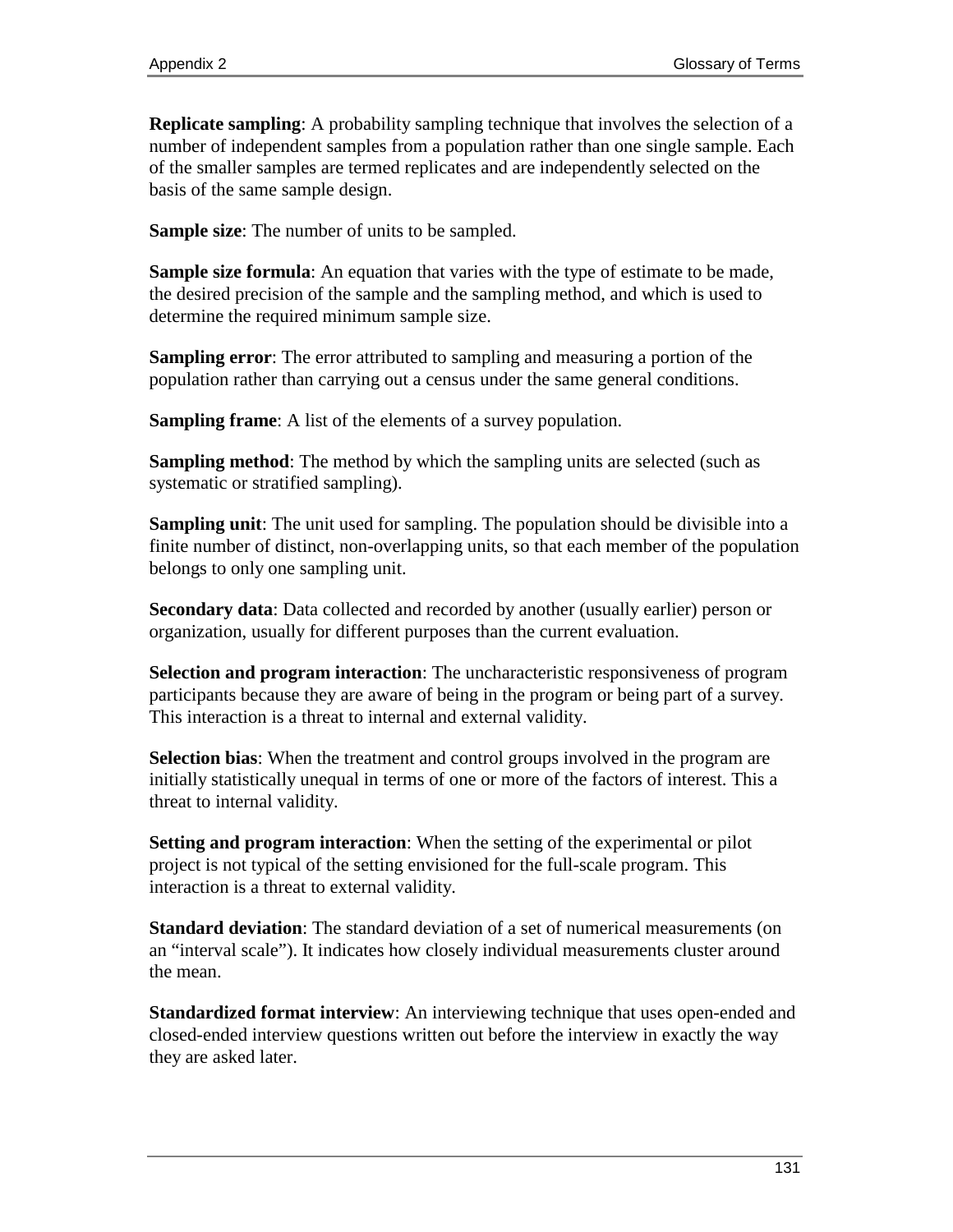**Replicate sampling**: A probability sampling technique that involves the selection of a number of independent samples from a population rather than one single sample. Each of the smaller samples are termed replicates and are independently selected on the basis of the same sample design.

**Sample size**: The number of units to be sampled.

**Sample size formula**: An equation that varies with the type of estimate to be made, the desired precision of the sample and the sampling method, and which is used to determine the required minimum sample size.

**Sampling error**: The error attributed to sampling and measuring a portion of the population rather than carrying out a census under the same general conditions.

**Sampling frame**: A list of the elements of a survey population.

**Sampling method**: The method by which the sampling units are selected (such as systematic or stratified sampling).

**Sampling unit**: The unit used for sampling. The population should be divisible into a finite number of distinct, non-overlapping units, so that each member of the population belongs to only one sampling unit.

**Secondary data**: Data collected and recorded by another (usually earlier) person or organization, usually for different purposes than the current evaluation.

**Selection and program interaction**: The uncharacteristic responsiveness of program participants because they are aware of being in the program or being part of a survey. This interaction is a threat to internal and external validity.

**Selection bias**: When the treatment and control groups involved in the program are initially statistically unequal in terms of one or more of the factors of interest. This a threat to internal validity.

**Setting and program interaction**: When the setting of the experimental or pilot project is not typical of the setting envisioned for the full-scale program. This interaction is a threat to external validity.

**Standard deviation**: The standard deviation of a set of numerical measurements (on an "interval scale"). It indicates how closely individual measurements cluster around the mean.

**Standardized format interview**: An interviewing technique that uses open-ended and closed-ended interview questions written out before the interview in exactly the way they are asked later.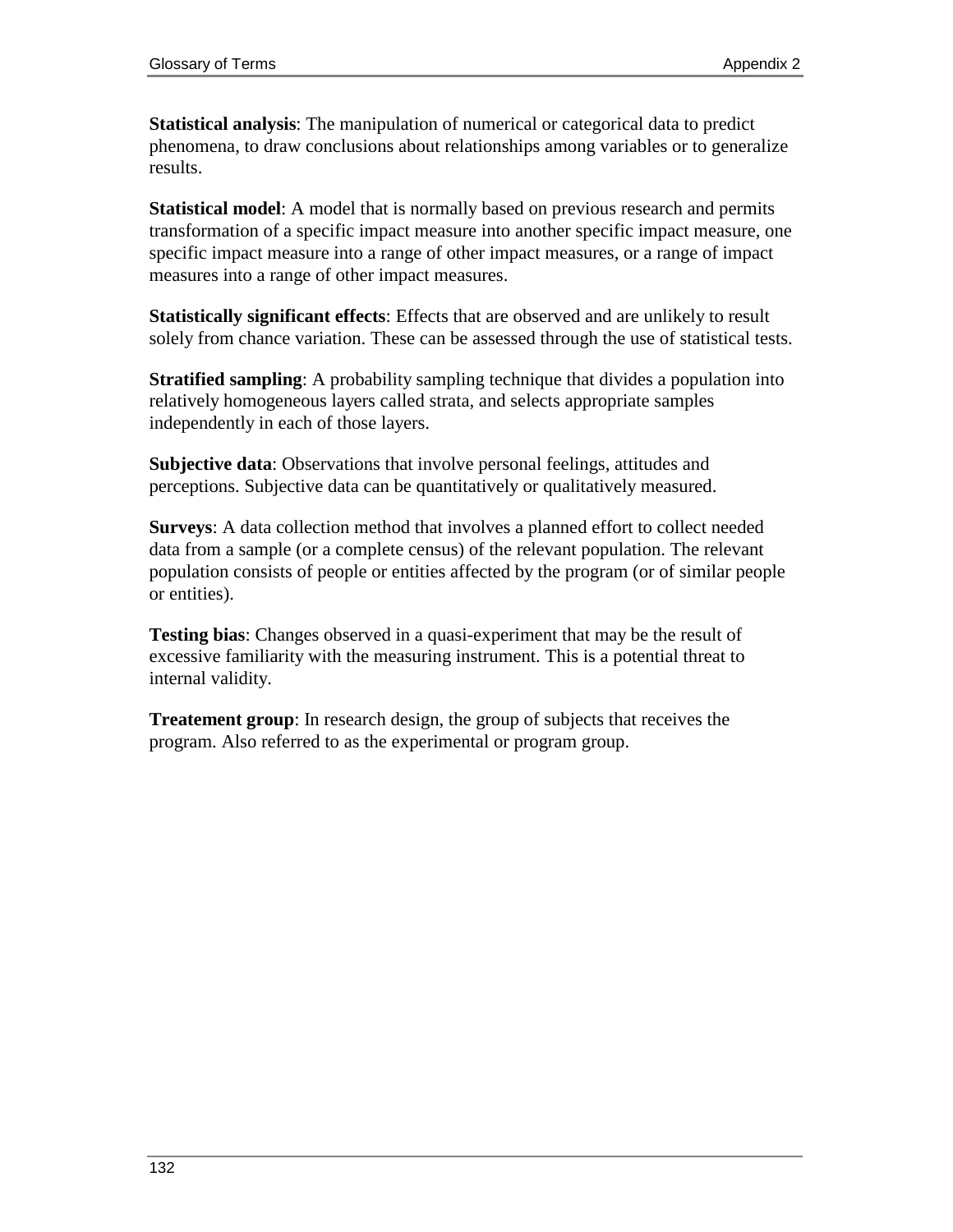**Statistical analysis**: The manipulation of numerical or categorical data to predict phenomena, to draw conclusions about relationships among variables or to generalize results.

**Statistical model**: A model that is normally based on previous research and permits transformation of a specific impact measure into another specific impact measure, one specific impact measure into a range of other impact measures, or a range of impact measures into a range of other impact measures.

**Statistically significant effects**: Effects that are observed and are unlikely to result solely from chance variation. These can be assessed through the use of statistical tests.

**Stratified sampling:** A probability sampling technique that divides a population into relatively homogeneous layers called strata, and selects appropriate samples independently in each of those layers.

**Subjective data**: Observations that involve personal feelings, attitudes and perceptions. Subjective data can be quantitatively or qualitatively measured.

**Surveys**: A data collection method that involves a planned effort to collect needed data from a sample (or a complete census) of the relevant population. The relevant population consists of people or entities affected by the program (or of similar people or entities).

**Testing bias**: Changes observed in a quasi-experiment that may be the result of excessive familiarity with the measuring instrument. This is a potential threat to internal validity.

**Treatement group**: In research design, the group of subjects that receives the program. Also referred to as the experimental or program group.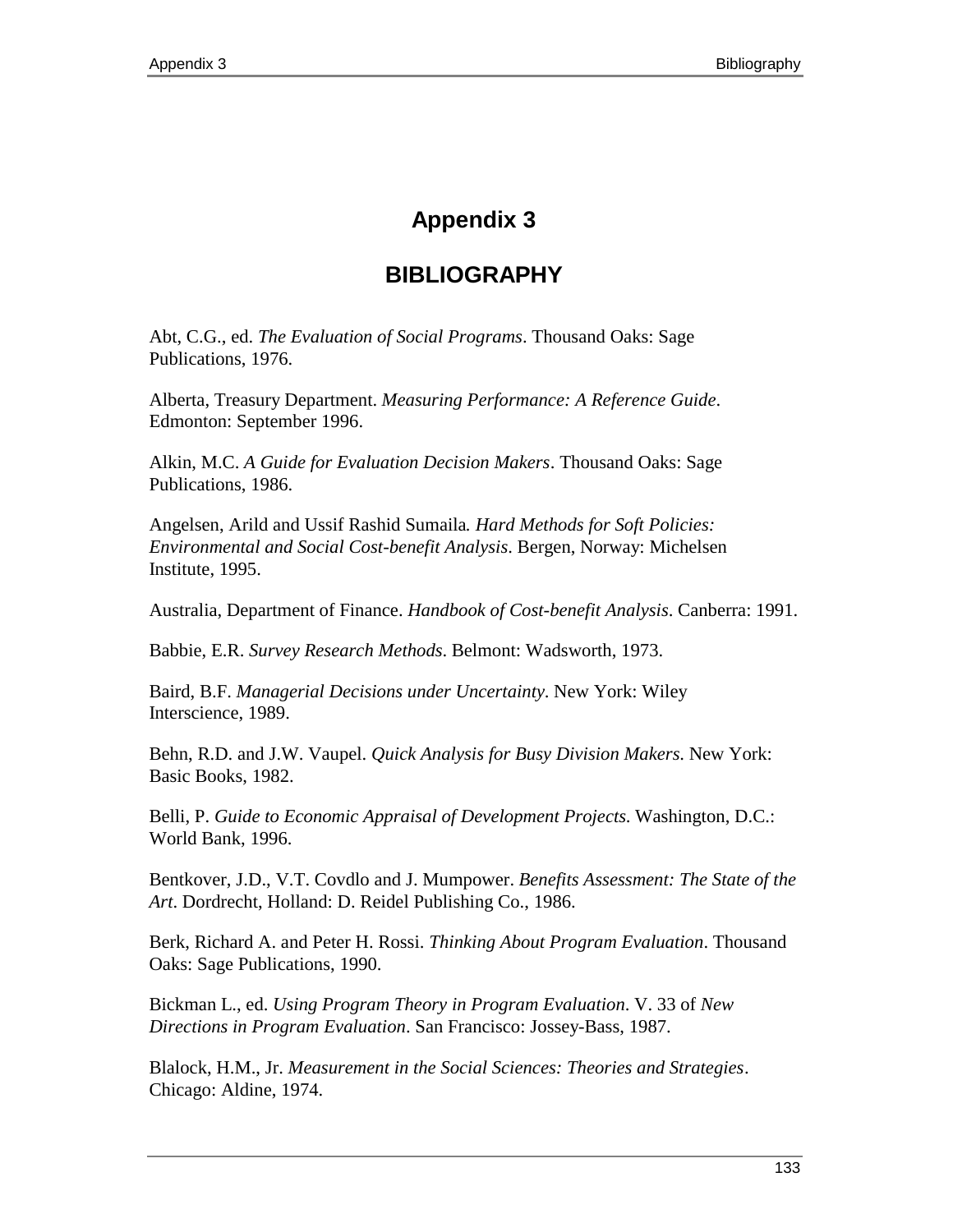# **Appendix 3**

# **BIBLIOGRAPHY**

Abt, C.G., ed. *The Evaluation of Social Programs*. Thousand Oaks: Sage Publications, 1976.

Alberta, Treasury Department. *Measuring Performance: A Reference Guide*. Edmonton: September 1996.

Alkin, M.C. *A Guide for Evaluation Decision Makers*. Thousand Oaks: Sage Publications, 1986.

Angelsen, Arild and Ussif Rashid Sumaila*. Hard Methods for Soft Policies: Environmental and Social Cost-benefit Analysis*. Bergen, Norway: Michelsen Institute, 1995.

Australia, Department of Finance. *Handbook of Cost-benefit Analysis*. Canberra: 1991.

Babbie, E.R. *Survey Research Methods*. Belmont: Wadsworth, 1973.

Baird, B.F. *Managerial Decisions under Uncertainty*. New York: Wiley Interscience, 1989.

Behn, R.D. and J.W. Vaupel. *Quick Analysis for Busy Division Makers*. New York: Basic Books, 1982.

Belli, P. *Guide to Economic Appraisal of Development Projects*. Washington, D.C.: World Bank, 1996.

Bentkover, J.D., V.T. Covdlo and J. Mumpower. *Benefits Assessment: The State of the Art*. Dordrecht, Holland: D. Reidel Publishing Co., 1986.

Berk, Richard A. and Peter H. Rossi. *Thinking About Program Evaluation*. Thousand Oaks: Sage Publications, 1990.

Bickman L., ed. *Using Program Theory in Program Evaluation*. V. 33 of *New Directions in Program Evaluation*. San Francisco: Jossey-Bass, 1987.

Blalock, H.M., Jr. *Measurement in the Social Sciences: Theories and Strategies*. Chicago: Aldine, 1974.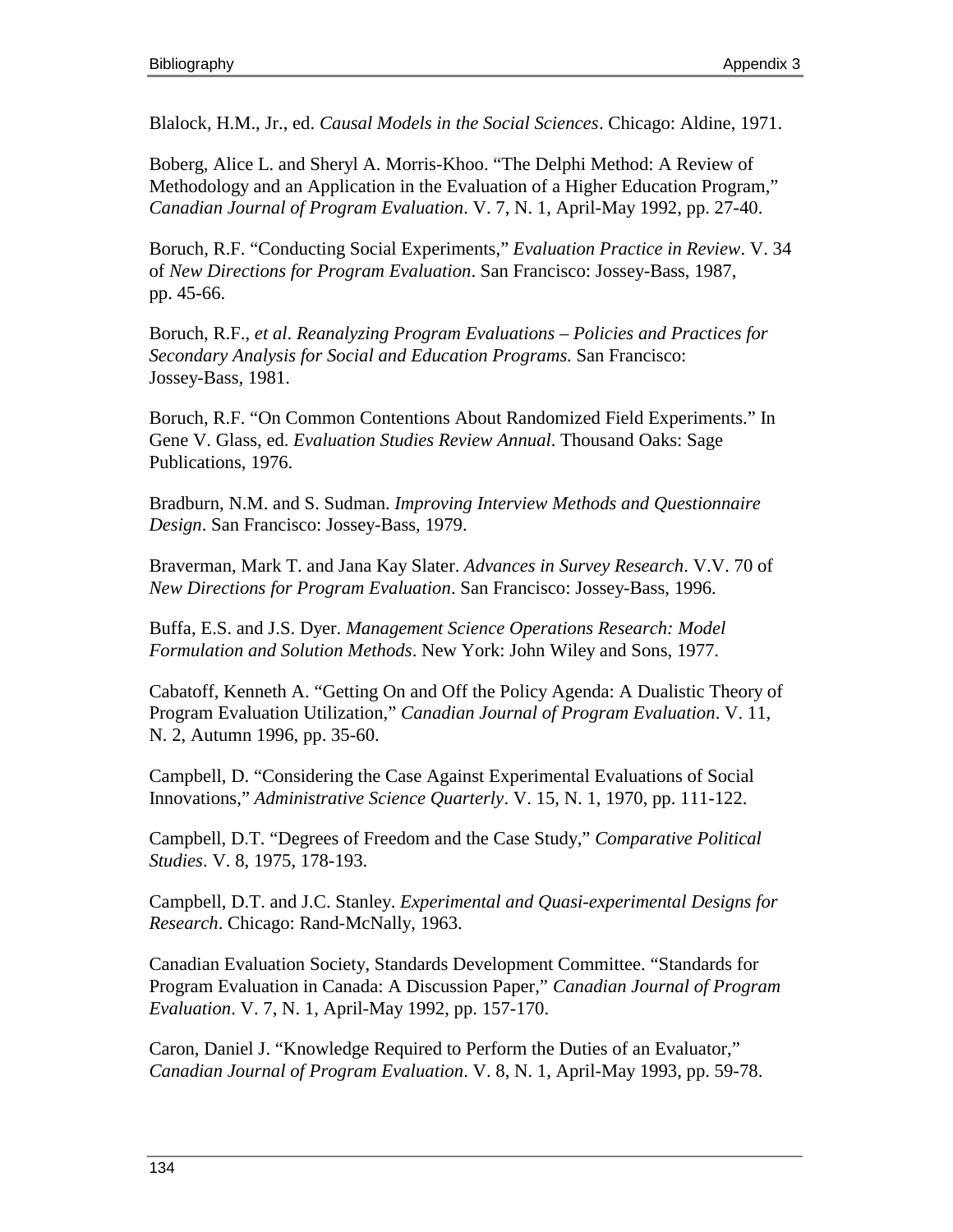Blalock, H.M., Jr., ed. *Causal Models in the Social Sciences*. Chicago: Aldine, 1971.

Boberg, Alice L. and Sheryl A. Morris-Khoo. "The Delphi Method: A Review of Methodology and an Application in the Evaluation of a Higher Education Program," *Canadian Journal of Program Evaluation*. V. 7, N. 1, April-May 1992, pp. 27-40.

Boruch, R.F. "Conducting Social Experiments," *Evaluation Practice in Review*. V. 34 of *New Directions for Program Evaluation*. San Francisco: Jossey-Bass, 1987, pp. 45-66.

Boruch, R.F., *et al*. *Reanalyzing Program Evaluations – Policies and Practices for Secondary Analysis for Social and Education Programs*. San Francisco: Jossey-Bass, 1981.

Boruch, R.F. "On Common Contentions About Randomized Field Experiments." In Gene V. Glass, ed. *Evaluation Studies Review Annual*. Thousand Oaks: Sage Publications, 1976.

Bradburn, N.M. and S. Sudman. *Improving Interview Methods and Questionnaire Design*. San Francisco: Jossey-Bass, 1979.

Braverman, Mark T. and Jana Kay Slater. *Advances in Survey Research*. V.V. 70 of *New Directions for Program Evaluation*. San Francisco: Jossey-Bass, 1996.

Buffa, E.S. and J.S. Dyer. *Management Science Operations Research: Model Formulation and Solution Methods*. New York: John Wiley and Sons, 1977.

Cabatoff, Kenneth A. "Getting On and Off the Policy Agenda: A Dualistic Theory of Program Evaluation Utilization," *Canadian Journal of Program Evaluation*. V. 11, N. 2, Autumn 1996, pp. 35-60.

Campbell, D. "Considering the Case Against Experimental Evaluations of Social Innovations," *Administrative Science Quarterly*. V. 15, N. 1, 1970, pp. 111-122.

Campbell, D.T. "Degrees of Freedom and the Case Study," *Comparative Political Studies*. V. 8, 1975, 178-193.

Campbell, D.T. and J.C. Stanley. *Experimental and Quasi-experimental Designs for Research*. Chicago: Rand-McNally, 1963.

Canadian Evaluation Society, Standards Development Committee. "Standards for Program Evaluation in Canada: A Discussion Paper," *Canadian Journal of Program Evaluation*. V. 7, N. 1, April-May 1992, pp. 157-170.

Caron, Daniel J. "Knowledge Required to Perform the Duties of an Evaluator," *Canadian Journal of Program Evaluation*. V. 8, N. 1, April-May 1993, pp. 59-78.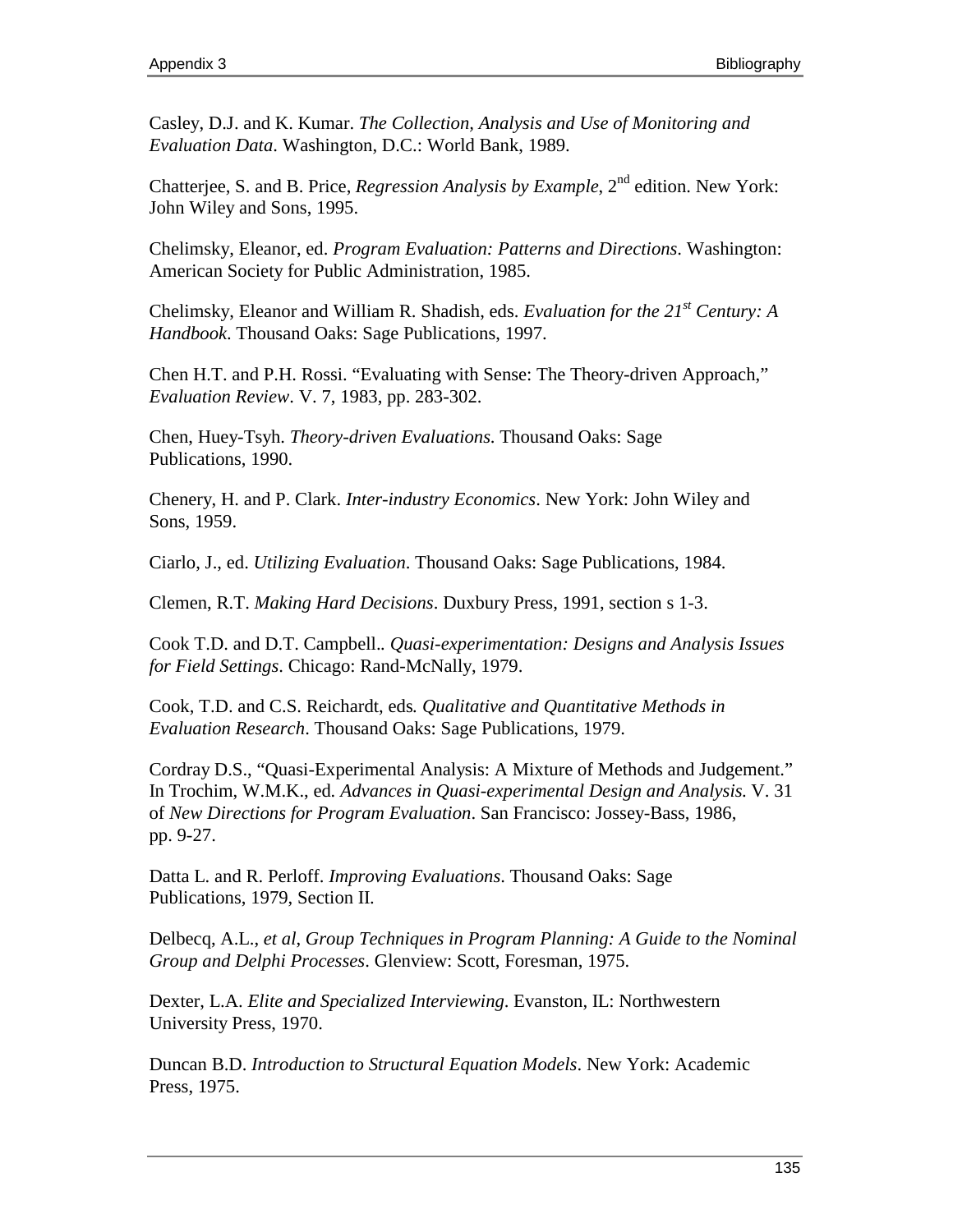Casley, D.J. and K. Kumar. *The Collection, Analysis and Use of Monitoring and Evaluation Data*. Washington, D.C.: World Bank, 1989.

Chatterjee, S. and B. Price, *Regression Analysis by Example*, 2<sup>nd</sup> edition. New York: John Wiley and Sons, 1995.

Chelimsky, Eleanor, ed. *Program Evaluation: Patterns and Directions*. Washington: American Society for Public Administration, 1985.

Chelimsky, Eleanor and William R. Shadish, eds. *Evaluation for the 21st Century: A Handbook*. Thousand Oaks: Sage Publications, 1997.

Chen H.T. and P.H. Rossi. "Evaluating with Sense: The Theory-driven Approach," *Evaluation Review*. V. 7, 1983, pp. 283-302.

Chen, Huey-Tsyh. *Theory-driven Evaluations*. Thousand Oaks: Sage Publications, 1990.

Chenery, H. and P. Clark. *Inter-industry Economics*. New York: John Wiley and Sons, 1959.

Ciarlo, J., ed. *Utilizing Evaluation*. Thousand Oaks: Sage Publications, 1984.

Clemen, R.T. *Making Hard Decisions*. Duxbury Press, 1991, section s 1-3.

Cook T.D. and D.T. Campbell.*. Quasi-experimentation: Designs and Analysis Issues for Field Settings*. Chicago: Rand-McNally, 1979.

Cook, T.D. and C.S. Reichardt, eds*. Qualitative and Quantitative Methods in Evaluation Research*. Thousand Oaks: Sage Publications, 1979.

Cordray D.S., "Quasi-Experimental Analysis: A Mixture of Methods and Judgement." In Trochim, W.M.K., ed*. Advances in Quasi-experimental Design and Analysis*. V. 31 of *New Directions for Program Evaluation*. San Francisco: Jossey-Bass, 1986, pp. 9-27.

Datta L. and R. Perloff. *Improving Evaluations*. Thousand Oaks: Sage Publications, 1979, Section II.

Delbecq, A.L., *et al*, *Group Techniques in Program Planning: A Guide to the Nominal Group and Delphi Processes*. Glenview: Scott, Foresman, 1975.

Dexter, L.A. *Elite and Specialized Interviewing*. Evanston, IL: Northwestern University Press, 1970.

Duncan B.D. *Introduction to Structural Equation Models*. New York: Academic Press, 1975.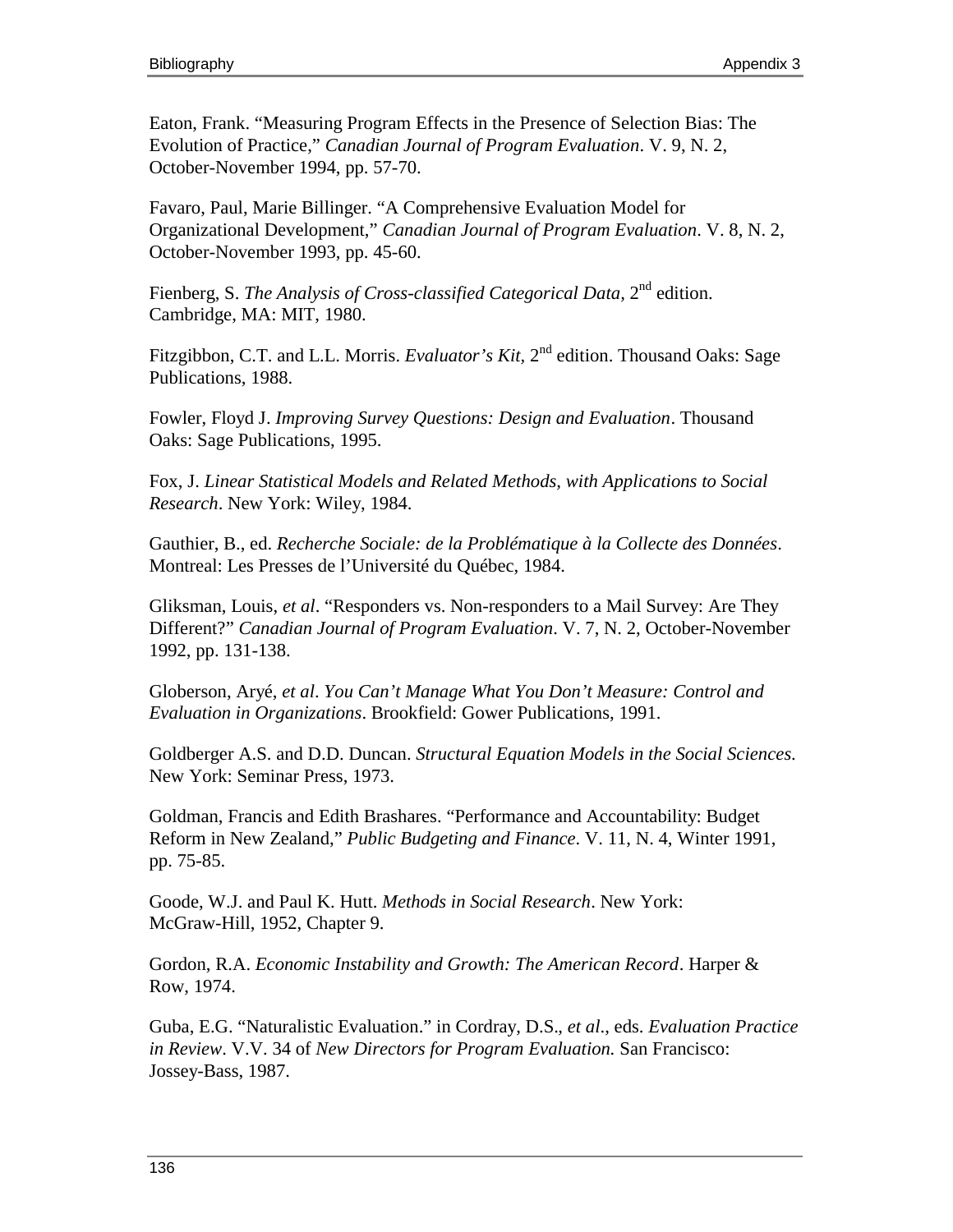Eaton, Frank. "Measuring Program Effects in the Presence of Selection Bias: The Evolution of Practice," *Canadian Journal of Program Evaluation*. V. 9, N. 2, October-November 1994, pp. 57-70.

Favaro, Paul, Marie Billinger. "A Comprehensive Evaluation Model for Organizational Development," *Canadian Journal of Program Evaluation*. V. 8, N. 2, October-November 1993, pp. 45-60.

Fienberg, S. *The Analysis of Cross-classified Categorical Data*, 2<sup>nd</sup> edition. Cambridge, MA: MIT, 1980.

Fitzgibbon, C.T. and L.L. Morris. *Evaluator's Kit*, 2<sup>nd</sup> edition. Thousand Oaks: Sage Publications, 1988.

Fowler, Floyd J. *Improving Survey Questions: Design and Evaluation*. Thousand Oaks: Sage Publications, 1995.

Fox, J. *Linear Statistical Models and Related Methods, with Applications to Social Research*. New York: Wiley, 1984.

Gauthier, B., ed. *Recherche Sociale: de la Problématique à la Collecte des Données*. Montreal: Les Presses de l'Université du Québec, 1984.

Gliksman, Louis, *et al*. "Responders vs. Non-responders to a Mail Survey: Are They Different?" *Canadian Journal of Program Evaluation*. V. 7, N. 2, October-November 1992, pp. 131-138.

Globerson, Aryé, *et al*. *You Can't Manage What You Don't Measure: Control and Evaluation in Organizations*. Brookfield: Gower Publications, 1991.

Goldberger A.S. and D.D. Duncan. *Structural Equation Models in the Social Sciences*. New York: Seminar Press, 1973.

Goldman, Francis and Edith Brashares. "Performance and Accountability: Budget Reform in New Zealand," *Public Budgeting and Finance*. V. 11, N. 4, Winter 1991, pp. 75-85.

Goode, W.J. and Paul K. Hutt. *Methods in Social Research*. New York: McGraw-Hill, 1952, Chapter 9.

Gordon, R.A. *Economic Instability and Growth: The American Record*. Harper & Row, 1974.

Guba, E.G. "Naturalistic Evaluation." in Cordray, D.S.*, et al*., eds. *Evaluation Practice in Review*. V.V. 34 of *New Directors for Program Evaluation.* San Francisco: Jossey-Bass, 1987.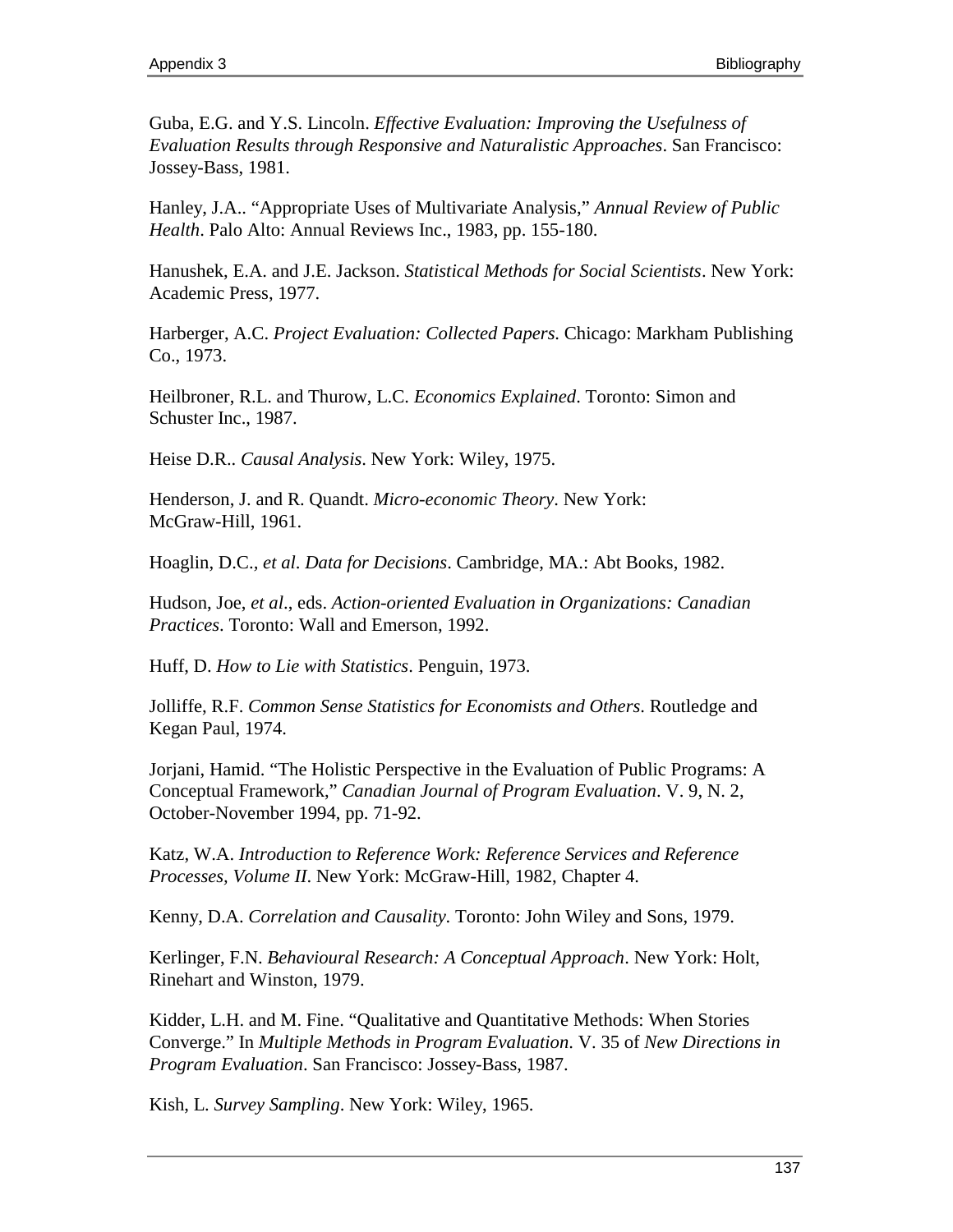Guba, E.G. and Y.S. Lincoln. *Effective Evaluation: Improving the Usefulness of Evaluation Results through Responsive and Naturalistic Approaches*. San Francisco: Jossey-Bass, 1981.

Hanley, J.A.. "Appropriate Uses of Multivariate Analysis," *Annual Review of Public Health*. Palo Alto: Annual Reviews Inc., 1983, pp. 155-180.

Hanushek, E.A. and J.E. Jackson. *Statistical Methods for Social Scientists*. New York: Academic Press, 1977.

Harberger, A.C. *Project Evaluation: Collected Papers*. Chicago: Markham Publishing Co., 1973.

Heilbroner, R.L. and Thurow, L.C. *Economics Explained*. Toronto: Simon and Schuster Inc., 1987.

Heise D.R.. *Causal Analysis*. New York: Wiley, 1975.

Henderson, J. and R. Quandt. *Micro-economic Theory*. New York: McGraw-Hill, 1961.

Hoaglin, D.C.*, et al*. *Data for Decisions*. Cambridge, MA.: Abt Books, 1982.

Hudson, Joe, *et al*., eds. *Action-oriented Evaluation in Organizations: Canadian Practices*. Toronto: Wall and Emerson, 1992.

Huff, D. *How to Lie with Statistics*. Penguin, 1973.

Jolliffe, R.F. *Common Sense Statistics for Economists and Others*. Routledge and Kegan Paul, 1974.

Jorjani, Hamid. "The Holistic Perspective in the Evaluation of Public Programs: A Conceptual Framework," *Canadian Journal of Program Evaluation*. V. 9, N. 2, October-November 1994, pp. 71-92.

Katz, W.A. *Introduction to Reference Work: Reference Services and Reference Processes, Volume II*. New York: McGraw-Hill, 1982, Chapter 4.

Kenny, D.A. *Correlation and Causality*. Toronto: John Wiley and Sons, 1979.

Kerlinger, F.N. *Behavioural Research: A Conceptual Approach*. New York: Holt, Rinehart and Winston, 1979.

Kidder, L.H. and M. Fine. "Qualitative and Quantitative Methods: When Stories Converge." In *Multiple Methods in Program Evaluation*. V. 35 of *New Directions in Program Evaluation*. San Francisco: Jossey-Bass, 1987.

Kish, L. *Survey Sampling*. New York: Wiley, 1965.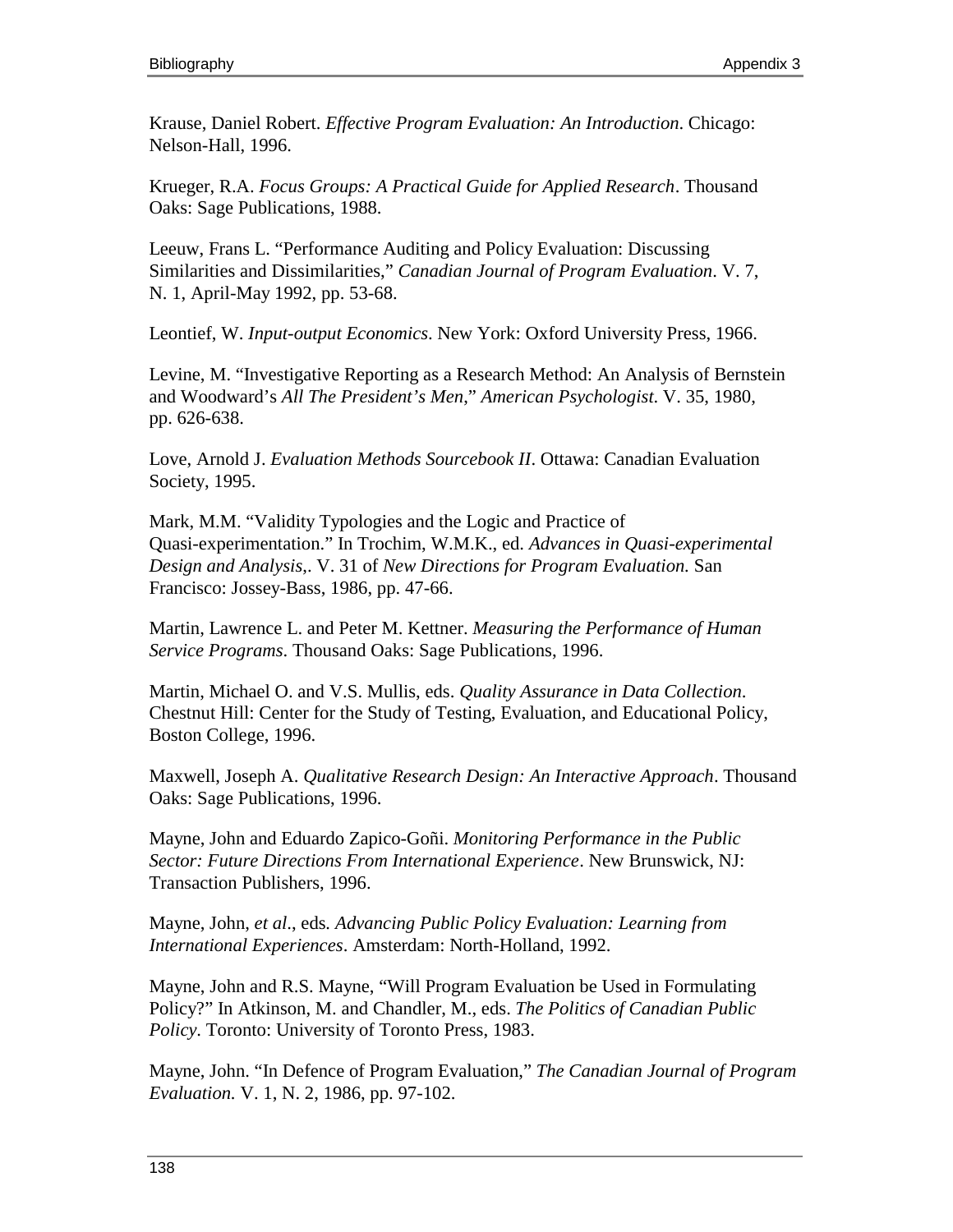Krause, Daniel Robert. *Effective Program Evaluation: An Introduction*. Chicago: Nelson-Hall, 1996.

Krueger, R.A. *Focus Groups: A Practical Guide for Applied Research*. Thousand Oaks: Sage Publications, 1988.

Leeuw, Frans L. "Performance Auditing and Policy Evaluation: Discussing Similarities and Dissimilarities," *Canadian Journal of Program Evaluation*. V. 7, N. 1, April-May 1992, pp. 53-68.

Leontief, W. *Input-output Economics*. New York: Oxford University Press, 1966.

Levine, M. "Investigative Reporting as a Research Method: An Analysis of Bernstein and Woodward's *All The President's Men*," *American Psychologist*. V. 35, 1980, pp. 626-638.

Love, Arnold J. *Evaluation Methods Sourcebook II*. Ottawa: Canadian Evaluation Society, 1995.

Mark, M.M. "Validity Typologies and the Logic and Practice of Quasi-experimentation." In Trochim, W.M.K., ed. *Advances in Quasi-experimental Design and Analysis*,. V. 31 of *New Directions for Program Evaluation.* San Francisco: Jossey-Bass, 1986, pp. 47-66.

Martin, Lawrence L. and Peter M. Kettner. *Measuring the Performance of Human Service Programs*. Thousand Oaks: Sage Publications, 1996.

Martin, Michael O. and V.S. Mullis, eds. *Quality Assurance in Data Collection*. Chestnut Hill: Center for the Study of Testing, Evaluation, and Educational Policy, Boston College, 1996.

Maxwell, Joseph A. *Qualitative Research Design: An Interactive Approach*. Thousand Oaks: Sage Publications, 1996.

Mayne, John and Eduardo Zapico-Goñi. *Monitoring Performance in the Public Sector: Future Directions From International Experience*. New Brunswick, NJ: Transaction Publishers, 1996.

Mayne, John, *et al*., eds*. Advancing Public Policy Evaluation: Learning from International Experiences*. Amsterdam: North-Holland, 1992.

Mayne, John and R.S. Mayne, "Will Program Evaluation be Used in Formulating Policy?" In Atkinson, M. and Chandler, M., eds. *The Politics of Canadian Public Policy*. Toronto: University of Toronto Press, 1983.

Mayne, John. "In Defence of Program Evaluation," *The Canadian Journal of Program Evaluation.* V. 1, N. 2, 1986, pp. 97-102.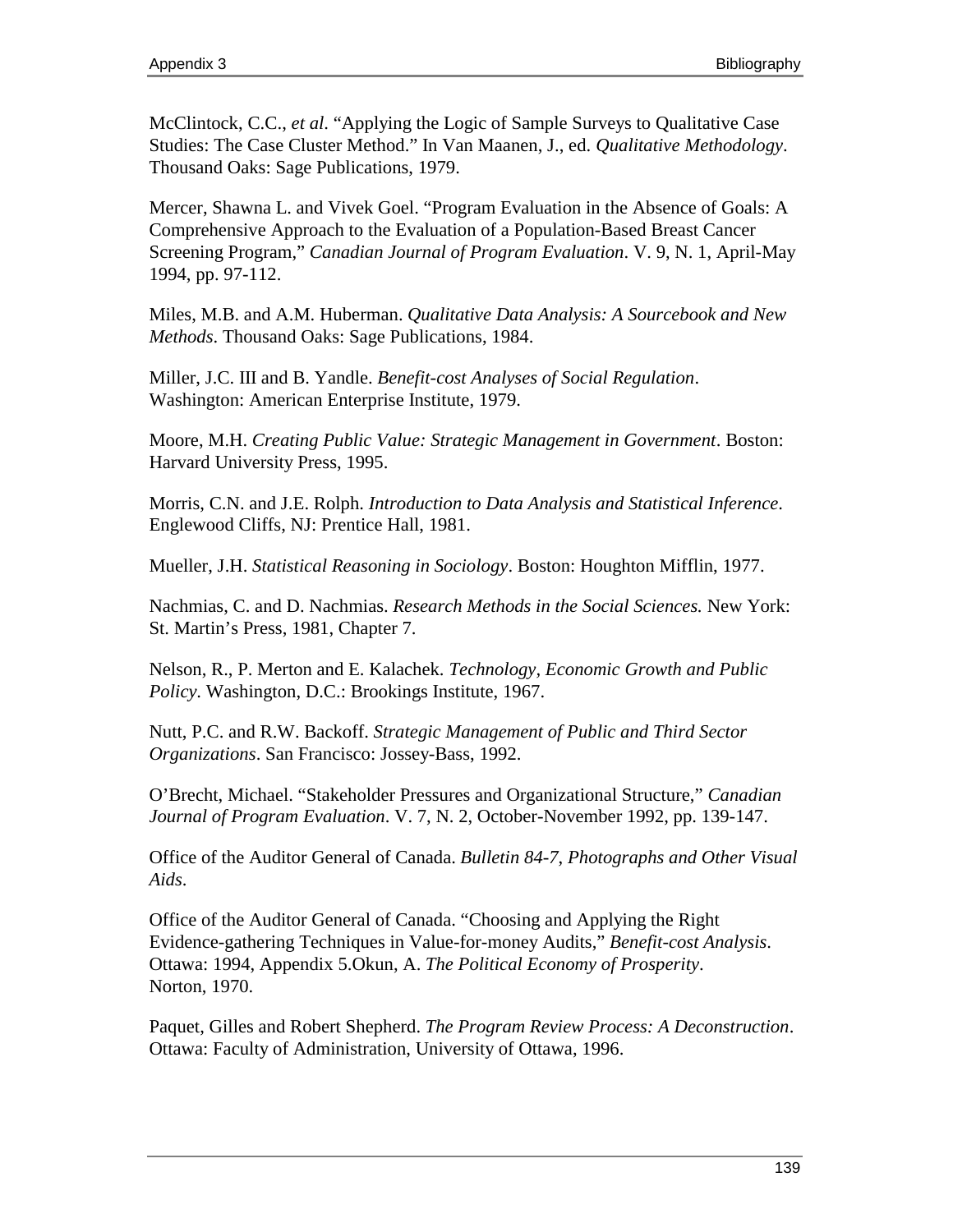McClintock, C.C., *et al*. "Applying the Logic of Sample Surveys to Qualitative Case Studies: The Case Cluster Method." In Van Maanen, J., ed. *Qualitative Methodology*. Thousand Oaks: Sage Publications, 1979.

Mercer, Shawna L. and Vivek Goel. "Program Evaluation in the Absence of Goals: A Comprehensive Approach to the Evaluation of a Population-Based Breast Cancer Screening Program," *Canadian Journal of Program Evaluation*. V. 9, N. 1, April-May 1994, pp. 97-112.

Miles, M.B. and A.M. Huberman. *Qualitative Data Analysis: A Sourcebook and New Methods*. Thousand Oaks: Sage Publications, 1984.

Miller, J.C. III and B. Yandle. *Benefit-cost Analyses of Social Regulation*. Washington: American Enterprise Institute, 1979.

Moore, M.H. *Creating Public Value: Strategic Management in Government*. Boston: Harvard University Press, 1995.

Morris, C.N. and J.E. Rolph. *Introduction to Data Analysis and Statistical Inference*. Englewood Cliffs, NJ: Prentice Hall, 1981.

Mueller, J.H. *Statistical Reasoning in Sociology*. Boston: Houghton Mifflin, 1977.

Nachmias, C. and D. Nachmias. *Research Methods in the Social Sciences.* New York: St. Martin's Press, 1981, Chapter 7.

Nelson, R., P. Merton and E. Kalachek. *Technology, Economic Growth and Public Policy*. Washington, D.C.: Brookings Institute, 1967.

Nutt, P.C. and R.W. Backoff. *Strategic Management of Public and Third Sector Organizations*. San Francisco: Jossey-Bass, 1992.

O'Brecht, Michael. "Stakeholder Pressures and Organizational Structure," *Canadian Journal of Program Evaluation*. V. 7, N. 2, October-November 1992, pp. 139-147.

Office of the Auditor General of Canada. *Bulletin 84-7*, *Photographs and Other Visual Aids*.

Office of the Auditor General of Canada. "Choosing and Applying the Right Evidence-gathering Techniques in Value-for-money Audits," *Benefit-cost Analysis*. Ottawa: 1994, Appendix 5.Okun, A. *The Political Economy of Prosperity*. Norton, 1970.

Paquet, Gilles and Robert Shepherd. *The Program Review Process: A Deconstruction*. Ottawa: Faculty of Administration, University of Ottawa, 1996.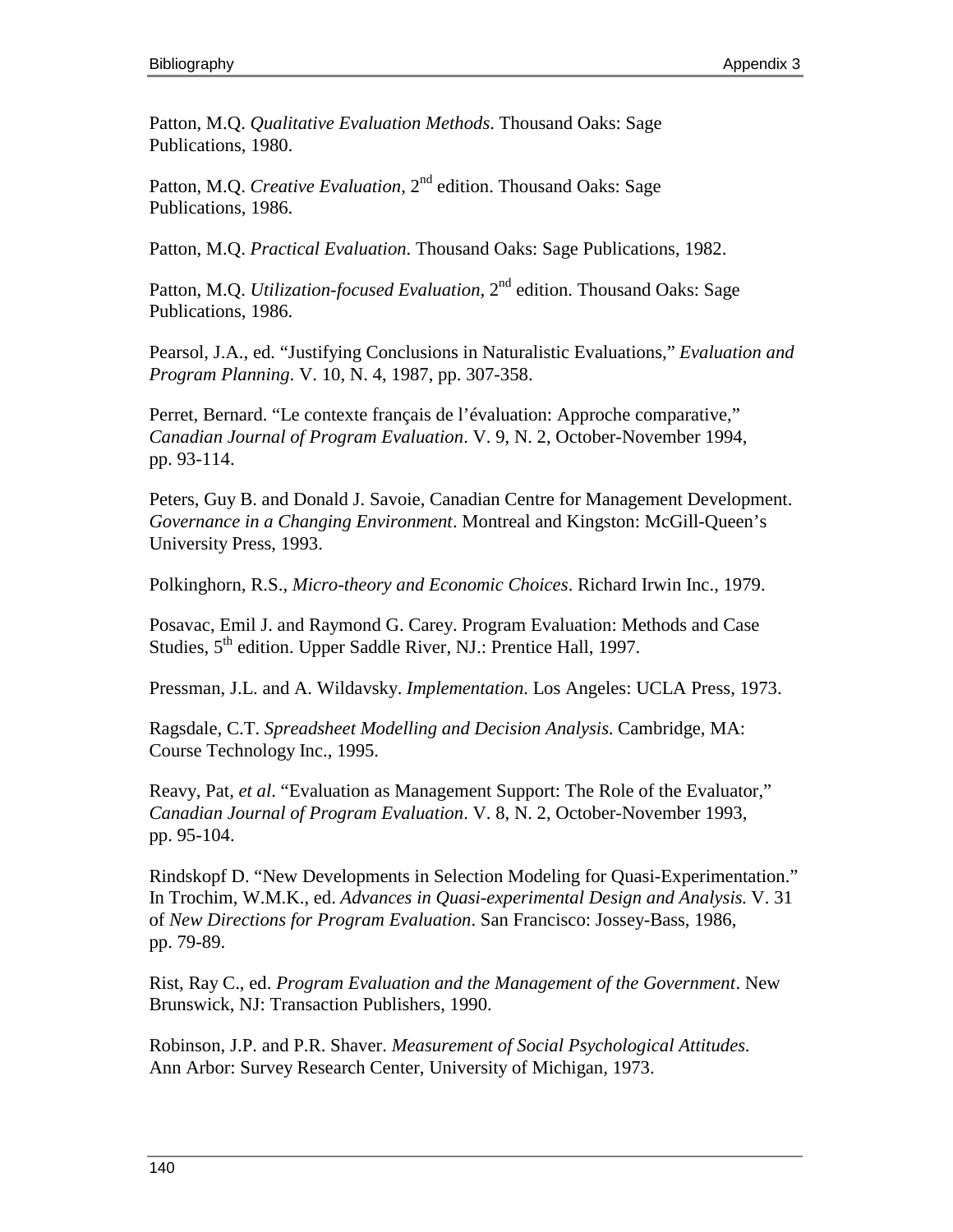Patton, M.Q. *Qualitative Evaluation Methods*. Thousand Oaks: Sage Publications, 1980.

Patton, M.Q. *Creative Evaluation*, 2<sup>nd</sup> edition. Thousand Oaks: Sage Publications, 1986.

Patton, M.Q. *Practical Evaluation*. Thousand Oaks: Sage Publications, 1982.

Patton, M.O. *Utilization-focused Evaluation*, 2<sup>nd</sup> edition. Thousand Oaks: Sage Publications, 1986.

Pearsol, J.A., ed. "Justifying Conclusions in Naturalistic Evaluations," *Evaluation and Program Planning*. V. 10, N. 4, 1987, pp. 307-358.

Perret, Bernard. "Le contexte français de l'évaluation: Approche comparative," *Canadian Journal of Program Evaluation*. V. 9, N. 2, October-November 1994, pp. 93-114.

Peters, Guy B. and Donald J. Savoie, Canadian Centre for Management Development. *Governance in a Changing Environment*. Montreal and Kingston: McGill-Queen's University Press, 1993.

Polkinghorn, R.S., *Micro-theory and Economic Choices*. Richard Irwin Inc., 1979.

Posavac, Emil J. and Raymond G. Carey. Program Evaluation: Methods and Case Studies, 5<sup>th</sup> edition. Upper Saddle River, NJ.: Prentice Hall, 1997.

Pressman, J.L. and A. Wildavsky. *Implementation*. Los Angeles: UCLA Press, 1973.

Ragsdale, C.T. *Spreadsheet Modelling and Decision Analysis*. Cambridge, MA: Course Technology Inc., 1995.

Reavy, Pat, *et al*. "Evaluation as Management Support: The Role of the Evaluator," *Canadian Journal of Program Evaluation*. V. 8, N. 2, October-November 1993, pp. 95-104.

Rindskopf D. "New Developments in Selection Modeling for Quasi-Experimentation." In Trochim, W.M.K., ed. *Advances in Quasi-experimental Design and Analysis*. V. 31 of *New Directions for Program Evaluation*. San Francisco: Jossey-Bass, 1986, pp. 79-89.

Rist, Ray C., ed. *Program Evaluation and the Management of the Government*. New Brunswick, NJ: Transaction Publishers, 1990.

Robinson, J.P. and P.R. Shaver. *Measurement of Social Psychological Attitudes*. Ann Arbor: Survey Research Center, University of Michigan, 1973.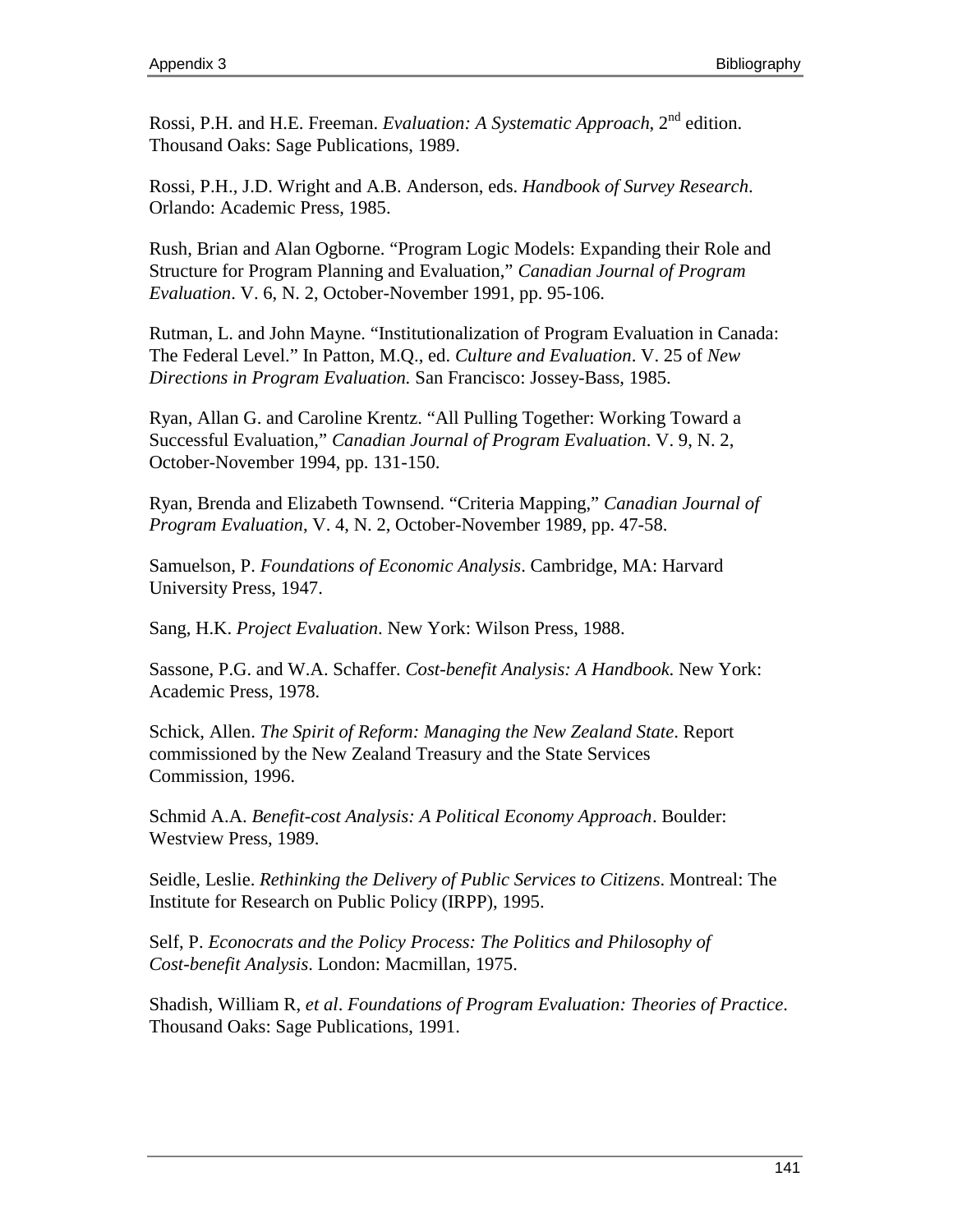Rossi, P.H. and H.E. Freeman. *Evaluation: A Systematic Approach*, 2<sup>nd</sup> edition. Thousand Oaks: Sage Publications, 1989.

Rossi, P.H., J.D. Wright and A.B. Anderson, eds. *Handbook of Survey Research*. Orlando: Academic Press, 1985.

Rush, Brian and Alan Ogborne. "Program Logic Models: Expanding their Role and Structure for Program Planning and Evaluation," *Canadian Journal of Program Evaluation*. V. 6, N. 2, October-November 1991, pp. 95-106.

Rutman, L. and John Mayne. "Institutionalization of Program Evaluation in Canada: The Federal Level." In Patton, M.Q., ed. *Culture and Evaluation*. V. 25 of *New Directions in Program Evaluation.* San Francisco: Jossey-Bass, 1985.

Ryan, Allan G. and Caroline Krentz. "All Pulling Together: Working Toward a Successful Evaluation," *Canadian Journal of Program Evaluation*. V. 9, N. 2, October-November 1994, pp. 131-150.

Ryan, Brenda and Elizabeth Townsend. "Criteria Mapping," *Canadian Journal of Program Evaluation*, V. 4, N. 2, October-November 1989, pp. 47-58.

Samuelson, P. *Foundations of Economic Analysis*. Cambridge, MA: Harvard University Press, 1947.

Sang, H.K. *Project Evaluation*. New York: Wilson Press, 1988.

Sassone, P.G. and W.A. Schaffer. *Cost-benefit Analysis: A Handbook*. New York: Academic Press, 1978.

Schick, Allen. *The Spirit of Reform: Managing the New Zealand State*. Report commissioned by the New Zealand Treasury and the State Services Commission, 1996.

Schmid A.A. *Benefit-cost Analysis: A Political Economy Approach*. Boulder: Westview Press, 1989.

Seidle, Leslie. *Rethinking the Delivery of Public Services to Citizens*. Montreal: The Institute for Research on Public Policy (IRPP), 1995.

Self, P. *Econocrats and the Policy Process: The Politics and Philosophy of Cost-benefit Analysis*. London: Macmillan, 1975.

Shadish, William R, *et al*. *Foundations of Program Evaluation: Theories of Practice*. Thousand Oaks: Sage Publications, 1991.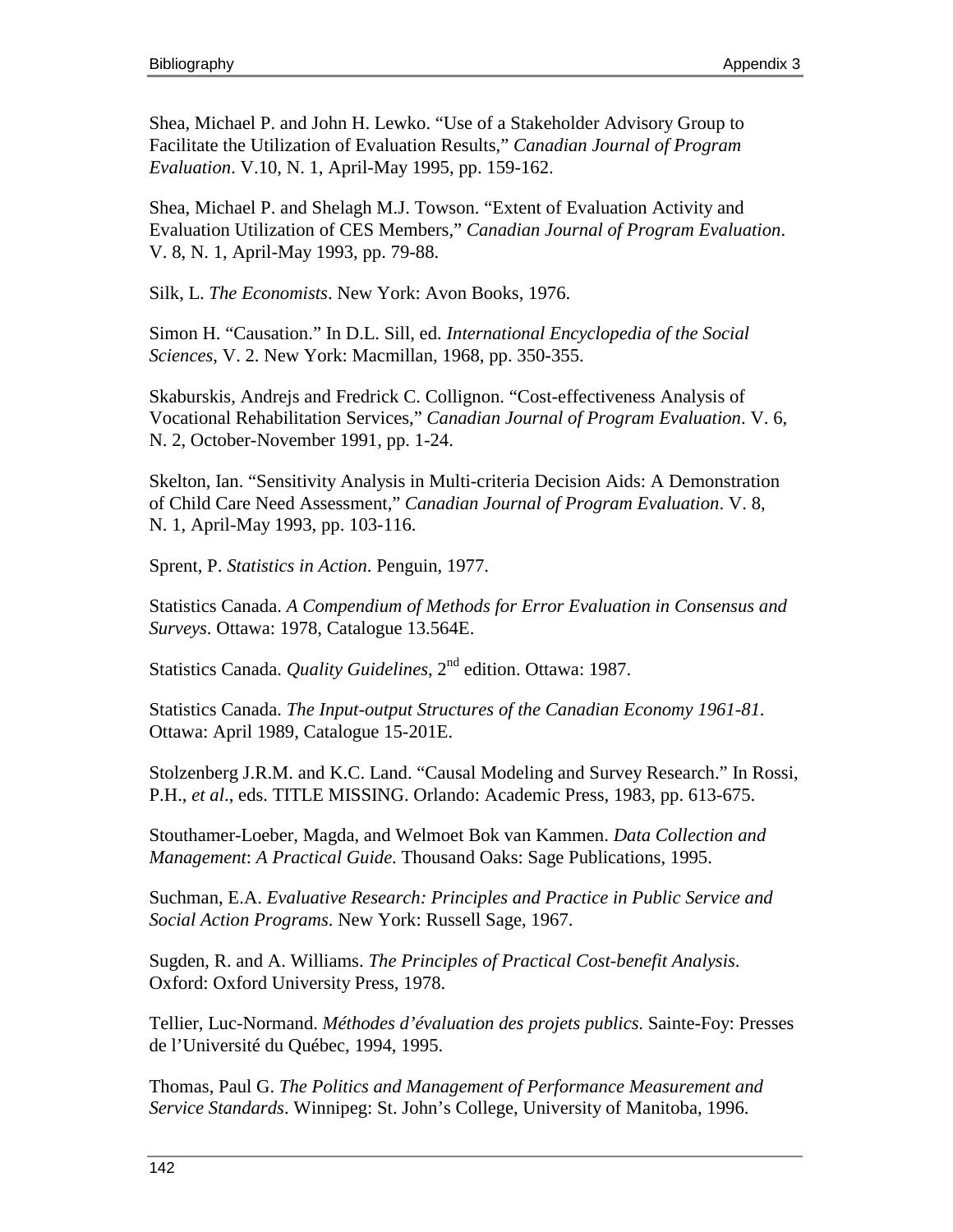Shea, Michael P. and John H. Lewko. "Use of a Stakeholder Advisory Group to Facilitate the Utilization of Evaluation Results," *Canadian Journal of Program Evaluation*. V.10, N. 1, April-May 1995, pp. 159-162.

Shea, Michael P. and Shelagh M.J. Towson. "Extent of Evaluation Activity and Evaluation Utilization of CES Members," *Canadian Journal of Program Evaluation*. V. 8, N. 1, April-May 1993, pp. 79-88.

Silk, L. *The Economists*. New York: Avon Books, 1976.

Simon H. "Causation." In D.L. Sill, ed. *International Encyclopedia of the Social Sciences*, V. 2. New York: Macmillan, 1968, pp. 350-355.

Skaburskis, Andrejs and Fredrick C. Collignon. "Cost-effectiveness Analysis of Vocational Rehabilitation Services," *Canadian Journal of Program Evaluation*. V. 6, N. 2, October-November 1991, pp. 1-24.

Skelton, Ian. "Sensitivity Analysis in Multi-criteria Decision Aids: A Demonstration of Child Care Need Assessment," *Canadian Journal of Program Evaluation*. V. 8, N. 1, April-May 1993, pp. 103-116.

Sprent, P. *Statistics in Action*. Penguin, 1977.

Statistics Canada. *A Compendium of Methods for Error Evaluation in Consensus and Surveys*. Ottawa: 1978, Catalogue 13.564E.

Statistics Canada. *Quality Guidelines*, 2<sup>nd</sup> edition. Ottawa: 1987.

Statistics Canada. *The Input-output Structures of the Canadian Economy 1961-81*. Ottawa: April 1989, Catalogue 15-201E.

Stolzenberg J.R.M. and K.C. Land. "Causal Modeling and Survey Research." In Rossi, P.H., *et al*., eds. TITLE MISSING. Orlando: Academic Press, 1983, pp. 613-675.

Stouthamer-Loeber, Magda, and Welmoet Bok van Kammen. *Data Collection and Management*: *A Practical Guide*. Thousand Oaks: Sage Publications, 1995.

Suchman, E.A. *Evaluative Research: Principles and Practice in Public Service and Social Action Programs*. New York: Russell Sage, 1967.

Sugden, R. and A. Williams. *The Principles of Practical Cost-benefit Analysis*. Oxford: Oxford University Press, 1978.

Tellier, Luc-Normand. *Méthodes d'évaluation des projets publics*. Sainte-Foy: Presses de l'Université du Québec, 1994, 1995.

Thomas, Paul G. *The Politics and Management of Performance Measurement and Service Standards*. Winnipeg: St. John's College, University of Manitoba, 1996.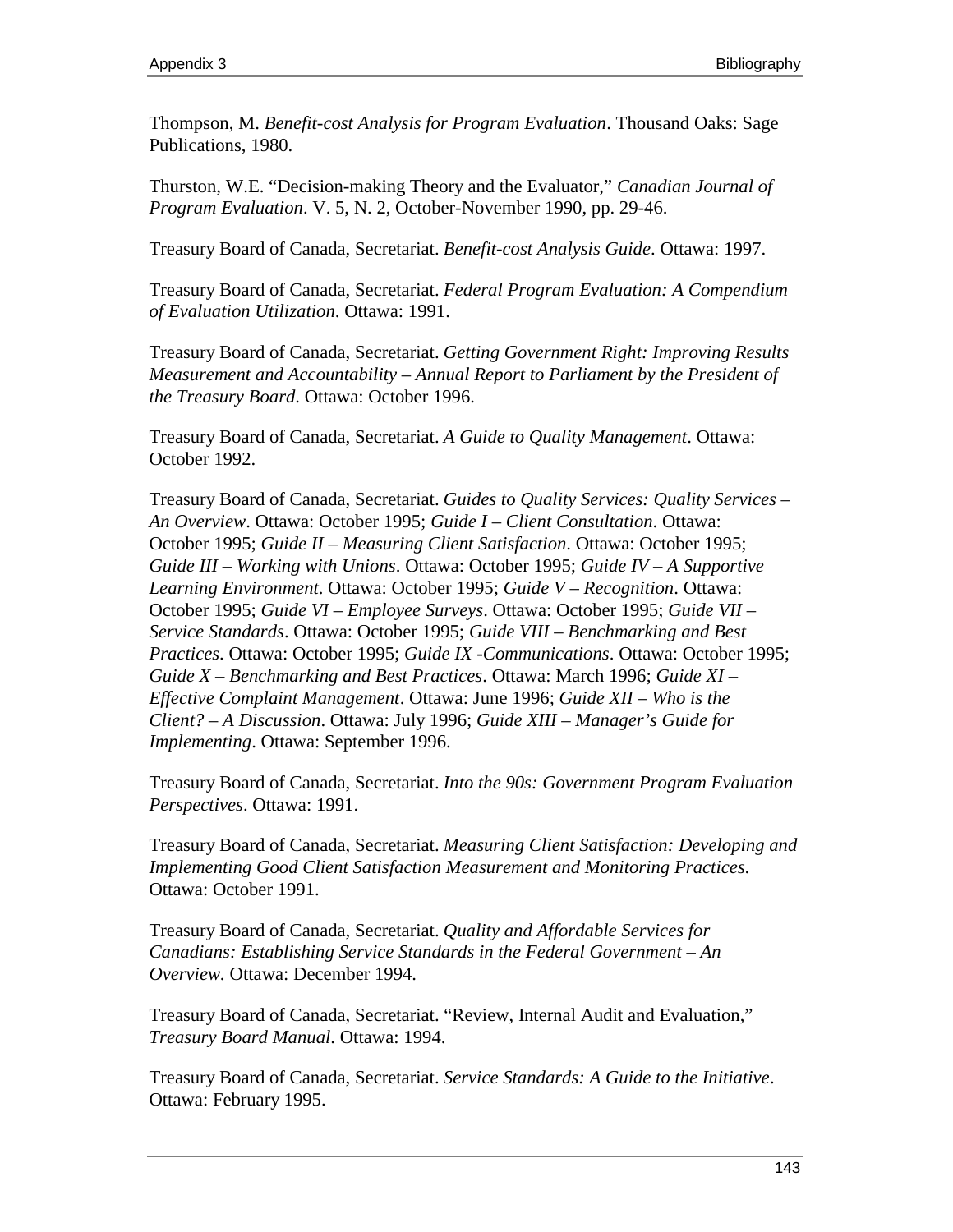Thompson, M. *Benefit-cost Analysis for Program Evaluation*. Thousand Oaks: Sage Publications, 1980.

Thurston, W.E. "Decision-making Theory and the Evaluator," *Canadian Journal of Program Evaluation*. V. 5, N. 2, October-November 1990, pp. 29-46.

Treasury Board of Canada, Secretariat. *Benefit-cost Analysis Guide*. Ottawa: 1997.

Treasury Board of Canada, Secretariat. *Federal Program Evaluation: A Compendium of Evaluation Utilization*. Ottawa: 1991.

Treasury Board of Canada, Secretariat. *Getting Government Right: Improving Results Measurement and Accountability – Annual Report to Parliament by the President of the Treasury Board*. Ottawa: October 1996.

Treasury Board of Canada, Secretariat. *A Guide to Quality Management*. Ottawa: October 1992.

Treasury Board of Canada, Secretariat. *Guides to Quality Services: Quality Services – An Overview*. Ottawa: October 1995; *Guide I – Client Consultation*. Ottawa: October 1995; *Guide II – Measuring Client Satisfaction*. Ottawa: October 1995; *Guide III – Working with Unions*. Ottawa: October 1995; *Guide IV – A Supportive Learning Environment*. Ottawa: October 1995; *Guide V – Recognition*. Ottawa: October 1995; *Guide VI – Employee Surveys*. Ottawa: October 1995; *Guide VII – Service Standards*. Ottawa: October 1995; *Guide VIII – Benchmarking and Best Practices*. Ottawa: October 1995; *Guide IX -Communications*. Ottawa: October 1995; *Guide X – Benchmarking and Best Practices*. Ottawa: March 1996; *Guide XI – Effective Complaint Management*. Ottawa: June 1996; *Guide XII – Who is the Client? – A Discussion*. Ottawa: July 1996; *Guide XIII – Manager's Guide for Implementing*. Ottawa: September 1996.

Treasury Board of Canada, Secretariat. *Into the 90s: Government Program Evaluation Perspectives*. Ottawa: 1991.

Treasury Board of Canada, Secretariat. *Measuring Client Satisfaction: Developing and Implementing Good Client Satisfaction Measurement and Monitoring Practices*. Ottawa: October 1991.

Treasury Board of Canada, Secretariat. *Quality and Affordable Services for Canadians: Establishing Service Standards in the Federal Government – An Overview.* Ottawa: December 1994.

Treasury Board of Canada, Secretariat. "Review, Internal Audit and Evaluation," *Treasury Board Manual*. Ottawa: 1994.

Treasury Board of Canada, Secretariat. *Service Standards: A Guide to the Initiative*. Ottawa: February 1995.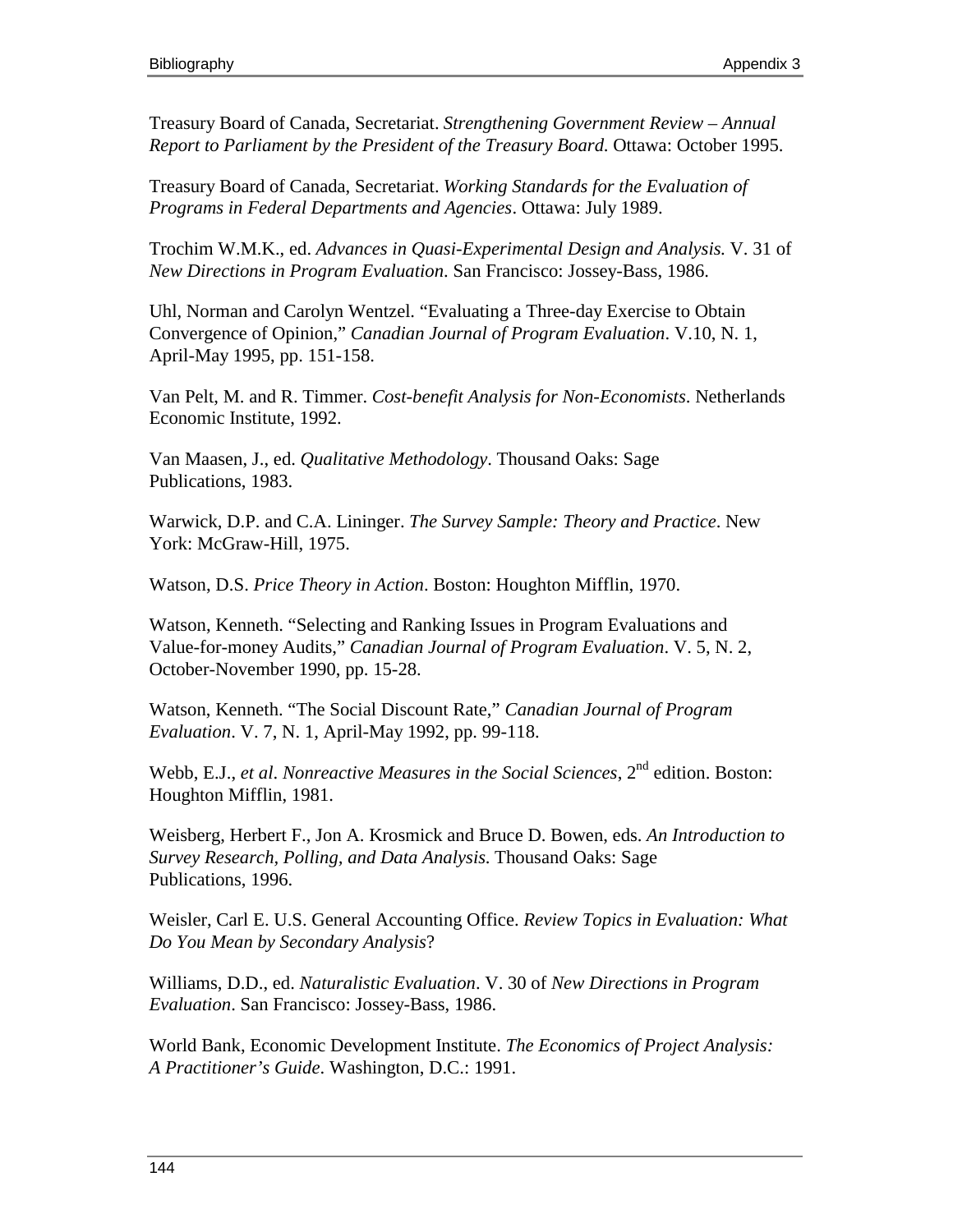Treasury Board of Canada, Secretariat. *Strengthening Government Review – Annual Report to Parliament by the President of the Treasury Board*. Ottawa: October 1995.

Treasury Board of Canada, Secretariat. *Working Standards for the Evaluation of Programs in Federal Departments and Agencies*. Ottawa: July 1989.

Trochim W.M.K., ed. *Advances in Quasi-Experimental Design and Analysis*. V. 31 of *New Directions in Program Evaluation*. San Francisco: Jossey-Bass, 1986.

Uhl, Norman and Carolyn Wentzel. "Evaluating a Three-day Exercise to Obtain Convergence of Opinion," *Canadian Journal of Program Evaluation*. V.10, N. 1, April-May 1995, pp. 151-158.

Van Pelt, M. and R. Timmer. *Cost-benefit Analysis for Non-Economists*. Netherlands Economic Institute, 1992.

Van Maasen, J., ed. *Qualitative Methodology*. Thousand Oaks: Sage Publications, 1983.

Warwick, D.P. and C.A. Lininger. *The Survey Sample: Theory and Practice*. New York: McGraw-Hill, 1975.

Watson, D.S. *Price Theory in Action*. Boston: Houghton Mifflin, 1970.

Watson, Kenneth. "Selecting and Ranking Issues in Program Evaluations and Value-for-money Audits," *Canadian Journal of Program Evaluation*. V. 5, N. 2, October-November 1990, pp. 15-28.

Watson, Kenneth. "The Social Discount Rate," *Canadian Journal of Program Evaluation*. V. 7, N. 1, April-May 1992, pp. 99-118.

Webb, E.J., *et al. Nonreactive Measures in the Social Sciences*, 2<sup>nd</sup> edition. Boston: Houghton Mifflin, 1981.

Weisberg, Herbert F., Jon A. Krosmick and Bruce D. Bowen, eds. *An Introduction to Survey Research, Polling, and Data Analysis*. Thousand Oaks: Sage Publications, 1996.

Weisler, Carl E. U.S. General Accounting Office. *Review Topics in Evaluation: What Do You Mean by Secondary Analysis*?

Williams, D.D., ed. *Naturalistic Evaluation*. V. 30 of *New Directions in Program Evaluation*. San Francisco: Jossey-Bass, 1986.

World Bank, Economic Development Institute. *The Economics of Project Analysis: A Practitioner's Guide*. Washington, D.C.: 1991.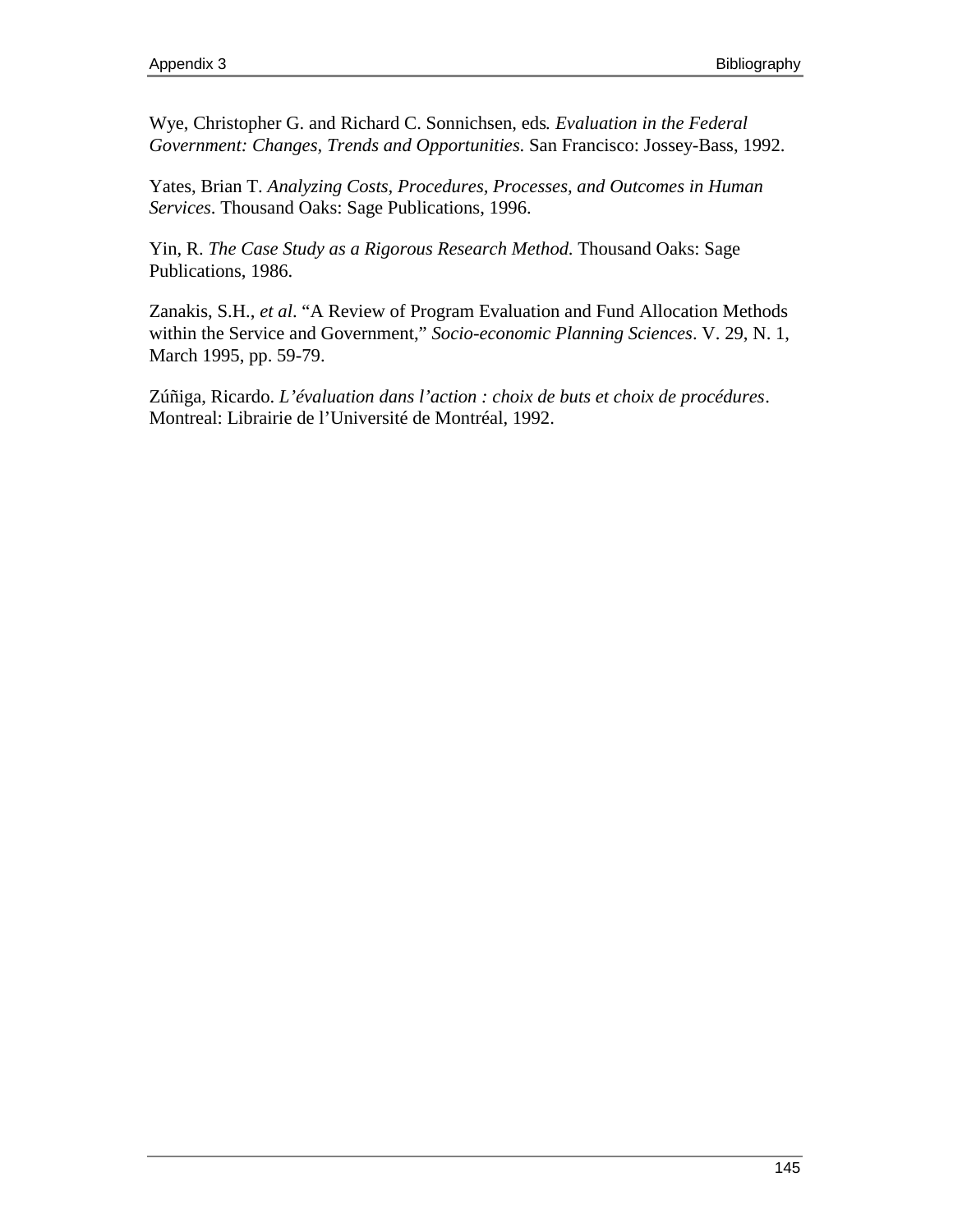Wye, Christopher G. and Richard C. Sonnichsen, eds*. Evaluation in the Federal Government: Changes, Trends and Opportunities*. San Francisco: Jossey-Bass, 1992.

Yates, Brian T. *Analyzing Costs, Procedures, Processes, and Outcomes in Human Services*. Thousand Oaks: Sage Publications, 1996.

Yin, R. *The Case Study as a Rigorous Research Method*. Thousand Oaks: Sage Publications, 1986.

Zanakis, S.H., *et al*. "A Review of Program Evaluation and Fund Allocation Methods within the Service and Government," *Socio-economic Planning Sciences*. V. 29, N. 1, March 1995, pp. 59-79.

Zúñiga, Ricardo. *L'évaluation dans l'action : choix de buts et choix de procédures*. Montreal: Librairie de l'Université de Montréal, 1992.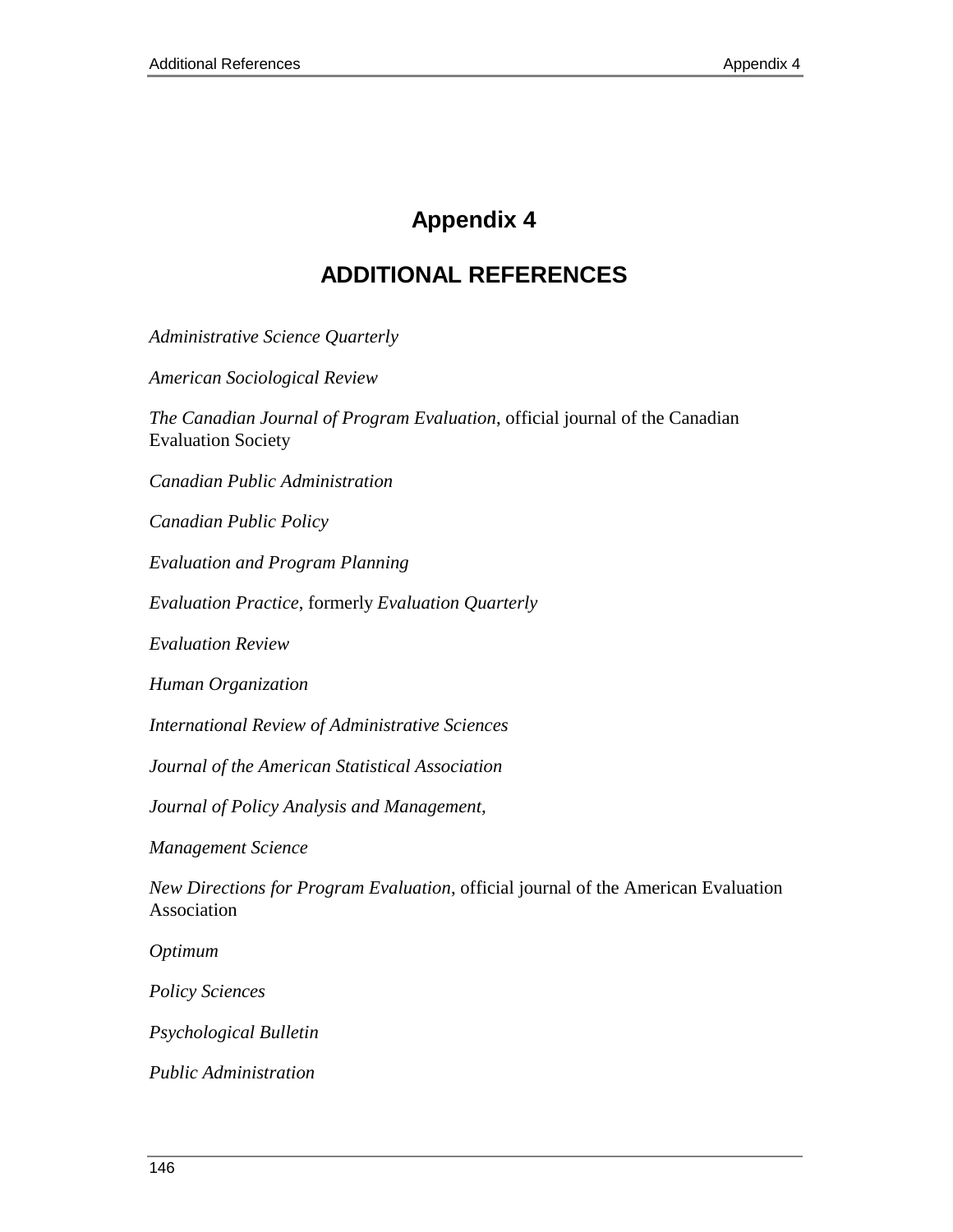## **Appendix 4**

## **ADDITIONAL REFERENCES**

*Administrative Science Quarterly*

*American Sociological Review*

*The Canadian Journal of Program Evaluation*, official journal of the Canadian Evaluation Society

*Canadian Public Administration*

*Canadian Public Policy*

*Evaluation and Program Planning*

*Evaluation Practice*, formerly *Evaluation Quarterly*

*Evaluation Review*

*Human Organization*

*International Review of Administrative Sciences*

*Journal of the American Statistical Association*

*Journal of Policy Analysis and Management,*

*Management Science*

*New Directions for Program Evaluation*, official journal of the American Evaluation Association

*Optimum*

*Policy Sciences*

*Psychological Bulletin*

*Public Administration*